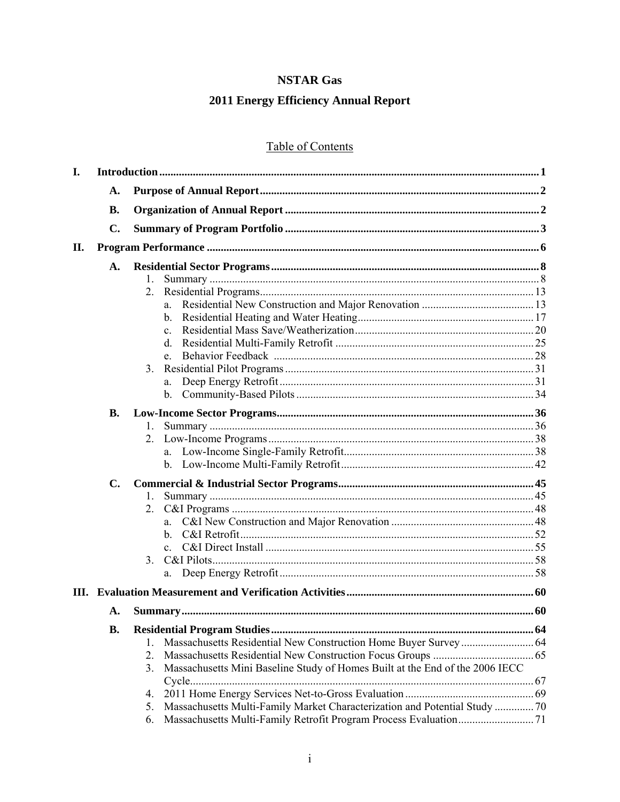## **NSTAR Gas**

# 2011 Energy Efficiency Annual Report

# Table of Contents

| I. |                |                                                                                    |  |
|----|----------------|------------------------------------------------------------------------------------|--|
|    | A.             |                                                                                    |  |
|    | <b>B.</b>      |                                                                                    |  |
|    | $C_{\bullet}$  |                                                                                    |  |
| П. |                |                                                                                    |  |
|    | $\mathbf{A}$ . |                                                                                    |  |
|    |                | 1.                                                                                 |  |
|    |                | 2.                                                                                 |  |
|    |                | a.                                                                                 |  |
|    |                | $\mathbf{b}$ .                                                                     |  |
|    |                |                                                                                    |  |
|    |                | $d_{\cdot}$                                                                        |  |
|    |                | e.                                                                                 |  |
|    |                | 3.                                                                                 |  |
|    |                | a.                                                                                 |  |
|    |                |                                                                                    |  |
|    | <b>B.</b>      |                                                                                    |  |
|    |                | 1.                                                                                 |  |
|    |                | 2.                                                                                 |  |
|    |                |                                                                                    |  |
|    |                |                                                                                    |  |
|    | $C_{\bullet}$  |                                                                                    |  |
|    |                | 1.                                                                                 |  |
|    |                | 2.                                                                                 |  |
|    |                |                                                                                    |  |
|    |                | b.                                                                                 |  |
|    |                |                                                                                    |  |
|    |                | $3_{-}$                                                                            |  |
|    |                | a.                                                                                 |  |
|    |                |                                                                                    |  |
|    | A.             |                                                                                    |  |
|    | <b>B.</b>      |                                                                                    |  |
|    |                | $1_{-}$                                                                            |  |
|    |                | 2.                                                                                 |  |
|    |                | Massachusetts Mini Baseline Study of Homes Built at the End of the 2006 IECC<br>3. |  |
|    |                |                                                                                    |  |
|    |                | 4.                                                                                 |  |
|    |                | Massachusetts Multi-Family Market Characterization and Potential Study  70<br>5.   |  |
|    |                | 6.                                                                                 |  |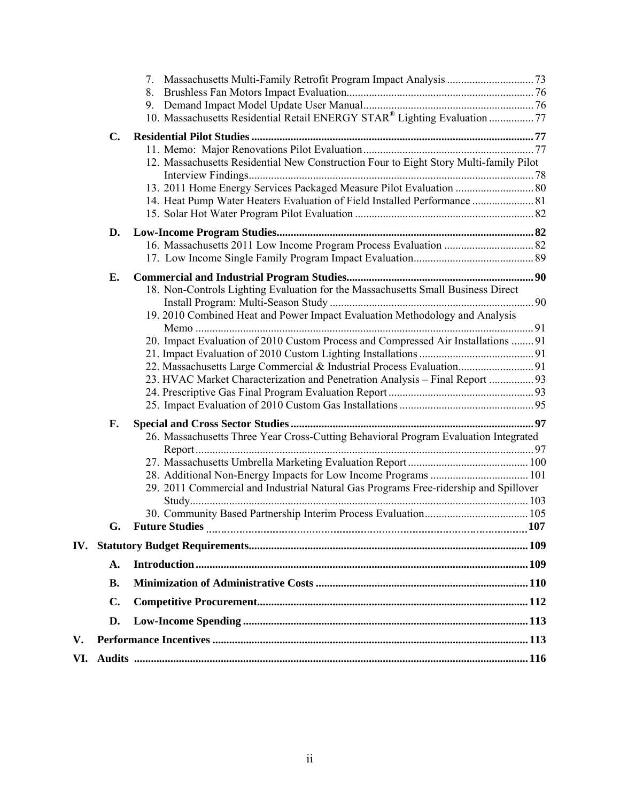|     |               | 8.<br>9.                                                                              |  |
|-----|---------------|---------------------------------------------------------------------------------------|--|
|     |               | 10. Massachusetts Residential Retail ENERGY STAR® Lighting Evaluation 77              |  |
|     | C.            |                                                                                       |  |
|     |               |                                                                                       |  |
|     |               | 12. Massachusetts Residential New Construction Four to Eight Story Multi-family Pilot |  |
|     |               |                                                                                       |  |
|     |               | 14. Heat Pump Water Heaters Evaluation of Field Installed Performance  81             |  |
|     |               |                                                                                       |  |
|     | D.            |                                                                                       |  |
|     |               |                                                                                       |  |
|     |               |                                                                                       |  |
|     | E.            |                                                                                       |  |
|     |               | 18. Non-Controls Lighting Evaluation for the Massachusetts Small Business Direct      |  |
|     |               |                                                                                       |  |
|     |               | 19. 2010 Combined Heat and Power Impact Evaluation Methodology and Analysis           |  |
|     |               |                                                                                       |  |
|     |               | 20. Impact Evaluation of 2010 Custom Process and Compressed Air Installations  91     |  |
|     |               |                                                                                       |  |
|     |               | 23. HVAC Market Characterization and Penetration Analysis - Final Report  93          |  |
|     |               |                                                                                       |  |
|     |               |                                                                                       |  |
|     | F.            |                                                                                       |  |
|     |               | 26. Massachusetts Three Year Cross-Cutting Behavioral Program Evaluation Integrated   |  |
|     |               |                                                                                       |  |
|     |               |                                                                                       |  |
|     |               |                                                                                       |  |
|     |               | 29. 2011 Commercial and Industrial Natural Gas Programs Free-ridership and Spillover  |  |
|     |               |                                                                                       |  |
|     | G.            |                                                                                       |  |
|     |               |                                                                                       |  |
|     | A.            |                                                                                       |  |
|     | <b>B.</b>     |                                                                                       |  |
|     | $C_{\bullet}$ |                                                                                       |  |
|     | D.            |                                                                                       |  |
| V.  |               |                                                                                       |  |
| VI. |               |                                                                                       |  |
|     |               |                                                                                       |  |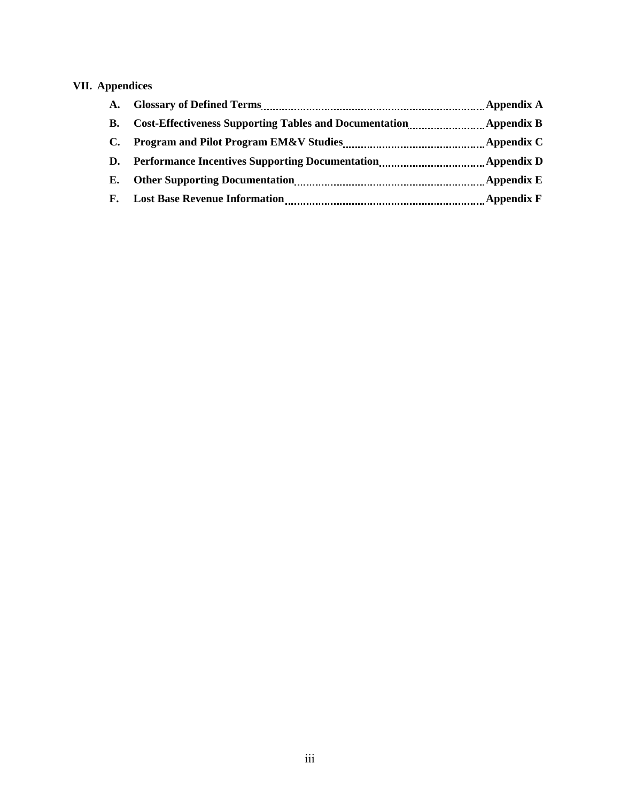## **VII. Appendices**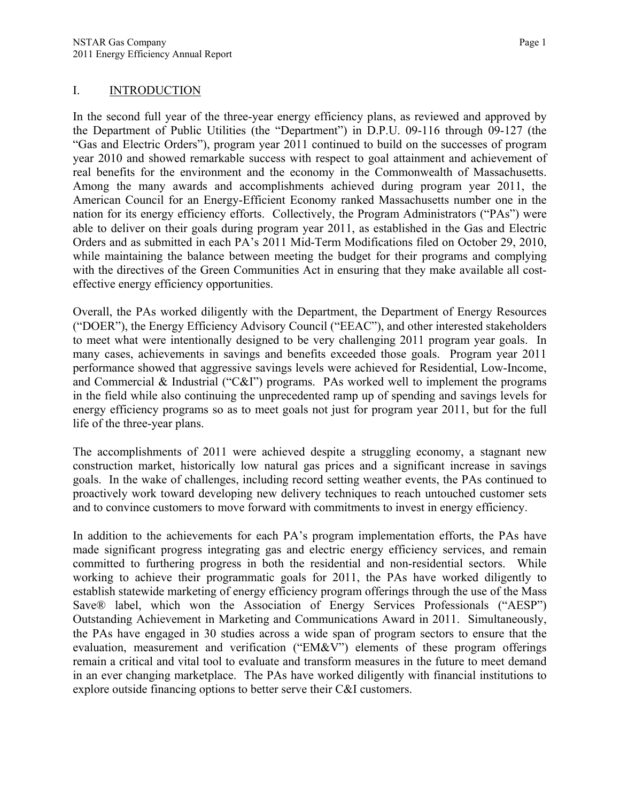#### I. INTRODUCTION

In the second full year of the three-year energy efficiency plans, as reviewed and approved by the Department of Public Utilities (the "Department") in D.P.U. 09-116 through 09-127 (the "Gas and Electric Orders"), program year 2011 continued to build on the successes of program year 2010 and showed remarkable success with respect to goal attainment and achievement of real benefits for the environment and the economy in the Commonwealth of Massachusetts. Among the many awards and accomplishments achieved during program year 2011, the American Council for an Energy-Efficient Economy ranked Massachusetts number one in the nation for its energy efficiency efforts. Collectively, the Program Administrators ("PAs") were able to deliver on their goals during program year 2011, as established in the Gas and Electric Orders and as submitted in each PA's 2011 Mid-Term Modifications filed on October 29, 2010, while maintaining the balance between meeting the budget for their programs and complying with the directives of the Green Communities Act in ensuring that they make available all costeffective energy efficiency opportunities.

Overall, the PAs worked diligently with the Department, the Department of Energy Resources ("DOER"), the Energy Efficiency Advisory Council ("EEAC"), and other interested stakeholders to meet what were intentionally designed to be very challenging 2011 program year goals. In many cases, achievements in savings and benefits exceeded those goals. Program year 2011 performance showed that aggressive savings levels were achieved for Residential, Low-Income, and Commercial & Industrial ("C&I") programs. PAs worked well to implement the programs in the field while also continuing the unprecedented ramp up of spending and savings levels for energy efficiency programs so as to meet goals not just for program year 2011, but for the full life of the three-year plans.

The accomplishments of 2011 were achieved despite a struggling economy, a stagnant new construction market, historically low natural gas prices and a significant increase in savings goals. In the wake of challenges, including record setting weather events, the PAs continued to proactively work toward developing new delivery techniques to reach untouched customer sets and to convince customers to move forward with commitments to invest in energy efficiency.

In addition to the achievements for each PA's program implementation efforts, the PAs have made significant progress integrating gas and electric energy efficiency services, and remain committed to furthering progress in both the residential and non-residential sectors. While working to achieve their programmatic goals for 2011, the PAs have worked diligently to establish statewide marketing of energy efficiency program offerings through the use of the Mass Save® label, which won the Association of Energy Services Professionals ("AESP") Outstanding Achievement in Marketing and Communications Award in 2011. Simultaneously, the PAs have engaged in 30 studies across a wide span of program sectors to ensure that the evaluation, measurement and verification ("EM&V") elements of these program offerings remain a critical and vital tool to evaluate and transform measures in the future to meet demand in an ever changing marketplace. The PAs have worked diligently with financial institutions to explore outside financing options to better serve their C&I customers.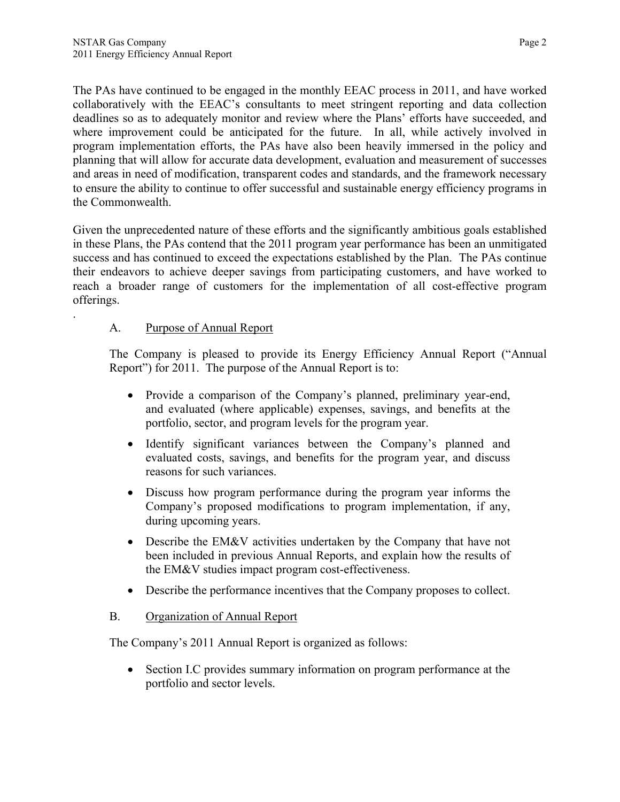The PAs have continued to be engaged in the monthly EEAC process in 2011, and have worked collaboratively with the EEAC's consultants to meet stringent reporting and data collection deadlines so as to adequately monitor and review where the Plans' efforts have succeeded, and where improvement could be anticipated for the future. In all, while actively involved in program implementation efforts, the PAs have also been heavily immersed in the policy and planning that will allow for accurate data development, evaluation and measurement of successes and areas in need of modification, transparent codes and standards, and the framework necessary to ensure the ability to continue to offer successful and sustainable energy efficiency programs in the Commonwealth.

Given the unprecedented nature of these efforts and the significantly ambitious goals established in these Plans, the PAs contend that the 2011 program year performance has been an unmitigated success and has continued to exceed the expectations established by the Plan. The PAs continue their endeavors to achieve deeper savings from participating customers, and have worked to reach a broader range of customers for the implementation of all cost-effective program offerings.

## A. Purpose of Annual Report

.

The Company is pleased to provide its Energy Efficiency Annual Report ("Annual Report") for 2011. The purpose of the Annual Report is to:

- Provide a comparison of the Company's planned, preliminary year-end, and evaluated (where applicable) expenses, savings, and benefits at the portfolio, sector, and program levels for the program year.
- Identify significant variances between the Company's planned and evaluated costs, savings, and benefits for the program year, and discuss reasons for such variances.
- Discuss how program performance during the program year informs the Company's proposed modifications to program implementation, if any, during upcoming years.
- Describe the EM&V activities undertaken by the Company that have not been included in previous Annual Reports, and explain how the results of the EM&V studies impact program cost-effectiveness.
- Describe the performance incentives that the Company proposes to collect.

## B. Organization of Annual Report

The Company's 2011 Annual Report is organized as follows:

• Section I.C provides summary information on program performance at the portfolio and sector levels.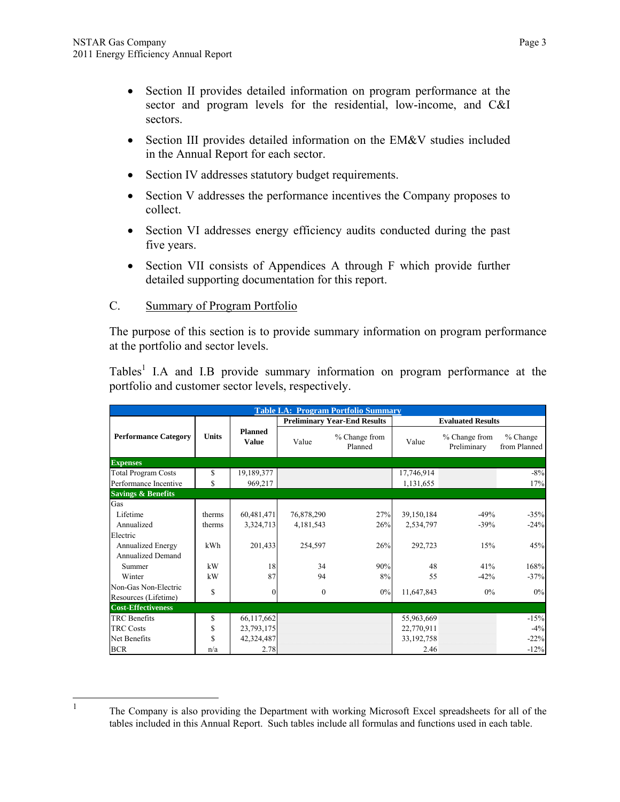- Section II provides detailed information on program performance at the sector and program levels for the residential, low-income, and C&I sectors.
- Section III provides detailed information on the EM&V studies included in the Annual Report for each sector.
- Section IV addresses statutory budget requirements.
- Section V addresses the performance incentives the Company proposes to collect.
- Section VI addresses energy efficiency audits conducted during the past five years.
- Section VII consists of Appendices A through F which provide further detailed supporting documentation for this report.

## C. Summary of Program Portfolio

The purpose of this section is to provide summary information on program performance at the portfolio and sector levels.

Tables<sup>1</sup> I.A and I.B provide summary information on program performance at the portfolio and customer sector levels, respectively.

|                               | <b>Table I.A: Program Portfolio Summary</b> |                                |              |                                     |                          |                              |                          |  |  |  |
|-------------------------------|---------------------------------------------|--------------------------------|--------------|-------------------------------------|--------------------------|------------------------------|--------------------------|--|--|--|
|                               |                                             |                                |              | <b>Preliminary Year-End Results</b> | <b>Evaluated Results</b> |                              |                          |  |  |  |
| <b>Performance Category</b>   | Units                                       | <b>Planned</b><br><b>Value</b> | Value        | % Change from<br>Planned            | Value                    | % Change from<br>Preliminary | % Change<br>from Planned |  |  |  |
| <b>Expenses</b>               |                                             |                                |              |                                     |                          |                              |                          |  |  |  |
| <b>Total Program Costs</b>    | \$                                          | 19,189,377                     |              |                                     | 17,746,914               |                              | $-8%$                    |  |  |  |
| Performance Incentive         | \$                                          | 969,217                        |              |                                     | 1,131,655                |                              | 17%                      |  |  |  |
| <b>Savings &amp; Benefits</b> |                                             |                                |              |                                     |                          |                              |                          |  |  |  |
| Gas                           |                                             |                                |              |                                     |                          |                              |                          |  |  |  |
| Lifetime                      | therms                                      | 60,481,471                     | 76,878,290   | 27%                                 | 39,150,184               | $-49%$                       | $-35%$                   |  |  |  |
| Annualized                    | therms                                      | 3,324,713                      | 4,181,543    | 26%                                 | 2,534,797                | $-39%$                       | $-24%$                   |  |  |  |
| Electric                      |                                             |                                |              |                                     |                          |                              |                          |  |  |  |
| <b>Annualized Energy</b>      | kWh                                         | 201,433                        | 254,597      | 26%                                 | 292,723                  | 15%                          | 45%                      |  |  |  |
| <b>Annualized Demand</b>      |                                             |                                |              |                                     |                          |                              |                          |  |  |  |
| Summer                        | kW                                          | 18                             | 34           | 90%                                 | 48                       | 41%                          | 168%                     |  |  |  |
| Winter                        | kW                                          | 87                             | 94           | 8%                                  | 55                       | $-42%$                       | $-37%$                   |  |  |  |
| Non-Gas Non-Electric          | $\mathbf S$                                 | $\overline{0}$                 | $\mathbf{0}$ | $0\%$                               | 11,647,843               | $0\%$                        | 0%                       |  |  |  |
| Resources (Lifetime)          |                                             |                                |              |                                     |                          |                              |                          |  |  |  |
| <b>Cost-Effectiveness</b>     |                                             |                                |              |                                     |                          |                              |                          |  |  |  |
| <b>TRC</b> Benefits           | \$                                          | 66,117,662                     |              |                                     | 55,963,669               |                              | $-15%$                   |  |  |  |
| <b>TRC Costs</b>              | \$                                          | 23,793,175                     |              |                                     | 22,770,911               |                              | $-4%$                    |  |  |  |
| Net Benefits                  | \$                                          | 42,324,487                     |              |                                     | 33, 192, 758             |                              | $-22%$                   |  |  |  |
| <b>BCR</b>                    | n/a                                         | 2.78                           |              |                                     | 2.46                     |                              | $-12%$                   |  |  |  |

 $\frac{1}{1}$ 

The Company is also providing the Department with working Microsoft Excel spreadsheets for all of the tables included in this Annual Report. Such tables include all formulas and functions used in each table.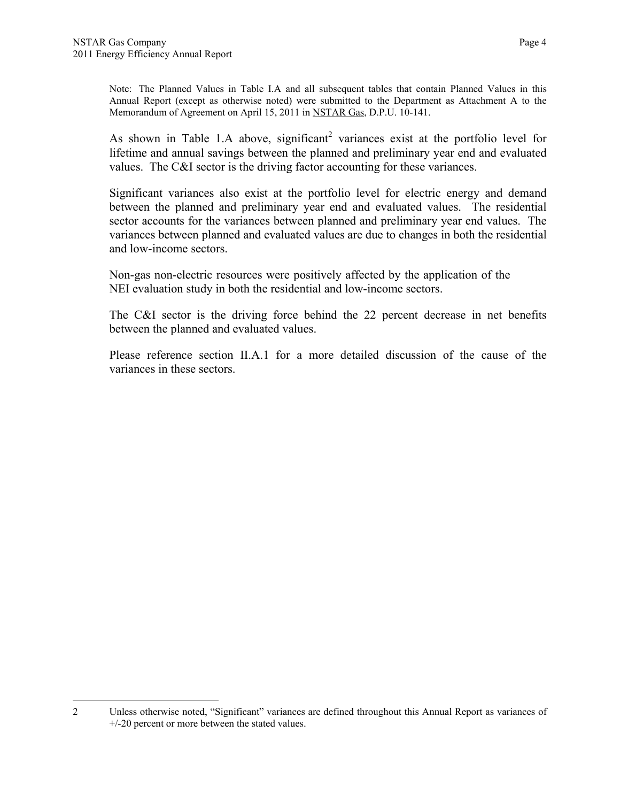Note: The Planned Values in Table I.A and all subsequent tables that contain Planned Values in this Annual Report (except as otherwise noted) were submitted to the Department as Attachment A to the Memorandum of Agreement on April 15, 2011 in NSTAR Gas, D.P.U. 10-141.

As shown in Table 1.A above, significant<sup>2</sup> variances exist at the portfolio level for lifetime and annual savings between the planned and preliminary year end and evaluated values. The C&I sector is the driving factor accounting for these variances.

Significant variances also exist at the portfolio level for electric energy and demand between the planned and preliminary year end and evaluated values. The residential sector accounts for the variances between planned and preliminary year end values. The variances between planned and evaluated values are due to changes in both the residential and low-income sectors.

Non-gas non-electric resources were positively affected by the application of the NEI evaluation study in both the residential and low-income sectors.

The C&I sector is the driving force behind the 22 percent decrease in net benefits between the planned and evaluated values.

Please reference section II.A.1 for a more detailed discussion of the cause of the variances in these sectors.

 $\overline{a}$ 2 Unless otherwise noted, "Significant" variances are defined throughout this Annual Report as variances of +/-20 percent or more between the stated values.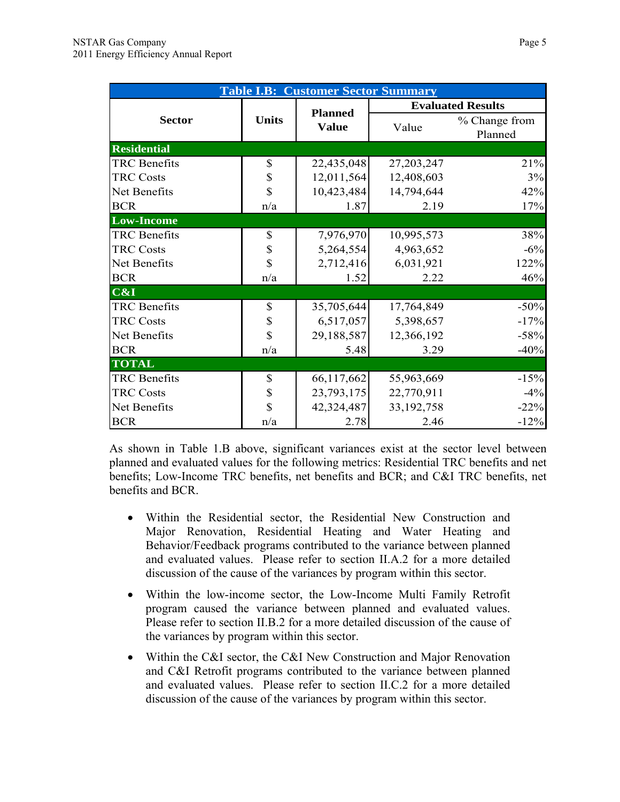| <b>Table I.B: Customer Sector Summary</b> |              |                                |              |                          |  |  |  |  |
|-------------------------------------------|--------------|--------------------------------|--------------|--------------------------|--|--|--|--|
|                                           |              |                                |              | <b>Evaluated Results</b> |  |  |  |  |
| <b>Sector</b>                             | <b>Units</b> | <b>Planned</b><br><b>Value</b> | Value        | % Change from<br>Planned |  |  |  |  |
| <b>Residential</b>                        |              |                                |              |                          |  |  |  |  |
| <b>TRC</b> Benefits                       | \$           | 22,435,048                     | 27,203,247   | 21%                      |  |  |  |  |
| <b>TRC Costs</b>                          | \$           | 12,011,564                     | 12,408,603   | 3%                       |  |  |  |  |
| Net Benefits                              | \$           | 10,423,484                     | 14,794,644   | 42%                      |  |  |  |  |
| <b>BCR</b>                                | n/a          | 1.87                           | 2.19         | 17%                      |  |  |  |  |
| <b>Low-Income</b>                         |              |                                |              |                          |  |  |  |  |
| <b>TRC</b> Benefits                       | \$           | 7,976,970                      | 10,995,573   | 38%                      |  |  |  |  |
| <b>TRC Costs</b>                          | \$           | 5,264,554                      | 4,963,652    | $-6%$                    |  |  |  |  |
| Net Benefits                              | \$           | 2,712,416                      | 6,031,921    | 122%                     |  |  |  |  |
| <b>BCR</b>                                | n/a          | 1.52                           | 2.22         | 46%                      |  |  |  |  |
| C&I                                       |              |                                |              |                          |  |  |  |  |
| <b>TRC</b> Benefits                       | \$           | 35,705,644                     | 17,764,849   | $-50%$                   |  |  |  |  |
| <b>TRC Costs</b>                          | \$           | 6,517,057                      | 5,398,657    | $-17%$                   |  |  |  |  |
| Net Benefits                              | \$           | 29,188,587                     | 12,366,192   | $-58%$                   |  |  |  |  |
| <b>BCR</b>                                | n/a          | 5.48                           | 3.29         | $-40%$                   |  |  |  |  |
| <b>TOTAL</b>                              |              |                                |              |                          |  |  |  |  |
| <b>TRC</b> Benefits                       | \$           | 66,117,662                     | 55,963,669   | $-15%$                   |  |  |  |  |
| <b>TRC Costs</b>                          | \$           | 23,793,175                     | 22,770,911   | $-4%$                    |  |  |  |  |
| Net Benefits                              | \$           | 42,324,487                     | 33, 192, 758 | $-22%$                   |  |  |  |  |
| <b>BCR</b>                                | n/a          | 2.78                           | 2.46         | $-12%$                   |  |  |  |  |

As shown in Table 1.B above, significant variances exist at the sector level between planned and evaluated values for the following metrics: Residential TRC benefits and net benefits; Low-Income TRC benefits, net benefits and BCR; and C&I TRC benefits, net benefits and BCR.

- Within the Residential sector, the Residential New Construction and Major Renovation, Residential Heating and Water Heating and Behavior/Feedback programs contributed to the variance between planned and evaluated values. Please refer to section II.A.2 for a more detailed discussion of the cause of the variances by program within this sector.
- Within the low-income sector, the Low-Income Multi Family Retrofit program caused the variance between planned and evaluated values. Please refer to section II.B.2 for a more detailed discussion of the cause of the variances by program within this sector.
- Within the C&I sector, the C&I New Construction and Major Renovation and C&I Retrofit programs contributed to the variance between planned and evaluated values. Please refer to section II.C.2 for a more detailed discussion of the cause of the variances by program within this sector.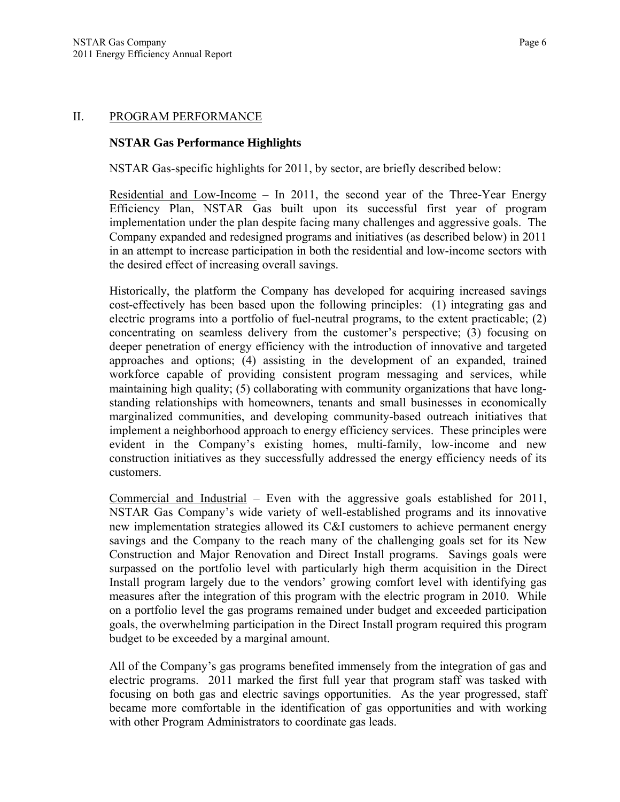#### II. PROGRAM PERFORMANCE

#### **NSTAR Gas Performance Highlights**

NSTAR Gas-specific highlights for 2011, by sector, are briefly described below:

Residential and Low-Income – In 2011, the second year of the Three-Year Energy Efficiency Plan, NSTAR Gas built upon its successful first year of program implementation under the plan despite facing many challenges and aggressive goals. The Company expanded and redesigned programs and initiatives (as described below) in 2011 in an attempt to increase participation in both the residential and low-income sectors with the desired effect of increasing overall savings.

Historically, the platform the Company has developed for acquiring increased savings cost-effectively has been based upon the following principles: (1) integrating gas and electric programs into a portfolio of fuel-neutral programs, to the extent practicable; (2) concentrating on seamless delivery from the customer's perspective; (3) focusing on deeper penetration of energy efficiency with the introduction of innovative and targeted approaches and options; (4) assisting in the development of an expanded, trained workforce capable of providing consistent program messaging and services, while maintaining high quality; (5) collaborating with community organizations that have longstanding relationships with homeowners, tenants and small businesses in economically marginalized communities, and developing community-based outreach initiatives that implement a neighborhood approach to energy efficiency services. These principles were evident in the Company's existing homes, multi-family, low-income and new construction initiatives as they successfully addressed the energy efficiency needs of its customers.

Commercial and Industrial – Even with the aggressive goals established for 2011, NSTAR Gas Company's wide variety of well-established programs and its innovative new implementation strategies allowed its C&I customers to achieve permanent energy savings and the Company to the reach many of the challenging goals set for its New Construction and Major Renovation and Direct Install programs. Savings goals were surpassed on the portfolio level with particularly high therm acquisition in the Direct Install program largely due to the vendors' growing comfort level with identifying gas measures after the integration of this program with the electric program in 2010. While on a portfolio level the gas programs remained under budget and exceeded participation goals, the overwhelming participation in the Direct Install program required this program budget to be exceeded by a marginal amount.

All of the Company's gas programs benefited immensely from the integration of gas and electric programs. 2011 marked the first full year that program staff was tasked with focusing on both gas and electric savings opportunities. As the year progressed, staff became more comfortable in the identification of gas opportunities and with working with other Program Administrators to coordinate gas leads.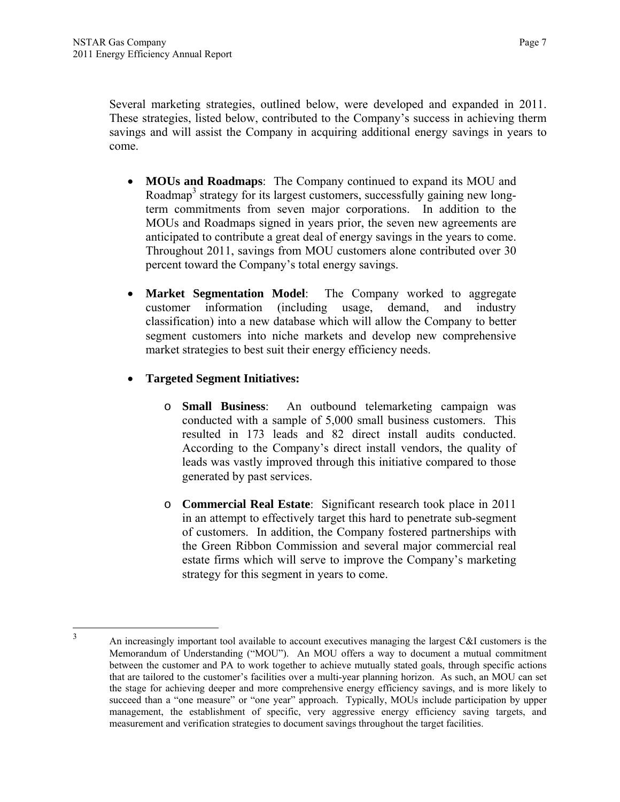Several marketing strategies, outlined below, were developed and expanded in 2011. These strategies, listed below, contributed to the Company's success in achieving therm savings and will assist the Company in acquiring additional energy savings in years to come.

- **MOUs and Roadmaps**: The Company continued to expand its MOU and Roadmap<sup>3</sup> strategy for its largest customers, successfully gaining new longterm commitments from seven major corporations. In addition to the MOUs and Roadmaps signed in years prior, the seven new agreements are anticipated to contribute a great deal of energy savings in the years to come. Throughout 2011, savings from MOU customers alone contributed over 30 percent toward the Company's total energy savings.
- **Market Segmentation Model**: The Company worked to aggregate customer information (including usage, demand, and industry classification) into a new database which will allow the Company to better segment customers into niche markets and develop new comprehensive market strategies to best suit their energy efficiency needs.
- **Targeted Segment Initiatives:** 
	- o **Small Business**: An outbound telemarketing campaign was conducted with a sample of 5,000 small business customers. This resulted in 173 leads and 82 direct install audits conducted. According to the Company's direct install vendors, the quality of leads was vastly improved through this initiative compared to those generated by past services.
	- o **Commercial Real Estate**: Significant research took place in 2011 in an attempt to effectively target this hard to penetrate sub-segment of customers. In addition, the Company fostered partnerships with the Green Ribbon Commission and several major commercial real estate firms which will serve to improve the Company's marketing strategy for this segment in years to come.

 $\frac{1}{3}$ 

An increasingly important tool available to account executives managing the largest C&I customers is the Memorandum of Understanding ("MOU"). An MOU offers a way to document a mutual commitment between the customer and PA to work together to achieve mutually stated goals, through specific actions that are tailored to the customer's facilities over a multi-year planning horizon. As such, an MOU can set the stage for achieving deeper and more comprehensive energy efficiency savings, and is more likely to succeed than a "one measure" or "one year" approach. Typically, MOUs include participation by upper management, the establishment of specific, very aggressive energy efficiency saving targets, and measurement and verification strategies to document savings throughout the target facilities.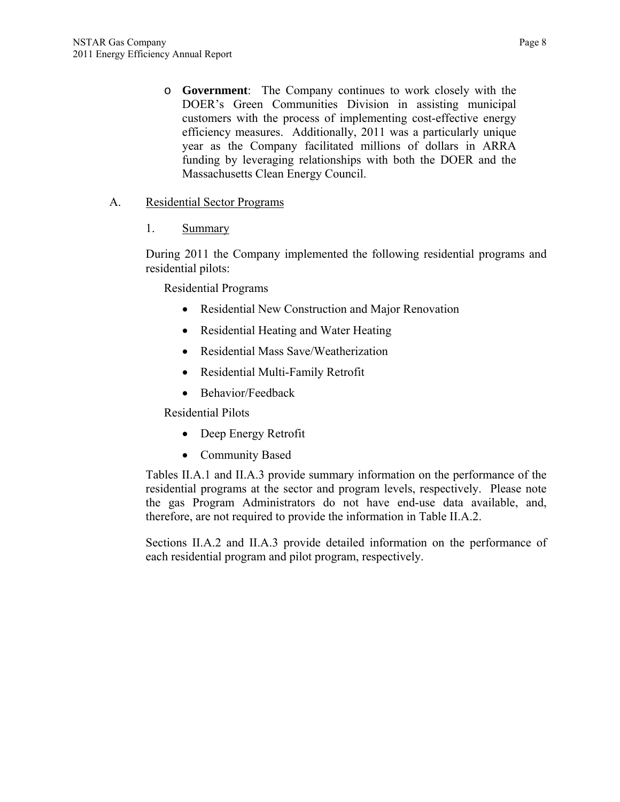o **Government**: The Company continues to work closely with the DOER's Green Communities Division in assisting municipal customers with the process of implementing cost-effective energy efficiency measures. Additionally, 2011 was a particularly unique year as the Company facilitated millions of dollars in ARRA funding by leveraging relationships with both the DOER and the Massachusetts Clean Energy Council.

## A. Residential Sector Programs

1. Summary

During 2011 the Company implemented the following residential programs and residential pilots:

Residential Programs

- Residential New Construction and Major Renovation
- Residential Heating and Water Heating
- Residential Mass Save/Weatherization
- Residential Multi-Family Retrofit
- Behavior/Feedback

Residential Pilots

- Deep Energy Retrofit
- Community Based

Tables II.A.1 and II.A.3 provide summary information on the performance of the residential programs at the sector and program levels, respectively. Please note the gas Program Administrators do not have end-use data available, and, therefore, are not required to provide the information in Table II.A.2.

Sections II.A.2 and II.A.3 provide detailed information on the performance of each residential program and pilot program, respectively.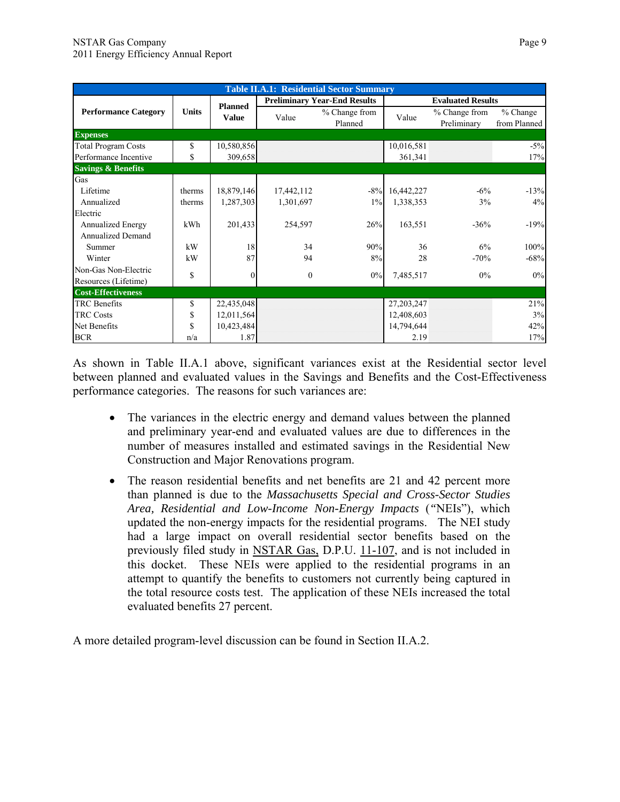|                               | <b>Table II.A.1: Residential Sector Summary</b> |                 |              |                                     |            |                              |                          |  |  |  |  |
|-------------------------------|-------------------------------------------------|-----------------|--------------|-------------------------------------|------------|------------------------------|--------------------------|--|--|--|--|
|                               |                                                 | <b>Planned</b>  |              | <b>Preliminary Year-End Results</b> |            | <b>Evaluated Results</b>     |                          |  |  |  |  |
| <b>Performance Category</b>   | <b>Units</b>                                    | <b>Value</b>    | Value        | % Change from<br>Planned            | Value      | % Change from<br>Preliminary | % Change<br>from Planned |  |  |  |  |
| <b>Expenses</b>               |                                                 |                 |              |                                     |            |                              |                          |  |  |  |  |
| <b>Total Program Costs</b>    | \$                                              | 10,580,856      |              |                                     | 10,016,581 |                              | $-5\%$                   |  |  |  |  |
| Performance Incentive         | \$                                              | 309,658         |              |                                     | 361,341    |                              | 17%                      |  |  |  |  |
| <b>Savings &amp; Benefits</b> |                                                 |                 |              |                                     |            |                              |                          |  |  |  |  |
| Gas                           |                                                 |                 |              |                                     |            |                              |                          |  |  |  |  |
| Lifetime                      | therms                                          | 18,879,146      | 17,442,112   | $-8%$                               | 16,442,227 | $-6\%$                       | $-13%$                   |  |  |  |  |
| Annualized                    | therms                                          | 1,287,303       | 1,301,697    | $1\%$                               | 1,338,353  | 3%                           | 4%                       |  |  |  |  |
| Electric                      |                                                 |                 |              |                                     |            |                              |                          |  |  |  |  |
| <b>Annualized Energy</b>      | kWh                                             | 201,433         | 254,597      | 26%                                 | 163,551    | $-36%$                       | $-19%$                   |  |  |  |  |
| <b>Annualized Demand</b>      |                                                 |                 |              |                                     |            |                              |                          |  |  |  |  |
| Summer                        | kW                                              | 18              | 34           | 90%                                 | 36         | 6%                           | 100%                     |  |  |  |  |
| Winter                        | kW                                              | 87              | 94           | 8%                                  | 28         | $-70%$                       | $-68%$                   |  |  |  |  |
| Non-Gas Non-Electric          | \$                                              | $\vert 0 \vert$ | $\mathbf{0}$ | 0%                                  | 7,485,517  | $0\%$                        | 0%                       |  |  |  |  |
| Resources (Lifetime)          |                                                 |                 |              |                                     |            |                              |                          |  |  |  |  |
| <b>Cost-Effectiveness</b>     |                                                 |                 |              |                                     |            |                              |                          |  |  |  |  |
| <b>TRC</b> Benefits           | \$                                              | 22,435,048      |              |                                     | 27,203,247 |                              | 21%                      |  |  |  |  |
| <b>TRC Costs</b>              | \$                                              | 12,011,564      |              |                                     | 12,408,603 |                              | 3%                       |  |  |  |  |
| Net Benefits                  | \$                                              | 10,423,484      |              |                                     | 14,794,644 |                              | 42%                      |  |  |  |  |
| <b>BCR</b>                    | n/a                                             | 1.87            |              |                                     | 2.19       |                              | 17%                      |  |  |  |  |

As shown in Table II.A.1 above, significant variances exist at the Residential sector level between planned and evaluated values in the Savings and Benefits and the Cost-Effectiveness performance categories. The reasons for such variances are:

- The variances in the electric energy and demand values between the planned and preliminary year-end and evaluated values are due to differences in the number of measures installed and estimated savings in the Residential New Construction and Major Renovations program.
- The reason residential benefits and net benefits are 21 and 42 percent more than planned is due to the *Massachusetts Special and Cross-Sector Studies Area, Residential and Low-Income Non-Energy Impacts* (*"*NEIs"), which updated the non-energy impacts for the residential programs. The NEI study had a large impact on overall residential sector benefits based on the previously filed study in NSTAR Gas, D.P.U. 11-107, and is not included in this docket. These NEIs were applied to the residential programs in an attempt to quantify the benefits to customers not currently being captured in the total resource costs test. The application of these NEIs increased the total evaluated benefits 27 percent.

A more detailed program-level discussion can be found in Section II.A.2.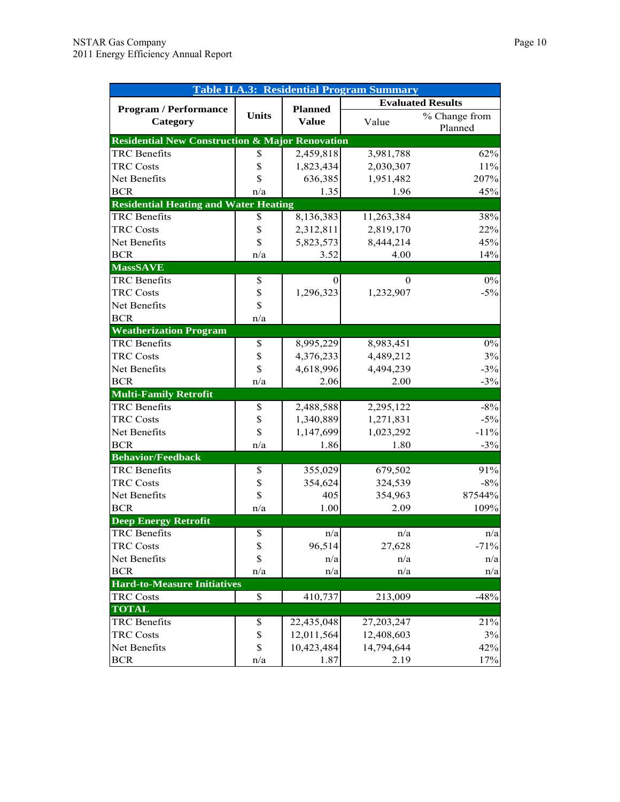| <b>Table II.A.3: Residential Program Summary</b>           |              |                |            |                          |  |  |  |
|------------------------------------------------------------|--------------|----------------|------------|--------------------------|--|--|--|
|                                                            |              |                |            | <b>Evaluated Results</b> |  |  |  |
| <b>Program / Performance</b>                               | <b>Units</b> | <b>Planned</b> | Value      | % Change from            |  |  |  |
| Category                                                   |              | <b>Value</b>   |            | Planned                  |  |  |  |
| <b>Residential New Construction &amp; Major Renovation</b> |              |                |            |                          |  |  |  |
| TRC Benefits                                               | \$           | 2,459,818      | 3,981,788  | 62%                      |  |  |  |
| <b>TRC Costs</b>                                           | \$           | 1,823,434      | 2,030,307  | $11\%$                   |  |  |  |
| Net Benefits                                               | \$           | 636,385        | 1,951,482  | 207%                     |  |  |  |
| <b>BCR</b>                                                 | n/a          | 1.35           | 1.96       | 45%                      |  |  |  |
| <b>Residential Heating and Water Heating</b>               |              |                |            |                          |  |  |  |
| <b>TRC</b> Benefits                                        | \$           | 8,136,383      | 11,263,384 | 38%                      |  |  |  |
| <b>TRC Costs</b>                                           | \$           | 2,312,811      | 2,819,170  | 22%                      |  |  |  |
| Net Benefits                                               | \$           | 5,823,573      | 8,444,214  | 45%                      |  |  |  |
| <b>BCR</b>                                                 | n/a          | 3.52           | 4.00       | 14%                      |  |  |  |
| <b>MassSAVE</b>                                            |              |                |            |                          |  |  |  |
| <b>TRC</b> Benefits                                        | \$           | 0              | $\Omega$   | $0\%$                    |  |  |  |
| <b>TRC Costs</b>                                           | \$           | 1,296,323      | 1,232,907  | $-5%$                    |  |  |  |
| Net Benefits                                               | \$           |                |            |                          |  |  |  |
| <b>BCR</b>                                                 | n/a          |                |            |                          |  |  |  |
| <b>Weatherization Program</b>                              |              |                |            |                          |  |  |  |
| <b>TRC</b> Benefits                                        | \$           | 8,995,229      | 8,983,451  | $0\%$                    |  |  |  |
| <b>TRC Costs</b>                                           | \$           | 4,376,233      | 4,489,212  | 3%                       |  |  |  |
| Net Benefits                                               | \$           | 4,618,996      | 4,494,239  | $-3%$                    |  |  |  |
| <b>BCR</b>                                                 | n/a          | 2.06           | 2.00       | $-3%$                    |  |  |  |
| <b>Multi-Family Retrofit</b>                               |              |                |            |                          |  |  |  |
| <b>TRC</b> Benefits                                        | \$           | 2,488,588      | 2,295,122  | $-8%$                    |  |  |  |
| <b>TRC Costs</b>                                           | \$           | 1,340,889      | 1,271,831  | $-5%$                    |  |  |  |
| Net Benefits                                               | \$           | 1,147,699      | 1,023,292  | $-11%$                   |  |  |  |
| <b>BCR</b>                                                 | n/a          | 1.86           | 1.80       | $-3%$                    |  |  |  |
| <b>Behavior/Feedback</b>                                   |              |                |            |                          |  |  |  |
| <b>TRC</b> Benefits                                        | \$           | 355,029        | 679,502    | 91%                      |  |  |  |
| <b>TRC Costs</b>                                           | \$           | 354,624        | 324,539    | $-8%$                    |  |  |  |
| Net Benefits                                               | \$           | 405            | 354,963    | 87544%                   |  |  |  |
| <b>BCR</b>                                                 | n/a          | 1.00           | 2.09       | 109%                     |  |  |  |
| <b>Deep Energy Retrofit</b>                                |              |                |            |                          |  |  |  |
| <b>TRC</b> Benefits                                        | \$           | n/a            | n/a        | n/a                      |  |  |  |
| <b>TRC Costs</b>                                           | \$           | 96,514         | 27,628     | $-71%$                   |  |  |  |
| Net Benefits                                               | $\$$         | n/a            | n/a        | n/a                      |  |  |  |
| <b>BCR</b>                                                 | n/a          | n/a            | n/a        | n/a                      |  |  |  |
| <b>Hard-to-Measure Initiatives</b>                         |              |                |            |                          |  |  |  |
| <b>TRC Costs</b>                                           | \$           | 410,737        | 213,009    | $-48%$                   |  |  |  |
| <b>TOTAL</b>                                               |              |                |            |                          |  |  |  |
| <b>TRC</b> Benefits                                        | \$           | 22,435,048     | 27,203,247 | 21%                      |  |  |  |
| <b>TRC Costs</b>                                           | \$           | 12,011,564     | 12,408,603 | 3%                       |  |  |  |
| Net Benefits                                               | $\$$         | 10,423,484     | 14,794,644 | 42%                      |  |  |  |
| <b>BCR</b>                                                 | n/a          | 1.87           | 2.19       | 17%                      |  |  |  |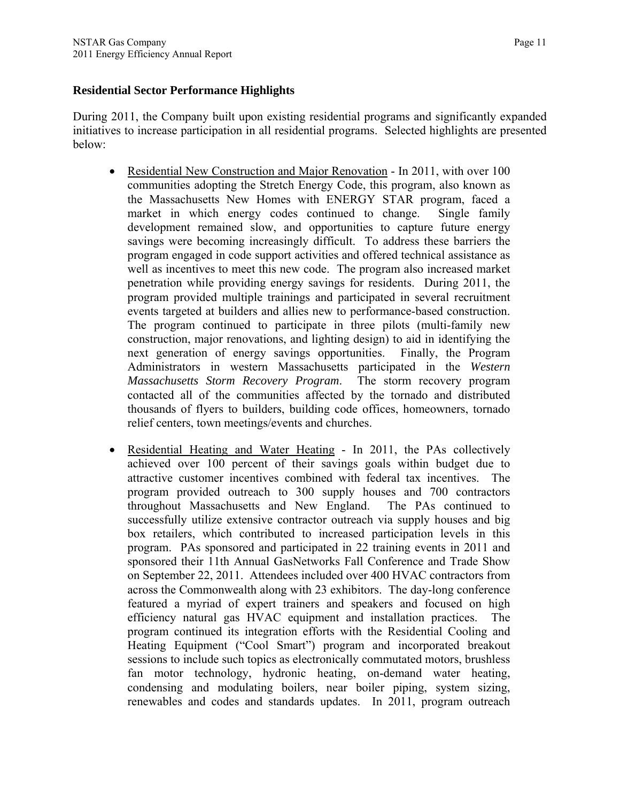#### **Residential Sector Performance Highlights**

During 2011, the Company built upon existing residential programs and significantly expanded initiatives to increase participation in all residential programs. Selected highlights are presented below:

- Residential New Construction and Major Renovation In 2011, with over 100 communities adopting the Stretch Energy Code, this program, also known as the Massachusetts New Homes with ENERGY STAR program, faced a market in which energy codes continued to change. Single family development remained slow, and opportunities to capture future energy savings were becoming increasingly difficult. To address these barriers the program engaged in code support activities and offered technical assistance as well as incentives to meet this new code. The program also increased market penetration while providing energy savings for residents. During 2011, the program provided multiple trainings and participated in several recruitment events targeted at builders and allies new to performance-based construction. The program continued to participate in three pilots (multi-family new construction, major renovations, and lighting design) to aid in identifying the next generation of energy savings opportunities. Finally, the Program Administrators in western Massachusetts participated in the *Western Massachusetts Storm Recovery Program*. The storm recovery program contacted all of the communities affected by the tornado and distributed thousands of flyers to builders, building code offices, homeowners, tornado relief centers, town meetings/events and churches.
- Residential Heating and Water Heating In 2011, the PAs collectively achieved over 100 percent of their savings goals within budget due to attractive customer incentives combined with federal tax incentives. The program provided outreach to 300 supply houses and 700 contractors throughout Massachusetts and New England. The PAs continued to successfully utilize extensive contractor outreach via supply houses and big box retailers, which contributed to increased participation levels in this program. PAs sponsored and participated in 22 training events in 2011 and sponsored their 11th Annual GasNetworks Fall Conference and Trade Show on September 22, 2011. Attendees included over 400 HVAC contractors from across the Commonwealth along with 23 exhibitors. The day-long conference featured a myriad of expert trainers and speakers and focused on high efficiency natural gas HVAC equipment and installation practices. The program continued its integration efforts with the Residential Cooling and Heating Equipment ("Cool Smart") program and incorporated breakout sessions to include such topics as electronically commutated motors, brushless fan motor technology, hydronic heating, on-demand water heating, condensing and modulating boilers, near boiler piping, system sizing, renewables and codes and standards updates. In 2011, program outreach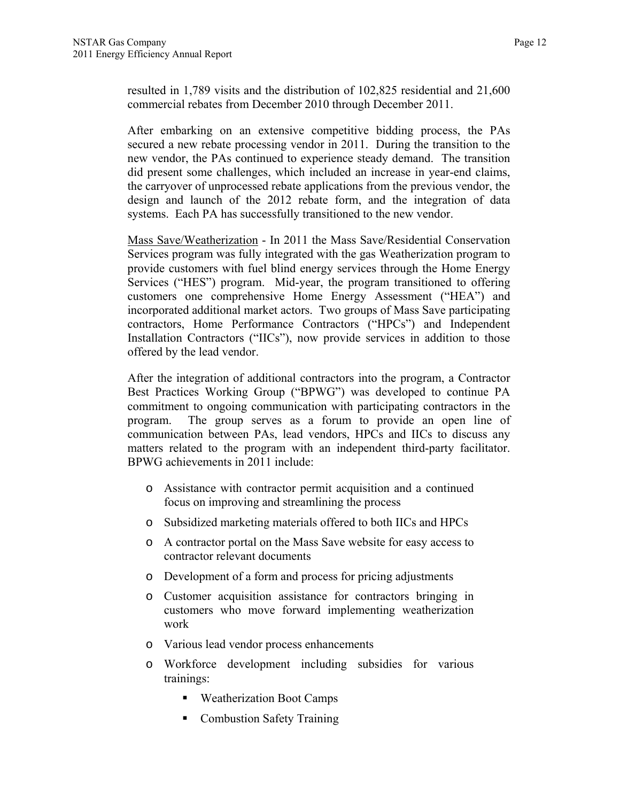resulted in 1,789 visits and the distribution of 102,825 residential and 21,600 commercial rebates from December 2010 through December 2011.

After embarking on an extensive competitive bidding process, the PAs secured a new rebate processing vendor in 2011. During the transition to the new vendor, the PAs continued to experience steady demand. The transition did present some challenges, which included an increase in year-end claims, the carryover of unprocessed rebate applications from the previous vendor, the design and launch of the 2012 rebate form, and the integration of data systems. Each PA has successfully transitioned to the new vendor.

Mass Save/Weatherization - In 2011 the Mass Save/Residential Conservation Services program was fully integrated with the gas Weatherization program to provide customers with fuel blind energy services through the Home Energy Services ("HES") program. Mid-year, the program transitioned to offering customers one comprehensive Home Energy Assessment ("HEA") and incorporated additional market actors. Two groups of Mass Save participating contractors, Home Performance Contractors ("HPCs") and Independent Installation Contractors ("IICs"), now provide services in addition to those offered by the lead vendor.

After the integration of additional contractors into the program, a Contractor Best Practices Working Group ("BPWG") was developed to continue PA commitment to ongoing communication with participating contractors in the program. The group serves as a forum to provide an open line of communication between PAs, lead vendors, HPCs and IICs to discuss any matters related to the program with an independent third-party facilitator. BPWG achievements in 2011 include:

- o Assistance with contractor permit acquisition and a continued focus on improving and streamlining the process
- o Subsidized marketing materials offered to both IICs and HPCs
- o A contractor portal on the Mass Save website for easy access to contractor relevant documents
- o Development of a form and process for pricing adjustments
- o Customer acquisition assistance for contractors bringing in customers who move forward implementing weatherization work
- o Various lead vendor process enhancements
- o Workforce development including subsidies for various trainings:
	- **Weatherization Boot Camps**
	- Combustion Safety Training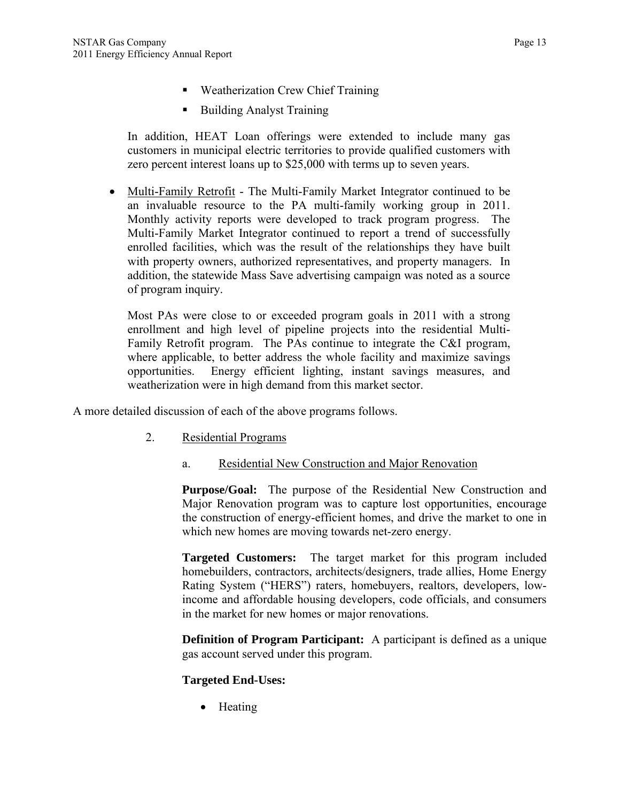- Weatherization Crew Chief Training
- Building Analyst Training

In addition, HEAT Loan offerings were extended to include many gas customers in municipal electric territories to provide qualified customers with zero percent interest loans up to \$25,000 with terms up to seven years.

 Multi-Family Retrofit - The Multi-Family Market Integrator continued to be an invaluable resource to the PA multi-family working group in 2011. Monthly activity reports were developed to track program progress. The Multi-Family Market Integrator continued to report a trend of successfully enrolled facilities, which was the result of the relationships they have built with property owners, authorized representatives, and property managers. In addition, the statewide Mass Save advertising campaign was noted as a source of program inquiry.

Most PAs were close to or exceeded program goals in 2011 with a strong enrollment and high level of pipeline projects into the residential Multi-Family Retrofit program. The PAs continue to integrate the C&I program, where applicable, to better address the whole facility and maximize savings opportunities. Energy efficient lighting, instant savings measures, and weatherization were in high demand from this market sector.

A more detailed discussion of each of the above programs follows.

- 2. Residential Programs
	- a. Residential New Construction and Major Renovation

**Purpose/Goal:** The purpose of the Residential New Construction and Major Renovation program was to capture lost opportunities, encourage the construction of energy-efficient homes, and drive the market to one in which new homes are moving towards net-zero energy.

**Targeted Customers:** The target market for this program included homebuilders, contractors, architects/designers, trade allies, Home Energy Rating System ("HERS") raters, homebuyers, realtors, developers, lowincome and affordable housing developers, code officials, and consumers in the market for new homes or major renovations.

**Definition of Program Participant:** A participant is defined as a unique gas account served under this program.

#### **Targeted End-Uses:**

• Heating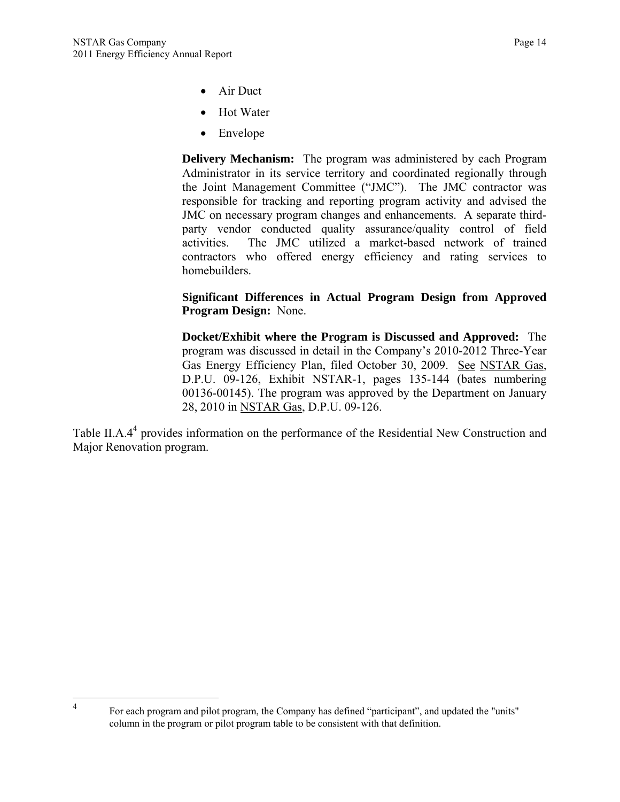$\frac{1}{4}$ 

- Air Duct
- Hot Water
- Envelope

**Delivery Mechanism:** The program was administered by each Program Administrator in its service territory and coordinated regionally through the Joint Management Committee ("JMC"). The JMC contractor was responsible for tracking and reporting program activity and advised the JMC on necessary program changes and enhancements. A separate thirdparty vendor conducted quality assurance/quality control of field activities. The JMC utilized a market-based network of trained contractors who offered energy efficiency and rating services to homebuilders.

**Significant Differences in Actual Program Design from Approved Program Design:** None.

**Docket/Exhibit where the Program is Discussed and Approved:** The program was discussed in detail in the Company's 2010-2012 Three-Year Gas Energy Efficiency Plan, filed October 30, 2009. See NSTAR Gas, D.P.U. 09-126, Exhibit NSTAR-1, pages 135-144 (bates numbering 00136-00145). The program was approved by the Department on January 28, 2010 in NSTAR Gas, D.P.U. 09-126.

Table II.A.4<sup>4</sup> provides information on the performance of the Residential New Construction and Major Renovation program.

For each program and pilot program, the Company has defined "participant", and updated the "units" column in the program or pilot program table to be consistent with that definition.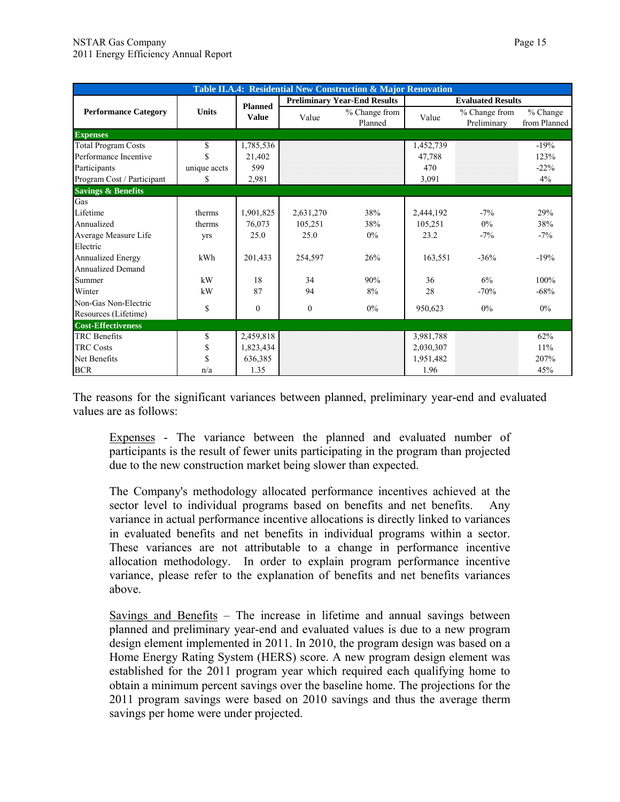|                               | Table II.A.4: Residential New Construction & Major Renovation |                |           |                                     |           |                              |                          |  |  |
|-------------------------------|---------------------------------------------------------------|----------------|-----------|-------------------------------------|-----------|------------------------------|--------------------------|--|--|
|                               |                                                               | <b>Planned</b> |           | <b>Preliminary Year-End Results</b> |           | <b>Evaluated Results</b>     |                          |  |  |
| <b>Performance Category</b>   | <b>Units</b>                                                  | <b>Value</b>   | Value     | % Change from<br>Planned            | Value     | % Change from<br>Preliminary | % Change<br>from Planned |  |  |
| <b>Expenses</b>               |                                                               |                |           |                                     |           |                              |                          |  |  |
| <b>Total Program Costs</b>    | \$                                                            | 1,785,536      |           |                                     | 1,452,739 |                              | $-19%$                   |  |  |
| Performance Incentive         | \$                                                            | 21,402         |           |                                     | 47,788    |                              | 123%                     |  |  |
| Participants                  | unique accts                                                  | 599            |           |                                     | 470       |                              | $-22%$                   |  |  |
| Program Cost / Participant    | \$                                                            | 2,981          |           |                                     | 3,091     |                              | 4%                       |  |  |
| <b>Savings &amp; Benefits</b> |                                                               |                |           |                                     |           |                              |                          |  |  |
| Gas                           |                                                               |                |           |                                     |           |                              |                          |  |  |
| Lifetime                      | therms                                                        | 1,901,825      | 2,631,270 | 38%                                 | 2,444,192 | $-7\%$                       | 29%                      |  |  |
| Annualized                    | therms                                                        | 76,073         | 105,251   | 38%                                 | 105,251   | $0\%$                        | 38%                      |  |  |
| Average Measure Life          | yrs                                                           | 25.0           | 25.0      | $0\%$                               | 23.2      | $-7\%$                       | $-7\%$                   |  |  |
| Electric                      |                                                               |                |           |                                     |           |                              |                          |  |  |
| Annualized Energy             | kWh                                                           | 201,433        | 254,597   | 26%                                 | 163,551   | $-36%$                       | $-19%$                   |  |  |
| <b>Annualized Demand</b>      |                                                               |                |           |                                     |           |                              |                          |  |  |
| Summer                        | kW                                                            | 18             | 34        | 90%                                 | 36        | 6%                           | 100%                     |  |  |
| Winter                        | kW                                                            | 87             | 94        | 8%                                  | 28        | $-70%$                       | $-68%$                   |  |  |
| Non-Gas Non-Electric          |                                                               | $\mathbf{0}$   | $\Omega$  | $0\%$                               |           | $0\%$                        | $0\%$                    |  |  |
| Resources (Lifetime)          | \$                                                            |                |           |                                     | 950,623   |                              |                          |  |  |
| <b>Cost-Effectiveness</b>     |                                                               |                |           |                                     |           |                              |                          |  |  |
| <b>TRC</b> Benefits           | \$                                                            | 2,459,818      |           |                                     | 3,981,788 |                              | 62%                      |  |  |
| <b>TRC Costs</b>              | \$                                                            | 1,823,434      |           |                                     | 2,030,307 |                              | 11%                      |  |  |
| Net Benefits                  | \$                                                            | 636,385        |           |                                     | 1,951,482 |                              | 207%                     |  |  |
| <b>BCR</b>                    | n/a                                                           | 1.35           |           |                                     | 1.96      |                              | 45%                      |  |  |

The reasons for the significant variances between planned, preliminary year-end and evaluated values are as follows:

Expenses - The variance between the planned and evaluated number of participants is the result of fewer units participating in the program than projected due to the new construction market being slower than expected.

The Company's methodology allocated performance incentives achieved at the sector level to individual programs based on benefits and net benefits. Any variance in actual performance incentive allocations is directly linked to variances in evaluated benefits and net benefits in individual programs within a sector. These variances are not attributable to a change in performance incentive allocation methodology. In order to explain program performance incentive variance, please refer to the explanation of benefits and net benefits variances above.

Savings and Benefits – The increase in lifetime and annual savings between planned and preliminary year-end and evaluated values is due to a new program design element implemented in 2011. In 2010, the program design was based on a Home Energy Rating System (HERS) score. A new program design element was established for the 2011 program year which required each qualifying home to obtain a minimum percent savings over the baseline home. The projections for the 2011 program savings were based on 2010 savings and thus the average therm savings per home were under projected.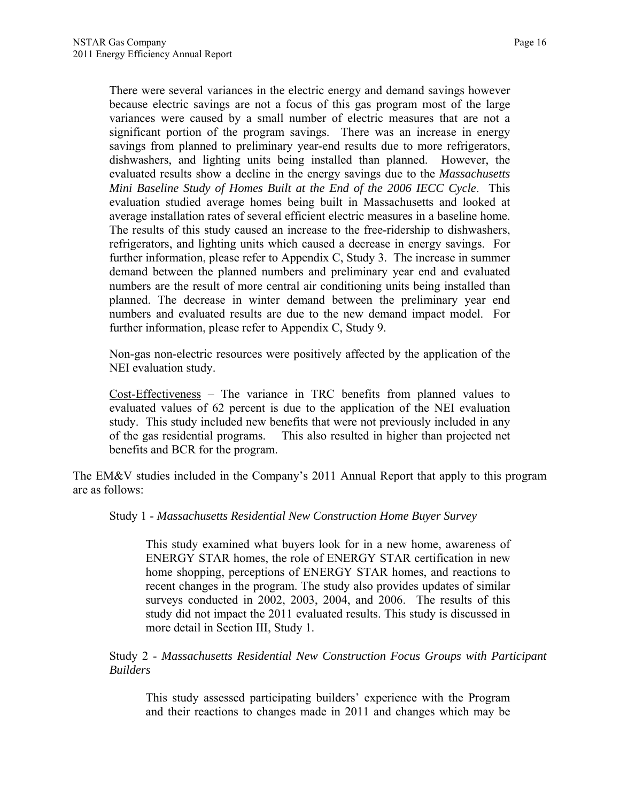There were several variances in the electric energy and demand savings however because electric savings are not a focus of this gas program most of the large variances were caused by a small number of electric measures that are not a significant portion of the program savings. There was an increase in energy savings from planned to preliminary year-end results due to more refrigerators, dishwashers, and lighting units being installed than planned. However, the evaluated results show a decline in the energy savings due to the *Massachusetts Mini Baseline Study of Homes Built at the End of the 2006 IECC Cycle*. This evaluation studied average homes being built in Massachusetts and looked at average installation rates of several efficient electric measures in a baseline home. The results of this study caused an increase to the free-ridership to dishwashers, refrigerators, and lighting units which caused a decrease in energy savings. For further information, please refer to Appendix C, Study 3. The increase in summer demand between the planned numbers and preliminary year end and evaluated numbers are the result of more central air conditioning units being installed than planned. The decrease in winter demand between the preliminary year end numbers and evaluated results are due to the new demand impact model. For further information, please refer to Appendix C, Study 9.

Non-gas non-electric resources were positively affected by the application of the NEI evaluation study.

Cost-Effectiveness – The variance in TRC benefits from planned values to evaluated values of 62 percent is due to the application of the NEI evaluation study. This study included new benefits that were not previously included in any of the gas residential programs. This also resulted in higher than projected net benefits and BCR for the program.

The EM&V studies included in the Company's 2011 Annual Report that apply to this program are as follows:

Study 1 - *Massachusetts Residential New Construction Home Buyer Survey* 

This study examined what buyers look for in a new home, awareness of ENERGY STAR homes, the role of ENERGY STAR certification in new home shopping, perceptions of ENERGY STAR homes, and reactions to recent changes in the program. The study also provides updates of similar surveys conducted in 2002, 2003, 2004, and 2006. The results of this study did not impact the 2011 evaluated results. This study is discussed in more detail in Section III, Study 1.

Study 2 - *Massachusetts Residential New Construction Focus Groups with Participant Builders* 

This study assessed participating builders' experience with the Program and their reactions to changes made in 2011 and changes which may be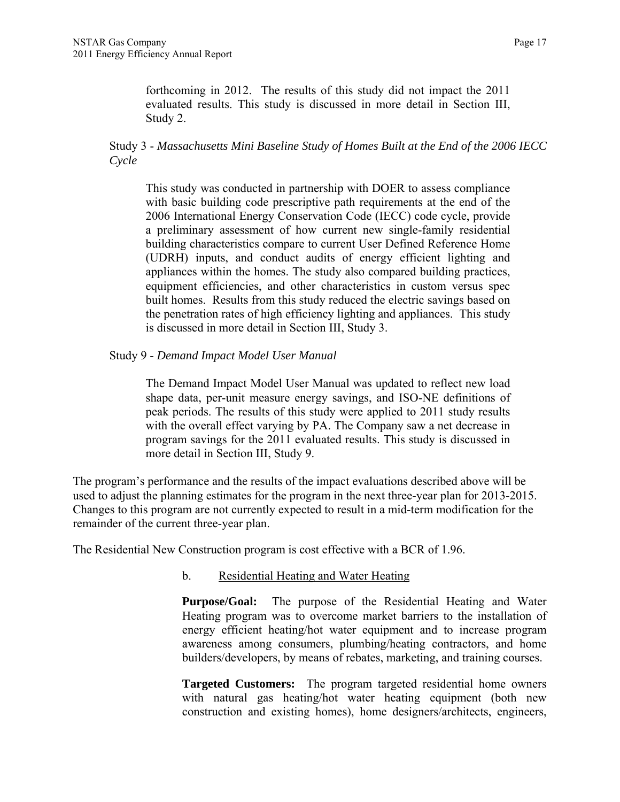forthcoming in 2012. The results of this study did not impact the 2011 evaluated results. This study is discussed in more detail in Section III, Study 2.

## Study 3 - *Massachusetts Mini Baseline Study of Homes Built at the End of the 2006 IECC Cycle*

This study was conducted in partnership with DOER to assess compliance with basic building code prescriptive path requirements at the end of the 2006 International Energy Conservation Code (IECC) code cycle, provide a preliminary assessment of how current new single-family residential building characteristics compare to current User Defined Reference Home (UDRH) inputs, and conduct audits of energy efficient lighting and appliances within the homes. The study also compared building practices, equipment efficiencies, and other characteristics in custom versus spec built homes. Results from this study reduced the electric savings based on the penetration rates of high efficiency lighting and appliances. This study is discussed in more detail in Section III, Study 3.

#### Study 9 - *Demand Impact Model User Manual*

The Demand Impact Model User Manual was updated to reflect new load shape data, per-unit measure energy savings, and ISO-NE definitions of peak periods. The results of this study were applied to 2011 study results with the overall effect varying by PA. The Company saw a net decrease in program savings for the 2011 evaluated results. This study is discussed in more detail in Section III, Study 9.

The program's performance and the results of the impact evaluations described above will be used to adjust the planning estimates for the program in the next three-year plan for 2013-2015. Changes to this program are not currently expected to result in a mid-term modification for the remainder of the current three-year plan.

The Residential New Construction program is cost effective with a BCR of 1.96.

## b. Residential Heating and Water Heating

**Purpose/Goal:** The purpose of the Residential Heating and Water Heating program was to overcome market barriers to the installation of energy efficient heating/hot water equipment and to increase program awareness among consumers, plumbing/heating contractors, and home builders/developers, by means of rebates, marketing, and training courses.

**Targeted Customers:** The program targeted residential home owners with natural gas heating/hot water heating equipment (both new construction and existing homes), home designers/architects, engineers,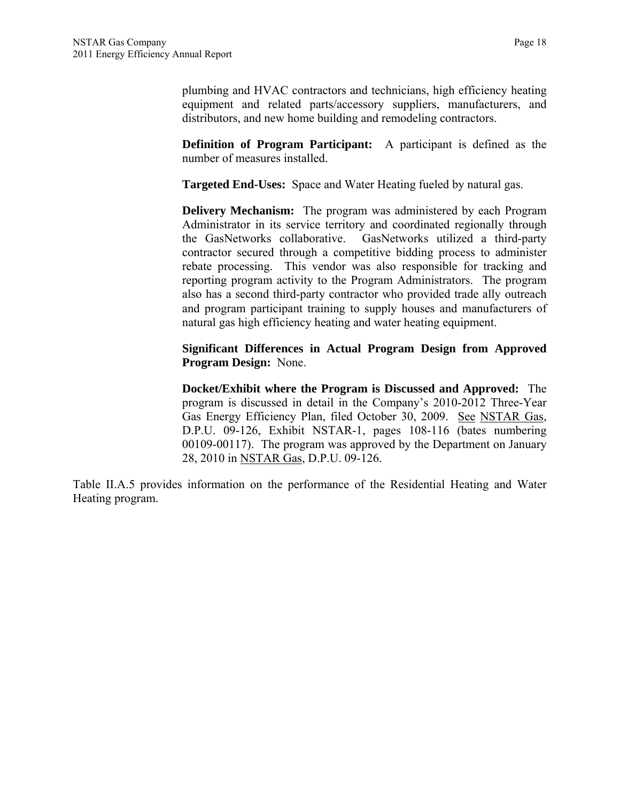plumbing and HVAC contractors and technicians, high efficiency heating equipment and related parts/accessory suppliers, manufacturers, and distributors, and new home building and remodeling contractors.

**Definition of Program Participant:** A participant is defined as the number of measures installed.

**Targeted End-Uses:** Space and Water Heating fueled by natural gas.

**Delivery Mechanism:** The program was administered by each Program Administrator in its service territory and coordinated regionally through the GasNetworks collaborative. GasNetworks utilized a third-party contractor secured through a competitive bidding process to administer rebate processing. This vendor was also responsible for tracking and reporting program activity to the Program Administrators. The program also has a second third-party contractor who provided trade ally outreach and program participant training to supply houses and manufacturers of natural gas high efficiency heating and water heating equipment.

**Significant Differences in Actual Program Design from Approved Program Design:** None.

**Docket/Exhibit where the Program is Discussed and Approved:** The program is discussed in detail in the Company's 2010-2012 Three-Year Gas Energy Efficiency Plan, filed October 30, 2009. See NSTAR Gas, D.P.U. 09-126, Exhibit NSTAR-1, pages 108-116 (bates numbering 00109-00117). The program was approved by the Department on January 28, 2010 in NSTAR Gas, D.P.U. 09-126.

Table II.A.5 provides information on the performance of the Residential Heating and Water Heating program.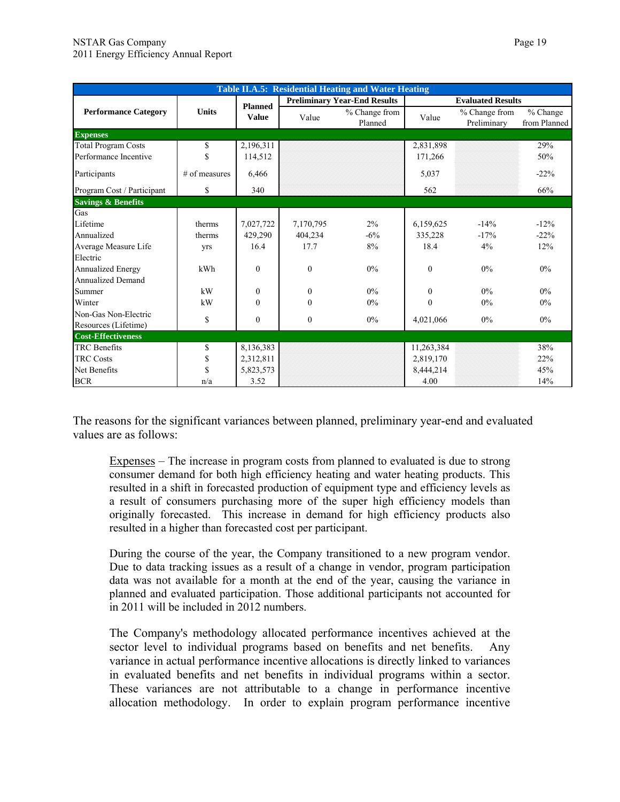| Table II.A.5: Residential Heating and Water Heating |                 |                |              |                                     |            |                              |                            |  |
|-----------------------------------------------------|-----------------|----------------|--------------|-------------------------------------|------------|------------------------------|----------------------------|--|
|                                                     |                 | <b>Planned</b> |              | <b>Preliminary Year-End Results</b> |            | <b>Evaluated Results</b>     |                            |  |
| <b>Performance Category</b>                         | <b>Units</b>    | <b>Value</b>   | Value        | % Change from<br>Planned            | Value      | % Change from<br>Preliminary | $%$ Change<br>from Planned |  |
| <b>Expenses</b>                                     |                 |                |              |                                     |            |                              |                            |  |
| <b>Total Program Costs</b>                          | \$              | 2,196,311      |              |                                     | 2,831,898  |                              | 29%                        |  |
| Performance Incentive                               | \$              | 114,512        |              |                                     | 171,266    |                              | 50%                        |  |
| Participants                                        | $#$ of measures | 6,466          |              |                                     | 5,037      |                              | $-22%$                     |  |
| Program Cost / Participant                          | \$              | 340            |              |                                     | 562        |                              | 66%                        |  |
| <b>Savings &amp; Benefits</b>                       |                 |                |              |                                     |            |                              |                            |  |
| Gas                                                 |                 |                |              |                                     |            |                              |                            |  |
| Lifetime                                            | therms          | 7,027,722      | 7,170,795    | 2%                                  | 6,159,625  | $-14%$                       | $-12%$                     |  |
| Annualized                                          | therms          | 429,290        | 404,234      | $-6\%$                              | 335,228    | $-17%$                       | $-22%$                     |  |
| Average Measure Life                                | yrs             | 16.4           | 17.7         | 8%                                  | 18.4       | 4%                           | 12%                        |  |
| Electric                                            |                 |                |              |                                     |            |                              |                            |  |
| <b>Annualized Energy</b>                            | kWh             | $\theta$       | $\mathbf{0}$ | $0\%$                               | $\theta$   | $0\%$                        | $0\%$                      |  |
| <b>Annualized Demand</b>                            |                 |                |              |                                     |            |                              |                            |  |
| Summer                                              | kW              | $\Omega$       | $\theta$     | $0\%$                               | $\theta$   | $0\%$                        | $0\%$                      |  |
| Winter                                              | kW              | $\theta$       | $\mathbf{0}$ | $0\%$                               | $\theta$   | $0\%$                        | $0\%$                      |  |
| Non-Gas Non-Electric                                | \$              | $\mathbf{0}$   | $\theta$     | $0\%$                               | 4,021,066  | $0\%$                        | 0%                         |  |
| Resources (Lifetime)                                |                 |                |              |                                     |            |                              |                            |  |
| <b>Cost-Effectiveness</b>                           |                 |                |              |                                     |            |                              |                            |  |
| <b>TRC</b> Benefits                                 | \$              | 8,136,383      |              |                                     | 11,263,384 |                              | 38%                        |  |
| <b>TRC Costs</b>                                    | \$              | 2,312,811      |              |                                     | 2,819,170  |                              | 22%                        |  |
| Net Benefits                                        | \$              | 5,823,573      |              |                                     | 8,444,214  |                              | 45%                        |  |
| <b>BCR</b>                                          | n/a             | 3.52           |              |                                     | 4.00       |                              | 14%                        |  |

The reasons for the significant variances between planned, preliminary year-end and evaluated values are as follows:

Expenses – The increase in program costs from planned to evaluated is due to strong consumer demand for both high efficiency heating and water heating products. This resulted in a shift in forecasted production of equipment type and efficiency levels as a result of consumers purchasing more of the super high efficiency models than originally forecasted. This increase in demand for high efficiency products also resulted in a higher than forecasted cost per participant.

During the course of the year, the Company transitioned to a new program vendor. Due to data tracking issues as a result of a change in vendor, program participation data was not available for a month at the end of the year, causing the variance in planned and evaluated participation. Those additional participants not accounted for in 2011 will be included in 2012 numbers.

The Company's methodology allocated performance incentives achieved at the sector level to individual programs based on benefits and net benefits. Any variance in actual performance incentive allocations is directly linked to variances in evaluated benefits and net benefits in individual programs within a sector. These variances are not attributable to a change in performance incentive allocation methodology. In order to explain program performance incentive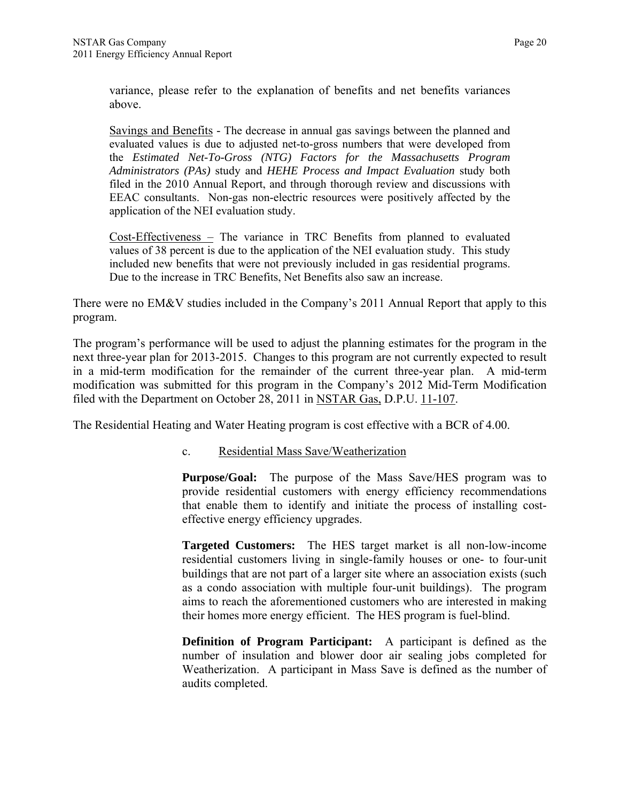variance, please refer to the explanation of benefits and net benefits variances above.

Savings and Benefits - The decrease in annual gas savings between the planned and evaluated values is due to adjusted net-to-gross numbers that were developed from the *Estimated Net-To-Gross (NTG) Factors for the Massachusetts Program Administrators (PAs)* study and *HEHE Process and Impact Evaluation* study both filed in the 2010 Annual Report, and through thorough review and discussions with EEAC consultants. Non-gas non-electric resources were positively affected by the application of the NEI evaluation study.

Cost-Effectiveness – The variance in TRC Benefits from planned to evaluated values of 38 percent is due to the application of the NEI evaluation study. This study included new benefits that were not previously included in gas residential programs. Due to the increase in TRC Benefits, Net Benefits also saw an increase.

There were no EM&V studies included in the Company's 2011 Annual Report that apply to this program.

The program's performance will be used to adjust the planning estimates for the program in the next three-year plan for 2013-2015. Changes to this program are not currently expected to result in a mid-term modification for the remainder of the current three-year plan. A mid-term modification was submitted for this program in the Company's 2012 Mid-Term Modification filed with the Department on October 28, 2011 in NSTAR Gas, D.P.U. 11-107.

The Residential Heating and Water Heating program is cost effective with a BCR of 4.00.

c. Residential Mass Save/Weatherization

**Purpose/Goal:** The purpose of the Mass Save/HES program was to provide residential customers with energy efficiency recommendations that enable them to identify and initiate the process of installing costeffective energy efficiency upgrades.

**Targeted Customers:** The HES target market is all non-low-income residential customers living in single-family houses or one- to four-unit buildings that are not part of a larger site where an association exists (such as a condo association with multiple four-unit buildings). The program aims to reach the aforementioned customers who are interested in making their homes more energy efficient. The HES program is fuel-blind.

**Definition of Program Participant:** A participant is defined as the number of insulation and blower door air sealing jobs completed for Weatherization. A participant in Mass Save is defined as the number of audits completed.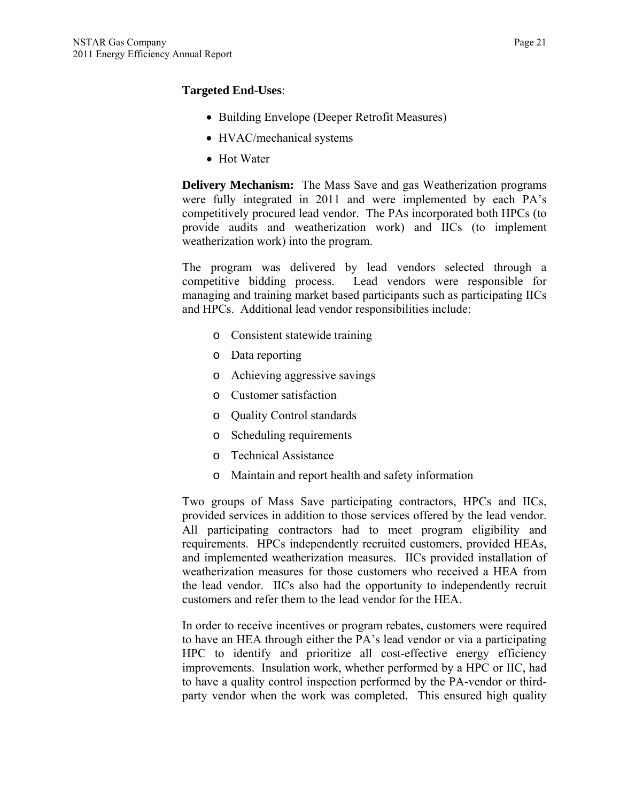## **Targeted End-Uses**:

- Building Envelope (Deeper Retrofit Measures)
- HVAC/mechanical systems
- Hot Water

**Delivery Mechanism:** The Mass Save and gas Weatherization programs were fully integrated in 2011 and were implemented by each PA's competitively procured lead vendor. The PAs incorporated both HPCs (to provide audits and weatherization work) and IICs (to implement weatherization work) into the program.

The program was delivered by lead vendors selected through a competitive bidding process. Lead vendors were responsible for managing and training market based participants such as participating IICs and HPCs. Additional lead vendor responsibilities include:

- o Consistent statewide training
- o Data reporting
- o Achieving aggressive savings
- o Customer satisfaction
- o Quality Control standards
- o Scheduling requirements
- o Technical Assistance
- o Maintain and report health and safety information

Two groups of Mass Save participating contractors, HPCs and IICs, provided services in addition to those services offered by the lead vendor. All participating contractors had to meet program eligibility and requirements. HPCs independently recruited customers, provided HEAs, and implemented weatherization measures. IICs provided installation of weatherization measures for those customers who received a HEA from the lead vendor. IICs also had the opportunity to independently recruit customers and refer them to the lead vendor for the HEA.

In order to receive incentives or program rebates, customers were required to have an HEA through either the PA's lead vendor or via a participating HPC to identify and prioritize all cost-effective energy efficiency improvements. Insulation work, whether performed by a HPC or IIC, had to have a quality control inspection performed by the PA-vendor or thirdparty vendor when the work was completed. This ensured high quality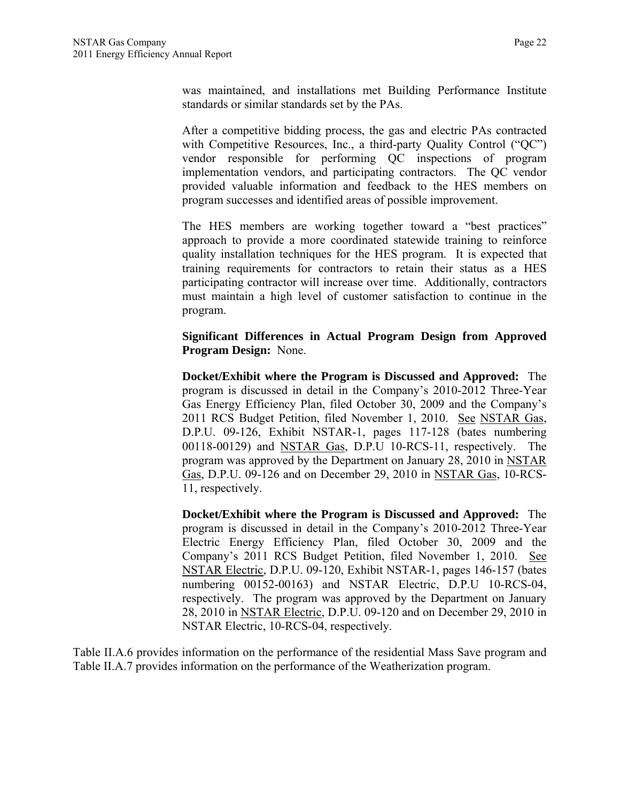was maintained, and installations met Building Performance Institute standards or similar standards set by the PAs.

After a competitive bidding process, the gas and electric PAs contracted with Competitive Resources, Inc., a third-party Quality Control ("QC") vendor responsible for performing QC inspections of program implementation vendors, and participating contractors. The QC vendor provided valuable information and feedback to the HES members on program successes and identified areas of possible improvement.

The HES members are working together toward a "best practices" approach to provide a more coordinated statewide training to reinforce quality installation techniques for the HES program. It is expected that training requirements for contractors to retain their status as a HES participating contractor will increase over time. Additionally, contractors must maintain a high level of customer satisfaction to continue in the program.

**Significant Differences in Actual Program Design from Approved Program Design:** None.

**Docket/Exhibit where the Program is Discussed and Approved:** The program is discussed in detail in the Company's 2010-2012 Three-Year Gas Energy Efficiency Plan, filed October 30, 2009 and the Company's 2011 RCS Budget Petition, filed November 1, 2010. See NSTAR Gas, D.P.U. 09-126, Exhibit NSTAR-1, pages 117-128 (bates numbering 00118-00129) and NSTAR Gas, D.P.U 10-RCS-11, respectively. The program was approved by the Department on January 28, 2010 in NSTAR Gas, D.P.U. 09-126 and on December 29, 2010 in NSTAR Gas, 10-RCS-11, respectively.

**Docket/Exhibit where the Program is Discussed and Approved:** The program is discussed in detail in the Company's 2010-2012 Three-Year Electric Energy Efficiency Plan, filed October 30, 2009 and the Company's 2011 RCS Budget Petition, filed November 1, 2010. See NSTAR Electric, D.P.U. 09-120, Exhibit NSTAR-1, pages 146-157 (bates numbering 00152-00163) and NSTAR Electric, D.P.U 10-RCS-04, respectively. The program was approved by the Department on January 28, 2010 in NSTAR Electric, D.P.U. 09-120 and on December 29, 2010 in NSTAR Electric, 10-RCS-04, respectively.

Table II.A.6 provides information on the performance of the residential Mass Save program and Table II.A.7 provides information on the performance of the Weatherization program.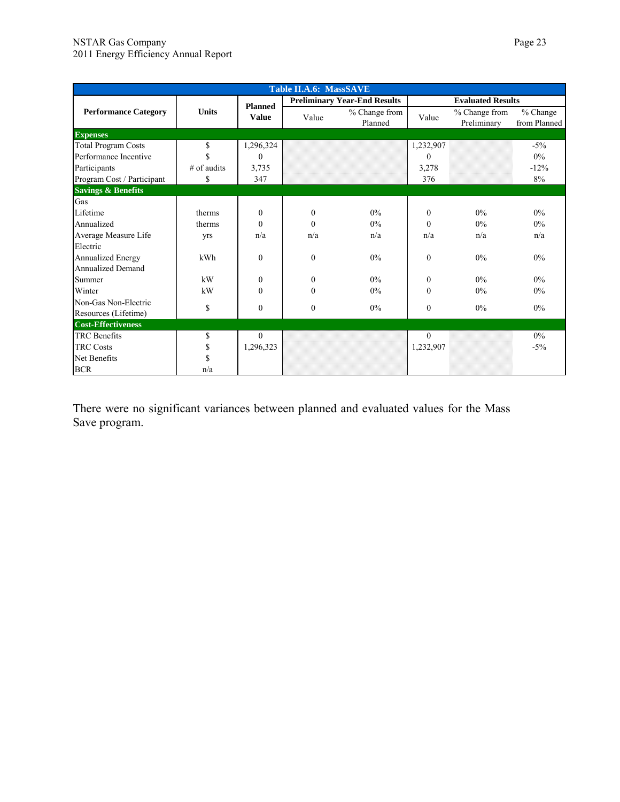|                               | <b>Table II.A.6: MassSAVE</b> |                |              |                                     |                          |                              |                            |  |
|-------------------------------|-------------------------------|----------------|--------------|-------------------------------------|--------------------------|------------------------------|----------------------------|--|
|                               |                               | <b>Planned</b> |              | <b>Preliminary Year-End Results</b> | <b>Evaluated Results</b> |                              |                            |  |
| <b>Performance Category</b>   | <b>Units</b>                  | <b>Value</b>   | Value        | % Change from<br>Planned            | Value                    | % Change from<br>Preliminary | $%$ Change<br>from Planned |  |
| <b>Expenses</b>               |                               |                |              |                                     |                          |                              |                            |  |
| <b>Total Program Costs</b>    | \$                            | 1,296,324      |              |                                     | 1,232,907                |                              | $-5\%$                     |  |
| Performance Incentive         | $\mathbf S$                   | $\Omega$       |              |                                     | $\theta$                 |                              | $0\%$                      |  |
| Participants                  | $#$ of audits                 | 3,735          |              |                                     | 3,278                    |                              | $-12%$                     |  |
| Program Cost / Participant    | \$                            | 347            |              |                                     | 376                      |                              | 8%                         |  |
| <b>Savings &amp; Benefits</b> |                               |                |              |                                     |                          |                              |                            |  |
| Gas                           |                               |                |              |                                     |                          |                              |                            |  |
| Lifetime                      | therms                        | $\theta$       | $\theta$     | $0\%$                               | $\Omega$                 | $0\%$                        | $0\%$                      |  |
| Annualized                    | therms                        | $\mathbf{0}$   | $\theta$     | $0\%$                               | $\Omega$                 | $0\%$                        | $0\%$                      |  |
| Average Measure Life          | yrs                           | n/a            | n/a          | n/a                                 | n/a                      | n/a                          | n/a                        |  |
| Electric                      |                               |                |              |                                     |                          |                              |                            |  |
| <b>Annualized Energy</b>      | kWh                           | $\mathbf{0}$   | $\mathbf{0}$ | $0\%$                               | $\mathbf{0}$             | $0\%$                        | $0\%$                      |  |
| <b>Annualized Demand</b>      |                               |                |              |                                     |                          |                              |                            |  |
| Summer                        | kW                            | $\theta$       | $\theta$     | $0\%$                               | $\theta$                 | $0\%$                        | $0\%$                      |  |
| Winter                        | kW                            | $\theta$       | $\theta$     | $0\%$                               | $\theta$                 | $0\%$                        | $0\%$                      |  |
| Non-Gas Non-Electric          | \$                            | $\theta$       | $\mathbf{0}$ | $0\%$                               | $\theta$                 | $0\%$                        | $0\%$                      |  |
| Resources (Lifetime)          |                               |                |              |                                     |                          |                              |                            |  |
| <b>Cost-Effectiveness</b>     |                               |                |              |                                     |                          |                              |                            |  |
| <b>TRC</b> Benefits           | \$                            | $\theta$       |              |                                     | $\Omega$                 |                              | $0\%$                      |  |
| <b>TRC Costs</b>              | \$                            | 1,296,323      |              |                                     | 1,232,907                |                              | $-5\%$                     |  |
| Net Benefits                  | \$                            |                |              |                                     |                          |                              |                            |  |
| <b>BCR</b>                    | n/a                           |                |              |                                     |                          |                              |                            |  |

There were no significant variances between planned and evaluated values for the Mass Save program.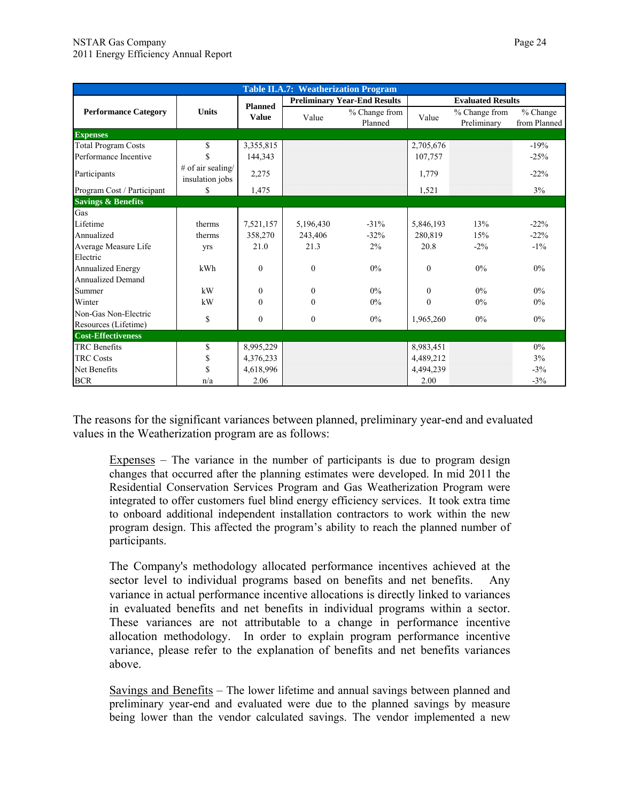|                               |                                      |                |              | <b>Table II.A.7: Weatherization Program</b> |           |                              |                            |  |
|-------------------------------|--------------------------------------|----------------|--------------|---------------------------------------------|-----------|------------------------------|----------------------------|--|
|                               |                                      | <b>Planned</b> |              | <b>Preliminary Year-End Results</b>         |           | <b>Evaluated Results</b>     |                            |  |
| <b>Performance Category</b>   | <b>Units</b>                         | <b>Value</b>   | Value        | % Change from<br>Planned                    | Value     | % Change from<br>Preliminary | $%$ Change<br>from Planned |  |
| <b>Expenses</b>               |                                      |                |              |                                             |           |                              |                            |  |
| <b>Total Program Costs</b>    | \$                                   | 3,355,815      |              |                                             | 2,705,676 |                              | $-19%$                     |  |
| Performance Incentive         | \$                                   | 144.343        |              |                                             | 107.757   |                              | $-25%$                     |  |
| Participants                  | # of air sealing/<br>insulation jobs | 2,275          |              |                                             | 1,779     |                              | $-22%$                     |  |
| Program Cost / Participant    | \$                                   | 1,475          |              |                                             | 1,521     |                              | 3%                         |  |
| <b>Savings &amp; Benefits</b> |                                      |                |              |                                             |           |                              |                            |  |
| Gas                           |                                      |                |              |                                             |           |                              |                            |  |
| Lifetime                      | therms                               | 7,521,157      | 5,196,430    | $-31%$                                      | 5,846,193 | 13%                          | $-22\%$                    |  |
| Annualized                    | therms                               | 358,270        | 243,406      | $-32%$                                      | 280,819   | 15%                          | $-22\%$                    |  |
| Average Measure Life          | <b>Vrs</b>                           | 21.0           | 21.3         | $2\%$                                       | 20.8      | $-2\%$                       | $-1\%$                     |  |
| Electric                      |                                      |                |              |                                             |           |                              |                            |  |
| Annualized Energy             | kWh                                  | $\mathbf{0}$   | $\mathbf{0}$ | 0%                                          | $\Omega$  | 0%                           | $0\%$                      |  |
| <b>Annualized Demand</b>      |                                      |                |              |                                             |           |                              |                            |  |
| Summer                        | kW                                   | $\theta$       | $\theta$     | $0\%$                                       | $\theta$  | $0\%$                        | $0\%$                      |  |
| Winter                        | kW                                   | $\theta$       | $\theta$     | $0\%$                                       | $\theta$  | $0\%$                        | $0\%$                      |  |
| Non-Gas Non-Electric          | \$                                   | $\mathbf{0}$   | $\mathbf{0}$ | 0%                                          | 1,965,260 | 0%                           | $0\%$                      |  |
| Resources (Lifetime)          |                                      |                |              |                                             |           |                              |                            |  |
| <b>Cost-Effectiveness</b>     |                                      |                |              |                                             |           |                              |                            |  |
| <b>TRC</b> Benefits           | \$                                   | 8,995,229      |              |                                             | 8,983,451 |                              | $0\%$                      |  |
| <b>TRC Costs</b>              | \$                                   | 4,376,233      |              |                                             | 4,489,212 |                              | 3%                         |  |
| Net Benefits                  | \$                                   | 4,618,996      |              |                                             | 4,494,239 |                              | $-3%$                      |  |
| <b>BCR</b>                    | n/a                                  | 2.06           |              |                                             | 2.00      |                              | $-3%$                      |  |

The reasons for the significant variances between planned, preliminary year-end and evaluated values in the Weatherization program are as follows:

Expenses – The variance in the number of participants is due to program design changes that occurred after the planning estimates were developed. In mid 2011 the Residential Conservation Services Program and Gas Weatherization Program were integrated to offer customers fuel blind energy efficiency services. It took extra time to onboard additional independent installation contractors to work within the new program design. This affected the program's ability to reach the planned number of participants.

The Company's methodology allocated performance incentives achieved at the sector level to individual programs based on benefits and net benefits. Any variance in actual performance incentive allocations is directly linked to variances in evaluated benefits and net benefits in individual programs within a sector. These variances are not attributable to a change in performance incentive allocation methodology. In order to explain program performance incentive variance, please refer to the explanation of benefits and net benefits variances above.

Savings and Benefits – The lower lifetime and annual savings between planned and preliminary year-end and evaluated were due to the planned savings by measure being lower than the vendor calculated savings. The vendor implemented a new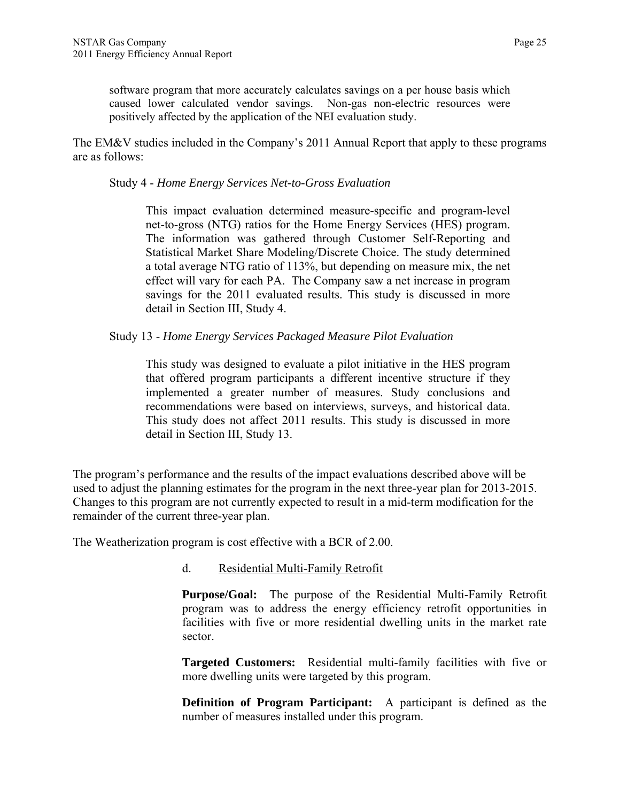software program that more accurately calculates savings on a per house basis which caused lower calculated vendor savings. Non-gas non-electric resources were positively affected by the application of the NEI evaluation study.

The EM&V studies included in the Company's 2011 Annual Report that apply to these programs are as follows:

#### Study 4 - *Home Energy Services Net-to-Gross Evaluation*

This impact evaluation determined measure-specific and program-level net-to-gross (NTG) ratios for the Home Energy Services (HES) program. The information was gathered through Customer Self-Reporting and Statistical Market Share Modeling/Discrete Choice. The study determined a total average NTG ratio of 113%, but depending on measure mix, the net effect will vary for each PA. The Company saw a net increase in program savings for the 2011 evaluated results. This study is discussed in more detail in Section III, Study 4.

Study 13 - *Home Energy Services Packaged Measure Pilot Evaluation* 

This study was designed to evaluate a pilot initiative in the HES program that offered program participants a different incentive structure if they implemented a greater number of measures. Study conclusions and recommendations were based on interviews, surveys, and historical data. This study does not affect 2011 results. This study is discussed in more detail in Section III, Study 13.

The program's performance and the results of the impact evaluations described above will be used to adjust the planning estimates for the program in the next three-year plan for 2013-2015. Changes to this program are not currently expected to result in a mid-term modification for the remainder of the current three-year plan.

The Weatherization program is cost effective with a BCR of 2.00.

d. Residential Multi-Family Retrofit

**Purpose/Goal:** The purpose of the Residential Multi-Family Retrofit program was to address the energy efficiency retrofit opportunities in facilities with five or more residential dwelling units in the market rate sector.

**Targeted Customers:** Residential multi-family facilities with five or more dwelling units were targeted by this program.

**Definition of Program Participant:** A participant is defined as the number of measures installed under this program.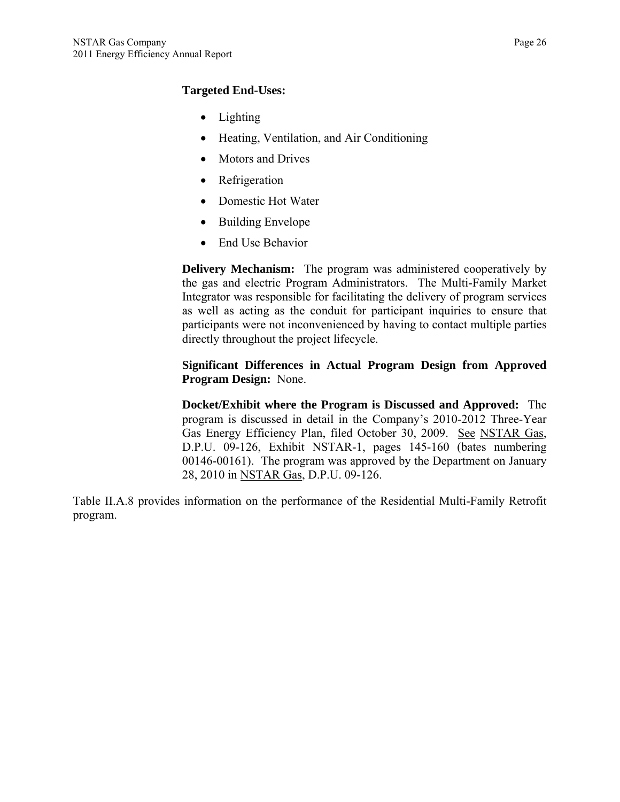## **Targeted End-Uses:**

- Lighting
- Heating, Ventilation, and Air Conditioning
- Motors and Drives
- Refrigeration
- Domestic Hot Water
- Building Envelope
- End Use Behavior

**Delivery Mechanism:** The program was administered cooperatively by the gas and electric Program Administrators. The Multi-Family Market Integrator was responsible for facilitating the delivery of program services as well as acting as the conduit for participant inquiries to ensure that participants were not inconvenienced by having to contact multiple parties directly throughout the project lifecycle.

#### **Significant Differences in Actual Program Design from Approved Program Design:** None.

**Docket/Exhibit where the Program is Discussed and Approved:** The program is discussed in detail in the Company's 2010-2012 Three-Year Gas Energy Efficiency Plan, filed October 30, 2009. See NSTAR Gas, D.P.U. 09-126, Exhibit NSTAR-1, pages 145-160 (bates numbering 00146-00161). The program was approved by the Department on January 28, 2010 in NSTAR Gas, D.P.U. 09-126.

Table II.A.8 provides information on the performance of the Residential Multi-Family Retrofit program.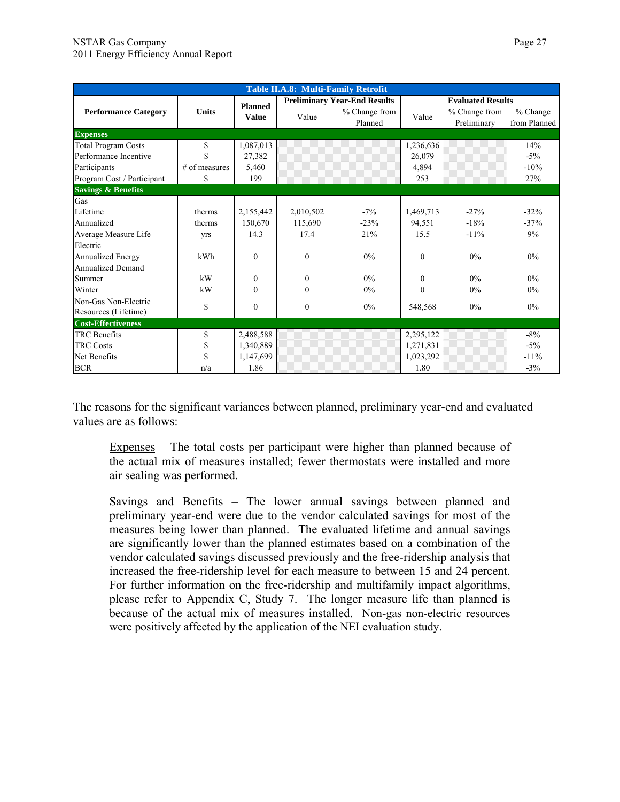|                               | Table II.A.8: Multi-Family Retrofit |                |              |                                     |           |                              |                            |  |
|-------------------------------|-------------------------------------|----------------|--------------|-------------------------------------|-----------|------------------------------|----------------------------|--|
|                               |                                     | <b>Planned</b> |              | <b>Preliminary Year-End Results</b> |           | <b>Evaluated Results</b>     |                            |  |
| <b>Performance Category</b>   | Units                               | <b>Value</b>   | Value        | % Change from<br>Planned            | Value     | % Change from<br>Preliminary | $%$ Change<br>from Planned |  |
| <b>Expenses</b>               |                                     |                |              |                                     |           |                              |                            |  |
| <b>Total Program Costs</b>    | \$                                  | 1,087,013      |              |                                     | 1,236,636 |                              | 14%                        |  |
| Performance Incentive         | \$                                  | 27,382         |              |                                     | 26,079    |                              | $-5\%$                     |  |
| Participants                  | $#$ of measures                     | 5.460          |              |                                     | 4,894     |                              | $-10%$                     |  |
| Program Cost / Participant    | \$                                  | 199            |              |                                     | 253       |                              | 27%                        |  |
| <b>Savings &amp; Benefits</b> |                                     |                |              |                                     |           |                              |                            |  |
| Gas                           |                                     |                |              |                                     |           |                              |                            |  |
| Lifetime                      | therms                              | 2,155,442      | 2,010,502    | $-7\%$                              | 1,469,713 | $-27%$                       | $-32%$                     |  |
| Annualized                    | therms                              | 150,670        | 115,690      | $-23%$                              | 94,551    | $-18%$                       | $-37%$                     |  |
| Average Measure Life          | yrs                                 | 14.3           | 17.4         | 21%                                 | 15.5      | $-11%$                       | 9%                         |  |
| Electric                      |                                     |                |              |                                     |           |                              |                            |  |
| Annualized Energy             | kWh                                 | $\theta$       | $\theta$     | $0\%$                               | $\theta$  | $0\%$                        | $0\%$                      |  |
| <b>Annualized Demand</b>      |                                     |                |              |                                     |           |                              |                            |  |
| Summer                        | kW                                  | $\mathbf{0}$   | $\theta$     | $0\%$                               | $\theta$  | $0\%$                        | $0\%$                      |  |
| Winter                        | kW                                  | $\theta$       | $\theta$     | $0\%$                               | $\Omega$  | $0\%$                        | $0\%$                      |  |
| Non-Gas Non-Electric          | \$                                  | $\mathbf{0}$   | $\mathbf{0}$ | $0\%$                               |           | $0\%$                        | $0\%$                      |  |
| Resources (Lifetime)          |                                     |                |              |                                     | 548,568   |                              |                            |  |
| <b>Cost-Effectiveness</b>     |                                     |                |              |                                     |           |                              |                            |  |
| <b>TRC</b> Benefits           | \$                                  | 2,488,588      |              |                                     | 2,295,122 |                              | $-8\%$                     |  |
| <b>TRC Costs</b>              | \$                                  | 1,340,889      |              |                                     | 1,271,831 |                              | $-5\%$                     |  |
| Net Benefits                  | \$                                  | 1,147,699      |              |                                     | 1,023,292 |                              | $-11\%$                    |  |
| <b>BCR</b>                    | n/a                                 | 1.86           |              |                                     | 1.80      |                              | $-3\%$                     |  |

The reasons for the significant variances between planned, preliminary year-end and evaluated values are as follows:

Expenses – The total costs per participant were higher than planned because of the actual mix of measures installed; fewer thermostats were installed and more air sealing was performed.

Savings and Benefits – The lower annual savings between planned and preliminary year-end were due to the vendor calculated savings for most of the measures being lower than planned. The evaluated lifetime and annual savings are significantly lower than the planned estimates based on a combination of the vendor calculated savings discussed previously and the free-ridership analysis that increased the free-ridership level for each measure to between 15 and 24 percent. For further information on the free-ridership and multifamily impact algorithms, please refer to Appendix C, Study 7. The longer measure life than planned is because of the actual mix of measures installed. Non-gas non-electric resources were positively affected by the application of the NEI evaluation study.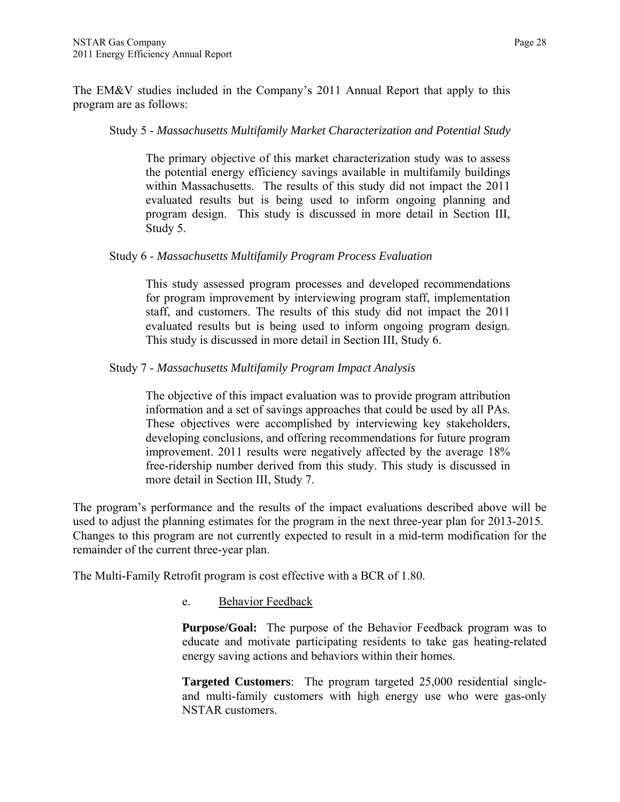The EM&V studies included in the Company's 2011 Annual Report that apply to this program are as follows:

#### Study 5 - *Massachusetts Multifamily Market Characterization and Potential Study*

The primary objective of this market characterization study was to assess the potential energy efficiency savings available in multifamily buildings within Massachusetts. The results of this study did not impact the 2011 evaluated results but is being used to inform ongoing planning and program design. This study is discussed in more detail in Section III, Study 5.

#### Study 6 - *Massachusetts Multifamily Program Process Evaluation*

This study assessed program processes and developed recommendations for program improvement by interviewing program staff, implementation staff, and customers. The results of this study did not impact the 2011 evaluated results but is being used to inform ongoing program design. This study is discussed in more detail in Section III, Study 6.

#### Study 7 - *Massachusetts Multifamily Program Impact Analysis*

The objective of this impact evaluation was to provide program attribution information and a set of savings approaches that could be used by all PAs. These objectives were accomplished by interviewing key stakeholders, developing conclusions, and offering recommendations for future program improvement. 2011 results were negatively affected by the average 18% free-ridership number derived from this study. This study is discussed in more detail in Section III, Study 7.

The program's performance and the results of the impact evaluations described above will be used to adjust the planning estimates for the program in the next three-year plan for 2013-2015. Changes to this program are not currently expected to result in a mid-term modification for the remainder of the current three-year plan.

The Multi-Family Retrofit program is cost effective with a BCR of 1.80.

#### e. Behavior Feedback

**Purpose/Goal:** The purpose of the Behavior Feedback program was to educate and motivate participating residents to take gas heating-related energy saving actions and behaviors within their homes.

**Targeted Customers**: The program targeted 25,000 residential singleand multi-family customers with high energy use who were gas-only NSTAR customers.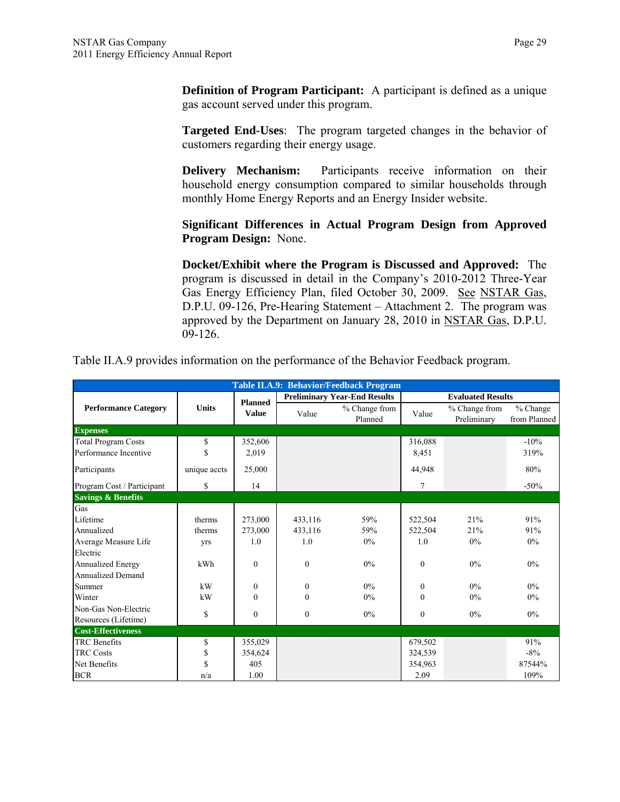**Definition of Program Participant:** A participant is defined as a unique gas account served under this program.

**Targeted End-Uses**: The program targeted changes in the behavior of customers regarding their energy usage.

**Delivery Mechanism:** Participants receive information on their household energy consumption compared to similar households through monthly Home Energy Reports and an Energy Insider website.

**Significant Differences in Actual Program Design from Approved Program Design:** None.

**Docket/Exhibit where the Program is Discussed and Approved:** The program is discussed in detail in the Company's 2010-2012 Three-Year Gas Energy Efficiency Plan, filed October 30, 2009. See NSTAR Gas, D.P.U. 09-126, Pre-Hearing Statement – Attachment 2. The program was approved by the Department on January 28, 2010 in NSTAR Gas, D.P.U. 09-126.

| <b>Table II.A.9: Behavior/Feedback Program</b> |              |                                |                                     |                          |                          |                              |                          |  |  |  |  |
|------------------------------------------------|--------------|--------------------------------|-------------------------------------|--------------------------|--------------------------|------------------------------|--------------------------|--|--|--|--|
| <b>Performance Category</b>                    | <b>Units</b> | <b>Planned</b><br><b>Value</b> | <b>Preliminary Year-End Results</b> |                          | <b>Evaluated Results</b> |                              |                          |  |  |  |  |
|                                                |              |                                | Value                               | % Change from<br>Planned | Value                    | % Change from<br>Preliminary | % Change<br>from Planned |  |  |  |  |
| <b>Expenses</b>                                |              |                                |                                     |                          |                          |                              |                          |  |  |  |  |
| <b>Total Program Costs</b>                     | \$           | 352,606                        |                                     |                          | 316,088                  |                              | $-10\%$                  |  |  |  |  |
| Performance Incentive                          | \$           | 2,019                          |                                     |                          | 8,451                    |                              | 319%                     |  |  |  |  |
| Participants                                   | unique accts | 25,000                         |                                     |                          | 44,948                   |                              | 80%                      |  |  |  |  |
| Program Cost / Participant                     | \$           | 14                             |                                     |                          | 7                        |                              | $-50%$                   |  |  |  |  |
| <b>Savings &amp; Benefits</b>                  |              |                                |                                     |                          |                          |                              |                          |  |  |  |  |
| Gas                                            |              |                                |                                     |                          |                          |                              |                          |  |  |  |  |
| Lifetime                                       | therms       | 273,000                        | 433,116                             | 59%                      | 522,504                  | 21%                          | 91%                      |  |  |  |  |
| Annualized                                     | therms       | 273,000                        | 433,116                             | 59%                      | 522,504                  | 21%                          | 91%                      |  |  |  |  |
| Average Measure Life                           | yrs          | 1.0                            | 1.0                                 | $0\%$                    | 1.0                      | $0\%$                        | $0\%$                    |  |  |  |  |
| Electric                                       |              |                                |                                     |                          |                          |                              |                          |  |  |  |  |
| Annualized Energy                              | kWh          | $\mathbf{0}$                   | $\mathbf{0}$                        | $0\%$                    | $\mathbf{0}$             | 0%                           | $0\%$                    |  |  |  |  |
| <b>Annualized Demand</b>                       |              |                                |                                     |                          |                          |                              |                          |  |  |  |  |
| Summer                                         | kW           | $\mathbf{0}$                   | $\boldsymbol{0}$                    | $0\%$                    | $\mathbf{0}$             | $0\%$                        | $0\%$                    |  |  |  |  |
| Winter                                         | kW           | $\theta$                       | $\theta$                            | $0\%$                    | $\theta$                 | 0%                           | 0%                       |  |  |  |  |
| Non-Gas Non-Electric                           |              |                                |                                     |                          |                          |                              |                          |  |  |  |  |
| Resources (Lifetime)                           | \$           | $\boldsymbol{0}$               | $\boldsymbol{0}$                    | $0\%$                    | $\boldsymbol{0}$         | $0\%$                        | 0%                       |  |  |  |  |
| <b>Cost-Effectiveness</b>                      |              |                                |                                     |                          |                          |                              |                          |  |  |  |  |
| <b>TRC</b> Benefits                            | \$           | 355,029                        |                                     |                          | 679,502                  |                              | 91%                      |  |  |  |  |
| <b>TRC Costs</b>                               | \$           | 354,624                        |                                     |                          | 324,539                  |                              | $-8\%$                   |  |  |  |  |
| Net Benefits                                   | \$           | 405                            |                                     |                          | 354,963                  |                              | 87544%                   |  |  |  |  |
| <b>BCR</b>                                     | n/a          | 1.00                           |                                     |                          | 2.09                     |                              | 109%                     |  |  |  |  |

Table II.A.9 provides information on the performance of the Behavior Feedback program.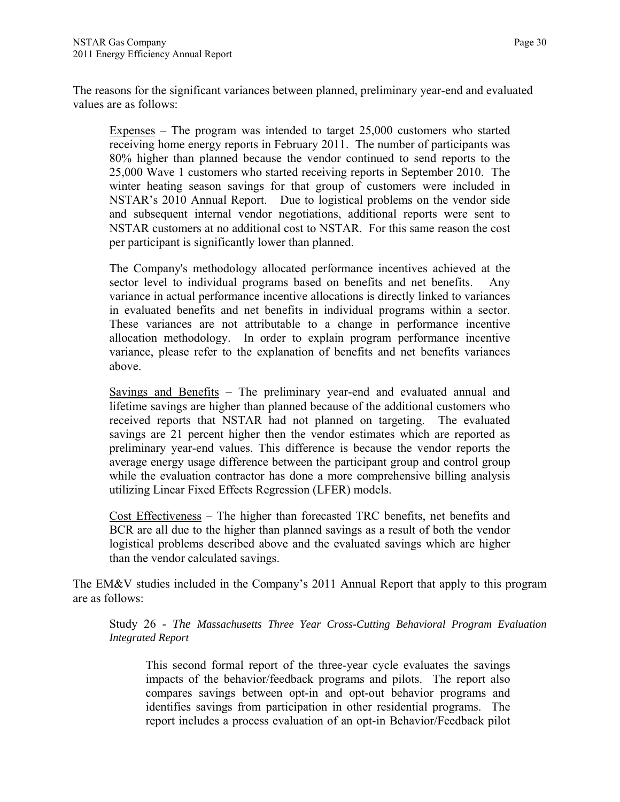The reasons for the significant variances between planned, preliminary year-end and evaluated values are as follows:

Expenses – The program was intended to target 25,000 customers who started receiving home energy reports in February 2011. The number of participants was 80% higher than planned because the vendor continued to send reports to the 25,000 Wave 1 customers who started receiving reports in September 2010. The winter heating season savings for that group of customers were included in NSTAR's 2010 Annual Report. Due to logistical problems on the vendor side and subsequent internal vendor negotiations, additional reports were sent to NSTAR customers at no additional cost to NSTAR. For this same reason the cost per participant is significantly lower than planned.

The Company's methodology allocated performance incentives achieved at the sector level to individual programs based on benefits and net benefits. Any variance in actual performance incentive allocations is directly linked to variances in evaluated benefits and net benefits in individual programs within a sector. These variances are not attributable to a change in performance incentive allocation methodology. In order to explain program performance incentive variance, please refer to the explanation of benefits and net benefits variances above.

Savings and Benefits – The preliminary year-end and evaluated annual and lifetime savings are higher than planned because of the additional customers who received reports that NSTAR had not planned on targeting. The evaluated savings are 21 percent higher then the vendor estimates which are reported as preliminary year-end values. This difference is because the vendor reports the average energy usage difference between the participant group and control group while the evaluation contractor has done a more comprehensive billing analysis utilizing Linear Fixed Effects Regression (LFER) models.

Cost Effectiveness – The higher than forecasted TRC benefits, net benefits and BCR are all due to the higher than planned savings as a result of both the vendor logistical problems described above and the evaluated savings which are higher than the vendor calculated savings.

The EM&V studies included in the Company's 2011 Annual Report that apply to this program are as follows:

Study 26 - *The Massachusetts Three Year Cross-Cutting Behavioral Program Evaluation Integrated Report*

This second formal report of the three-year cycle evaluates the savings impacts of the behavior/feedback programs and pilots. The report also compares savings between opt-in and opt-out behavior programs and identifies savings from participation in other residential programs. The report includes a process evaluation of an opt-in Behavior/Feedback pilot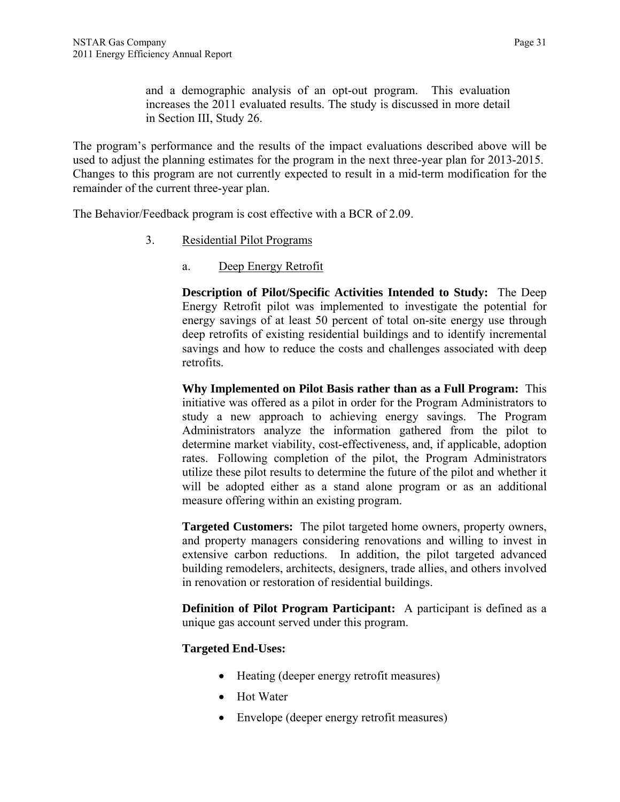and a demographic analysis of an opt-out program. This evaluation increases the 2011 evaluated results. The study is discussed in more detail in Section III, Study 26.

The program's performance and the results of the impact evaluations described above will be used to adjust the planning estimates for the program in the next three-year plan for 2013-2015. Changes to this program are not currently expected to result in a mid-term modification for the remainder of the current three-year plan.

The Behavior/Feedback program is cost effective with a BCR of 2.09.

- 3. Residential Pilot Programs
	- a. Deep Energy Retrofit

**Description of Pilot/Specific Activities Intended to Study:** The Deep Energy Retrofit pilot was implemented to investigate the potential for energy savings of at least 50 percent of total on-site energy use through deep retrofits of existing residential buildings and to identify incremental savings and how to reduce the costs and challenges associated with deep retrofits.

**Why Implemented on Pilot Basis rather than as a Full Program:** This initiative was offered as a pilot in order for the Program Administrators to study a new approach to achieving energy savings. The Program Administrators analyze the information gathered from the pilot to determine market viability, cost-effectiveness, and, if applicable, adoption rates. Following completion of the pilot, the Program Administrators utilize these pilot results to determine the future of the pilot and whether it will be adopted either as a stand alone program or as an additional measure offering within an existing program.

**Targeted Customers:** The pilot targeted home owners, property owners, and property managers considering renovations and willing to invest in extensive carbon reductions. In addition, the pilot targeted advanced building remodelers, architects, designers, trade allies, and others involved in renovation or restoration of residential buildings.

**Definition of Pilot Program Participant:** A participant is defined as a unique gas account served under this program.

## **Targeted End-Uses:**

- Heating (deeper energy retrofit measures)
- Hot Water
- Envelope (deeper energy retrofit measures)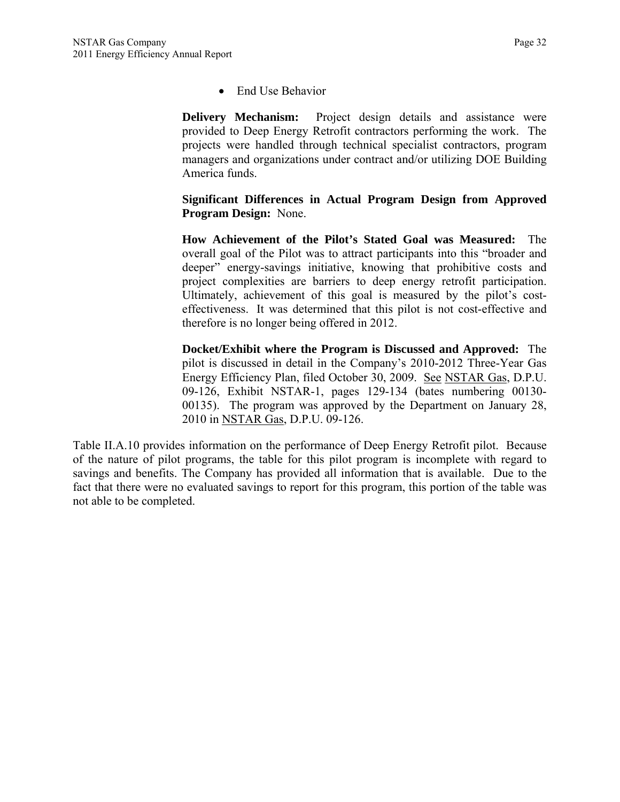• End Use Behavior

**Delivery Mechanism:** Project design details and assistance were provided to Deep Energy Retrofit contractors performing the work. The projects were handled through technical specialist contractors, program managers and organizations under contract and/or utilizing DOE Building America funds.

**Significant Differences in Actual Program Design from Approved Program Design:** None.

**How Achievement of the Pilot's Stated Goal was Measured:** The overall goal of the Pilot was to attract participants into this "broader and deeper" energy-savings initiative, knowing that prohibitive costs and project complexities are barriers to deep energy retrofit participation. Ultimately, achievement of this goal is measured by the pilot's costeffectiveness. It was determined that this pilot is not cost-effective and therefore is no longer being offered in 2012.

**Docket/Exhibit where the Program is Discussed and Approved:** The pilot is discussed in detail in the Company's 2010-2012 Three-Year Gas Energy Efficiency Plan, filed October 30, 2009. See NSTAR Gas, D.P.U. 09-126, Exhibit NSTAR-1, pages 129-134 (bates numbering 00130- 00135). The program was approved by the Department on January 28, 2010 in NSTAR Gas, D.P.U. 09-126.

Table II.A.10 provides information on the performance of Deep Energy Retrofit pilot. Because of the nature of pilot programs, the table for this pilot program is incomplete with regard to savings and benefits. The Company has provided all information that is available. Due to the fact that there were no evaluated savings to report for this program, this portion of the table was not able to be completed.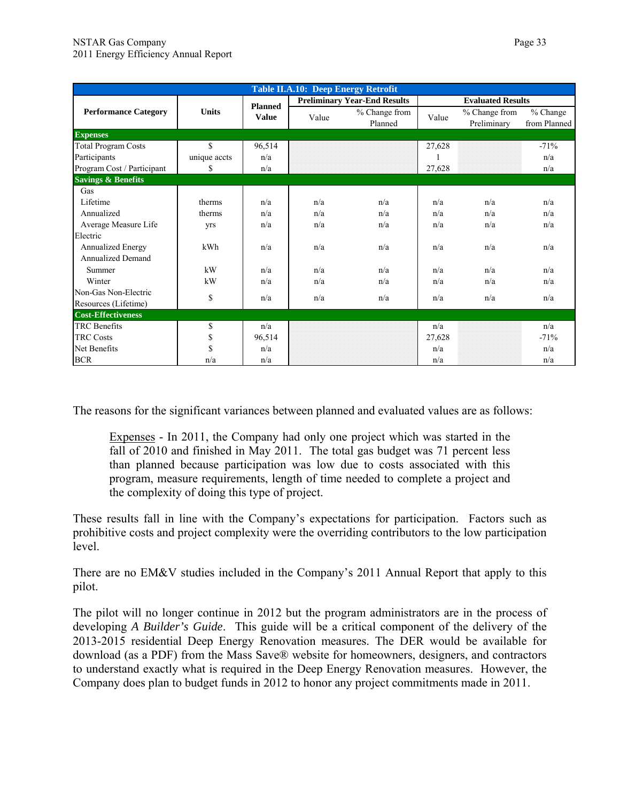| <b>Table II.A.10: Deep Energy Retrofit</b> |              |                                |                                     |                          |                          |                              |                          |  |  |  |  |
|--------------------------------------------|--------------|--------------------------------|-------------------------------------|--------------------------|--------------------------|------------------------------|--------------------------|--|--|--|--|
| <b>Performance Category</b>                | <b>Units</b> | <b>Planned</b><br><b>Value</b> | <b>Preliminary Year-End Results</b> |                          | <b>Evaluated Results</b> |                              |                          |  |  |  |  |
|                                            |              |                                | Value                               | % Change from<br>Planned | Value                    | % Change from<br>Preliminary | % Change<br>from Planned |  |  |  |  |
| <b>Expenses</b>                            |              |                                |                                     |                          |                          |                              |                          |  |  |  |  |
| <b>Total Program Costs</b>                 | \$           | 96,514                         |                                     |                          | 27,628                   |                              | $-71%$                   |  |  |  |  |
| Participants                               | unique accts | n/a                            |                                     |                          |                          |                              | n/a                      |  |  |  |  |
| Program Cost / Participant                 | S            | n/a                            |                                     |                          | 27,628                   |                              | n/a                      |  |  |  |  |
| <b>Savings &amp; Benefits</b>              |              |                                |                                     |                          |                          |                              |                          |  |  |  |  |
| Gas                                        |              |                                |                                     |                          |                          |                              |                          |  |  |  |  |
| Lifetime                                   | therms       | n/a                            | n/a                                 | n/a                      | n/a                      | n/a                          | n/a                      |  |  |  |  |
| Annualized                                 | therms       | n/a                            | n/a                                 | n/a                      | n/a                      | n/a                          | n/a                      |  |  |  |  |
| Average Measure Life                       | yrs          | n/a                            | n/a                                 | n/a                      | n/a                      | n/a                          | n/a                      |  |  |  |  |
| Electric                                   |              |                                |                                     |                          |                          |                              |                          |  |  |  |  |
| <b>Annualized Energy</b>                   | kWh          | n/a                            | n/a                                 | n/a                      | n/a                      | n/a                          | n/a                      |  |  |  |  |
| <b>Annualized Demand</b>                   |              |                                |                                     |                          |                          |                              |                          |  |  |  |  |
| Summer                                     | kW           | n/a                            | n/a                                 | n/a                      | n/a                      | n/a                          | n/a                      |  |  |  |  |
| Winter                                     | kW           | n/a                            | n/a                                 | n/a                      | n/a                      | n/a                          | n/a                      |  |  |  |  |
| Non-Gas Non-Electric                       | \$           | n/a                            | n/a                                 | n/a                      | n/a                      | n/a                          | n/a                      |  |  |  |  |
| Resources (Lifetime)                       |              |                                |                                     |                          |                          |                              |                          |  |  |  |  |
| <b>Cost-Effectiveness</b>                  |              |                                |                                     |                          |                          |                              |                          |  |  |  |  |
| <b>TRC</b> Benefits                        | \$           | n/a                            |                                     |                          | n/a                      |                              | n/a                      |  |  |  |  |
| <b>TRC Costs</b>                           | \$           | 96,514                         |                                     |                          | 27,628                   |                              | $-71%$                   |  |  |  |  |
| Net Benefits                               | \$           | n/a                            |                                     |                          | n/a                      |                              | n/a                      |  |  |  |  |
| <b>BCR</b>                                 | n/a          | n/a                            |                                     |                          | n/a                      |                              | n/a                      |  |  |  |  |

The reasons for the significant variances between planned and evaluated values are as follows:

Expenses - In 2011, the Company had only one project which was started in the fall of 2010 and finished in May 2011. The total gas budget was 71 percent less than planned because participation was low due to costs associated with this program, measure requirements, length of time needed to complete a project and the complexity of doing this type of project.

These results fall in line with the Company's expectations for participation. Factors such as prohibitive costs and project complexity were the overriding contributors to the low participation level.

There are no EM&V studies included in the Company's 2011 Annual Report that apply to this pilot.

The pilot will no longer continue in 2012 but the program administrators are in the process of developing *A Builder's Guide*. This guide will be a critical component of the delivery of the 2013-2015 residential Deep Energy Renovation measures. The DER would be available for download (as a PDF) from the Mass Save® website for homeowners, designers, and contractors to understand exactly what is required in the Deep Energy Renovation measures. However, the Company does plan to budget funds in 2012 to honor any project commitments made in 2011.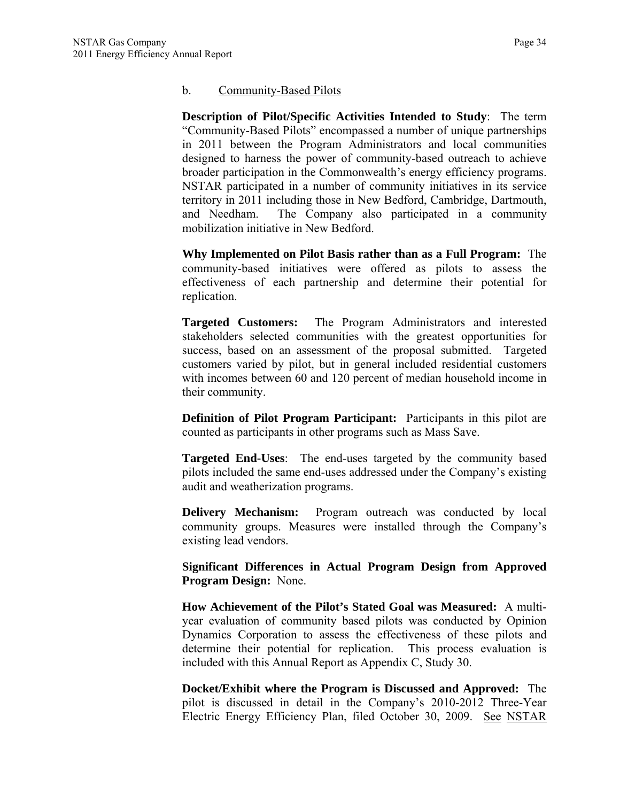#### b. Community-Based Pilots

**Description of Pilot/Specific Activities Intended to Study**: The term "Community-Based Pilots" encompassed a number of unique partnerships in 2011 between the Program Administrators and local communities designed to harness the power of community-based outreach to achieve broader participation in the Commonwealth's energy efficiency programs. NSTAR participated in a number of community initiatives in its service territory in 2011 including those in New Bedford, Cambridge, Dartmouth, and Needham. The Company also participated in a community mobilization initiative in New Bedford.

**Why Implemented on Pilot Basis rather than as a Full Program:** The community-based initiatives were offered as pilots to assess the effectiveness of each partnership and determine their potential for replication.

**Targeted Customers:** The Program Administrators and interested stakeholders selected communities with the greatest opportunities for success, based on an assessment of the proposal submitted. Targeted customers varied by pilot, but in general included residential customers with incomes between 60 and 120 percent of median household income in their community.

**Definition of Pilot Program Participant:** Participants in this pilot are counted as participants in other programs such as Mass Save.

**Targeted End-Uses**: The end-uses targeted by the community based pilots included the same end-uses addressed under the Company's existing audit and weatherization programs.

**Delivery Mechanism:** Program outreach was conducted by local community groups. Measures were installed through the Company's existing lead vendors.

**Significant Differences in Actual Program Design from Approved Program Design:** None.

**How Achievement of the Pilot's Stated Goal was Measured:** A multiyear evaluation of community based pilots was conducted by Opinion Dynamics Corporation to assess the effectiveness of these pilots and determine their potential for replication. This process evaluation is included with this Annual Report as Appendix C, Study 30.

**Docket/Exhibit where the Program is Discussed and Approved:** The pilot is discussed in detail in the Company's 2010-2012 Three-Year Electric Energy Efficiency Plan, filed October 30, 2009. See NSTAR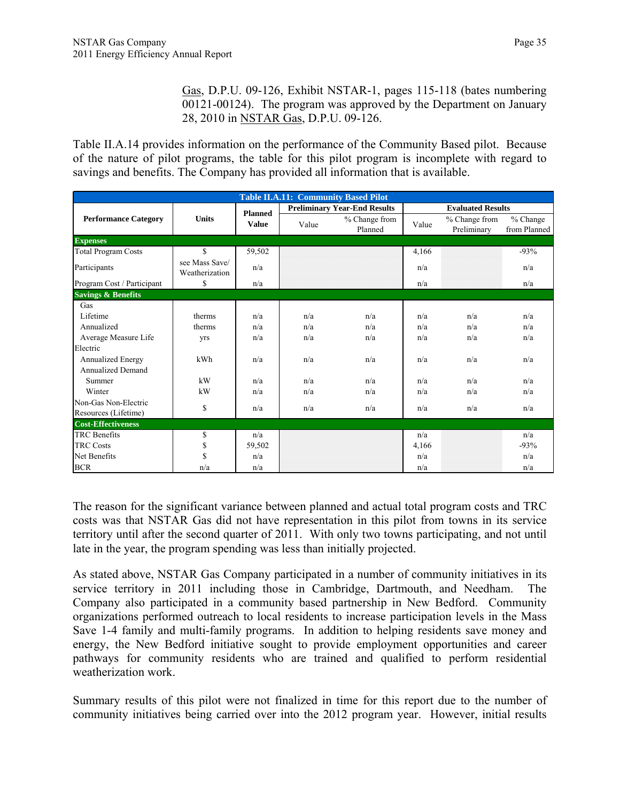Gas, D.P.U. 09-126, Exhibit NSTAR-1, pages 115-118 (bates numbering 00121-00124). The program was approved by the Department on January 28, 2010 in NSTAR Gas, D.P.U. 09-126.

Table II.A.14 provides information on the performance of the Community Based pilot. Because of the nature of pilot programs, the table for this pilot program is incomplete with regard to savings and benefits. The Company has provided all information that is available.

|                               | <b>Table II.A.11: Community Based Pilot</b> |                |       |                                     |       |                              |                            |  |  |  |
|-------------------------------|---------------------------------------------|----------------|-------|-------------------------------------|-------|------------------------------|----------------------------|--|--|--|
|                               |                                             | <b>Planned</b> |       | <b>Preliminary Year-End Results</b> |       | <b>Evaluated Results</b>     |                            |  |  |  |
| <b>Performance Category</b>   | <b>Units</b>                                | <b>Value</b>   | Value | % Change from<br>Planned            | Value | % Change from<br>Preliminary | $%$ Change<br>from Planned |  |  |  |
| <b>Expenses</b>               |                                             |                |       |                                     |       |                              |                            |  |  |  |
| <b>Total Program Costs</b>    | $\mathbf S$                                 | 59,502         |       |                                     | 4,166 |                              | $-93%$                     |  |  |  |
| Participants                  | see Mass Save/<br>Weatherization            | n/a            |       |                                     | n/a   |                              | n/a                        |  |  |  |
| Program Cost / Participant    | \$                                          | n/a            |       |                                     | n/a   |                              | n/a                        |  |  |  |
| <b>Savings &amp; Benefits</b> |                                             |                |       |                                     |       |                              |                            |  |  |  |
| Gas                           |                                             |                |       |                                     |       |                              |                            |  |  |  |
| Lifetime                      | therms                                      | n/a            | n/a   | n/a                                 | n/a   | n/a                          | n/a                        |  |  |  |
| Annualized                    | therms                                      | n/a            | n/a   | n/a                                 | n/a   | n/a                          | n/a                        |  |  |  |
| Average Measure Life          | yrs                                         | n/a            | n/a   | n/a                                 | n/a   | n/a                          | n/a                        |  |  |  |
| Electric                      |                                             |                |       |                                     |       |                              |                            |  |  |  |
| <b>Annualized Energy</b>      | kWh                                         | n/a            | n/a   | n/a                                 | n/a   | n/a                          | n/a                        |  |  |  |
| <b>Annualized Demand</b>      |                                             |                |       |                                     |       |                              |                            |  |  |  |
| Summer                        | kW                                          | n/a            | n/a   | n/a                                 | n/a   | n/a                          | n/a                        |  |  |  |
| Winter                        | kW                                          | n/a            | n/a   | n/a                                 | n/a   | n/a                          | n/a                        |  |  |  |
| Non-Gas Non-Electric          |                                             | n/a            | n/a   | n/a                                 | n/a   | n/a                          | n/a                        |  |  |  |
| Resources (Lifetime)          | \$                                          |                |       |                                     |       |                              |                            |  |  |  |
| <b>Cost-Effectiveness</b>     |                                             |                |       |                                     |       |                              |                            |  |  |  |
| <b>TRC</b> Benefits           | \$                                          | n/a            |       |                                     | n/a   |                              | n/a                        |  |  |  |
| <b>TRC Costs</b>              | \$                                          | 59,502         |       |                                     | 4,166 |                              | $-93%$                     |  |  |  |
| Net Benefits                  | \$                                          | n/a            |       |                                     | n/a   |                              | n/a                        |  |  |  |
| <b>BCR</b>                    | n/a                                         | n/a            |       |                                     | n/a   |                              | n/a                        |  |  |  |

The reason for the significant variance between planned and actual total program costs and TRC costs was that NSTAR Gas did not have representation in this pilot from towns in its service territory until after the second quarter of 2011. With only two towns participating, and not until late in the year, the program spending was less than initially projected.

As stated above, NSTAR Gas Company participated in a number of community initiatives in its service territory in 2011 including those in Cambridge, Dartmouth, and Needham. The Company also participated in a community based partnership in New Bedford. Community organizations performed outreach to local residents to increase participation levels in the Mass Save 1-4 family and multi-family programs. In addition to helping residents save money and energy, the New Bedford initiative sought to provide employment opportunities and career pathways for community residents who are trained and qualified to perform residential weatherization work.

Summary results of this pilot were not finalized in time for this report due to the number of community initiatives being carried over into the 2012 program year. However, initial results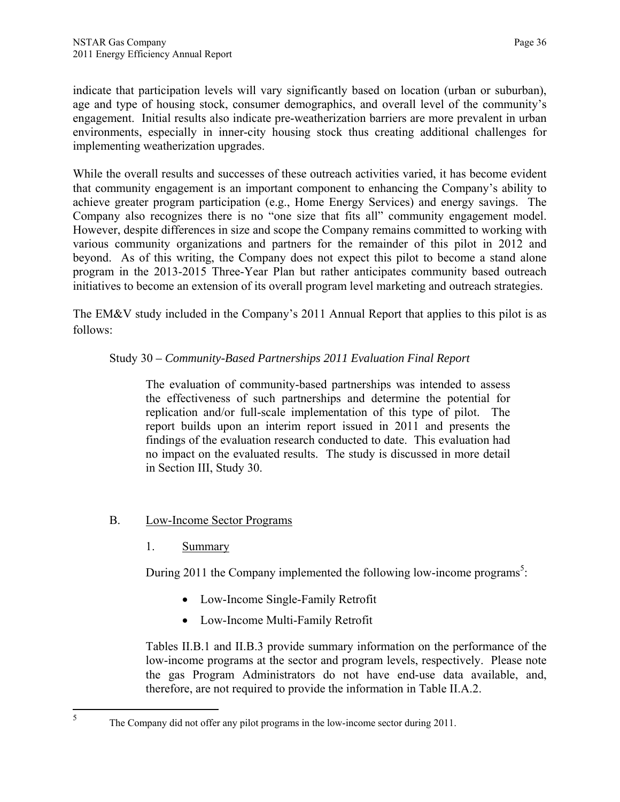indicate that participation levels will vary significantly based on location (urban or suburban), age and type of housing stock, consumer demographics, and overall level of the community's engagement. Initial results also indicate pre-weatherization barriers are more prevalent in urban environments, especially in inner-city housing stock thus creating additional challenges for implementing weatherization upgrades.

While the overall results and successes of these outreach activities varied, it has become evident that community engagement is an important component to enhancing the Company's ability to achieve greater program participation (e.g., Home Energy Services) and energy savings. The Company also recognizes there is no "one size that fits all" community engagement model. However, despite differences in size and scope the Company remains committed to working with various community organizations and partners for the remainder of this pilot in 2012 and beyond. As of this writing, the Company does not expect this pilot to become a stand alone program in the 2013-2015 Three-Year Plan but rather anticipates community based outreach initiatives to become an extension of its overall program level marketing and outreach strategies.

The EM&V study included in the Company's 2011 Annual Report that applies to this pilot is as follows:

## Study 30 *– Community-Based Partnerships 2011 Evaluation Final Report*

The evaluation of community-based partnerships was intended to assess the effectiveness of such partnerships and determine the potential for replication and/or full-scale implementation of this type of pilot. The report builds upon an interim report issued in 2011 and presents the findings of the evaluation research conducted to date. This evaluation had no impact on the evaluated results. The study is discussed in more detail in Section III, Study 30.

- B. Low-Income Sector Programs
	- 1. Summary

During  $2011$  the Company implemented the following low-income programs<sup>5</sup>:

- Low-Income Single-Family Retrofit
- Low-Income Multi-Family Retrofit

Tables II.B.1 and II.B.3 provide summary information on the performance of the low-income programs at the sector and program levels, respectively. Please note the gas Program Administrators do not have end-use data available, and, therefore, are not required to provide the information in Table II.A.2.

The Company did not offer any pilot programs in the low-income sector during 2011.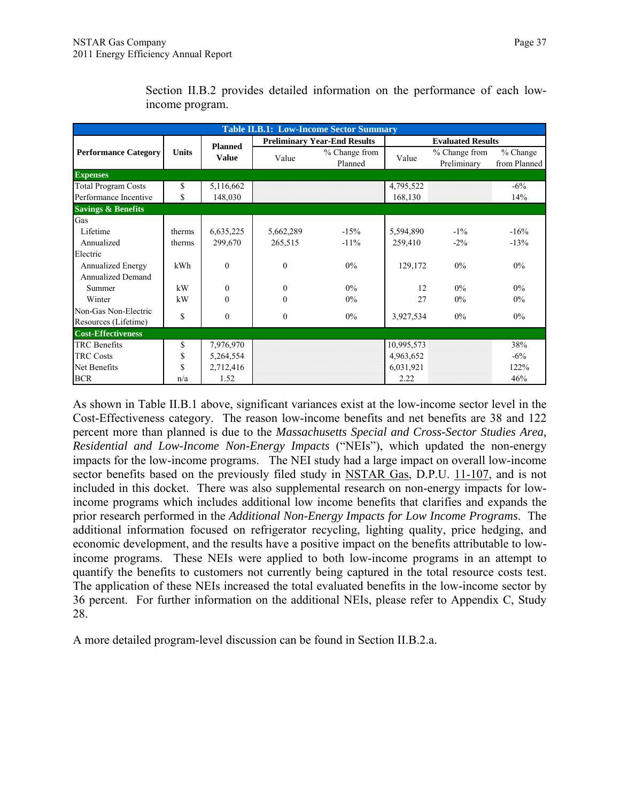| <b>Table II.B.1: Low-Income Sector Summary</b> |              |                |           |                                     |            |                              |                            |  |  |  |
|------------------------------------------------|--------------|----------------|-----------|-------------------------------------|------------|------------------------------|----------------------------|--|--|--|
|                                                |              | <b>Planned</b> |           | <b>Preliminary Year-End Results</b> |            | <b>Evaluated Results</b>     |                            |  |  |  |
| <b>Performance Category</b>                    | <b>Units</b> | <b>Value</b>   | Value     | % Change from<br>Planned            | Value      | % Change from<br>Preliminary | $%$ Change<br>from Planned |  |  |  |
| <b>Expenses</b>                                |              |                |           |                                     |            |                              |                            |  |  |  |
| <b>Total Program Costs</b>                     | \$           | 5,116,662      |           |                                     | 4,795,522  |                              | $-6\%$                     |  |  |  |
| Performance Incentive                          | \$           | 148,030        |           |                                     | 168,130    |                              | 14%                        |  |  |  |
| <b>Savings &amp; Benefits</b>                  |              |                |           |                                     |            |                              |                            |  |  |  |
| Gas                                            |              |                |           |                                     |            |                              |                            |  |  |  |
| Lifetime                                       | therms       | 6,635,225      | 5,662,289 | $-15%$                              | 5,594,890  | $-1\%$                       | $-16%$                     |  |  |  |
| Annualized                                     | therms       | 299,670        | 265,515   | $-11\%$                             | 259,410    | $-2\%$                       | $-13%$                     |  |  |  |
| Electric                                       |              |                |           |                                     |            |                              |                            |  |  |  |
| Annualized Energy                              | kWh          | $\theta$       | $\Omega$  | $0\%$                               | 129,172    | $0\%$                        | $0\%$                      |  |  |  |
| <b>Annualized Demand</b>                       |              |                |           |                                     |            |                              |                            |  |  |  |
| Summer                                         | kW           | $\mathbf{0}$   | $\theta$  | $0\%$                               | 12         | $0\%$                        | 0%                         |  |  |  |
| Winter                                         | kW           | $\theta$       | $\Omega$  | $0\%$                               | 27         | 0%                           | $0\%$                      |  |  |  |
| Non-Gas Non-Electric                           | \$           | $\mathbf{0}$   | $\theta$  | $0\%$                               |            | $0\%$                        | $0\%$                      |  |  |  |
| Resources (Lifetime)                           |              |                |           |                                     | 3,927,534  |                              |                            |  |  |  |
| <b>Cost-Effectiveness</b>                      |              |                |           |                                     |            |                              |                            |  |  |  |
| <b>TRC</b> Benefits                            | \$           | 7,976,970      |           |                                     | 10,995,573 |                              | 38%                        |  |  |  |
| <b>TRC Costs</b>                               | \$           | 5,264,554      |           |                                     | 4,963,652  |                              | $-6\%$                     |  |  |  |
| Net Benefits                                   | \$           | 2,712,416      |           |                                     | 6,031,921  |                              | 122%                       |  |  |  |
| <b>BCR</b>                                     | n/a          | 1.52           |           |                                     | 2.22       |                              | 46%                        |  |  |  |

Section II.B.2 provides detailed information on the performance of each lowincome program.

As shown in Table II.B.1 above, significant variances exist at the low-income sector level in the Cost-Effectiveness category. The reason low-income benefits and net benefits are 38 and 122 percent more than planned is due to the *Massachusetts Special and Cross-Sector Studies Area, Residential and Low-Income Non-Energy Impacts* ("NEIs"), which updated the non-energy impacts for the low-income programs. The NEI study had a large impact on overall low-income sector benefits based on the previously filed study in NSTAR Gas, D.P.U. 11-107, and is not included in this docket. There was also supplemental research on non-energy impacts for lowincome programs which includes additional low income benefits that clarifies and expands the prior research performed in the *Additional Non-Energy Impacts for Low Income Programs*. The additional information focused on refrigerator recycling, lighting quality, price hedging, and economic development, and the results have a positive impact on the benefits attributable to lowincome programs. These NEIs were applied to both low-income programs in an attempt to quantify the benefits to customers not currently being captured in the total resource costs test. The application of these NEIs increased the total evaluated benefits in the low-income sector by 36 percent. For further information on the additional NEIs, please refer to Appendix C, Study 28.

A more detailed program-level discussion can be found in Section II.B.2.a.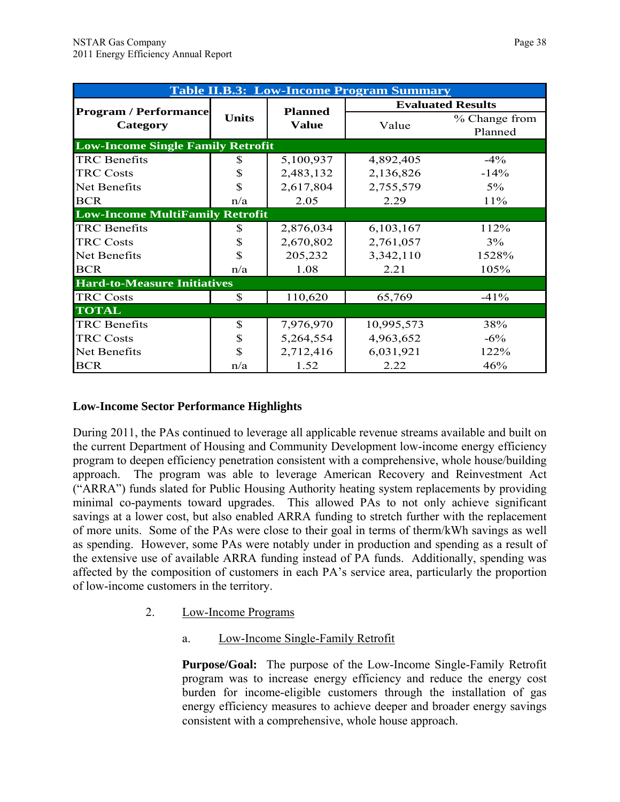| <b>Table II.B.3: Low-Income Program Summary</b> |              |                |            |                          |  |  |  |  |  |
|-------------------------------------------------|--------------|----------------|------------|--------------------------|--|--|--|--|--|
|                                                 |              | <b>Planned</b> |            | <b>Evaluated Results</b> |  |  |  |  |  |
| <b>Program / Performance</b><br>Category        | <b>Units</b> | <b>Value</b>   | Value      | % Change from<br>Planned |  |  |  |  |  |
| <b>Low-Income Single Family Retrofit</b>        |              |                |            |                          |  |  |  |  |  |
| <b>TRC</b> Benefits                             | S            | 5,100,937      | 4,892,405  | $-4\%$                   |  |  |  |  |  |
| <b>TRC Costs</b>                                | S            | 2,483,132      | 2,136,826  | $-14%$                   |  |  |  |  |  |
| Net Benefits                                    | \$           | 2,617,804      | 2,755,579  | $5\%$                    |  |  |  |  |  |
| <b>BCR</b>                                      | n/a          | 2.05           | 2.29       | 11%                      |  |  |  |  |  |
| <b>Low-Income MultiFamily Retrofit</b>          |              |                |            |                          |  |  |  |  |  |
| <b>TRC</b> Benefits                             | S            | 2,876,034      | 6,103,167  | 112%                     |  |  |  |  |  |
| <b>TRC Costs</b>                                | \$           | 2,670,802      | 2,761,057  | 3%                       |  |  |  |  |  |
| Net Benefits                                    | \$           | 205,232        | 3,342,110  | 1528%                    |  |  |  |  |  |
| <b>BCR</b>                                      | n/a          | 1.08           | 2.21       | 105%                     |  |  |  |  |  |
| <b>Hard-to-Measure Initiatives</b>              |              |                |            |                          |  |  |  |  |  |
| <b>TRC Costs</b>                                | \$           | 110,620        | 65,769     | $-41%$                   |  |  |  |  |  |
| <b>TOTAL</b>                                    |              |                |            |                          |  |  |  |  |  |
| <b>TRC</b> Benefits                             | \$           | 7,976,970      | 10,995,573 | 38%                      |  |  |  |  |  |
| <b>TRC Costs</b>                                | \$           | 5,264,554      | 4,963,652  | $-6\%$                   |  |  |  |  |  |
| Net Benefits                                    | \$           | 2,712,416      | 6,031,921  | 122%                     |  |  |  |  |  |
| <b>BCR</b>                                      | n/a          | 1.52           | 2.22       | 46%                      |  |  |  |  |  |

## **Low-Income Sector Performance Highlights**

During 2011, the PAs continued to leverage all applicable revenue streams available and built on the current Department of Housing and Community Development low-income energy efficiency program to deepen efficiency penetration consistent with a comprehensive, whole house/building approach. The program was able to leverage American Recovery and Reinvestment Act ("ARRA") funds slated for Public Housing Authority heating system replacements by providing minimal co-payments toward upgrades. This allowed PAs to not only achieve significant savings at a lower cost, but also enabled ARRA funding to stretch further with the replacement of more units. Some of the PAs were close to their goal in terms of therm/kWh savings as well as spending. However, some PAs were notably under in production and spending as a result of the extensive use of available ARRA funding instead of PA funds. Additionally, spending was affected by the composition of customers in each PA's service area, particularly the proportion of low-income customers in the territory.

- 2. Low-Income Programs
	- a. Low-Income Single-Family Retrofit

**Purpose/Goal:** The purpose of the Low-Income Single-Family Retrofit program was to increase energy efficiency and reduce the energy cost burden for income-eligible customers through the installation of gas energy efficiency measures to achieve deeper and broader energy savings consistent with a comprehensive, whole house approach.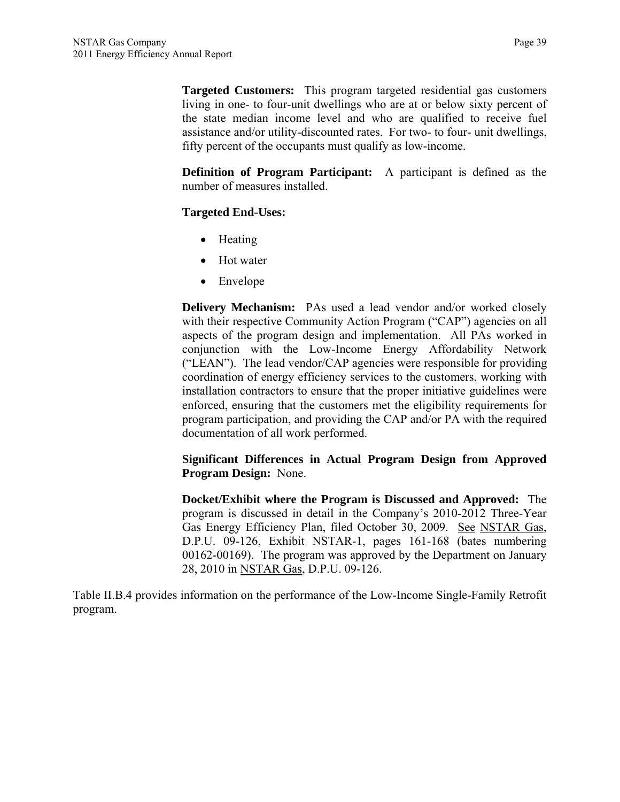**Targeted Customers:** This program targeted residential gas customers living in one- to four-unit dwellings who are at or below sixty percent of the state median income level and who are qualified to receive fuel assistance and/or utility-discounted rates. For two- to four- unit dwellings, fifty percent of the occupants must qualify as low-income.

**Definition of Program Participant:** A participant is defined as the number of measures installed.

## **Targeted End-Uses:**

- Heating
- Hot water
- Envelope

**Delivery Mechanism:** PAs used a lead vendor and/or worked closely with their respective Community Action Program ("CAP") agencies on all aspects of the program design and implementation. All PAs worked in conjunction with the Low-Income Energy Affordability Network ("LEAN"). The lead vendor/CAP agencies were responsible for providing coordination of energy efficiency services to the customers, working with installation contractors to ensure that the proper initiative guidelines were enforced, ensuring that the customers met the eligibility requirements for program participation, and providing the CAP and/or PA with the required documentation of all work performed.

**Significant Differences in Actual Program Design from Approved Program Design:** None.

**Docket/Exhibit where the Program is Discussed and Approved:** The program is discussed in detail in the Company's 2010-2012 Three-Year Gas Energy Efficiency Plan, filed October 30, 2009. See NSTAR Gas, D.P.U. 09-126, Exhibit NSTAR-1, pages 161-168 (bates numbering 00162-00169). The program was approved by the Department on January 28, 2010 in NSTAR Gas, D.P.U. 09-126.

Table II.B.4 provides information on the performance of the Low-Income Single-Family Retrofit program.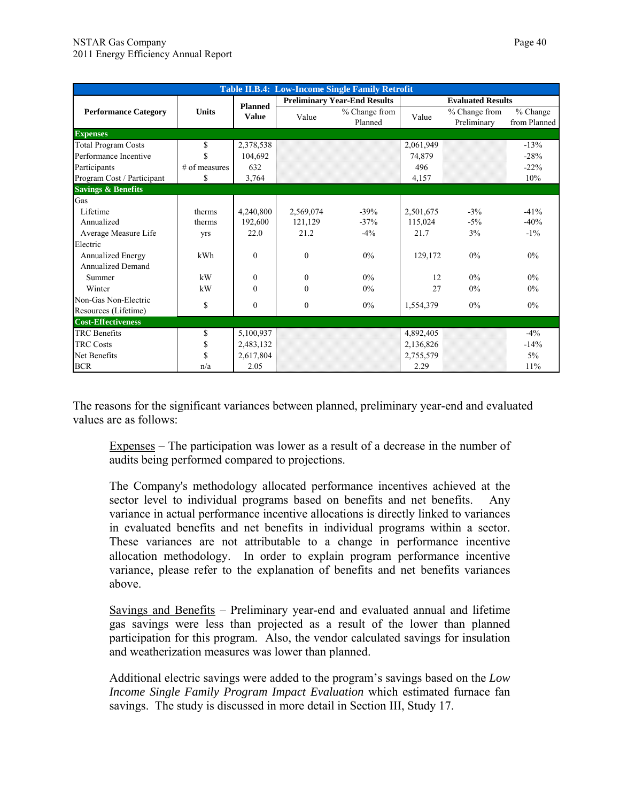|                               |               |                |              | <b>Table II.B.4: Low-Income Single Family Retrofit</b> |           |                              |                            |  |  |
|-------------------------------|---------------|----------------|--------------|--------------------------------------------------------|-----------|------------------------------|----------------------------|--|--|
|                               |               | <b>Planned</b> |              | <b>Preliminary Year-End Results</b>                    |           | <b>Evaluated Results</b>     |                            |  |  |
| <b>Performance Category</b>   | <b>Units</b>  | <b>Value</b>   | Value        | % Change from<br>Planned                               | Value     | % Change from<br>Preliminary | $%$ Change<br>from Planned |  |  |
| <b>Expenses</b>               |               |                |              |                                                        |           |                              |                            |  |  |
| <b>Total Program Costs</b>    | \$            | 2,378,538      |              |                                                        | 2,061,949 |                              | $-13%$                     |  |  |
| Performance Incentive         | \$            | 104,692        |              |                                                        | 74,879    |                              | $-28%$                     |  |  |
| Participants                  | # of measures | 632            |              |                                                        | 496       |                              | $-22%$                     |  |  |
| Program Cost / Participant    | \$            | 3,764          |              |                                                        | 4,157     |                              | 10%                        |  |  |
| <b>Savings &amp; Benefits</b> |               |                |              |                                                        |           |                              |                            |  |  |
| Gas                           |               |                |              |                                                        |           |                              |                            |  |  |
| Lifetime                      | therms        | 4,240,800      | 2,569,074    | $-39\%$                                                | 2,501,675 | $-3\%$                       | $-41%$                     |  |  |
| Annualized                    | therms        | 192,600        | 121,129      | $-37%$                                                 | 115,024   | $-5\%$                       | $-40%$                     |  |  |
| Average Measure Life          | yrs           | 22.0           | 21.2         | $-4\%$                                                 | 21.7      | 3%                           | $-1\%$                     |  |  |
| Electric                      |               |                |              |                                                        |           |                              |                            |  |  |
| Annualized Energy             | kWh           | $\theta$       | $\theta$     | $0\%$                                                  | 129,172   | 0%                           | $0\%$                      |  |  |
| Annualized Demand             |               |                |              |                                                        |           |                              |                            |  |  |
| Summer                        | kW            | $\theta$       | $\Omega$     | $0\%$                                                  | 12        | $0\%$                        | $0\%$                      |  |  |
| Winter                        | kW            | $\theta$       | $\Omega$     | 0%                                                     | 27        | 0%                           | $0\%$                      |  |  |
| Non-Gas Non-Electric          |               |                |              | $0\%$                                                  |           | $0\%$                        | $0\%$                      |  |  |
| Resources (Lifetime)          | \$            | $\mathbf{0}$   | $\mathbf{0}$ |                                                        | 1,554,379 |                              |                            |  |  |
| <b>Cost-Effectiveness</b>     |               |                |              |                                                        |           |                              |                            |  |  |
| <b>TRC</b> Benefits           | \$            | 5,100,937      |              |                                                        | 4,892,405 |                              | $-4\%$                     |  |  |
| <b>TRC</b> Costs              | \$            | 2,483,132      |              |                                                        | 2,136,826 |                              | $-14%$                     |  |  |
| Net Benefits                  | \$            | 2,617,804      |              |                                                        | 2,755,579 |                              | $5\%$                      |  |  |
| <b>BCR</b>                    | n/a           | 2.05           |              |                                                        | 2.29      |                              | 11%                        |  |  |

The reasons for the significant variances between planned, preliminary year-end and evaluated values are as follows:

Expenses – The participation was lower as a result of a decrease in the number of audits being performed compared to projections.

The Company's methodology allocated performance incentives achieved at the sector level to individual programs based on benefits and net benefits. Any variance in actual performance incentive allocations is directly linked to variances in evaluated benefits and net benefits in individual programs within a sector. These variances are not attributable to a change in performance incentive allocation methodology. In order to explain program performance incentive variance, please refer to the explanation of benefits and net benefits variances above.

Savings and Benefits – Preliminary year-end and evaluated annual and lifetime gas savings were less than projected as a result of the lower than planned participation for this program. Also, the vendor calculated savings for insulation and weatherization measures was lower than planned.

Additional electric savings were added to the program's savings based on the *Low Income Single Family Program Impact Evaluation* which estimated furnace fan savings. The study is discussed in more detail in Section III, Study 17.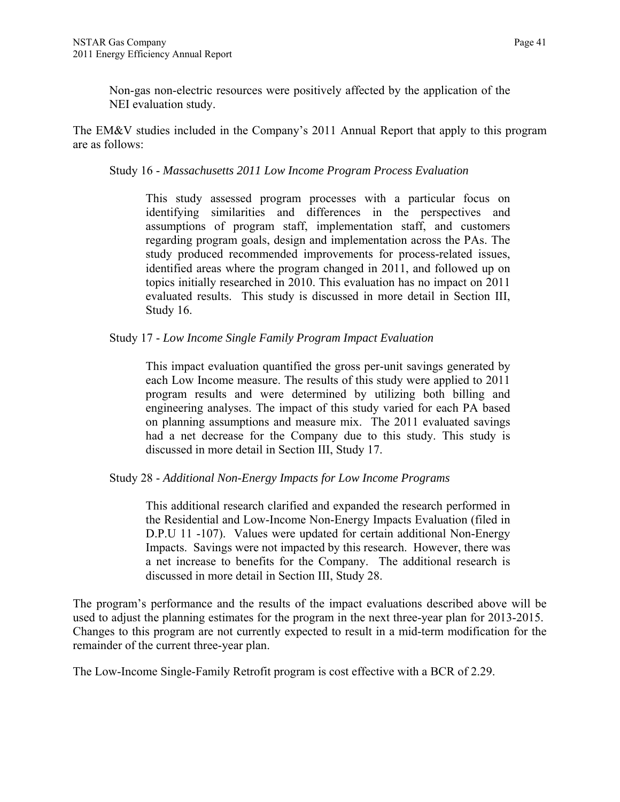Non-gas non-electric resources were positively affected by the application of the NEI evaluation study.

The EM&V studies included in the Company's 2011 Annual Report that apply to this program are as follows:

Study 16 - *Massachusetts 2011 Low Income Program Process Evaluation* 

This study assessed program processes with a particular focus on identifying similarities and differences in the perspectives and assumptions of program staff, implementation staff, and customers regarding program goals, design and implementation across the PAs. The study produced recommended improvements for process-related issues, identified areas where the program changed in 2011, and followed up on topics initially researched in 2010. This evaluation has no impact on 2011 evaluated results. This study is discussed in more detail in Section III, Study 16.

Study 17 - *Low Income Single Family Program Impact Evaluation* 

This impact evaluation quantified the gross per-unit savings generated by each Low Income measure. The results of this study were applied to 2011 program results and were determined by utilizing both billing and engineering analyses. The impact of this study varied for each PA based on planning assumptions and measure mix. The 2011 evaluated savings had a net decrease for the Company due to this study. This study is discussed in more detail in Section III, Study 17.

Study 28 - *Additional Non-Energy Impacts for Low Income Programs* 

This additional research clarified and expanded the research performed in the Residential and Low-Income Non-Energy Impacts Evaluation (filed in D.P.U 11 -107). Values were updated for certain additional Non-Energy Impacts. Savings were not impacted by this research. However, there was a net increase to benefits for the Company. The additional research is discussed in more detail in Section III, Study 28.

The program's performance and the results of the impact evaluations described above will be used to adjust the planning estimates for the program in the next three-year plan for 2013-2015. Changes to this program are not currently expected to result in a mid-term modification for the remainder of the current three-year plan.

The Low-Income Single-Family Retrofit program is cost effective with a BCR of 2.29.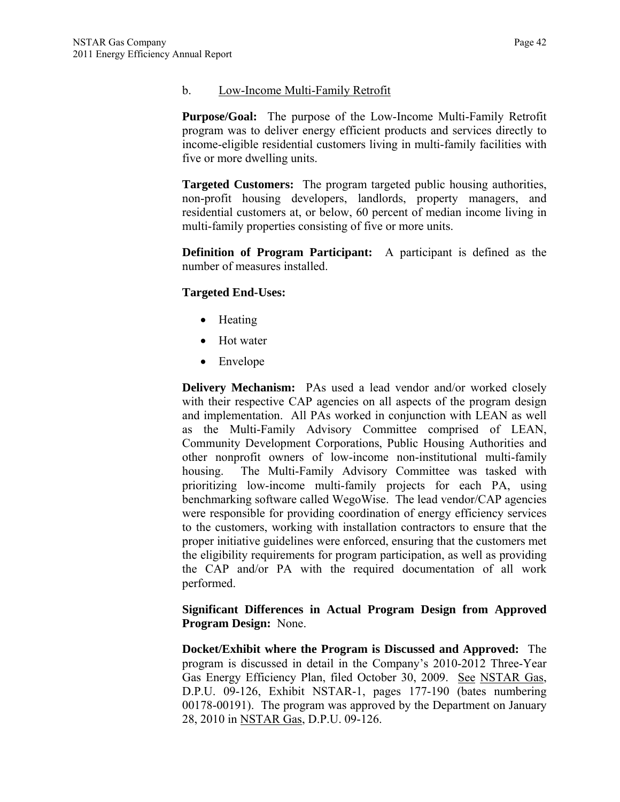### b. Low-Income Multi-Family Retrofit

**Purpose/Goal:** The purpose of the Low-Income Multi-Family Retrofit program was to deliver energy efficient products and services directly to income-eligible residential customers living in multi-family facilities with five or more dwelling units.

**Targeted Customers:** The program targeted public housing authorities, non-profit housing developers, landlords, property managers, and residential customers at, or below, 60 percent of median income living in multi-family properties consisting of five or more units.

**Definition of Program Participant:** A participant is defined as the number of measures installed.

## **Targeted End-Uses:**

- Heating
- Hot water
- Envelope

**Delivery Mechanism:** PAs used a lead vendor and/or worked closely with their respective CAP agencies on all aspects of the program design and implementation. All PAs worked in conjunction with LEAN as well as the Multi-Family Advisory Committee comprised of LEAN, Community Development Corporations, Public Housing Authorities and other nonprofit owners of low-income non-institutional multi-family housing. The Multi-Family Advisory Committee was tasked with prioritizing low-income multi-family projects for each PA, using benchmarking software called WegoWise. The lead vendor/CAP agencies were responsible for providing coordination of energy efficiency services to the customers, working with installation contractors to ensure that the proper initiative guidelines were enforced, ensuring that the customers met the eligibility requirements for program participation, as well as providing the CAP and/or PA with the required documentation of all work performed.

### **Significant Differences in Actual Program Design from Approved Program Design:** None.

**Docket/Exhibit where the Program is Discussed and Approved:** The program is discussed in detail in the Company's 2010-2012 Three-Year Gas Energy Efficiency Plan, filed October 30, 2009. See NSTAR Gas, D.P.U. 09-126, Exhibit NSTAR-1, pages 177-190 (bates numbering 00178-00191). The program was approved by the Department on January 28, 2010 in NSTAR Gas, D.P.U. 09-126.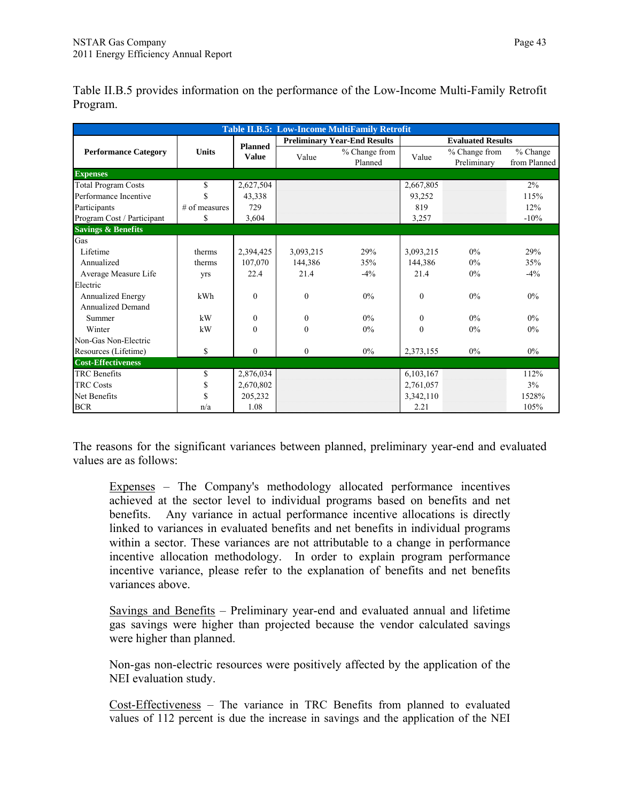|                               |               |                |              | <b>Table II.B.5: Low-Income MultiFamily Retrofit</b> |           |                              |                          |
|-------------------------------|---------------|----------------|--------------|------------------------------------------------------|-----------|------------------------------|--------------------------|
|                               |               | <b>Planned</b> |              | <b>Preliminary Year-End Results</b>                  |           | <b>Evaluated Results</b>     |                          |
| <b>Performance Category</b>   | <b>Units</b>  | <b>Value</b>   | Value        | % Change from<br>Planned                             | Value     | % Change from<br>Preliminary | % Change<br>from Planned |
| <b>Expenses</b>               |               |                |              |                                                      |           |                              |                          |
| <b>Total Program Costs</b>    | \$            | 2,627,504      |              |                                                      | 2,667,805 |                              | $2\%$                    |
| Performance Incentive         | \$            | 43,338         |              |                                                      | 93,252    |                              | 115%                     |
| Participants                  | # of measures | 729            |              |                                                      | 819       |                              | 12%                      |
| Program Cost / Participant    | \$            | 3.604          |              |                                                      | 3,257     |                              | $-10%$                   |
| <b>Savings &amp; Benefits</b> |               |                |              |                                                      |           |                              |                          |
| Gas                           |               |                |              |                                                      |           |                              |                          |
| Lifetime                      | therms        | 2,394,425      | 3,093,215    | 29%                                                  | 3,093,215 | $0\%$                        | 29%                      |
| Annualized                    | therms        | 107,070        | 144.386      | 35%                                                  | 144.386   | $0\%$                        | 35%                      |
| Average Measure Life          | yrs           | 22.4           | 21.4         | $-4\%$                                               | 21.4      | $0\%$                        | $-4\%$                   |
| Electric                      |               |                |              |                                                      |           |                              |                          |
| Annualized Energy             | kWh           | $\theta$       | $\theta$     | $0\%$                                                | $\theta$  | 0%                           | $0\%$                    |
| Annualized Demand             |               |                |              |                                                      |           |                              |                          |
| Summer                        | kW            | $\theta$       | $\theta$     | $0\%$                                                | $\theta$  | $0\%$                        | $0\%$                    |
| Winter                        | kW            | $\Omega$       | $\Omega$     | 0%                                                   | $\Omega$  | 0%                           | $0\%$                    |
| Non-Gas Non-Electric          |               |                |              |                                                      |           |                              |                          |
| Resources (Lifetime)          | \$            | $\theta$       | $\mathbf{0}$ | $0\%$                                                | 2,373,155 | $0\%$                        | $0\%$                    |
| <b>Cost-Effectiveness</b>     |               |                |              |                                                      |           |                              |                          |
| <b>TRC</b> Benefits           | \$            | 2,876,034      |              |                                                      | 6,103,167 |                              | 112%                     |
| <b>TRC</b> Costs              | \$            | 2,670,802      |              |                                                      | 2,761,057 |                              | 3%                       |
| Net Benefits                  | \$            | 205,232        |              |                                                      | 3,342,110 |                              | 1528%                    |
| <b>BCR</b>                    | n/a           | 1.08           |              |                                                      | 2.21      |                              | 105%                     |

Table II.B.5 provides information on the performance of the Low-Income Multi-Family Retrofit Program.

The reasons for the significant variances between planned, preliminary year-end and evaluated values are as follows:

Expenses – The Company's methodology allocated performance incentives achieved at the sector level to individual programs based on benefits and net benefits. Any variance in actual performance incentive allocations is directly linked to variances in evaluated benefits and net benefits in individual programs within a sector. These variances are not attributable to a change in performance incentive allocation methodology. In order to explain program performance incentive variance, please refer to the explanation of benefits and net benefits variances above.

Savings and Benefits – Preliminary year-end and evaluated annual and lifetime gas savings were higher than projected because the vendor calculated savings were higher than planned.

Non-gas non-electric resources were positively affected by the application of the NEI evaluation study.

Cost-Effectiveness – The variance in TRC Benefits from planned to evaluated values of 112 percent is due the increase in savings and the application of the NEI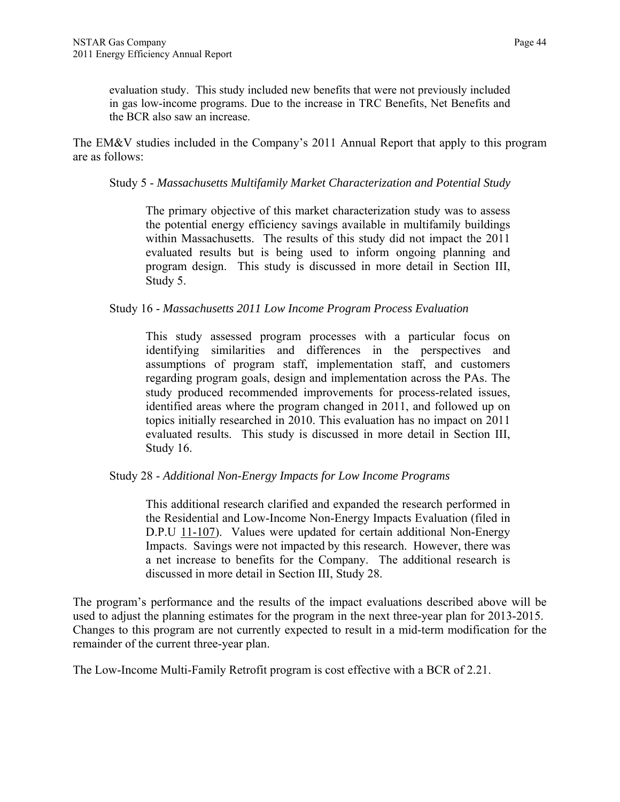evaluation study. This study included new benefits that were not previously included in gas low-income programs. Due to the increase in TRC Benefits, Net Benefits and the BCR also saw an increase.

The EM&V studies included in the Company's 2011 Annual Report that apply to this program are as follows:

### Study 5 - *Massachusetts Multifamily Market Characterization and Potential Study*

The primary objective of this market characterization study was to assess the potential energy efficiency savings available in multifamily buildings within Massachusetts. The results of this study did not impact the 2011 evaluated results but is being used to inform ongoing planning and program design. This study is discussed in more detail in Section III, Study 5.

### Study 16 - *Massachusetts 2011 Low Income Program Process Evaluation*

This study assessed program processes with a particular focus on identifying similarities and differences in the perspectives and assumptions of program staff, implementation staff, and customers regarding program goals, design and implementation across the PAs. The study produced recommended improvements for process-related issues, identified areas where the program changed in 2011, and followed up on topics initially researched in 2010. This evaluation has no impact on 2011 evaluated results. This study is discussed in more detail in Section III, Study 16.

### Study 28 - *Additional Non-Energy Impacts for Low Income Programs*

This additional research clarified and expanded the research performed in the Residential and Low-Income Non-Energy Impacts Evaluation (filed in D.P.U 11-107). Values were updated for certain additional Non-Energy Impacts. Savings were not impacted by this research. However, there was a net increase to benefits for the Company. The additional research is discussed in more detail in Section III, Study 28.

The program's performance and the results of the impact evaluations described above will be used to adjust the planning estimates for the program in the next three-year plan for 2013-2015. Changes to this program are not currently expected to result in a mid-term modification for the remainder of the current three-year plan.

The Low-Income Multi-Family Retrofit program is cost effective with a BCR of 2.21.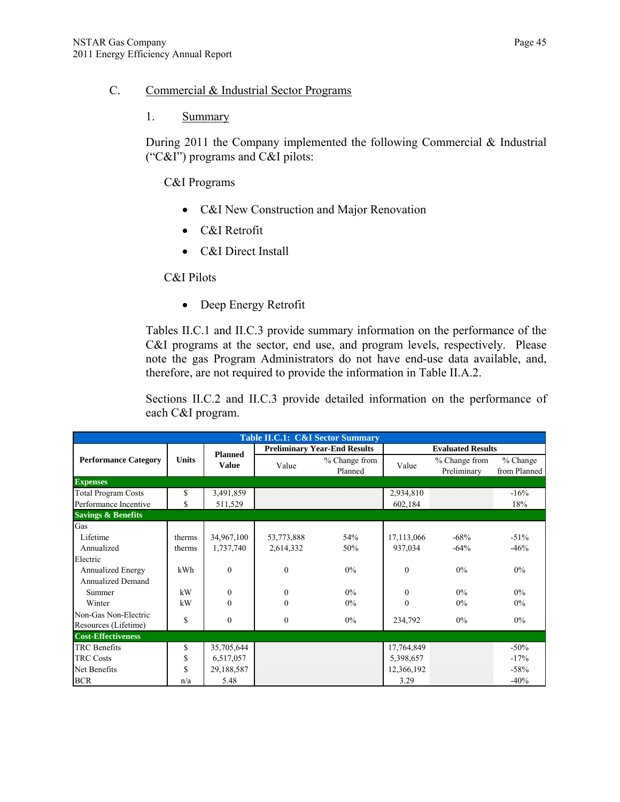### C. Commercial & Industrial Sector Programs

### 1. Summary

During 2011 the Company implemented the following Commercial & Industrial ("C&I") programs and C&I pilots:

C&I Programs

- C&I New Construction and Major Renovation
- C&I Retrofit
- C&I Direct Install

C&I Pilots

• Deep Energy Retrofit

Tables II.C.1 and II.C.3 provide summary information on the performance of the C&I programs at the sector, end use, and program levels, respectively. Please note the gas Program Administrators do not have end-use data available, and, therefore, are not required to provide the information in Table II.A.2.

Sections II.C.2 and II.C.3 provide detailed information on the performance of each C&I program.

| <b>Table II.C.1: C&amp;I Sector Summary</b> |              |                |            |                                     |                          |                              |                            |  |  |  |  |
|---------------------------------------------|--------------|----------------|------------|-------------------------------------|--------------------------|------------------------------|----------------------------|--|--|--|--|
|                                             |              | <b>Planned</b> |            | <b>Preliminary Year-End Results</b> | <b>Evaluated Results</b> |                              |                            |  |  |  |  |
| <b>Performance Category</b>                 | <b>Units</b> | <b>Value</b>   | Value      | % Change from<br>Planned            | Value                    | % Change from<br>Preliminary | $%$ Change<br>from Planned |  |  |  |  |
| <b>Expenses</b>                             |              |                |            |                                     |                          |                              |                            |  |  |  |  |
| <b>Total Program Costs</b>                  | \$           | 3,491,859      |            |                                     | 2,934,810                |                              | $-16%$                     |  |  |  |  |
| Performance Incentive                       | \$           | 511,529        |            |                                     | 602,184                  |                              | 18%                        |  |  |  |  |
| <b>Savings &amp; Benefits</b>               |              |                |            |                                     |                          |                              |                            |  |  |  |  |
| Gas                                         |              |                |            |                                     |                          |                              |                            |  |  |  |  |
| Lifetime                                    | therms       | 34,967,100     | 53,773,888 | 54%                                 | 17,113,066               | $-68%$                       | $-51\%$                    |  |  |  |  |
| Annualized                                  | therms       | 1,737,740      | 2,614,332  | 50%                                 | 937,034                  | $-64%$                       | $-46%$                     |  |  |  |  |
| Electric                                    |              |                |            |                                     |                          |                              |                            |  |  |  |  |
| <b>Annualized Energy</b>                    | kWh          | $\Omega$       | $\Omega$   | $0\%$                               | $\Omega$                 | $0\%$                        | $0\%$                      |  |  |  |  |
| <b>Annualized Demand</b>                    |              |                |            |                                     |                          |                              |                            |  |  |  |  |
| Summer                                      | kW           | $\Omega$       | $\theta$   | $0\%$                               | $\Omega$                 | $0\%$                        | $0\%$                      |  |  |  |  |
| Winter                                      | kW           | $\Omega$       | $\Omega$   | $0\%$                               | $\theta$                 | $0\%$                        | 0%                         |  |  |  |  |
| Non-Gas Non-Electric                        | \$           | $\mathbf{0}$   | $\theta$   | $0\%$                               | 234,792                  | $0\%$                        | $0\%$                      |  |  |  |  |
| Resources (Lifetime)                        |              |                |            |                                     |                          |                              |                            |  |  |  |  |
| <b>Cost-Effectiveness</b>                   |              |                |            |                                     |                          |                              |                            |  |  |  |  |
| <b>TRC</b> Benefits                         | \$           | 35,705,644     |            |                                     | 17,764,849               |                              | $-50\%$                    |  |  |  |  |
| <b>TRC Costs</b>                            | \$           | 6,517,057      |            |                                     | 5,398,657                |                              | $-17%$                     |  |  |  |  |
| Net Benefits                                | \$           | 29,188,587     |            |                                     | 12,366,192               |                              | $-58%$                     |  |  |  |  |
| <b>BCR</b>                                  | n/a          | 5.48           |            |                                     | 3.29                     |                              | $-40%$                     |  |  |  |  |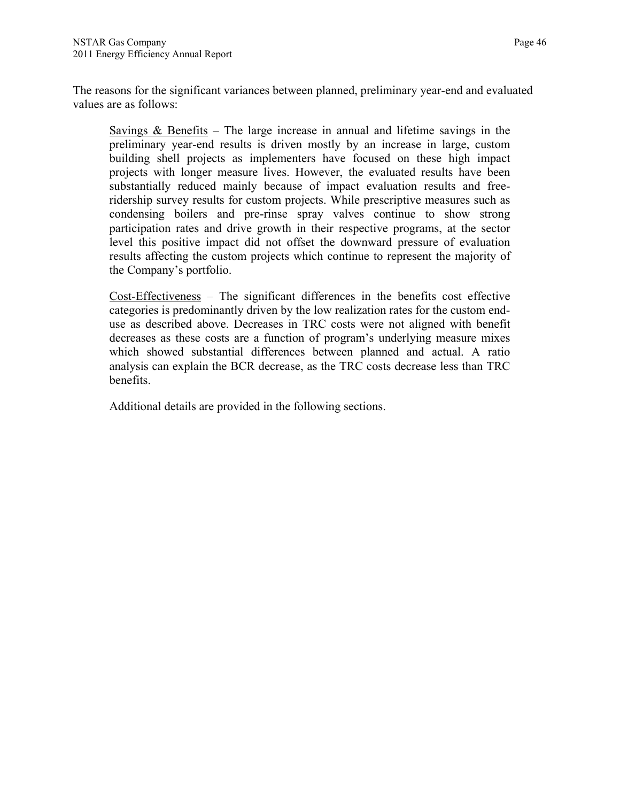The reasons for the significant variances between planned, preliminary year-end and evaluated values are as follows:

Savings  $\&$  Benefits – The large increase in annual and lifetime savings in the preliminary year-end results is driven mostly by an increase in large, custom building shell projects as implementers have focused on these high impact projects with longer measure lives. However, the evaluated results have been substantially reduced mainly because of impact evaluation results and freeridership survey results for custom projects. While prescriptive measures such as condensing boilers and pre-rinse spray valves continue to show strong participation rates and drive growth in their respective programs, at the sector level this positive impact did not offset the downward pressure of evaluation results affecting the custom projects which continue to represent the majority of the Company's portfolio.

Cost-Effectiveness – The significant differences in the benefits cost effective categories is predominantly driven by the low realization rates for the custom enduse as described above. Decreases in TRC costs were not aligned with benefit decreases as these costs are a function of program's underlying measure mixes which showed substantial differences between planned and actual. A ratio analysis can explain the BCR decrease, as the TRC costs decrease less than TRC benefits.

Additional details are provided in the following sections.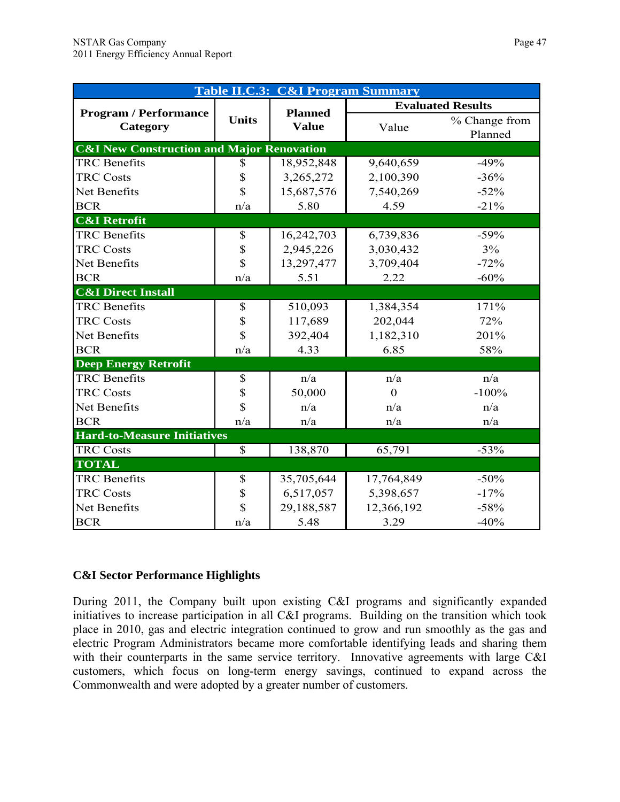|                                                      | <b>Table II.C.3: C&amp;I Program Summary</b> |                |                  |                          |  |  |  |  |  |  |
|------------------------------------------------------|----------------------------------------------|----------------|------------------|--------------------------|--|--|--|--|--|--|
|                                                      |                                              | <b>Planned</b> |                  | <b>Evaluated Results</b> |  |  |  |  |  |  |
| <b>Program / Performance</b><br>Category             | <b>Units</b>                                 | <b>Value</b>   | Value            | % Change from<br>Planned |  |  |  |  |  |  |
| <b>C&amp;I New Construction and Major Renovation</b> |                                              |                |                  |                          |  |  |  |  |  |  |
| <b>TRC</b> Benefits                                  | \$                                           | 18,952,848     | 9,640,659        | $-49%$                   |  |  |  |  |  |  |
| <b>TRC Costs</b>                                     | \$                                           | 3,265,272      | 2,100,390        | $-36%$                   |  |  |  |  |  |  |
| Net Benefits                                         | $\overline{\mathbb{S}}$                      | 15,687,576     | 7,540,269        | $-52%$                   |  |  |  |  |  |  |
| <b>BCR</b>                                           | n/a                                          | 5.80           | 4.59             | $-21%$                   |  |  |  |  |  |  |
| <b>C&amp;I Retrofit</b>                              |                                              |                |                  |                          |  |  |  |  |  |  |
| <b>TRC</b> Benefits                                  | \$                                           | 16,242,703     | 6,739,836        | $-59%$                   |  |  |  |  |  |  |
| <b>TRC Costs</b>                                     | \$                                           | 2,945,226      | 3,030,432        | 3%                       |  |  |  |  |  |  |
| Net Benefits                                         | $\overline{\mathbb{S}}$                      | 13,297,477     | 3,709,404        | $-72%$                   |  |  |  |  |  |  |
| <b>BCR</b>                                           | n/a                                          | 5.51           | 2.22             | $-60%$                   |  |  |  |  |  |  |
| <b>C&amp;I Direct Install</b>                        |                                              |                |                  |                          |  |  |  |  |  |  |
| <b>TRC</b> Benefits                                  | \$                                           | 510,093        | 1,384,354        | 171%                     |  |  |  |  |  |  |
| <b>TRC Costs</b>                                     | \$                                           | 117,689        | 202,044          | 72%                      |  |  |  |  |  |  |
| Net Benefits                                         | $\overline{\mathbb{S}}$                      | 392,404        | 1,182,310        | 201%                     |  |  |  |  |  |  |
| <b>BCR</b>                                           | n/a                                          | 4.33           | 6.85             | 58%                      |  |  |  |  |  |  |
| <b>Deep Energy Retrofit</b>                          |                                              |                |                  |                          |  |  |  |  |  |  |
| <b>TRC</b> Benefits                                  | \$                                           | n/a            | n/a              | n/a                      |  |  |  |  |  |  |
| <b>TRC Costs</b>                                     | \$                                           | 50,000         | $\boldsymbol{0}$ | $-100%$                  |  |  |  |  |  |  |
| Net Benefits                                         | $\overline{\mathbb{S}}$                      | n/a            | n/a              | n/a                      |  |  |  |  |  |  |
| <b>BCR</b>                                           | n/a                                          | n/a            | n/a              | n/a                      |  |  |  |  |  |  |
| <b>Hard-to-Measure Initiatives</b>                   |                                              |                |                  |                          |  |  |  |  |  |  |
| <b>TRC Costs</b>                                     | \$                                           | 138,870        | 65,791           | $-53%$                   |  |  |  |  |  |  |
| <b>TOTAL</b>                                         |                                              |                |                  |                          |  |  |  |  |  |  |
| <b>TRC</b> Benefits                                  | \$                                           | 35,705,644     | 17,764,849       | $-50%$                   |  |  |  |  |  |  |
| <b>TRC Costs</b>                                     | \$                                           | 6,517,057      | 5,398,657        | $-17%$                   |  |  |  |  |  |  |
| Net Benefits                                         | $\overline{\mathbb{S}}$                      | 29,188,587     | 12,366,192       | $-58%$                   |  |  |  |  |  |  |
| <b>BCR</b>                                           | n/a                                          | 5.48           | 3.29             | $-40%$                   |  |  |  |  |  |  |

## **C&I Sector Performance Highlights**

During 2011, the Company built upon existing C&I programs and significantly expanded initiatives to increase participation in all C&I programs. Building on the transition which took place in 2010, gas and electric integration continued to grow and run smoothly as the gas and electric Program Administrators became more comfortable identifying leads and sharing them with their counterparts in the same service territory. Innovative agreements with large C&I customers, which focus on long-term energy savings, continued to expand across the Commonwealth and were adopted by a greater number of customers.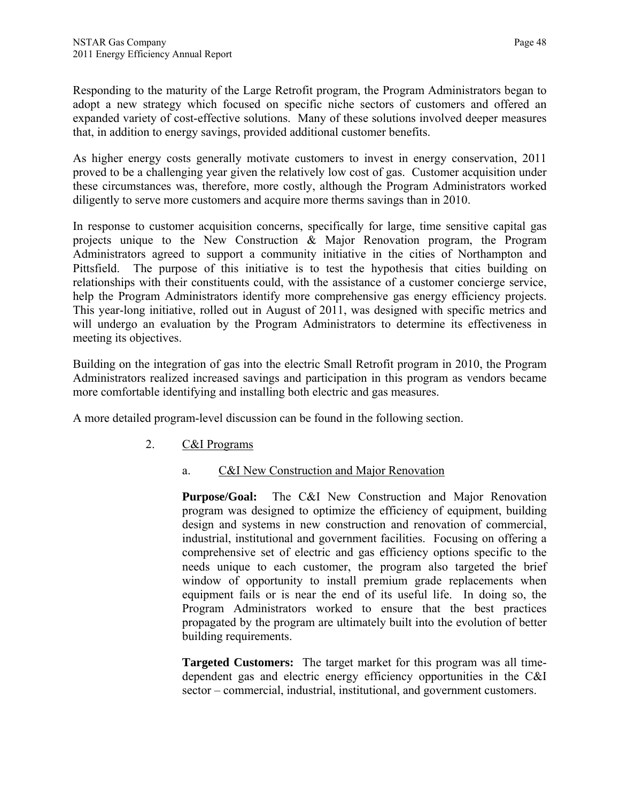Responding to the maturity of the Large Retrofit program, the Program Administrators began to adopt a new strategy which focused on specific niche sectors of customers and offered an expanded variety of cost-effective solutions. Many of these solutions involved deeper measures that, in addition to energy savings, provided additional customer benefits.

As higher energy costs generally motivate customers to invest in energy conservation, 2011 proved to be a challenging year given the relatively low cost of gas. Customer acquisition under these circumstances was, therefore, more costly, although the Program Administrators worked diligently to serve more customers and acquire more therms savings than in 2010.

In response to customer acquisition concerns, specifically for large, time sensitive capital gas projects unique to the New Construction & Major Renovation program, the Program Administrators agreed to support a community initiative in the cities of Northampton and Pittsfield. The purpose of this initiative is to test the hypothesis that cities building on relationships with their constituents could, with the assistance of a customer concierge service, help the Program Administrators identify more comprehensive gas energy efficiency projects. This year-long initiative, rolled out in August of 2011, was designed with specific metrics and will undergo an evaluation by the Program Administrators to determine its effectiveness in meeting its objectives.

Building on the integration of gas into the electric Small Retrofit program in 2010, the Program Administrators realized increased savings and participation in this program as vendors became more comfortable identifying and installing both electric and gas measures.

A more detailed program-level discussion can be found in the following section.

- 2. C&I Programs
	- a. C&I New Construction and Major Renovation

**Purpose/Goal:** The C&I New Construction and Major Renovation program was designed to optimize the efficiency of equipment, building design and systems in new construction and renovation of commercial, industrial, institutional and government facilities. Focusing on offering a comprehensive set of electric and gas efficiency options specific to the needs unique to each customer, the program also targeted the brief window of opportunity to install premium grade replacements when equipment fails or is near the end of its useful life. In doing so, the Program Administrators worked to ensure that the best practices propagated by the program are ultimately built into the evolution of better building requirements.

**Targeted Customers:** The target market for this program was all timedependent gas and electric energy efficiency opportunities in the C&I sector – commercial, industrial, institutional, and government customers.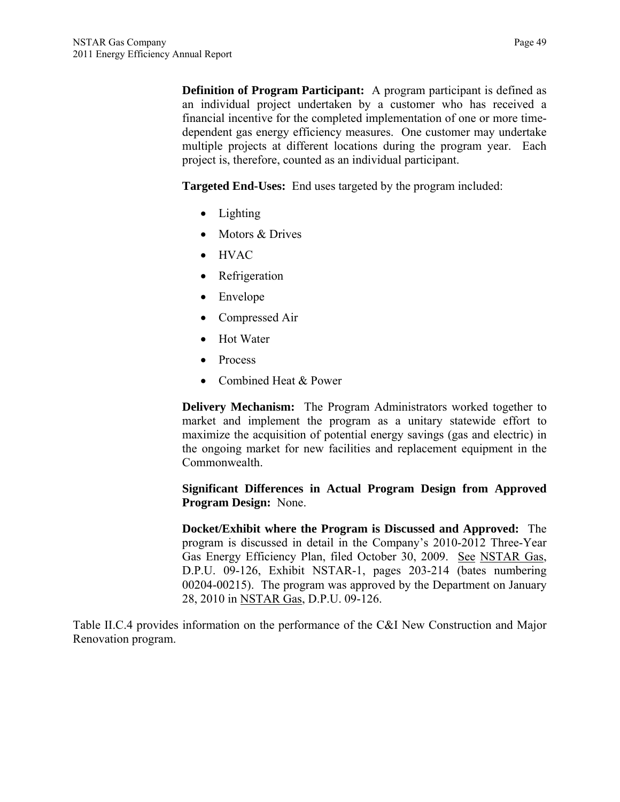**Definition of Program Participant:** A program participant is defined as an individual project undertaken by a customer who has received a financial incentive for the completed implementation of one or more timedependent gas energy efficiency measures. One customer may undertake multiple projects at different locations during the program year. Each project is, therefore, counted as an individual participant.

**Targeted End-Uses:** End uses targeted by the program included:

- Lighting
- Motors & Drives
- HVAC
- Refrigeration
- Envelope
- Compressed Air
- Hot Water
- Process
- Combined Heat & Power

**Delivery Mechanism:** The Program Administrators worked together to market and implement the program as a unitary statewide effort to maximize the acquisition of potential energy savings (gas and electric) in the ongoing market for new facilities and replacement equipment in the Commonwealth.

### **Significant Differences in Actual Program Design from Approved Program Design:** None.

**Docket/Exhibit where the Program is Discussed and Approved:** The program is discussed in detail in the Company's 2010-2012 Three-Year Gas Energy Efficiency Plan, filed October 30, 2009. See NSTAR Gas, D.P.U. 09-126, Exhibit NSTAR-1, pages 203-214 (bates numbering 00204-00215). The program was approved by the Department on January 28, 2010 in NSTAR Gas, D.P.U. 09-126.

Table II.C.4 provides information on the performance of the C&I New Construction and Major Renovation program.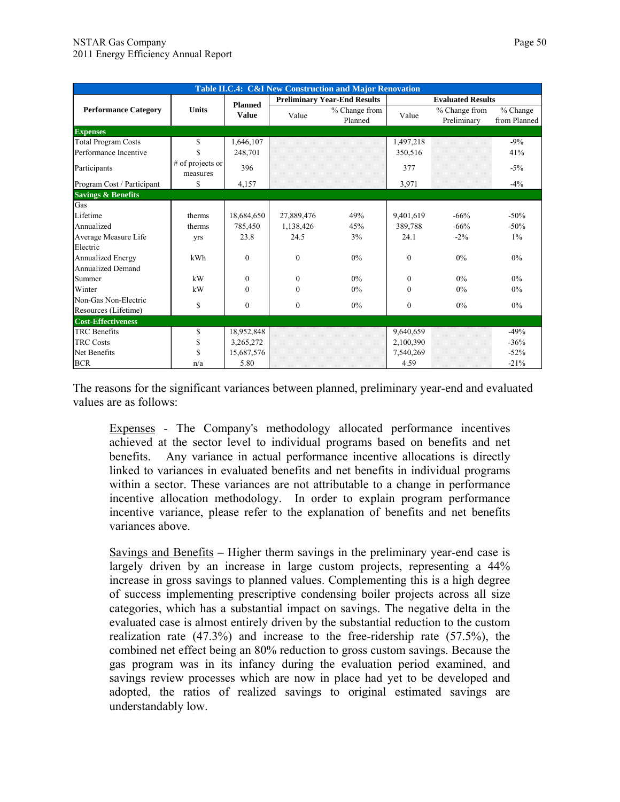| Table II.C.4: C&I New Construction and Major Renovation |                              |                  |              |                                     |              |                              |                            |  |
|---------------------------------------------------------|------------------------------|------------------|--------------|-------------------------------------|--------------|------------------------------|----------------------------|--|
|                                                         |                              | <b>Planned</b>   |              | <b>Preliminary Year-End Results</b> |              | <b>Evaluated Results</b>     |                            |  |
| <b>Performance Category</b>                             | <b>Units</b>                 | <b>Value</b>     | Value        | % Change from<br>Planned            | Value        | % Change from<br>Preliminary | $%$ Change<br>from Planned |  |
| <b>Expenses</b>                                         |                              |                  |              |                                     |              |                              |                            |  |
| <b>Total Program Costs</b>                              | \$                           | 1,646,107        |              |                                     | 1,497,218    |                              | $-9%$                      |  |
| Performance Incentive                                   | \$                           | 248,701          |              |                                     | 350,516      |                              | 41%                        |  |
| Participants                                            | # of projects or<br>measures | 396              |              |                                     | 377          |                              | $-5%$                      |  |
| Program Cost / Participant                              | \$                           | 4,157            |              |                                     | 3,971        |                              | $-4%$                      |  |
| <b>Savings &amp; Benefits</b>                           |                              |                  |              |                                     |              |                              |                            |  |
| Gas                                                     |                              |                  |              |                                     |              |                              |                            |  |
| Lifetime                                                | therms                       | 18,684,650       | 27,889,476   | 49%                                 | 9,401,619    | $-66%$                       | $-50%$                     |  |
| Annualized                                              | therms                       | 785,450          | 1,138,426    | 45%                                 | 389,788      | $-66%$                       | $-50%$                     |  |
| Average Measure Life                                    | yrs                          | 23.8             | 24.5         | 3%                                  | 24.1         | $-2\%$                       | $1\%$                      |  |
| Electric                                                |                              |                  |              |                                     |              |                              |                            |  |
| Annualized Energy                                       | kWh                          | $\Omega$         | $\Omega$     | $0\%$                               | $\theta$     | 0%                           | $0\%$                      |  |
| <b>Annualized Demand</b>                                |                              |                  |              |                                     |              |                              |                            |  |
| Summer                                                  | kW                           | $\Omega$         | $\mathbf{0}$ | $0\%$                               | $\Omega$     | $0\%$                        | $0\%$                      |  |
| Winter                                                  | kW                           | $\theta$         | $\theta$     | $0\%$                               | $\Omega$     | $0\%$                        | 0%                         |  |
| Non-Gas Non-Electric                                    | \$                           | $\boldsymbol{0}$ | $\mathbf{0}$ | $0\%$                               | $\mathbf{0}$ | $0\%$                        | $0\%$                      |  |
| Resources (Lifetime)                                    |                              |                  |              |                                     |              |                              |                            |  |
| <b>Cost-Effectiveness</b>                               |                              |                  |              |                                     |              |                              |                            |  |
| <b>TRC</b> Benefits                                     | \$                           | 18,952,848       |              |                                     | 9,640,659    |                              | $-49%$                     |  |
| <b>TRC Costs</b>                                        | \$                           | 3,265,272        |              |                                     | 2,100,390    |                              | $-36%$                     |  |
| Net Benefits                                            | \$                           | 15,687,576       |              |                                     | 7,540,269    |                              | $-52%$                     |  |
| <b>BCR</b>                                              | n/a                          | 5.80             |              |                                     | 4.59         |                              | $-21%$                     |  |

The reasons for the significant variances between planned, preliminary year-end and evaluated values are as follows:

Expenses - The Company's methodology allocated performance incentives achieved at the sector level to individual programs based on benefits and net benefits. Any variance in actual performance incentive allocations is directly linked to variances in evaluated benefits and net benefits in individual programs within a sector. These variances are not attributable to a change in performance incentive allocation methodology. In order to explain program performance incentive variance, please refer to the explanation of benefits and net benefits variances above.

Savings and Benefits **–** Higher therm savings in the preliminary year-end case is largely driven by an increase in large custom projects, representing a 44% increase in gross savings to planned values. Complementing this is a high degree of success implementing prescriptive condensing boiler projects across all size categories, which has a substantial impact on savings. The negative delta in the evaluated case is almost entirely driven by the substantial reduction to the custom realization rate (47.3%) and increase to the free-ridership rate (57.5%), the combined net effect being an 80% reduction to gross custom savings. Because the gas program was in its infancy during the evaluation period examined, and savings review processes which are now in place had yet to be developed and adopted, the ratios of realized savings to original estimated savings are understandably low.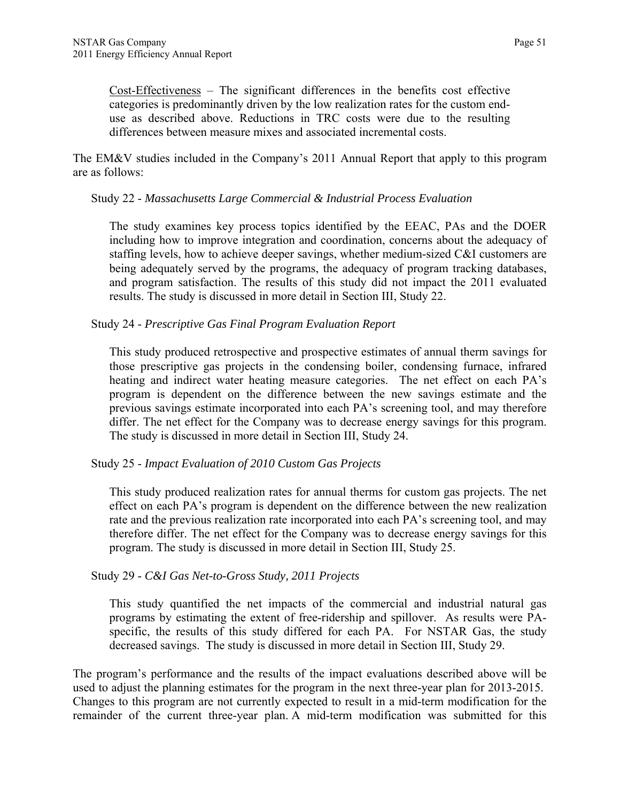Cost-Effectiveness – The significant differences in the benefits cost effective categories is predominantly driven by the low realization rates for the custom enduse as described above. Reductions in TRC costs were due to the resulting differences between measure mixes and associated incremental costs.

The EM&V studies included in the Company's 2011 Annual Report that apply to this program are as follows:

#### Study 22 - *Massachusetts Large Commercial & Industrial Process Evaluation*

The study examines key process topics identified by the EEAC, PAs and the DOER including how to improve integration and coordination, concerns about the adequacy of staffing levels, how to achieve deeper savings, whether medium-sized C&I customers are being adequately served by the programs, the adequacy of program tracking databases, and program satisfaction. The results of this study did not impact the 2011 evaluated results. The study is discussed in more detail in Section III, Study 22.

### Study 24 - *Prescriptive Gas Final Program Evaluation Report*

This study produced retrospective and prospective estimates of annual therm savings for those prescriptive gas projects in the condensing boiler, condensing furnace, infrared heating and indirect water heating measure categories. The net effect on each PA's program is dependent on the difference between the new savings estimate and the previous savings estimate incorporated into each PA's screening tool, and may therefore differ. The net effect for the Company was to decrease energy savings for this program. The study is discussed in more detail in Section III, Study 24.

### Study 25 - *Impact Evaluation of 2010 Custom Gas Projects*

This study produced realization rates for annual therms for custom gas projects. The net effect on each PA's program is dependent on the difference between the new realization rate and the previous realization rate incorporated into each PA's screening tool, and may therefore differ. The net effect for the Company was to decrease energy savings for this program. The study is discussed in more detail in Section III, Study 25.

#### Study 29 - *C&I Gas Net-to-Gross Study, 2011 Projects*

This study quantified the net impacts of the commercial and industrial natural gas programs by estimating the extent of free-ridership and spillover. As results were PAspecific, the results of this study differed for each PA. For NSTAR Gas, the study decreased savings. The study is discussed in more detail in Section III, Study 29.

The program's performance and the results of the impact evaluations described above will be used to adjust the planning estimates for the program in the next three-year plan for 2013-2015. Changes to this program are not currently expected to result in a mid-term modification for the remainder of the current three-year plan. A mid-term modification was submitted for this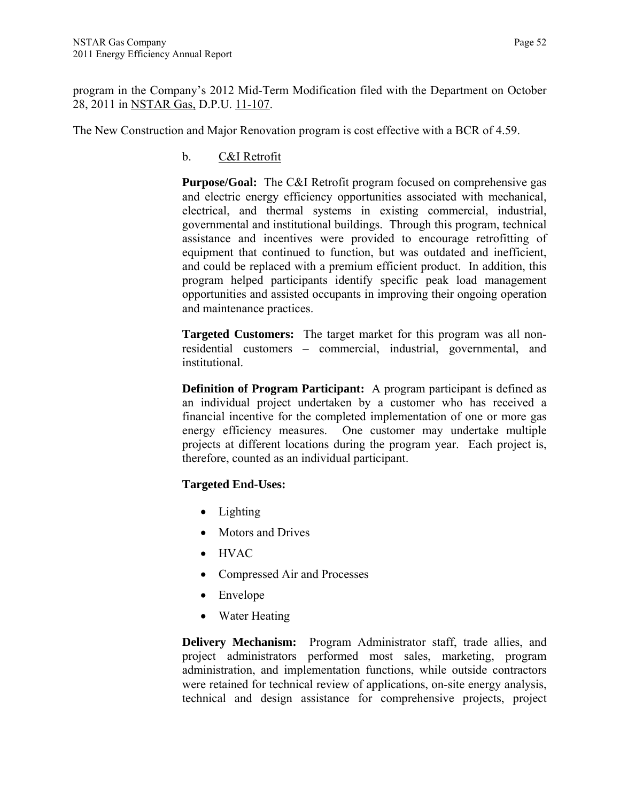program in the Company's 2012 Mid-Term Modification filed with the Department on October 28, 2011 in NSTAR Gas, D.P.U. 11-107.

The New Construction and Major Renovation program is cost effective with a BCR of 4.59.

b. C&I Retrofit

**Purpose/Goal:** The C&I Retrofit program focused on comprehensive gas and electric energy efficiency opportunities associated with mechanical, electrical, and thermal systems in existing commercial, industrial, governmental and institutional buildings. Through this program, technical assistance and incentives were provided to encourage retrofitting of equipment that continued to function, but was outdated and inefficient, and could be replaced with a premium efficient product. In addition, this program helped participants identify specific peak load management opportunities and assisted occupants in improving their ongoing operation and maintenance practices.

**Targeted Customers:** The target market for this program was all nonresidential customers – commercial, industrial, governmental, and institutional.

**Definition of Program Participant:** A program participant is defined as an individual project undertaken by a customer who has received a financial incentive for the completed implementation of one or more gas energy efficiency measures. One customer may undertake multiple projects at different locations during the program year. Each project is, therefore, counted as an individual participant.

## **Targeted End-Uses:**

- Lighting
- Motors and Drives
- HVAC
- Compressed Air and Processes
- Envelope
- Water Heating

**Delivery Mechanism:** Program Administrator staff, trade allies, and project administrators performed most sales, marketing, program administration, and implementation functions, while outside contractors were retained for technical review of applications, on-site energy analysis, technical and design assistance for comprehensive projects, project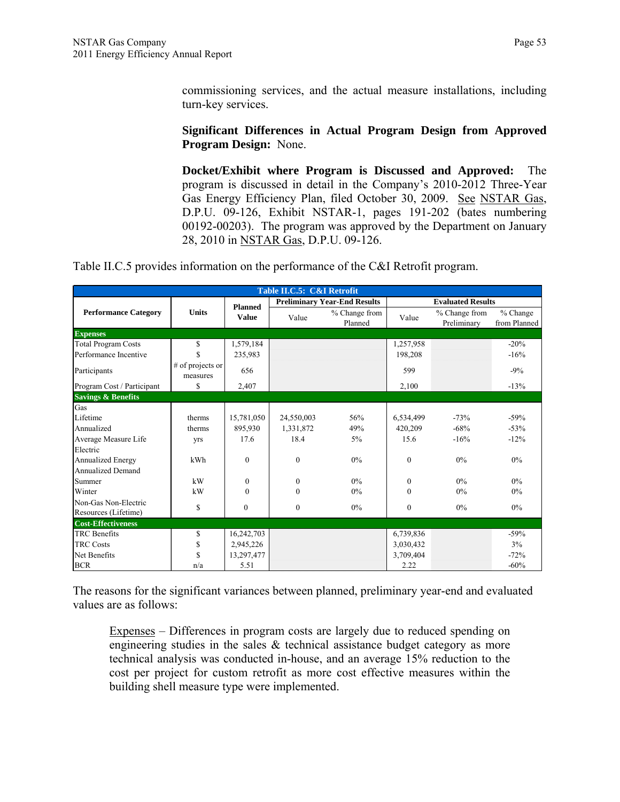commissioning services, and the actual measure installations, including turn-key services.

### **Significant Differences in Actual Program Design from Approved Program Design:** None.

**Docket/Exhibit where Program is Discussed and Approved:** The program is discussed in detail in the Company's 2010-2012 Three-Year Gas Energy Efficiency Plan, filed October 30, 2009. See NSTAR Gas, D.P.U. 09-126, Exhibit NSTAR-1, pages 191-202 (bates numbering 00192-00203). The program was approved by the Department on January 28, 2010 in NSTAR Gas, D.P.U. 09-126.

Table II.C.5 provides information on the performance of the C&I Retrofit program.

|                               | Table II.C.5: C&I Retrofit   |                |              |                                     |           |                              |                            |  |  |
|-------------------------------|------------------------------|----------------|--------------|-------------------------------------|-----------|------------------------------|----------------------------|--|--|
|                               |                              | <b>Planned</b> |              | <b>Preliminary Year-End Results</b> |           | <b>Evaluated Results</b>     |                            |  |  |
| <b>Performance Category</b>   | <b>Units</b>                 | <b>Value</b>   | Value        | % Change from<br>Planned            | Value     | % Change from<br>Preliminary | $%$ Change<br>from Planned |  |  |
| <b>Expenses</b>               |                              |                |              |                                     |           |                              |                            |  |  |
| Total Program Costs           | \$                           | 1,579,184      |              |                                     | 1,257,958 |                              | $-20%$                     |  |  |
| Performance Incentive         | \$                           | 235,983        |              |                                     | 198,208   |                              | $-16%$                     |  |  |
| Participants                  | # of projects or<br>measures | 656            |              |                                     | 599       |                              | $-9%$                      |  |  |
| Program Cost / Participant    | \$                           | 2,407          |              |                                     | 2.100     |                              | $-13%$                     |  |  |
| <b>Savings &amp; Benefits</b> |                              |                |              |                                     |           |                              |                            |  |  |
| Gas                           |                              |                |              |                                     |           |                              |                            |  |  |
| Lifetime                      | therms                       | 15,781,050     | 24,550,003   | 56%                                 | 6,534,499 | $-73%$                       | $-59%$                     |  |  |
| Annualized                    | therms                       | 895,930        | 1,331,872    | 49%                                 | 420,209   | $-68%$                       | $-53%$                     |  |  |
| Average Measure Life          | yrs                          | 17.6           | 18.4         | $5\%$                               | 15.6      | $-16%$                       | $-12%$                     |  |  |
| Electric                      |                              |                |              |                                     |           |                              |                            |  |  |
| <b>Annualized Energy</b>      | kWh                          | $\theta$       | $\mathbf{0}$ | $0\%$                               | $\theta$  | $0\%$                        | $0\%$                      |  |  |
| <b>Annualized Demand</b>      |                              |                |              |                                     |           |                              |                            |  |  |
| Summer                        | kW                           | $\theta$       | $\Omega$     | $0\%$                               | $\Omega$  | $0\%$                        | $0\%$                      |  |  |
| Winter                        | kW                           | $\Omega$       | $\mathbf{0}$ | $0\%$                               | $\theta$  | $0\%$                        | 0%                         |  |  |
| Non-Gas Non-Electric          | \$                           | $\mathbf{0}$   | $\mathbf{0}$ | $0\%$                               | $\theta$  | $0\%$                        | 0%                         |  |  |
| Resources (Lifetime)          |                              |                |              |                                     |           |                              |                            |  |  |
| <b>Cost-Effectiveness</b>     |                              |                |              |                                     |           |                              |                            |  |  |
| <b>TRC</b> Benefits           | \$                           | 16,242,703     |              |                                     | 6,739,836 |                              | $-59%$                     |  |  |
| <b>TRC Costs</b>              | \$                           | 2,945,226      |              |                                     | 3,030,432 |                              | 3%                         |  |  |
| Net Benefits                  | \$                           | 13,297,477     |              |                                     | 3,709,404 |                              | $-72%$                     |  |  |
| <b>BCR</b>                    | n/a                          | 5.51           |              |                                     | 2.22      |                              | $-60%$                     |  |  |

The reasons for the significant variances between planned, preliminary year-end and evaluated values are as follows:

Expenses – Differences in program costs are largely due to reduced spending on engineering studies in the sales  $\&$  technical assistance budget category as more technical analysis was conducted in-house, and an average 15% reduction to the cost per project for custom retrofit as more cost effective measures within the building shell measure type were implemented.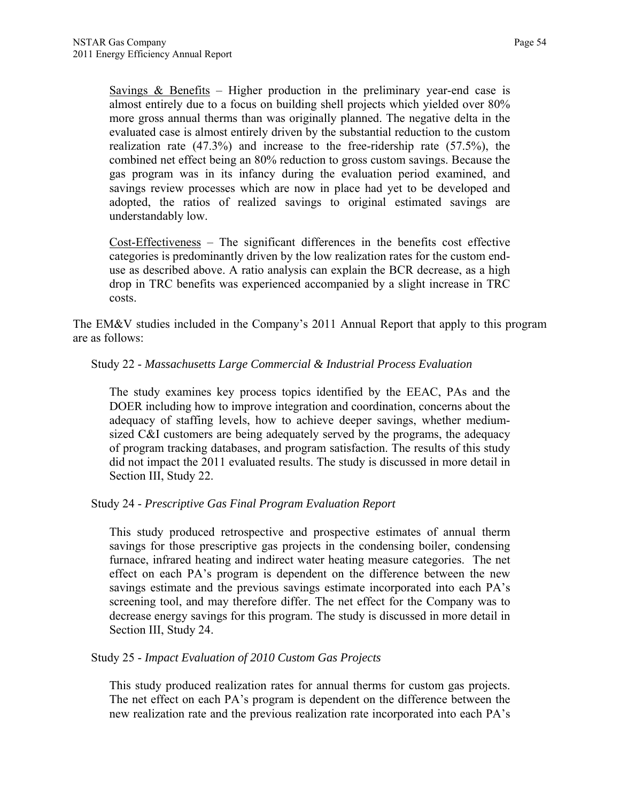Savings  $\&$  Benefits – Higher production in the preliminary year-end case is almost entirely due to a focus on building shell projects which yielded over 80% more gross annual therms than was originally planned. The negative delta in the evaluated case is almost entirely driven by the substantial reduction to the custom realization rate (47.3%) and increase to the free-ridership rate (57.5%), the combined net effect being an 80% reduction to gross custom savings. Because the gas program was in its infancy during the evaluation period examined, and savings review processes which are now in place had yet to be developed and adopted, the ratios of realized savings to original estimated savings are understandably low.

Cost-Effectiveness – The significant differences in the benefits cost effective categories is predominantly driven by the low realization rates for the custom enduse as described above. A ratio analysis can explain the BCR decrease, as a high drop in TRC benefits was experienced accompanied by a slight increase in TRC costs.

The EM&V studies included in the Company's 2011 Annual Report that apply to this program are as follows:

### Study 22 - *Massachusetts Large Commercial & Industrial Process Evaluation*

The study examines key process topics identified by the EEAC, PAs and the DOER including how to improve integration and coordination, concerns about the adequacy of staffing levels, how to achieve deeper savings, whether mediumsized C&I customers are being adequately served by the programs, the adequacy of program tracking databases, and program satisfaction. The results of this study did not impact the 2011 evaluated results. The study is discussed in more detail in Section III, Study 22.

### Study 24 - *Prescriptive Gas Final Program Evaluation Report*

This study produced retrospective and prospective estimates of annual therm savings for those prescriptive gas projects in the condensing boiler, condensing furnace, infrared heating and indirect water heating measure categories. The net effect on each PA's program is dependent on the difference between the new savings estimate and the previous savings estimate incorporated into each PA's screening tool, and may therefore differ. The net effect for the Company was to decrease energy savings for this program. The study is discussed in more detail in Section III, Study 24.

### Study 25 - *Impact Evaluation of 2010 Custom Gas Projects*

This study produced realization rates for annual therms for custom gas projects. The net effect on each PA's program is dependent on the difference between the new realization rate and the previous realization rate incorporated into each PA's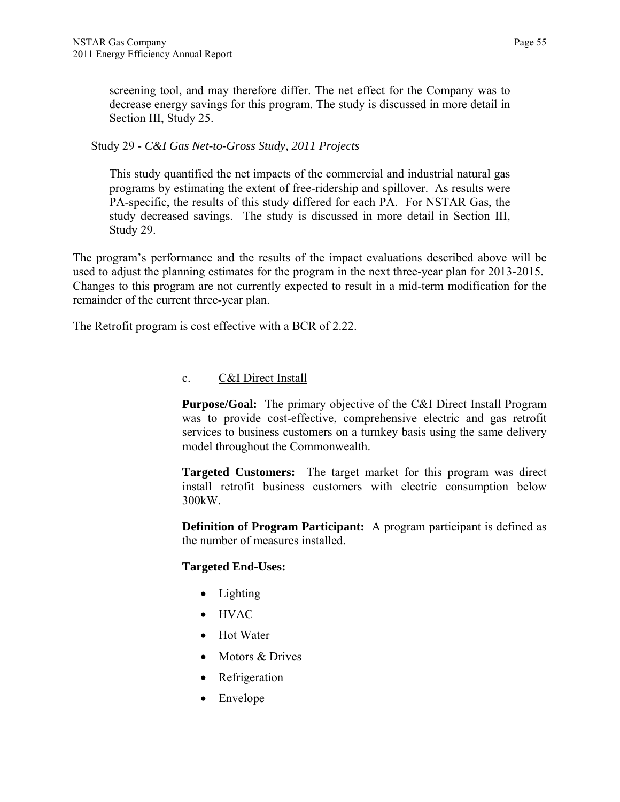screening tool, and may therefore differ. The net effect for the Company was to decrease energy savings for this program. The study is discussed in more detail in Section III, Study 25.

### Study 29 - *C&I Gas Net-to-Gross Study, 2011 Projects*

This study quantified the net impacts of the commercial and industrial natural gas programs by estimating the extent of free-ridership and spillover. As results were PA-specific, the results of this study differed for each PA. For NSTAR Gas, the study decreased savings. The study is discussed in more detail in Section III, Study 29.

The program's performance and the results of the impact evaluations described above will be used to adjust the planning estimates for the program in the next three-year plan for 2013-2015. Changes to this program are not currently expected to result in a mid-term modification for the remainder of the current three-year plan.

The Retrofit program is cost effective with a BCR of 2.22.

### c. C&I Direct Install

**Purpose/Goal:** The primary objective of the C&I Direct Install Program was to provide cost-effective, comprehensive electric and gas retrofit services to business customers on a turnkey basis using the same delivery model throughout the Commonwealth.

**Targeted Customers:** The target market for this program was direct install retrofit business customers with electric consumption below 300kW.

**Definition of Program Participant:** A program participant is defined as the number of measures installed.

## **Targeted End-Uses:**

- Lighting
- HVAC
- Hot Water
- Motors & Drives
- Refrigeration
- Envelope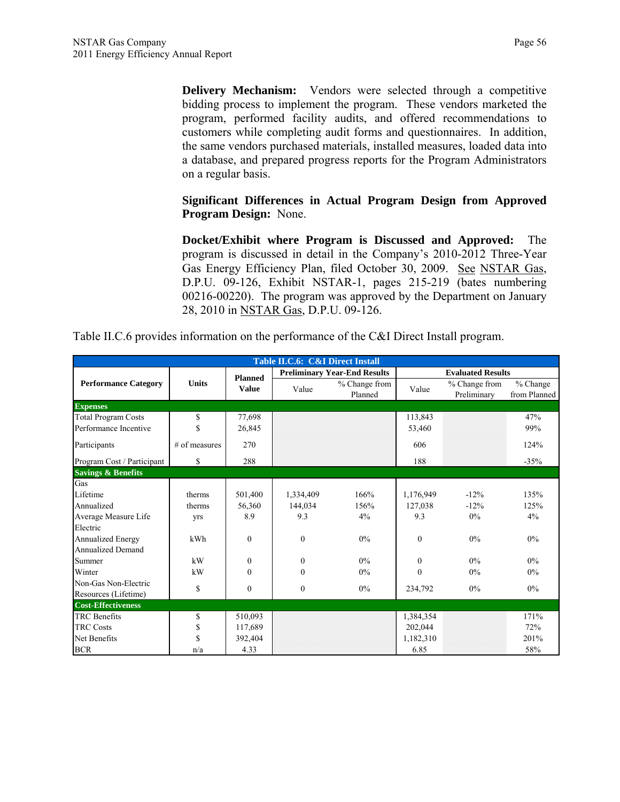**Delivery Mechanism:** Vendors were selected through a competitive bidding process to implement the program. These vendors marketed the program, performed facility audits, and offered recommendations to customers while completing audit forms and questionnaires. In addition, the same vendors purchased materials, installed measures, loaded data into a database, and prepared progress reports for the Program Administrators on a regular basis.

# **Significant Differences in Actual Program Design from Approved Program Design:** None.

**Docket/Exhibit where Program is Discussed and Approved:** The program is discussed in detail in the Company's 2010-2012 Three-Year Gas Energy Efficiency Plan, filed October 30, 2009. See NSTAR Gas, D.P.U. 09-126, Exhibit NSTAR-1, pages 215-219 (bates numbering 00216-00220). The program was approved by the Department on January 28, 2010 in NSTAR Gas, D.P.U. 09-126.

|  | Table II.C.6 provides information on the performance of the C&I Direct Install program. |  |  |  |
|--|-----------------------------------------------------------------------------------------|--|--|--|
|--|-----------------------------------------------------------------------------------------|--|--|--|

| Table II.C.6: C&I Direct Install |               |                |                |                                     |              |                              |                            |  |  |
|----------------------------------|---------------|----------------|----------------|-------------------------------------|--------------|------------------------------|----------------------------|--|--|
|                                  |               | <b>Planned</b> |                | <b>Preliminary Year-End Results</b> |              | <b>Evaluated Results</b>     |                            |  |  |
| <b>Performance Category</b>      | <b>Units</b>  | <b>Value</b>   | Value          | % Change from<br>Planned            | Value        | % Change from<br>Preliminary | $%$ Change<br>from Planned |  |  |
| <b>Expenses</b>                  |               |                |                |                                     |              |                              |                            |  |  |
| <b>Total Program Costs</b>       | \$            | 77,698         |                |                                     | 113,843      |                              | 47%                        |  |  |
| Performance Incentive            | \$            | 26,845         |                |                                     | 53,460       |                              | 99%                        |  |  |
| Participants                     | # of measures | 270            |                |                                     | 606          |                              | 124%                       |  |  |
| Program Cost / Participant       | \$            | 288            |                |                                     | 188          |                              | $-35%$                     |  |  |
| <b>Savings &amp; Benefits</b>    |               |                |                |                                     |              |                              |                            |  |  |
| Gas                              |               |                |                |                                     |              |                              |                            |  |  |
| Lifetime                         | therms        | 501,400        | 1,334,409      | 166%                                | 1,176,949    | $-12%$                       | 135%                       |  |  |
| Annualized                       | therms        | 56,360         | 144,034        | 156%                                | 127,038      | $-12%$                       | 125%                       |  |  |
| Average Measure Life             | yrs           | 8.9            | 9.3            | 4%                                  | 9.3          | $0\%$                        | 4%                         |  |  |
| Electric                         |               |                |                |                                     |              |                              |                            |  |  |
| <b>Annualized Energy</b>         | kWh           | $\mathbf{0}$   | $\mathbf{0}$   | $0\%$                               | $\mathbf{0}$ | $0\%$                        | $0\%$                      |  |  |
| <b>Annualized Demand</b>         |               |                |                |                                     |              |                              |                            |  |  |
| Summer                           | kW            | $\theta$       | $\overline{0}$ | $0\%$                               | $\Omega$     | $0\%$                        | $0\%$                      |  |  |
| Winter                           | kW            | $\theta$       | $\mathbf{0}$   | $0\%$                               | $\theta$     | 0%                           | $0\%$                      |  |  |
| Non-Gas Non-Electric             | \$            | $\mathbf{0}$   | $\mathbf{0}$   | 0%                                  | 234,792      | 0%                           | $0\%$                      |  |  |
| Resources (Lifetime)             |               |                |                |                                     |              |                              |                            |  |  |
| <b>Cost-Effectiveness</b>        |               |                |                |                                     |              |                              |                            |  |  |
| <b>TRC</b> Benefits              | \$            | 510,093        |                |                                     | 1,384,354    |                              | 171%                       |  |  |
| <b>TRC Costs</b>                 | \$            | 117,689        |                |                                     | 202,044      |                              | 72%                        |  |  |
| Net Benefits                     | \$            | 392,404        |                |                                     | 1,182,310    |                              | 201%                       |  |  |
| <b>BCR</b>                       | n/a           | 4.33           |                |                                     | 6.85         |                              | 58%                        |  |  |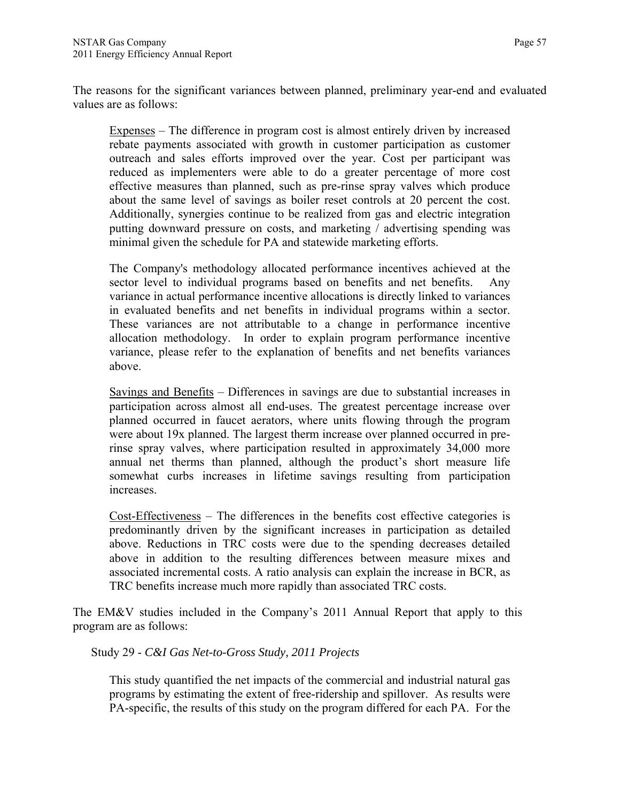The reasons for the significant variances between planned, preliminary year-end and evaluated values are as follows:

Expenses – The difference in program cost is almost entirely driven by increased rebate payments associated with growth in customer participation as customer outreach and sales efforts improved over the year. Cost per participant was reduced as implementers were able to do a greater percentage of more cost effective measures than planned, such as pre-rinse spray valves which produce about the same level of savings as boiler reset controls at 20 percent the cost. Additionally, synergies continue to be realized from gas and electric integration putting downward pressure on costs, and marketing / advertising spending was minimal given the schedule for PA and statewide marketing efforts.

The Company's methodology allocated performance incentives achieved at the sector level to individual programs based on benefits and net benefits. Any variance in actual performance incentive allocations is directly linked to variances in evaluated benefits and net benefits in individual programs within a sector. These variances are not attributable to a change in performance incentive allocation methodology. In order to explain program performance incentive variance, please refer to the explanation of benefits and net benefits variances above.

Savings and Benefits – Differences in savings are due to substantial increases in participation across almost all end-uses. The greatest percentage increase over planned occurred in faucet aerators, where units flowing through the program were about 19x planned. The largest therm increase over planned occurred in prerinse spray valves, where participation resulted in approximately 34,000 more annual net therms than planned, although the product's short measure life somewhat curbs increases in lifetime savings resulting from participation increases.

Cost-Effectiveness – The differences in the benefits cost effective categories is predominantly driven by the significant increases in participation as detailed above. Reductions in TRC costs were due to the spending decreases detailed above in addition to the resulting differences between measure mixes and associated incremental costs. A ratio analysis can explain the increase in BCR, as TRC benefits increase much more rapidly than associated TRC costs.

The EM&V studies included in the Company's 2011 Annual Report that apply to this program are as follows:

Study 29 - *C&I Gas Net-to-Gross Study, 2011 Projects* 

This study quantified the net impacts of the commercial and industrial natural gas programs by estimating the extent of free-ridership and spillover. As results were PA-specific, the results of this study on the program differed for each PA. For the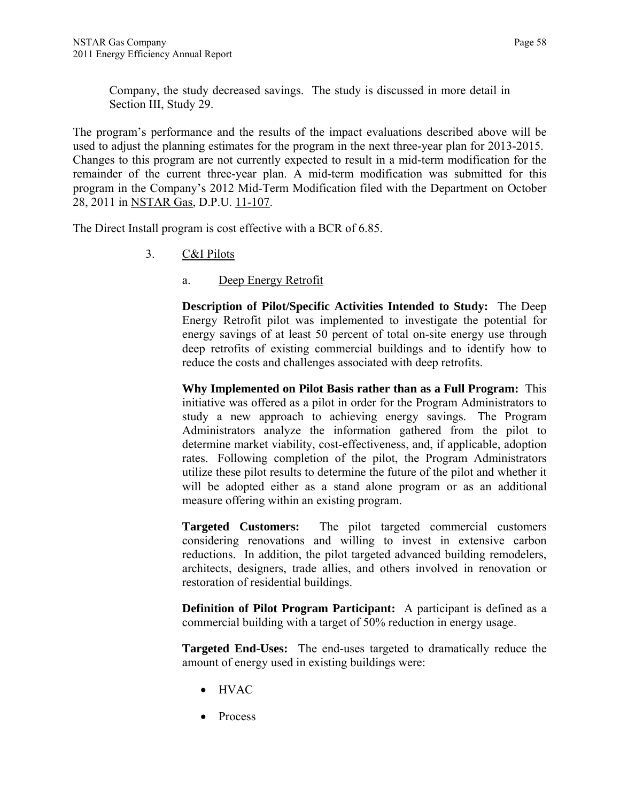Company, the study decreased savings. The study is discussed in more detail in Section III, Study 29.

The program's performance and the results of the impact evaluations described above will be used to adjust the planning estimates for the program in the next three-year plan for 2013-2015. Changes to this program are not currently expected to result in a mid-term modification for the remainder of the current three-year plan. A mid-term modification was submitted for this program in the Company's 2012 Mid-Term Modification filed with the Department on October 28, 2011 in NSTAR Gas, D.P.U. 11-107.

The Direct Install program is cost effective with a BCR of 6.85.

- 3. C&I Pilots
	- a. Deep Energy Retrofit

**Description of Pilot/Specific Activities Intended to Study:** The Deep Energy Retrofit pilot was implemented to investigate the potential for energy savings of at least 50 percent of total on-site energy use through deep retrofits of existing commercial buildings and to identify how to reduce the costs and challenges associated with deep retrofits.

**Why Implemented on Pilot Basis rather than as a Full Program:** This initiative was offered as a pilot in order for the Program Administrators to study a new approach to achieving energy savings. The Program Administrators analyze the information gathered from the pilot to determine market viability, cost-effectiveness, and, if applicable, adoption rates. Following completion of the pilot, the Program Administrators utilize these pilot results to determine the future of the pilot and whether it will be adopted either as a stand alone program or as an additional measure offering within an existing program.

**Targeted Customers:** The pilot targeted commercial customers considering renovations and willing to invest in extensive carbon reductions. In addition, the pilot targeted advanced building remodelers, architects, designers, trade allies, and others involved in renovation or restoration of residential buildings.

**Definition of Pilot Program Participant:** A participant is defined as a commercial building with a target of 50% reduction in energy usage.

**Targeted End-Uses:** The end-uses targeted to dramatically reduce the amount of energy used in existing buildings were:

- HVAC
- Process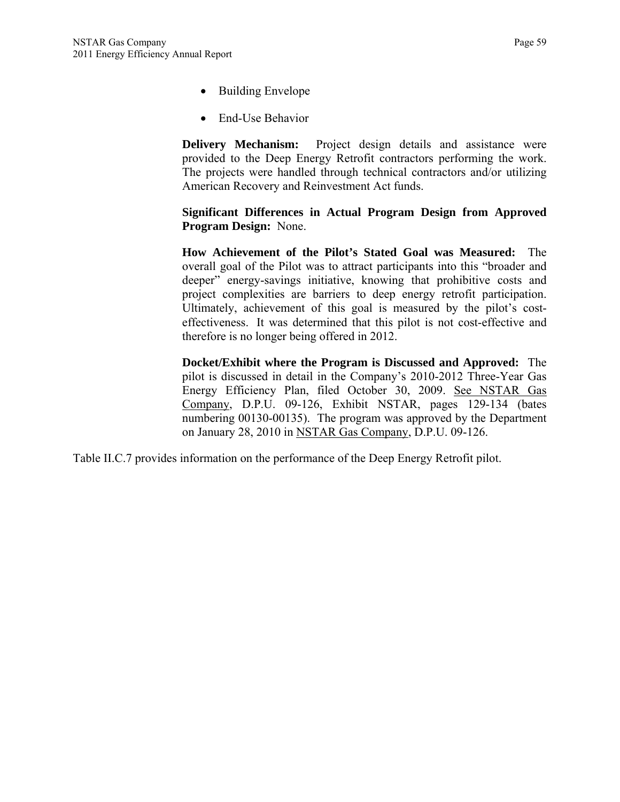- Building Envelope
- End-Use Behavior

**Delivery Mechanism:** Project design details and assistance were provided to the Deep Energy Retrofit contractors performing the work. The projects were handled through technical contractors and/or utilizing American Recovery and Reinvestment Act funds.

**Significant Differences in Actual Program Design from Approved Program Design:** None.

**How Achievement of the Pilot's Stated Goal was Measured:** The overall goal of the Pilot was to attract participants into this "broader and deeper" energy-savings initiative, knowing that prohibitive costs and project complexities are barriers to deep energy retrofit participation. Ultimately, achievement of this goal is measured by the pilot's costeffectiveness. It was determined that this pilot is not cost-effective and therefore is no longer being offered in 2012.

**Docket/Exhibit where the Program is Discussed and Approved:** The pilot is discussed in detail in the Company's 2010-2012 Three-Year Gas Energy Efficiency Plan, filed October 30, 2009. See NSTAR Gas Company, D.P.U. 09-126, Exhibit NSTAR, pages 129-134 (bates numbering 00130-00135). The program was approved by the Department on January 28, 2010 in NSTAR Gas Company, D.P.U. 09-126.

Table II.C.7 provides information on the performance of the Deep Energy Retrofit pilot.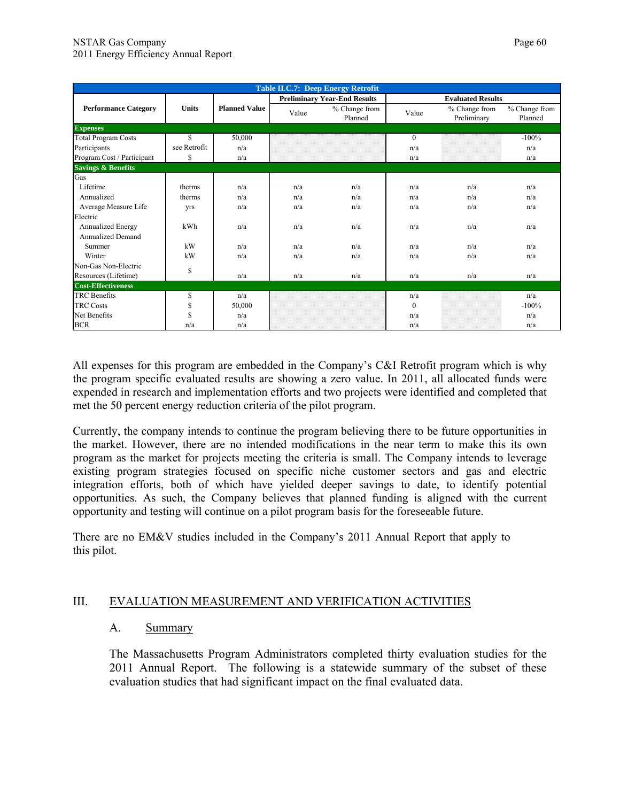|                               | <b>Table II.C.7: Deep Energy Retrofit</b> |                      |       |                                     |              |                              |                          |  |  |  |  |
|-------------------------------|-------------------------------------------|----------------------|-------|-------------------------------------|--------------|------------------------------|--------------------------|--|--|--|--|
|                               |                                           |                      |       | <b>Preliminary Year-End Results</b> |              | <b>Evaluated Results</b>     |                          |  |  |  |  |
| <b>Performance Category</b>   | <b>Units</b>                              | <b>Planned Value</b> | Value | % Change from<br>Planned            | Value        | % Change from<br>Preliminary | % Change from<br>Planned |  |  |  |  |
| <b>Expenses</b>               |                                           |                      |       |                                     |              |                              |                          |  |  |  |  |
| <b>Total Program Costs</b>    | \$                                        | 50,000               |       |                                     | $\mathbf{0}$ |                              | $-100%$                  |  |  |  |  |
| Participants                  | see Retrofit                              | n/a                  |       |                                     | n/a          |                              | n/a                      |  |  |  |  |
| Program Cost / Participant    | \$                                        | n/a                  |       |                                     | n/a          |                              | n/a                      |  |  |  |  |
| <b>Savings &amp; Benefits</b> |                                           |                      |       |                                     |              |                              |                          |  |  |  |  |
| Gas                           |                                           |                      |       |                                     |              |                              |                          |  |  |  |  |
| Lifetime                      | therms                                    | n/a                  | n/a   | n/a                                 | n/a          | n/a                          | n/a                      |  |  |  |  |
| Annualized                    | therms                                    | n/a                  | n/a   | n/a                                 | n/a          | n/a                          | n/a                      |  |  |  |  |
| Average Measure Life          | <b>Vrs</b>                                | n/a                  | n/a   | n/a                                 | n/a          | n/a                          | n/a                      |  |  |  |  |
| Electric                      |                                           |                      |       |                                     |              |                              |                          |  |  |  |  |
| Annualized Energy             | kWh                                       | n/a                  | n/a   | n/a                                 | n/a          | n/a                          | n/a                      |  |  |  |  |
| Annualized Demand             |                                           |                      |       |                                     |              |                              |                          |  |  |  |  |
| Summer                        | kW                                        | n/a                  | n/a   | n/a                                 | n/a          | n/a                          | n/a                      |  |  |  |  |
| Winter                        | kW                                        | n/a                  | n/a   | n/a                                 | n/a          | n/a                          | n/a                      |  |  |  |  |
| Non-Gas Non-Electric          | \$                                        |                      |       |                                     |              |                              |                          |  |  |  |  |
| Resources (Lifetime)          |                                           | n/a                  | n/a   | n/a                                 | n/a          | n/a                          | n/a                      |  |  |  |  |
| <b>Cost-Effectiveness</b>     |                                           |                      |       |                                     |              |                              |                          |  |  |  |  |
| <b>TRC</b> Benefits           | \$                                        | n/a                  |       |                                     | n/a          |                              | n/a                      |  |  |  |  |
| <b>TRC Costs</b>              | \$                                        | 50,000               |       |                                     | $\mathbf{0}$ |                              | $-100%$                  |  |  |  |  |
| Net Benefits                  | Ŝ                                         | n/a                  |       |                                     | n/a          |                              | n/a                      |  |  |  |  |
| <b>BCR</b>                    | n/a                                       | n/a                  |       |                                     | n/a          |                              | n/a                      |  |  |  |  |

All expenses for this program are embedded in the Company's C&I Retrofit program which is why the program specific evaluated results are showing a zero value. In 2011, all allocated funds were expended in research and implementation efforts and two projects were identified and completed that met the 50 percent energy reduction criteria of the pilot program.

Currently, the company intends to continue the program believing there to be future opportunities in the market. However, there are no intended modifications in the near term to make this its own program as the market for projects meeting the criteria is small. The Company intends to leverage existing program strategies focused on specific niche customer sectors and gas and electric integration efforts, both of which have yielded deeper savings to date, to identify potential opportunities. As such, the Company believes that planned funding is aligned with the current opportunity and testing will continue on a pilot program basis for the foreseeable future.

There are no EM&V studies included in the Company's 2011 Annual Report that apply to this pilot.

## III. EVALUATION MEASUREMENT AND VERIFICATION ACTIVITIES

### A. Summary

The Massachusetts Program Administrators completed thirty evaluation studies for the 2011 Annual Report. The following is a statewide summary of the subset of these evaluation studies that had significant impact on the final evaluated data.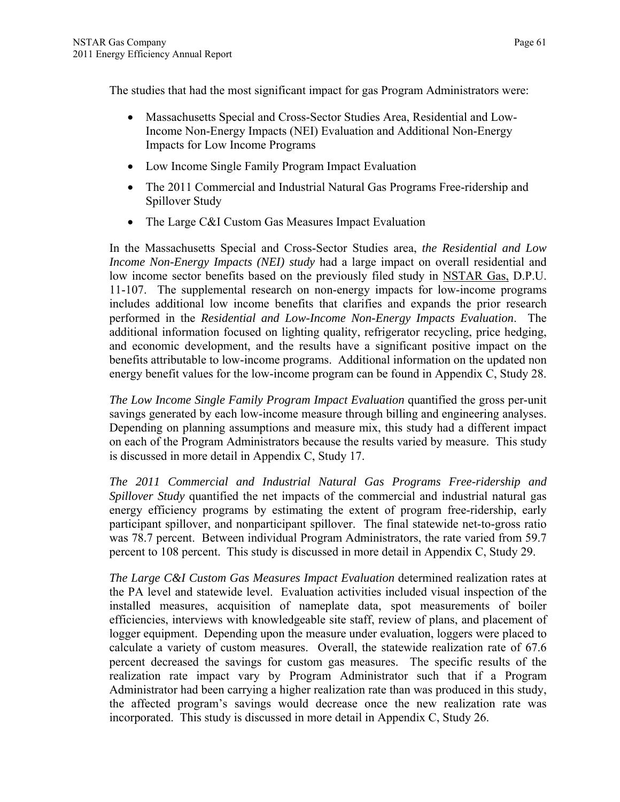The studies that had the most significant impact for gas Program Administrators were:

- Massachusetts Special and Cross-Sector Studies Area, Residential and Low-Income Non-Energy Impacts (NEI) Evaluation and Additional Non-Energy Impacts for Low Income Programs
- Low Income Single Family Program Impact Evaluation
- The 2011 Commercial and Industrial Natural Gas Programs Free-ridership and Spillover Study
- The Large C&I Custom Gas Measures Impact Evaluation

In the Massachusetts Special and Cross-Sector Studies area, *the Residential and Low Income Non-Energy Impacts (NEI) study* had a large impact on overall residential and low income sector benefits based on the previously filed study in NSTAR Gas, D.P.U. 11-107. The supplemental research on non-energy impacts for low-income programs includes additional low income benefits that clarifies and expands the prior research performed in the *Residential and Low-Income Non-Energy Impacts Evaluation*. The additional information focused on lighting quality, refrigerator recycling, price hedging, and economic development, and the results have a significant positive impact on the benefits attributable to low-income programs. Additional information on the updated non energy benefit values for the low-income program can be found in Appendix C, Study 28.

*The Low Income Single Family Program Impact Evaluation* quantified the gross per-unit savings generated by each low-income measure through billing and engineering analyses. Depending on planning assumptions and measure mix, this study had a different impact on each of the Program Administrators because the results varied by measure. This study is discussed in more detail in Appendix C, Study 17.

*The 2011 Commercial and Industrial Natural Gas Programs Free-ridership and Spillover Study* quantified the net impacts of the commercial and industrial natural gas energy efficiency programs by estimating the extent of program free-ridership, early participant spillover, and nonparticipant spillover. The final statewide net-to-gross ratio was 78.7 percent. Between individual Program Administrators, the rate varied from 59.7 percent to 108 percent. This study is discussed in more detail in Appendix C, Study 29.

*The Large C&I Custom Gas Measures Impact Evaluation* determined realization rates at the PA level and statewide level. Evaluation activities included visual inspection of the installed measures, acquisition of nameplate data, spot measurements of boiler efficiencies, interviews with knowledgeable site staff, review of plans, and placement of logger equipment. Depending upon the measure under evaluation, loggers were placed to calculate a variety of custom measures. Overall, the statewide realization rate of 67.6 percent decreased the savings for custom gas measures. The specific results of the realization rate impact vary by Program Administrator such that if a Program Administrator had been carrying a higher realization rate than was produced in this study, the affected program's savings would decrease once the new realization rate was incorporated. This study is discussed in more detail in Appendix C, Study 26.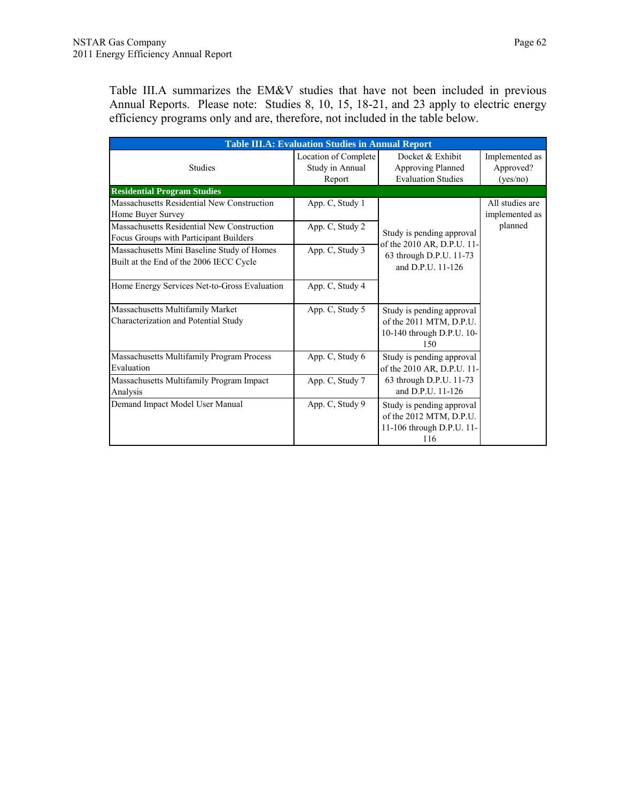Table III.A summarizes the EM&V studies that have not been included in previous Annual Reports. Please note: Studies 8, 10, 15, 18-21, and 23 apply to electric energy efficiency programs only and are, therefore, not included in the table below.

| <b>Table III.A: Evaluation Studies in Annual Report</b>                               |                                                   |                                                                                          |                                         |  |
|---------------------------------------------------------------------------------------|---------------------------------------------------|------------------------------------------------------------------------------------------|-----------------------------------------|--|
| <b>Studies</b>                                                                        | Location of Complete<br>Study in Annual<br>Report | Docket & Exhibit<br>Approving Planned<br><b>Evaluation Studies</b>                       | Implemented as<br>Approved?<br>(yes/no) |  |
| <b>Residential Program Studies</b>                                                    |                                                   |                                                                                          |                                         |  |
| Massachusetts Residential New Construction<br>Home Buyer Survey                       | App. C, Study 1                                   |                                                                                          | All studies are<br>implemented as       |  |
| Massachusetts Residential New Construction<br>Focus Groups with Participant Builders  | App. C, Study 2                                   | Study is pending approval                                                                | planned                                 |  |
| Massachusetts Mini Baseline Study of Homes<br>Built at the End of the 2006 IECC Cycle | App. C, Study 3                                   | of the 2010 AR, D.P.U. 11-<br>63 through D.P.U. 11-73<br>and D.P.U. 11-126               |                                         |  |
| Home Energy Services Net-to-Gross Evaluation                                          | App. C, Study 4                                   |                                                                                          |                                         |  |
| Massachusetts Multifamily Market<br>Characterization and Potential Study              | App. C, Study 5                                   | Study is pending approval<br>of the 2011 MTM, D.P.U.<br>10-140 through D.P.U. 10-<br>150 |                                         |  |
| Massachusetts Multifamily Program Process<br>Evaluation                               | App. C, Study 6                                   | Study is pending approval<br>of the 2010 AR, D.P.U. 11-                                  |                                         |  |
| Massachusetts Multifamily Program Impact<br>Analysis                                  | App. C, Study 7                                   | 63 through D.P.U. 11-73<br>and D.P.U. 11-126                                             |                                         |  |
| Demand Impact Model User Manual                                                       | App. C, Study 9                                   | Study is pending approval<br>of the 2012 MTM, D.P.U.<br>11-106 through D.P.U. 11-<br>116 |                                         |  |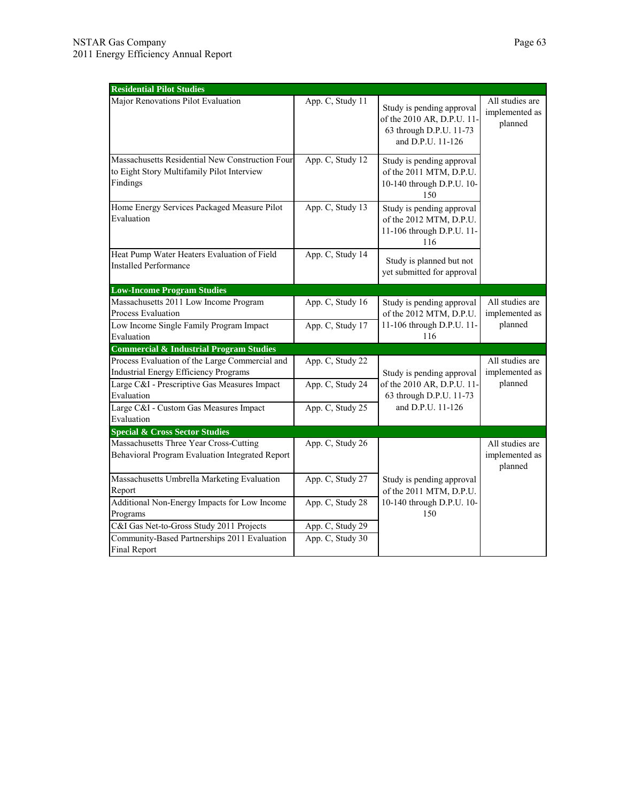| <b>Residential Pilot Studies</b>                                                                          |                  |                                                                                                         |                                              |  |
|-----------------------------------------------------------------------------------------------------------|------------------|---------------------------------------------------------------------------------------------------------|----------------------------------------------|--|
| Major Renovations Pilot Evaluation                                                                        | App. C, Study 11 | Study is pending approval<br>of the 2010 AR, D.P.U. 11-<br>63 through D.P.U. 11-73<br>and D.P.U. 11-126 | All studies are<br>implemented as<br>planned |  |
| Massachusetts Residential New Construction Four<br>to Eight Story Multifamily Pilot Interview<br>Findings | App. C, Study 12 | Study is pending approval<br>of the 2011 MTM, D.P.U.<br>10-140 through D.P.U. 10-<br>150                |                                              |  |
| Home Energy Services Packaged Measure Pilot<br>Evaluation                                                 | App. C, Study 13 | Study is pending approval<br>of the 2012 MTM, D.P.U.<br>11-106 through D.P.U. 11-<br>116                |                                              |  |
| Heat Pump Water Heaters Evaluation of Field<br><b>Installed Performance</b>                               | App. C, Study 14 | Study is planned but not<br>yet submitted for approval                                                  |                                              |  |
| <b>Low-Income Program Studies</b>                                                                         |                  |                                                                                                         |                                              |  |
| Massachusetts 2011 Low Income Program<br>Process Evaluation                                               | App. C, Study 16 | Study is pending approval<br>of the 2012 MTM, D.P.U.                                                    | All studies are<br>implemented as            |  |
| Low Income Single Family Program Impact<br>Evaluation                                                     | App. C, Study 17 | 11-106 through D.P.U. 11-<br>116                                                                        | planned                                      |  |
| <b>Commercial &amp; Industrial Program Studies</b>                                                        |                  |                                                                                                         |                                              |  |
| Process Evaluation of the Large Commercial and<br><b>Industrial Energy Efficiency Programs</b>            | App. C, Study 22 | Study is pending approval                                                                               | All studies are<br>implemented as            |  |
| Large C&I - Prescriptive Gas Measures Impact<br>Evaluation                                                | App. C, Study 24 | of the 2010 AR, D.P.U. 11-<br>63 through D.P.U. 11-73                                                   | planned                                      |  |
| Large C&I - Custom Gas Measures Impact<br>Evaluation                                                      | App. C, Study 25 | and D.P.U. 11-126                                                                                       |                                              |  |
| <b>Special &amp; Cross Sector Studies</b>                                                                 |                  |                                                                                                         |                                              |  |
| Massachusetts Three Year Cross-Cutting<br>Behavioral Program Evaluation Integrated Report                 | App. C, Study 26 |                                                                                                         | All studies are<br>implemented as<br>planned |  |
| Massachusetts Umbrella Marketing Evaluation<br>Report                                                     | App. C, Study 27 | Study is pending approval<br>of the 2011 MTM, D.P.U.                                                    |                                              |  |
| Additional Non-Energy Impacts for Low Income<br>Programs                                                  | App. C, Study 28 | 10-140 through D.P.U. 10-<br>150                                                                        |                                              |  |
| C&I Gas Net-to-Gross Study 2011 Projects                                                                  | App. C, Study 29 |                                                                                                         |                                              |  |
| Community-Based Partnerships 2011 Evaluation<br><b>Final Report</b>                                       | App. C, Study 30 |                                                                                                         |                                              |  |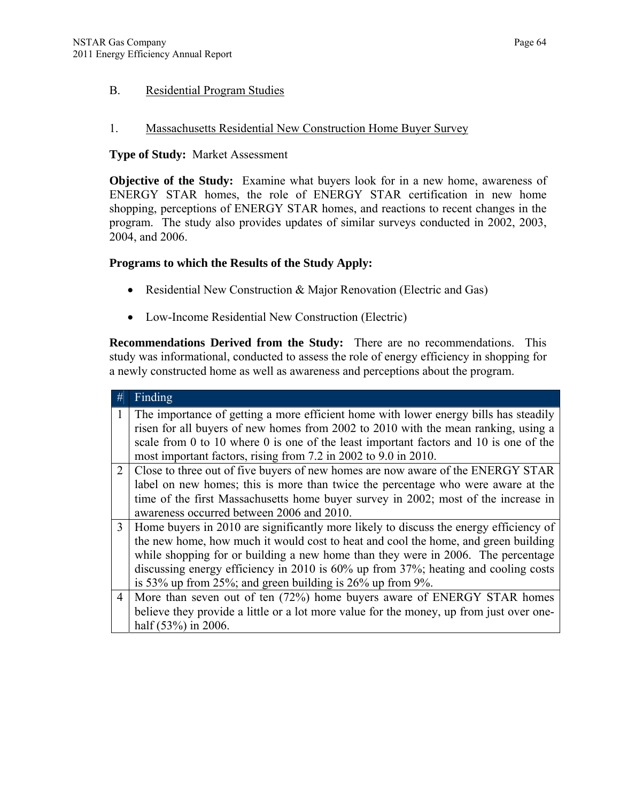### B. Residential Program Studies

### 1. Massachusetts Residential New Construction Home Buyer Survey

#### **Type of Study:** Market Assessment

**Objective of the Study:** Examine what buyers look for in a new home, awareness of ENERGY STAR homes, the role of ENERGY STAR certification in new home shopping, perceptions of ENERGY STAR homes, and reactions to recent changes in the program. The study also provides updates of similar surveys conducted in 2002, 2003, 2004, and 2006.

### **Programs to which the Results of the Study Apply:**

- Residential New Construction & Major Renovation (Electric and Gas)
- Low-Income Residential New Construction (Electric)

**Recommendations Derived from the Study:** There are no recommendations. This study was informational, conducted to assess the role of energy efficiency in shopping for a newly constructed home as well as awareness and perceptions about the program.

| #              | Finding                                                                                 |
|----------------|-----------------------------------------------------------------------------------------|
|                | The importance of getting a more efficient home with lower energy bills has steadily    |
|                | risen for all buyers of new homes from 2002 to 2010 with the mean ranking, using a      |
|                | scale from 0 to 10 where 0 is one of the least important factors and 10 is one of the   |
|                | most important factors, rising from 7.2 in 2002 to 9.0 in 2010.                         |
| 2              | Close to three out of five buyers of new homes are now aware of the ENERGY STAR         |
|                | label on new homes; this is more than twice the percentage who were aware at the        |
|                | time of the first Massachusetts home buyer survey in 2002; most of the increase in      |
|                | awareness occurred between 2006 and 2010.                                               |
| 3              | Home buyers in 2010 are significantly more likely to discuss the energy efficiency of   |
|                | the new home, how much it would cost to heat and cool the home, and green building      |
|                | while shopping for or building a new home than they were in 2006. The percentage        |
|                | discussing energy efficiency in 2010 is 60% up from 37%; heating and cooling costs      |
|                | is 53% up from 25%; and green building is $26\%$ up from 9%.                            |
| $\overline{4}$ | More than seven out of ten (72%) home buyers aware of ENERGY STAR homes                 |
|                | believe they provide a little or a lot more value for the money, up from just over one- |
|                | half $(53\%)$ in 2006.                                                                  |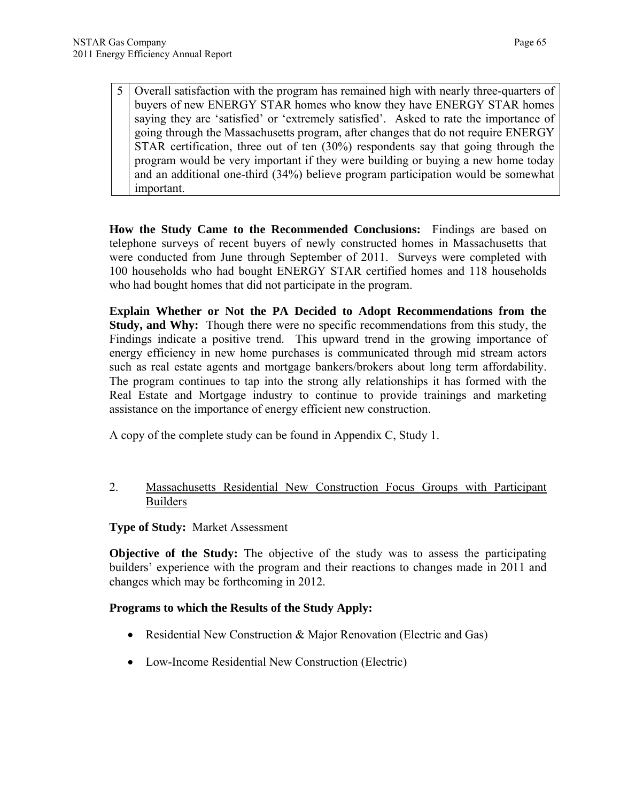5 Overall satisfaction with the program has remained high with nearly three-quarters of buyers of new ENERGY STAR homes who know they have ENERGY STAR homes saying they are 'satisfied' or 'extremely satisfied'. Asked to rate the importance of going through the Massachusetts program, after changes that do not require ENERGY STAR certification, three out of ten (30%) respondents say that going through the program would be very important if they were building or buying a new home today and an additional one-third (34%) believe program participation would be somewhat important.

**How the Study Came to the Recommended Conclusions:** Findings are based on telephone surveys of recent buyers of newly constructed homes in Massachusetts that were conducted from June through September of 2011. Surveys were completed with 100 households who had bought ENERGY STAR certified homes and 118 households who had bought homes that did not participate in the program.

**Explain Whether or Not the PA Decided to Adopt Recommendations from the Study, and Why:** Though there were no specific recommendations from this study, the Findings indicate a positive trend. This upward trend in the growing importance of energy efficiency in new home purchases is communicated through mid stream actors such as real estate agents and mortgage bankers/brokers about long term affordability. The program continues to tap into the strong ally relationships it has formed with the Real Estate and Mortgage industry to continue to provide trainings and marketing assistance on the importance of energy efficient new construction.

A copy of the complete study can be found in Appendix C, Study 1.

### 2. Massachusetts Residential New Construction Focus Groups with Participant Builders

 **Type of Study:** Market Assessment

**Objective of the Study:** The objective of the study was to assess the participating builders' experience with the program and their reactions to changes made in 2011 and changes which may be forthcoming in 2012.

### **Programs to which the Results of the Study Apply:**

- Residential New Construction & Major Renovation (Electric and Gas)
- Low-Income Residential New Construction (Electric)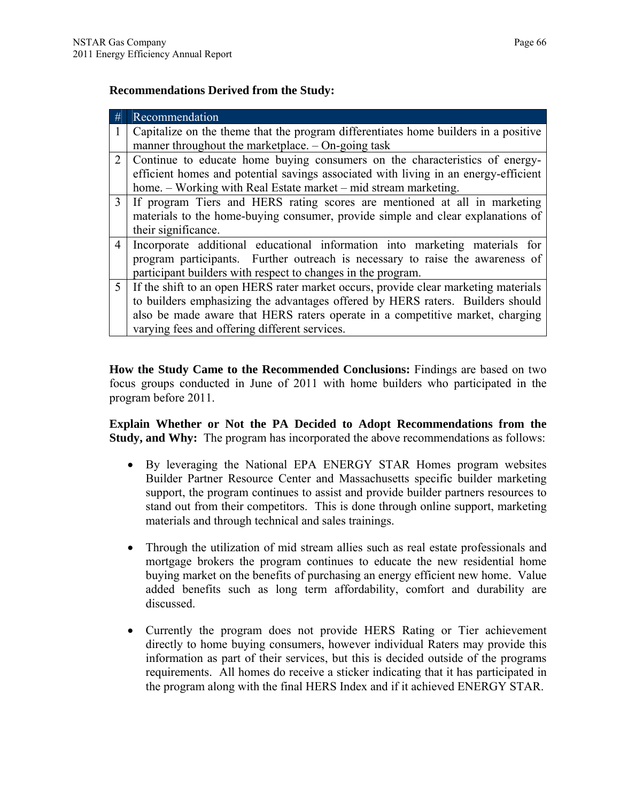### **Recommendations Derived from the Study:**

| #              | Recommendation                                                                      |
|----------------|-------------------------------------------------------------------------------------|
|                | Capitalize on the theme that the program differentiates home builders in a positive |
|                | manner throughout the marketplace. $-$ On-going task                                |
| $\overline{2}$ | Continue to educate home buying consumers on the characteristics of energy-         |
|                | efficient homes and potential savings associated with living in an energy-efficient |
|                | home. – Working with Real Estate market – mid stream marketing.                     |
| $\mathcal{E}$  | If program Tiers and HERS rating scores are mentioned at all in marketing           |
|                | materials to the home-buying consumer, provide simple and clear explanations of     |
|                | their significance.                                                                 |
| $\overline{4}$ | Incorporate additional educational information into marketing materials for         |
|                | program participants. Further outreach is necessary to raise the awareness of       |
|                | participant builders with respect to changes in the program.                        |
| 5 <sup>5</sup> | If the shift to an open HERS rater market occurs, provide clear marketing materials |
|                | to builders emphasizing the advantages offered by HERS raters. Builders should      |
|                | also be made aware that HERS raters operate in a competitive market, charging       |
|                | varying fees and offering different services.                                       |

**How the Study Came to the Recommended Conclusions:** Findings are based on two focus groups conducted in June of 2011 with home builders who participated in the program before 2011.

**Explain Whether or Not the PA Decided to Adopt Recommendations from the Study, and Why:** The program has incorporated the above recommendations as follows:

- By leveraging the National EPA ENERGY STAR Homes program websites Builder Partner Resource Center and Massachusetts specific builder marketing support, the program continues to assist and provide builder partners resources to stand out from their competitors. This is done through online support, marketing materials and through technical and sales trainings.
- Through the utilization of mid stream allies such as real estate professionals and mortgage brokers the program continues to educate the new residential home buying market on the benefits of purchasing an energy efficient new home. Value added benefits such as long term affordability, comfort and durability are discussed.
- Currently the program does not provide HERS Rating or Tier achievement directly to home buying consumers, however individual Raters may provide this information as part of their services, but this is decided outside of the programs requirements. All homes do receive a sticker indicating that it has participated in the program along with the final HERS Index and if it achieved ENERGY STAR.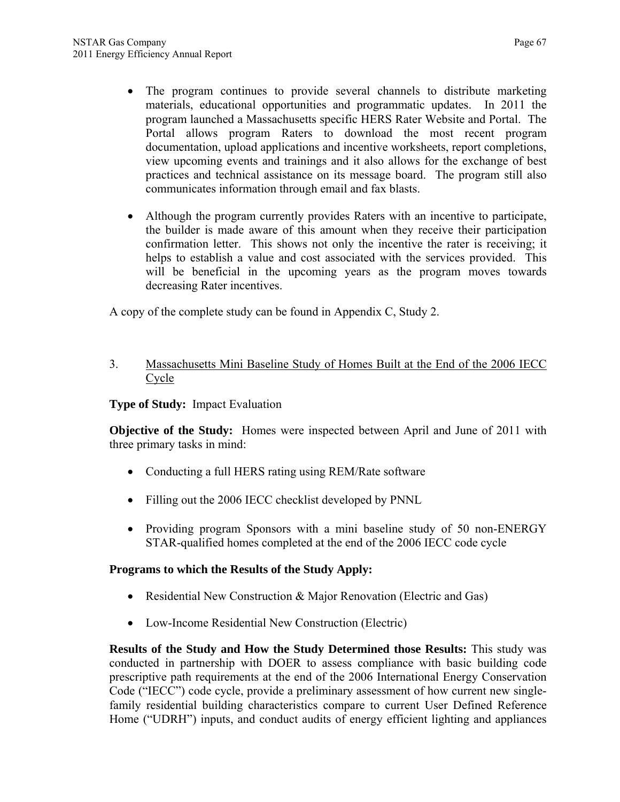- The program continues to provide several channels to distribute marketing materials, educational opportunities and programmatic updates. In 2011 the program launched a Massachusetts specific HERS Rater Website and Portal. The Portal allows program Raters to download the most recent program documentation, upload applications and incentive worksheets, report completions, view upcoming events and trainings and it also allows for the exchange of best practices and technical assistance on its message board. The program still also communicates information through email and fax blasts.
- Although the program currently provides Raters with an incentive to participate, the builder is made aware of this amount when they receive their participation confirmation letter. This shows not only the incentive the rater is receiving; it helps to establish a value and cost associated with the services provided. This will be beneficial in the upcoming years as the program moves towards decreasing Rater incentives.

A copy of the complete study can be found in Appendix C, Study 2.

3. Massachusetts Mini Baseline Study of Homes Built at the End of the 2006 IECC Cycle

## **Type of Study:** Impact Evaluation

**Objective of the Study:** Homes were inspected between April and June of 2011 with three primary tasks in mind:

- Conducting a full HERS rating using REM/Rate software
- Filling out the 2006 IECC checklist developed by PNNL
- Providing program Sponsors with a mini baseline study of 50 non-ENERGY STAR-qualified homes completed at the end of the 2006 IECC code cycle

## **Programs to which the Results of the Study Apply:**

- Residential New Construction & Major Renovation (Electric and Gas)
- Low-Income Residential New Construction (Electric)

**Results of the Study and How the Study Determined those Results:** This study was conducted in partnership with DOER to assess compliance with basic building code prescriptive path requirements at the end of the 2006 International Energy Conservation Code ("IECC") code cycle, provide a preliminary assessment of how current new singlefamily residential building characteristics compare to current User Defined Reference Home ("UDRH") inputs, and conduct audits of energy efficient lighting and appliances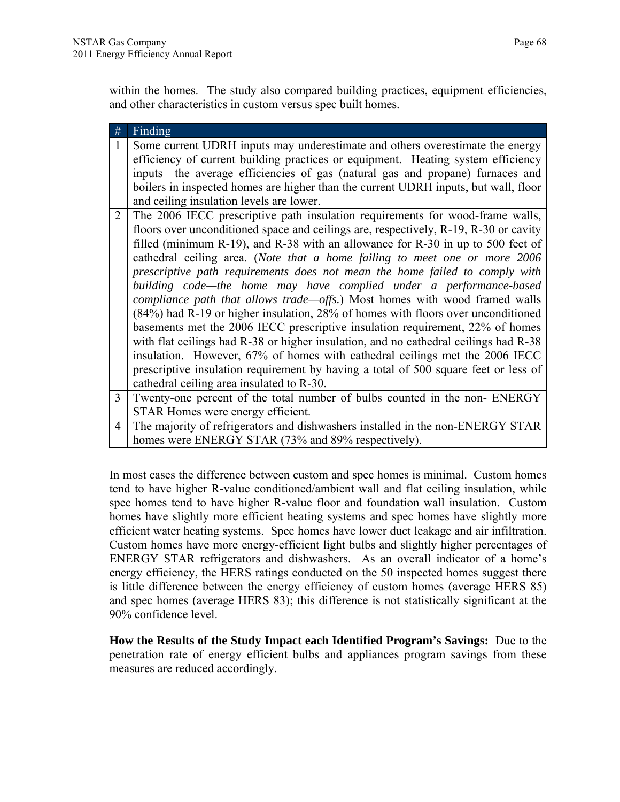within the homes. The study also compared building practices, equipment efficiencies, and other characteristics in custom versus spec built homes.

| $\#$           | Finding                                                                                                                                                                                                                                                                                                                                                                                                                                                                                                                                                                                                                                                                                                                                                                                                                                                                                                                                                                                                                                                           |
|----------------|-------------------------------------------------------------------------------------------------------------------------------------------------------------------------------------------------------------------------------------------------------------------------------------------------------------------------------------------------------------------------------------------------------------------------------------------------------------------------------------------------------------------------------------------------------------------------------------------------------------------------------------------------------------------------------------------------------------------------------------------------------------------------------------------------------------------------------------------------------------------------------------------------------------------------------------------------------------------------------------------------------------------------------------------------------------------|
| $\mathbf{1}$   | Some current UDRH inputs may underestimate and others overestimate the energy<br>efficiency of current building practices or equipment. Heating system efficiency<br>inputs—the average efficiencies of gas (natural gas and propane) furnaces and<br>boilers in inspected homes are higher than the current UDRH inputs, but wall, floor<br>and ceiling insulation levels are lower.                                                                                                                                                                                                                                                                                                                                                                                                                                                                                                                                                                                                                                                                             |
| $\overline{2}$ | The 2006 IECC prescriptive path insulation requirements for wood-frame walls,<br>floors over unconditioned space and ceilings are, respectively, R-19, R-30 or cavity<br>filled (minimum R-19), and R-38 with an allowance for R-30 in up to 500 feet of<br>cathedral ceiling area. (Note that a home failing to meet one or more 2006<br>prescriptive path requirements does not mean the home failed to comply with<br>building code—the home may have complied under a performance-based<br><i>compliance path that allows trade—offs.</i> ) Most homes with wood framed walls<br>(84%) had R-19 or higher insulation, 28% of homes with floors over unconditioned<br>basements met the 2006 IECC prescriptive insulation requirement, 22% of homes<br>with flat ceilings had R-38 or higher insulation, and no cathedral ceilings had R-38<br>insulation. However, 67% of homes with cathedral ceilings met the 2006 IECC<br>prescriptive insulation requirement by having a total of 500 square feet or less of<br>cathedral ceiling area insulated to R-30. |
| 3 <sup>1</sup> | Twenty-one percent of the total number of bulbs counted in the non-ENERGY                                                                                                                                                                                                                                                                                                                                                                                                                                                                                                                                                                                                                                                                                                                                                                                                                                                                                                                                                                                         |
|                | STAR Homes were energy efficient.                                                                                                                                                                                                                                                                                                                                                                                                                                                                                                                                                                                                                                                                                                                                                                                                                                                                                                                                                                                                                                 |
| $\overline{4}$ | The majority of refrigerators and dishwashers installed in the non-ENERGY STAR<br>homes were ENERGY STAR (73% and 89% respectively).                                                                                                                                                                                                                                                                                                                                                                                                                                                                                                                                                                                                                                                                                                                                                                                                                                                                                                                              |

In most cases the difference between custom and spec homes is minimal. Custom homes tend to have higher R-value conditioned/ambient wall and flat ceiling insulation, while spec homes tend to have higher R-value floor and foundation wall insulation. Custom homes have slightly more efficient heating systems and spec homes have slightly more efficient water heating systems. Spec homes have lower duct leakage and air infiltration. Custom homes have more energy-efficient light bulbs and slightly higher percentages of ENERGY STAR refrigerators and dishwashers. As an overall indicator of a home's energy efficiency, the HERS ratings conducted on the 50 inspected homes suggest there is little difference between the energy efficiency of custom homes (average HERS 85) and spec homes (average HERS 83); this difference is not statistically significant at the 90% confidence level.

**How the Results of the Study Impact each Identified Program's Savings:** Due to the penetration rate of energy efficient bulbs and appliances program savings from these measures are reduced accordingly.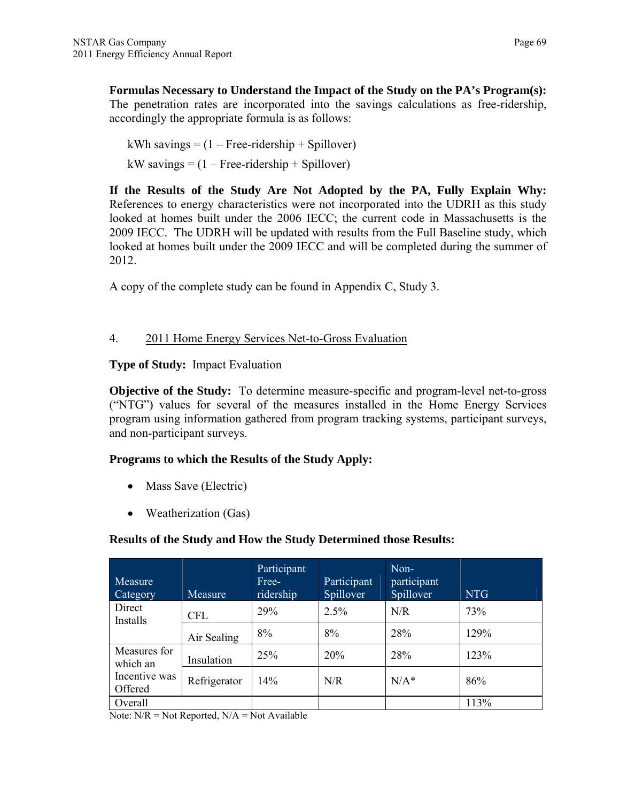**Formulas Necessary to Understand the Impact of the Study on the PA's Program(s):** The penetration rates are incorporated into the savings calculations as free-ridership, accordingly the appropriate formula is as follows:

kWh savings  $= (1 - Free-ridership + Spillover)$  $kW$  savings =  $(1 - Free-ridership + Spillover)$ 

**If the Results of the Study Are Not Adopted by the PA, Fully Explain Why:**  References to energy characteristics were not incorporated into the UDRH as this study looked at homes built under the 2006 IECC; the current code in Massachusetts is the 2009 IECC. The UDRH will be updated with results from the Full Baseline study, which looked at homes built under the 2009 IECC and will be completed during the summer of 2012.

A copy of the complete study can be found in Appendix C, Study 3.

# 4. 2011 Home Energy Services Net-to-Gross Evaluation

**Type of Study:** Impact Evaluation

**Objective of the Study:** To determine measure-specific and program-level net-to-gross ("NTG") values for several of the measures installed in the Home Energy Services program using information gathered from program tracking systems, participant surveys, and non-participant surveys.

## **Programs to which the Results of the Study Apply:**

- Mass Save (Electric)
- Weatherization (Gas)

# **Results of the Study and How the Study Determined those Results:**

| Measure<br>Category      | Measure      | Participant<br>Free-<br>ridership | Participant<br>Spillover | Non-<br>participant<br>Spillover | <b>NTG</b> |
|--------------------------|--------------|-----------------------------------|--------------------------|----------------------------------|------------|
| Direct<br>Installs       | <b>CFL</b>   | 29%                               | 2.5%                     | N/R                              | 73%        |
|                          | Air Sealing  | 8%                                | 8%                       | 28%                              | 129%       |
| Measures for<br>which an | Insulation   | 25%                               | 20%                      | 28%                              | 123%       |
| Incentive was<br>Offered | Refrigerator | 14%                               | N/R                      | $N/A^*$                          | 86%        |
| Overall                  |              |                                   |                          |                                  | 113%       |

Note:  $N/R = Not$  Reported,  $N/A = Not$  Available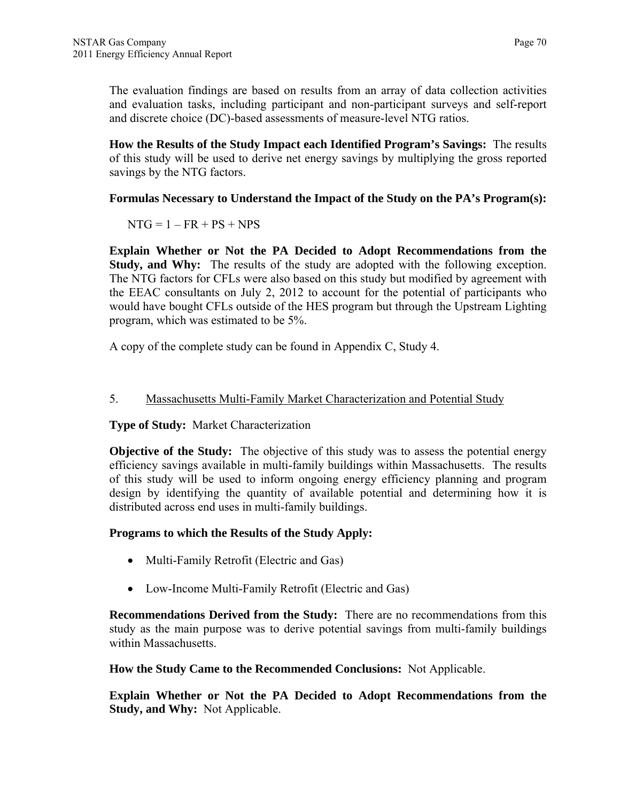The evaluation findings are based on results from an array of data collection activities and evaluation tasks, including participant and non-participant surveys and self-report and discrete choice (DC)-based assessments of measure-level NTG ratios.

**How the Results of the Study Impact each Identified Program's Savings:** The results of this study will be used to derive net energy savings by multiplying the gross reported savings by the NTG factors.

## **Formulas Necessary to Understand the Impact of the Study on the PA's Program(s):**

 $NTG = 1 - FR + PS + NPS$ 

**Explain Whether or Not the PA Decided to Adopt Recommendations from the Study, and Why:** The results of the study are adopted with the following exception. The NTG factors for CFLs were also based on this study but modified by agreement with the EEAC consultants on July 2, 2012 to account for the potential of participants who would have bought CFLs outside of the HES program but through the Upstream Lighting program, which was estimated to be 5%.

A copy of the complete study can be found in Appendix C, Study 4.

## 5. Massachusetts Multi-Family Market Characterization and Potential Study

**Type of Study:** Market Characterization

**Objective of the Study:** The objective of this study was to assess the potential energy efficiency savings available in multi-family buildings within Massachusetts. The results of this study will be used to inform ongoing energy efficiency planning and program design by identifying the quantity of available potential and determining how it is distributed across end uses in multi-family buildings.

## **Programs to which the Results of the Study Apply:**

- Multi-Family Retrofit (Electric and Gas)
- Low-Income Multi-Family Retrofit (Electric and Gas)

**Recommendations Derived from the Study:** There are no recommendations from this study as the main purpose was to derive potential savings from multi-family buildings within Massachusetts.

**How the Study Came to the Recommended Conclusions:** Not Applicable.

**Explain Whether or Not the PA Decided to Adopt Recommendations from the Study, and Why:** Not Applicable.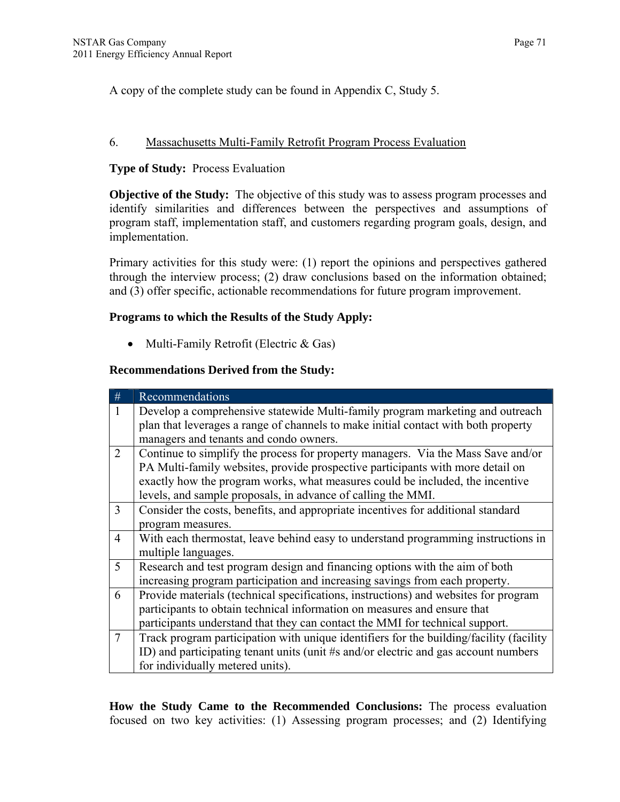A copy of the complete study can be found in Appendix C, Study 5.

#### 6. Massachusetts Multi-Family Retrofit Program Process Evaluation

#### **Type of Study:** Process Evaluation

**Objective of the Study:** The objective of this study was to assess program processes and identify similarities and differences between the perspectives and assumptions of program staff, implementation staff, and customers regarding program goals, design, and implementation.

Primary activities for this study were: (1) report the opinions and perspectives gathered through the interview process; (2) draw conclusions based on the information obtained; and (3) offer specific, actionable recommendations for future program improvement.

#### **Programs to which the Results of the Study Apply:**

• Multi-Family Retrofit (Electric & Gas)

#### **Recommendations Derived from the Study:**

| #              | Recommendations                                                                         |
|----------------|-----------------------------------------------------------------------------------------|
| $\mathbf{1}$   | Develop a comprehensive statewide Multi-family program marketing and outreach           |
|                | plan that leverages a range of channels to make initial contact with both property      |
|                | managers and tenants and condo owners.                                                  |
| 2              | Continue to simplify the process for property managers. Via the Mass Save and/or        |
|                | PA Multi-family websites, provide prospective participants with more detail on          |
|                | exactly how the program works, what measures could be included, the incentive           |
|                | levels, and sample proposals, in advance of calling the MMI.                            |
| $\overline{3}$ | Consider the costs, benefits, and appropriate incentives for additional standard        |
|                | program measures.                                                                       |
| $\overline{4}$ | With each thermostat, leave behind easy to understand programming instructions in       |
|                | multiple languages.                                                                     |
| 5              | Research and test program design and financing options with the aim of both             |
|                | increasing program participation and increasing savings from each property.             |
| 6              | Provide materials (technical specifications, instructions) and websites for program     |
|                | participants to obtain technical information on measures and ensure that                |
|                | participants understand that they can contact the MMI for technical support.            |
| $\tau$         | Track program participation with unique identifiers for the building/facility (facility |
|                | ID) and participating tenant units (unit #s and/or electric and gas account numbers     |
|                | for individually metered units).                                                        |

**How the Study Came to the Recommended Conclusions:** The process evaluation focused on two key activities: (1) Assessing program processes; and (2) Identifying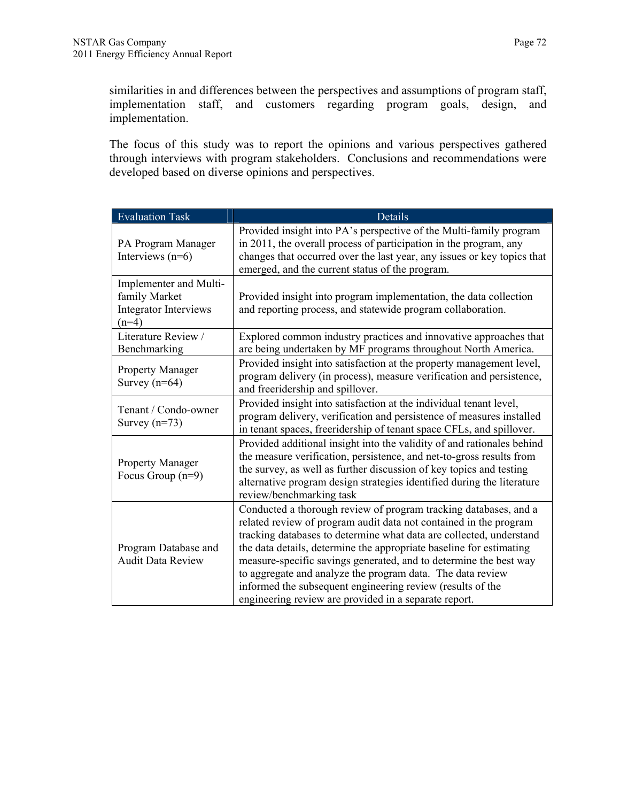similarities in and differences between the perspectives and assumptions of program staff, implementation staff, and customers regarding program goals, design, and implementation.

The focus of this study was to report the opinions and various perspectives gathered through interviews with program stakeholders. Conclusions and recommendations were developed based on diverse opinions and perspectives.

| <b>Evaluation Task</b>                                                             | Details                                                                                                                                                                                                                                                                                                                                                                                                                                                                                                                                       |
|------------------------------------------------------------------------------------|-----------------------------------------------------------------------------------------------------------------------------------------------------------------------------------------------------------------------------------------------------------------------------------------------------------------------------------------------------------------------------------------------------------------------------------------------------------------------------------------------------------------------------------------------|
| PA Program Manager<br>Interviews $(n=6)$                                           | Provided insight into PA's perspective of the Multi-family program<br>in 2011, the overall process of participation in the program, any<br>changes that occurred over the last year, any issues or key topics that<br>emerged, and the current status of the program.                                                                                                                                                                                                                                                                         |
| Implementer and Multi-<br>family Market<br><b>Integrator Interviews</b><br>$(n=4)$ | Provided insight into program implementation, the data collection<br>and reporting process, and statewide program collaboration.                                                                                                                                                                                                                                                                                                                                                                                                              |
| Literature Review /<br>Benchmarking                                                | Explored common industry practices and innovative approaches that<br>are being undertaken by MF programs throughout North America.                                                                                                                                                                                                                                                                                                                                                                                                            |
| <b>Property Manager</b><br>Survey $(n=64)$                                         | Provided insight into satisfaction at the property management level,<br>program delivery (in process), measure verification and persistence,<br>and freeridership and spillover.                                                                                                                                                                                                                                                                                                                                                              |
| Tenant / Condo-owner<br>Survey $(n=73)$                                            | Provided insight into satisfaction at the individual tenant level,<br>program delivery, verification and persistence of measures installed<br>in tenant spaces, freeridership of tenant space CFLs, and spillover.                                                                                                                                                                                                                                                                                                                            |
| Property Manager<br>Focus Group $(n=9)$                                            | Provided additional insight into the validity of and rationales behind<br>the measure verification, persistence, and net-to-gross results from<br>the survey, as well as further discussion of key topics and testing<br>alternative program design strategies identified during the literature<br>review/benchmarking task                                                                                                                                                                                                                   |
| Program Database and<br><b>Audit Data Review</b>                                   | Conducted a thorough review of program tracking databases, and a<br>related review of program audit data not contained in the program<br>tracking databases to determine what data are collected, understand<br>the data details, determine the appropriate baseline for estimating<br>measure-specific savings generated, and to determine the best way<br>to aggregate and analyze the program data. The data review<br>informed the subsequent engineering review (results of the<br>engineering review are provided in a separate report. |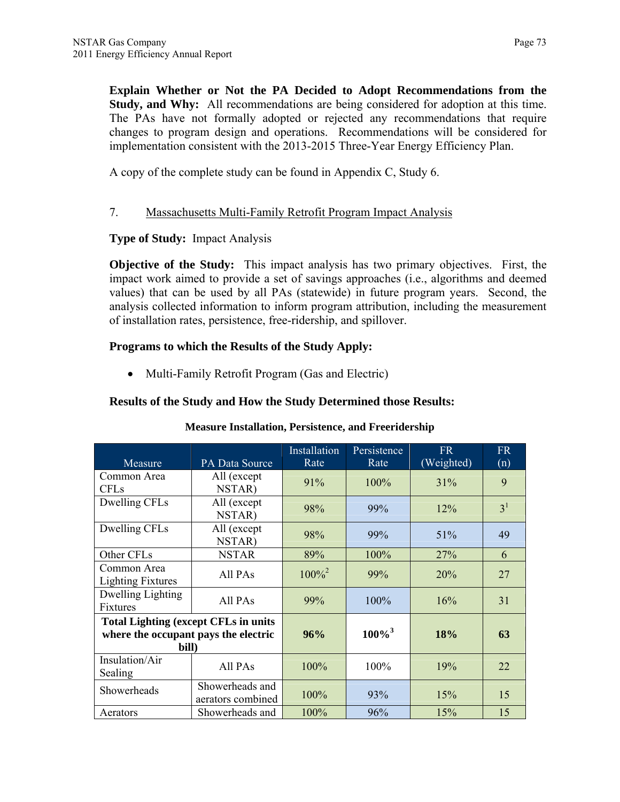**Explain Whether or Not the PA Decided to Adopt Recommendations from the Study, and Why:** All recommendations are being considered for adoption at this time. The PAs have not formally adopted or rejected any recommendations that require changes to program design and operations. Recommendations will be considered for implementation consistent with the 2013-2015 Three-Year Energy Efficiency Plan.

A copy of the complete study can be found in Appendix C, Study 6.

## 7. Massachusetts Multi-Family Retrofit Program Impact Analysis

#### **Type of Study:** Impact Analysis

**Objective of the Study:** This impact analysis has two primary objectives. First, the impact work aimed to provide a set of savings approaches (i.e., algorithms and deemed values) that can be used by all PAs (statewide) in future program years. Second, the analysis collected information to inform program attribution, including the measurement of installation rates, persistence, free-ridership, and spillover.

#### **Programs to which the Results of the Study Apply:**

• Multi-Family Retrofit Program (Gas and Electric)

#### **Results of the Study and How the Study Determined those Results:**

| Measure                                                                                      | PA Data Source                       | Installation<br>Rate | Persistence<br>Rate | <b>FR</b><br>(Weighted) | <b>FR</b><br>(n) |
|----------------------------------------------------------------------------------------------|--------------------------------------|----------------------|---------------------|-------------------------|------------------|
| Common Area<br><b>CFLs</b>                                                                   | All (except<br>NSTAR)                | 91%                  | $100\%$             | $31\%$                  | 9                |
| Dwelling CFLs                                                                                | All (except<br>NSTAR)                | 98%                  | 99%                 | $12\%$                  | 3 <sup>1</sup>   |
| Dwelling CFLs                                                                                | All (except<br>NSTAR)                | 98%                  | 99%                 | 51%                     | 49               |
| Other CFLs                                                                                   | <b>NSTAR</b>                         | 89%                  | 100%                | 27%                     | 6                |
| Common Area<br><b>Lighting Fixtures</b>                                                      | All PAs                              | $100\%^{2}$          | 99%                 | 20%                     | 27               |
| Dwelling Lighting<br>Fixtures                                                                | All PAs                              | 99%                  | $100\%$             | 16%                     | 31               |
| <b>Total Lighting (except CFLs in units</b><br>where the occupant pays the electric<br>bill) |                                      | 96%                  | $100\%^{3}$         | 18%                     | 63               |
| Insulation/Air<br>Sealing                                                                    | All PAs                              | 100%                 | 100%                | 19%                     | 22               |
| Showerheads                                                                                  | Showerheads and<br>aerators combined | 100%                 | 93%                 | 15%                     | 15               |
| Aerators                                                                                     | Showerheads and                      | 100%                 | 96%                 | 15%                     | 15               |

## **Measure Installation, Persistence, and Freeridership**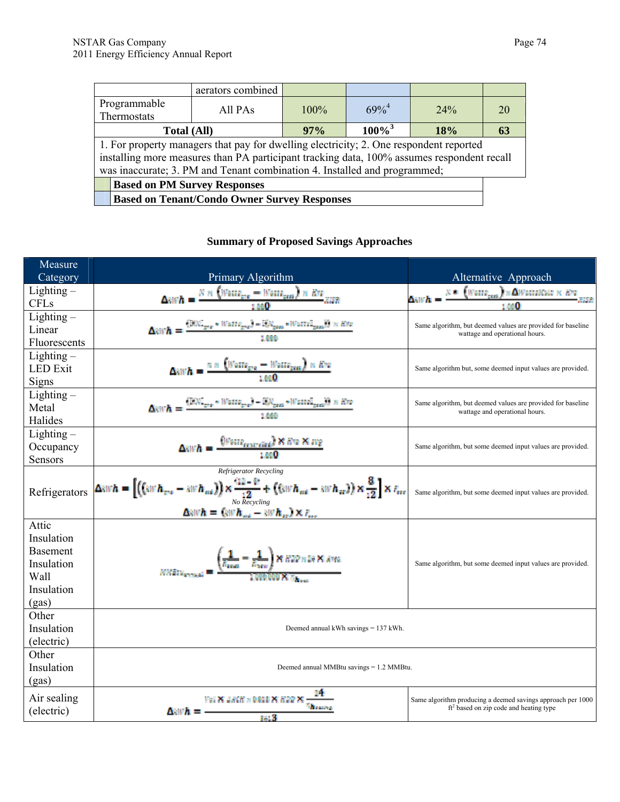|                                                                                                                                                                                                                                                                   | aerators combined |         |             |     |  |
|-------------------------------------------------------------------------------------------------------------------------------------------------------------------------------------------------------------------------------------------------------------------|-------------------|---------|-------------|-----|--|
| Programmable<br>Thermostats                                                                                                                                                                                                                                       | All PAs           | $100\%$ | $69\%^{4}$  | 24% |  |
| <b>Total (All)</b>                                                                                                                                                                                                                                                |                   | 97%     | $100\%^{3}$ | 18% |  |
| 1. For property managers that pay for dwelling electricity; 2. One respondent reported<br>installing more measures than PA participant tracking data, 100% assumes respondent recall<br>was inaccurate; 3. PM and Tenant combination 4. Installed and programmed; |                   |         |             |     |  |
| <b>Based on PM Survey Responses</b>                                                                                                                                                                                                                               |                   |         |             |     |  |
| <b>Based on Tenant/Condo Owner Survey Responses</b>                                                                                                                                                                                                               |                   |         |             |     |  |

# **Summary of Proposed Savings Approaches**

| Measure             |                                                                                                                                                                                                                                                 |                                                                                                        |
|---------------------|-------------------------------------------------------------------------------------------------------------------------------------------------------------------------------------------------------------------------------------------------|--------------------------------------------------------------------------------------------------------|
| Category            | Primary Algorithm                                                                                                                                                                                                                               | Alternative Approach                                                                                   |
| $Lighthing -$       | $\Delta x \mathbb{W} \mathbf{h} = \frac{\mathcal{B} \times \left( \mathbb{W} \mathfrak{a} \mathbb{W} \mathfrak{a}_{\mathbb{R}^m} - \mathbb{W} \mathfrak{a} \mathbb{W} \mathfrak{a}_{\mathbb{R}^m} \right) \times \mathbb{W} \mathbb{W}}{1.000}$ | $N= \left( \text{Wame}_{\text{peak}} \right) \times \Delta \text{WameMSE} \times \text{EPS}$<br>Δwrλ - |
| <b>CFLs</b>         |                                                                                                                                                                                                                                                 |                                                                                                        |
| $Lighthing -$       |                                                                                                                                                                                                                                                 | Same algorithm, but deemed values are provided for baseline                                            |
| Linear              | $\left(\text{RW}\right)_{\text{grav}}\times\text{Wattz}_{\text{grav}}\right)=\left(\text{SW}_\text{grav}\circ\text{Wattz}\right)_{\text{grav}}\left(\text{W}\times\text{RW}\right)$                                                             | wattage and operational hours.                                                                         |
| Fluorescents        |                                                                                                                                                                                                                                                 |                                                                                                        |
| $Lighthing -$       |                                                                                                                                                                                                                                                 |                                                                                                        |
| <b>LED</b> Exit     | $\frac{n \times \left( \text{Wattr}_{\text{pre}} - \text{Wattr}_{\text{pre}} \right) \times R n}{1.00 \Omega}$                                                                                                                                  | Same algorithm but, some deemed input values are provided.                                             |
| Signs               |                                                                                                                                                                                                                                                 |                                                                                                        |
| $Lighting -$        | $(\text{EW}_{\text{grav}}\circ\text{Wame}_{\text{grav}})-\text{EW}_{\text{grav}}\circ\text{Wame}_{\text{grav}})$ ) $\times$ fire                                                                                                                | Same algorithm, but deemed values are provided for baseline                                            |
| Metal               |                                                                                                                                                                                                                                                 | wattage and operational hours.                                                                         |
| Halides             |                                                                                                                                                                                                                                                 |                                                                                                        |
| $Lighthing -$       |                                                                                                                                                                                                                                                 |                                                                                                        |
| Occupancy           | (Watte <sub>controlled</sub> ) X 872 X sug<br>1.00 <b>0</b>                                                                                                                                                                                     | Same algorithm, but some deemed input values are provided.                                             |
| Sensors             |                                                                                                                                                                                                                                                 |                                                                                                        |
|                     | Refrigerator Recycling                                                                                                                                                                                                                          |                                                                                                        |
| Refrigerators       | $\Delta$ wh = $\left[\left(\left(\sin h_{xx} - \sin h_{xx}\right)\right) \times \frac{(12 - \theta)}{12} + \left(\left(\sin h_{xx} - \sin h_{xx}\right)\right) \times \frac{8}{12}\right] \times E_{xx}$                                        | Same algorithm, but some deemed input values are provided.                                             |
|                     | No Recycling                                                                                                                                                                                                                                    |                                                                                                        |
|                     | $\Delta$ wh = $\left(\sin h_{\text{rot}} - \sin h_{\text{rot}}\right) \times F_{\text{rot}}$                                                                                                                                                    |                                                                                                        |
| Attic               |                                                                                                                                                                                                                                                 |                                                                                                        |
| Insulation          |                                                                                                                                                                                                                                                 |                                                                                                        |
| <b>Basement</b>     | $MMRW_{\text{recoand}} = \frac{\left(\frac{1}{R_{\text{max}}} - \frac{1}{R_{\text{max}}}\right) \times 822 \times 34 \times 8.8761}{8.508 \times 8.762}$                                                                                        |                                                                                                        |
| Insulation          |                                                                                                                                                                                                                                                 | Same algorithm, but some deemed input values are provided.                                             |
| Wall<br>Insulation  |                                                                                                                                                                                                                                                 |                                                                                                        |
|                     |                                                                                                                                                                                                                                                 |                                                                                                        |
| (gas)<br>Other      |                                                                                                                                                                                                                                                 |                                                                                                        |
| Insulation          | Deemed annual kWh savings $= 137$ kWh.                                                                                                                                                                                                          |                                                                                                        |
|                     |                                                                                                                                                                                                                                                 |                                                                                                        |
| (electric)<br>Other |                                                                                                                                                                                                                                                 |                                                                                                        |
| Insulation          | Deemed annual MMBtu savings = 1.2 MMBtu.                                                                                                                                                                                                        |                                                                                                        |
|                     |                                                                                                                                                                                                                                                 |                                                                                                        |
| (gas)               |                                                                                                                                                                                                                                                 |                                                                                                        |
| Air sealing         | Mad 29, Junctif in Dirigile 29, Higgs 29, $\pm$<br><b><i>Thomas</i></b>                                                                                                                                                                         | Same algorithm producing a deemed savings approach per 1000                                            |
| (electric)          | Awah =<br>3613                                                                                                                                                                                                                                  | $ft2$ based on zip code and heating type                                                               |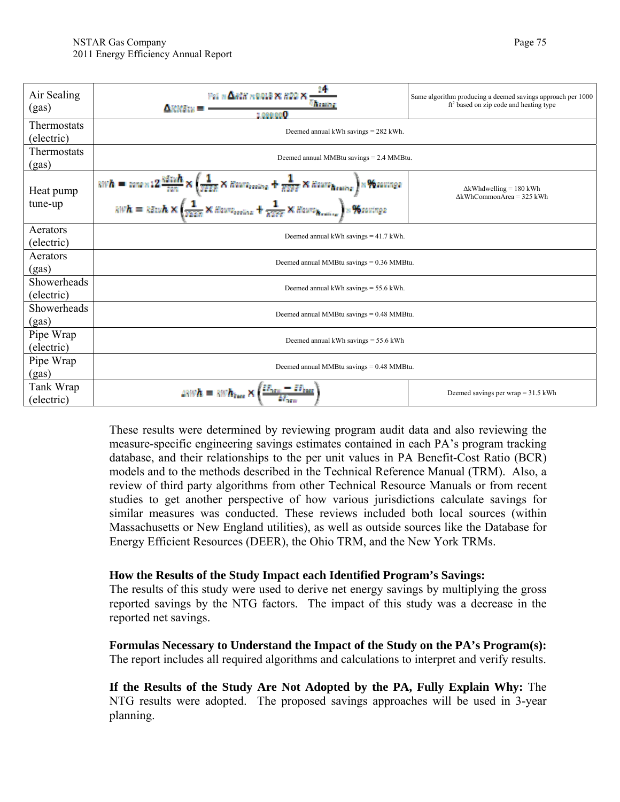| Air Sealing<br>(gas)                                              | For $\Delta$ and $\kappa$ 0.018 $\times$ 8.00 $\times$<br><b><i><u>Renter</u></i></b><br>$\triangle$ with $=$<br>1.000.000                                                                                                                                                                                                                                                                                                                 | Same algorithm producing a deemed savings approach per 1000<br>$ft2$ based on zip code and heating type |  |
|-------------------------------------------------------------------|--------------------------------------------------------------------------------------------------------------------------------------------------------------------------------------------------------------------------------------------------------------------------------------------------------------------------------------------------------------------------------------------------------------------------------------------|---------------------------------------------------------------------------------------------------------|--|
| <b>Thermostats</b><br>(electric)                                  | Deemed annual kWh savings $= 282$ kWh.                                                                                                                                                                                                                                                                                                                                                                                                     |                                                                                                         |  |
| Thermostats<br>(gas)                                              | Deemed annual MMBtu savings = 2.4 MMBtu.                                                                                                                                                                                                                                                                                                                                                                                                   |                                                                                                         |  |
| Heat pump<br>tune-up                                              | $swh = \text{mean 12} \frac{h \text{sin}h}{\text{tan}} \times \left( \frac{1}{\text{max}} \times \text{distance}_{\text{noise}} + \frac{1}{\text{max}} \times \text{distance}_{\text{noise}} \right) \times \text{V} \text{average}$<br>$swh = k \text{sin}h \times \left( \frac{1}{\text{max}} \times \text{distance}_{\text{noise}} + \frac{1}{\text{max}} \times \text{distance}_{\text{noise}} \right) \times \text{V} \text{average}$ | $\Delta$ kWhdwelling = 180 kWh<br>$\Delta$ kWhCommonArea = 325 kWh                                      |  |
| Aerators<br>Deemed annual kWh savings $=$ 41.7 kWh.<br>(electric) |                                                                                                                                                                                                                                                                                                                                                                                                                                            |                                                                                                         |  |
| Aerators<br>(gas)                                                 | Deemed annual MMBtu savings $= 0.36$ MMBtu.                                                                                                                                                                                                                                                                                                                                                                                                |                                                                                                         |  |
| Showerheads<br>(electric)                                         | Deemed annual kWh savings $=$ 55.6 kWh.                                                                                                                                                                                                                                                                                                                                                                                                    |                                                                                                         |  |
| Showerheads<br>(gas)                                              | Deemed annual MMBtu savings $= 0.48$ MMBtu.                                                                                                                                                                                                                                                                                                                                                                                                |                                                                                                         |  |
| Pipe Wrap<br>(electric)                                           | Deemed annual kWh savings $=$ 55.6 kWh                                                                                                                                                                                                                                                                                                                                                                                                     |                                                                                                         |  |
| Pipe Wrap<br>(gas)                                                | Deemed annual MMBtu savings $= 0.48$ MMBtu.                                                                                                                                                                                                                                                                                                                                                                                                |                                                                                                         |  |
| Tank Wrap<br>(electric)                                           |                                                                                                                                                                                                                                                                                                                                                                                                                                            | Deemed savings per wrap = $31.5$ kWh                                                                    |  |

These results were determined by reviewing program audit data and also reviewing the measure-specific engineering savings estimates contained in each PA's program tracking database, and their relationships to the per unit values in PA Benefit-Cost Ratio (BCR) models and to the methods described in the Technical Reference Manual (TRM). Also, a review of third party algorithms from other Technical Resource Manuals or from recent studies to get another perspective of how various jurisdictions calculate savings for similar measures was conducted. These reviews included both local sources (within Massachusetts or New England utilities), as well as outside sources like the Database for Energy Efficient Resources (DEER), the Ohio TRM, and the New York TRMs.

#### **How the Results of the Study Impact each Identified Program's Savings:**

The results of this study were used to derive net energy savings by multiplying the gross reported savings by the NTG factors. The impact of this study was a decrease in the reported net savings.

 **Formulas Necessary to Understand the Impact of the Study on the PA's Program(s):**  The report includes all required algorithms and calculations to interpret and verify results.

**If the Results of the Study Are Not Adopted by the PA, Fully Explain Why:** The NTG results were adopted. The proposed savings approaches will be used in 3-year planning.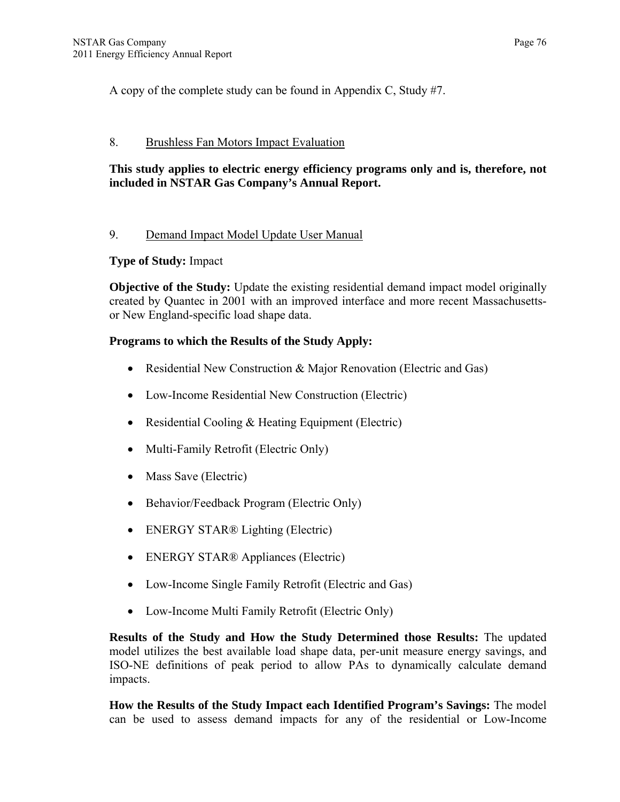A copy of the complete study can be found in Appendix C, Study #7.

## 8. Brushless Fan Motors Impact Evaluation

# **This study applies to electric energy efficiency programs only and is, therefore, not included in NSTAR Gas Company's Annual Report.**

## 9. Demand Impact Model Update User Manual

# **Type of Study:** Impact

**Objective of the Study:** Update the existing residential demand impact model originally created by Quantec in 2001 with an improved interface and more recent Massachusettsor New England-specific load shape data.

# **Programs to which the Results of the Study Apply:**

- Residential New Construction & Major Renovation (Electric and Gas)
- Low-Income Residential New Construction (Electric)
- Residential Cooling & Heating Equipment (Electric)
- Multi-Family Retrofit (Electric Only)
- Mass Save (Electric)
- Behavior/Feedback Program (Electric Only)
- ENERGY STAR® Lighting (Electric)
- ENERGY STAR<sup>®</sup> Appliances (Electric)
- Low-Income Single Family Retrofit (Electric and Gas)
- Low-Income Multi Family Retrofit (Electric Only)

**Results of the Study and How the Study Determined those Results:** The updated model utilizes the best available load shape data, per-unit measure energy savings, and ISO-NE definitions of peak period to allow PAs to dynamically calculate demand impacts.

**How the Results of the Study Impact each Identified Program's Savings:** The model can be used to assess demand impacts for any of the residential or Low-Income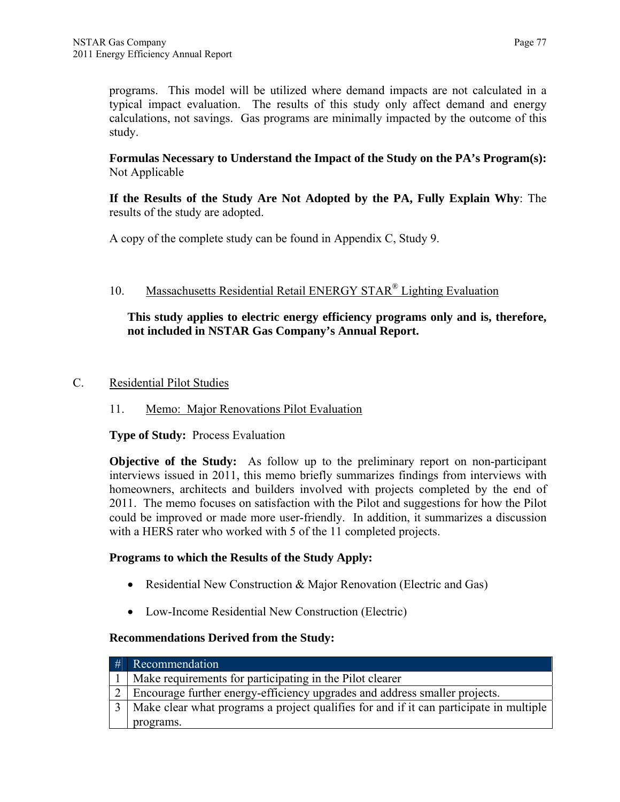programs. This model will be utilized where demand impacts are not calculated in a typical impact evaluation. The results of this study only affect demand and energy calculations, not savings. Gas programs are minimally impacted by the outcome of this study.

**Formulas Necessary to Understand the Impact of the Study on the PA's Program(s):**  Not Applicable

**If the Results of the Study Are Not Adopted by the PA, Fully Explain Why**: The results of the study are adopted.

A copy of the complete study can be found in Appendix C, Study 9.

## 10. Massachusetts Residential Retail ENERGY STAR® Lighting Evaluation

#### **This study applies to electric energy efficiency programs only and is, therefore, not included in NSTAR Gas Company's Annual Report.**

#### C. Residential Pilot Studies

## 11.Memo: Major Renovations Pilot Evaluation

#### **Type of Study:** Process Evaluation

**Objective of the Study:** As follow up to the preliminary report on non-participant interviews issued in 2011, this memo briefly summarizes findings from interviews with homeowners, architects and builders involved with projects completed by the end of 2011. The memo focuses on satisfaction with the Pilot and suggestions for how the Pilot could be improved or made more user-friendly. In addition, it summarizes a discussion with a HERS rater who worked with 5 of the 11 completed projects.

#### **Programs to which the Results of the Study Apply:**

- Residential New Construction & Major Renovation (Electric and Gas)
- Low-Income Residential New Construction (Electric)

#### **Recommendations Derived from the Study:**

| # | Recommendation                                                                             |
|---|--------------------------------------------------------------------------------------------|
|   | Make requirements for participating in the Pilot clearer                                   |
|   | Encourage further energy-efficiency upgrades and address smaller projects.                 |
|   | 3   Make clear what programs a project qualifies for and if it can participate in multiple |
|   | programs.                                                                                  |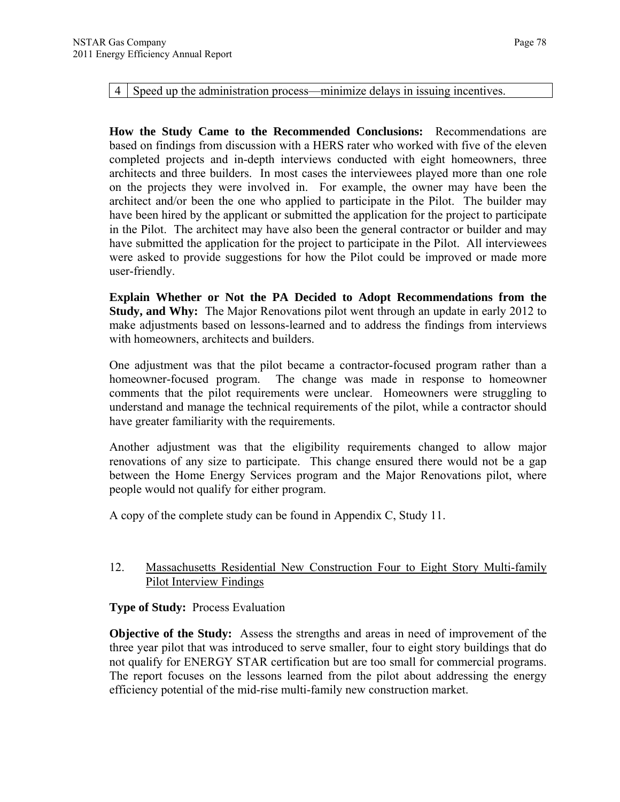4 Speed up the administration process—minimize delays in issuing incentives.

**How the Study Came to the Recommended Conclusions:** Recommendations are based on findings from discussion with a HERS rater who worked with five of the eleven completed projects and in-depth interviews conducted with eight homeowners, three architects and three builders. In most cases the interviewees played more than one role on the projects they were involved in. For example, the owner may have been the architect and/or been the one who applied to participate in the Pilot. The builder may have been hired by the applicant or submitted the application for the project to participate in the Pilot. The architect may have also been the general contractor or builder and may have submitted the application for the project to participate in the Pilot. All interviewees were asked to provide suggestions for how the Pilot could be improved or made more user-friendly.

**Explain Whether or Not the PA Decided to Adopt Recommendations from the Study, and Why:** The Major Renovations pilot went through an update in early 2012 to make adjustments based on lessons-learned and to address the findings from interviews with homeowners, architects and builders.

One adjustment was that the pilot became a contractor-focused program rather than a homeowner-focused program. The change was made in response to homeowner comments that the pilot requirements were unclear. Homeowners were struggling to understand and manage the technical requirements of the pilot, while a contractor should have greater familiarity with the requirements.

Another adjustment was that the eligibility requirements changed to allow major renovations of any size to participate. This change ensured there would not be a gap between the Home Energy Services program and the Major Renovations pilot, where people would not qualify for either program.

A copy of the complete study can be found in Appendix C, Study 11.

#### 12. Massachusetts Residential New Construction Four to Eight Story Multi-family Pilot Interview Findings

## **Type of Study:** Process Evaluation

**Objective of the Study:** Assess the strengths and areas in need of improvement of the three year pilot that was introduced to serve smaller, four to eight story buildings that do not qualify for ENERGY STAR certification but are too small for commercial programs. The report focuses on the lessons learned from the pilot about addressing the energy efficiency potential of the mid-rise multi-family new construction market.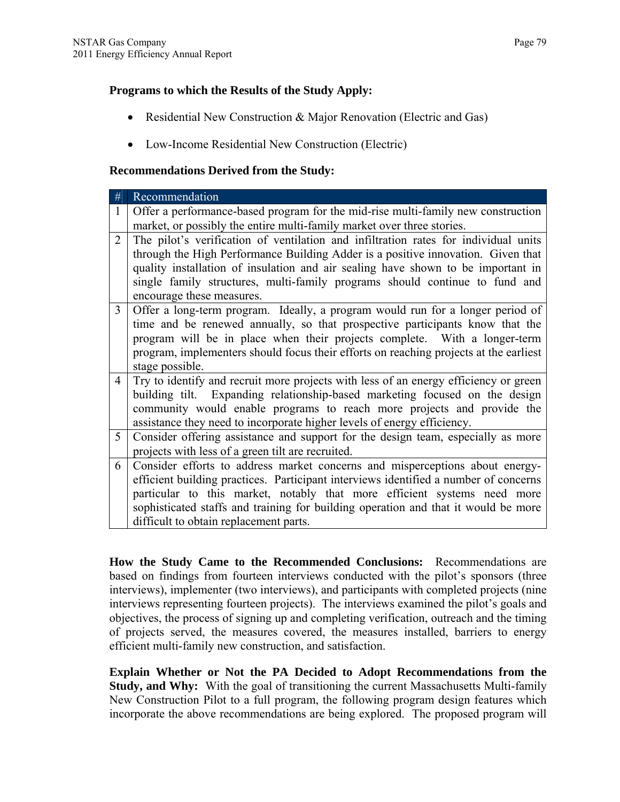#### **Programs to which the Results of the Study Apply:**

- Residential New Construction & Major Renovation (Electric and Gas)
- Low-Income Residential New Construction (Electric)

#### **Recommendations Derived from the Study:**

| #              | Recommendation                                                                        |
|----------------|---------------------------------------------------------------------------------------|
| 1              | Offer a performance-based program for the mid-rise multi-family new construction      |
|                | market, or possibly the entire multi-family market over three stories.                |
| 2              | The pilot's verification of ventilation and infiltration rates for individual units   |
|                | through the High Performance Building Adder is a positive innovation. Given that      |
|                | quality installation of insulation and air sealing have shown to be important in      |
|                | single family structures, multi-family programs should continue to fund and           |
|                | encourage these measures.                                                             |
| 3              | Offer a long-term program. Ideally, a program would run for a longer period of        |
|                | time and be renewed annually, so that prospective participants know that the          |
|                | program will be in place when their projects complete. With a longer-term             |
|                | program, implementers should focus their efforts on reaching projects at the earliest |
|                | stage possible.                                                                       |
| $\overline{4}$ | Try to identify and recruit more projects with less of an energy efficiency or green  |
|                | building tilt. Expanding relationship-based marketing focused on the design           |
|                | community would enable programs to reach more projects and provide the                |
|                | assistance they need to incorporate higher levels of energy efficiency.               |
| 5              | Consider offering assistance and support for the design team, especially as more      |
|                | projects with less of a green tilt are recruited.                                     |
| 6              | Consider efforts to address market concerns and misperceptions about energy-          |
|                | efficient building practices. Participant interviews identified a number of concerns  |
|                | particular to this market, notably that more efficient systems need more              |
|                | sophisticated staffs and training for building operation and that it would be more    |
|                | difficult to obtain replacement parts.                                                |

**How the Study Came to the Recommended Conclusions:** Recommendations are based on findings from fourteen interviews conducted with the pilot's sponsors (three interviews), implementer (two interviews), and participants with completed projects (nine interviews representing fourteen projects). The interviews examined the pilot's goals and objectives, the process of signing up and completing verification, outreach and the timing of projects served, the measures covered, the measures installed, barriers to energy efficient multi-family new construction, and satisfaction.

**Explain Whether or Not the PA Decided to Adopt Recommendations from the Study, and Why:** With the goal of transitioning the current Massachusetts Multi-family New Construction Pilot to a full program, the following program design features which incorporate the above recommendations are being explored. The proposed program will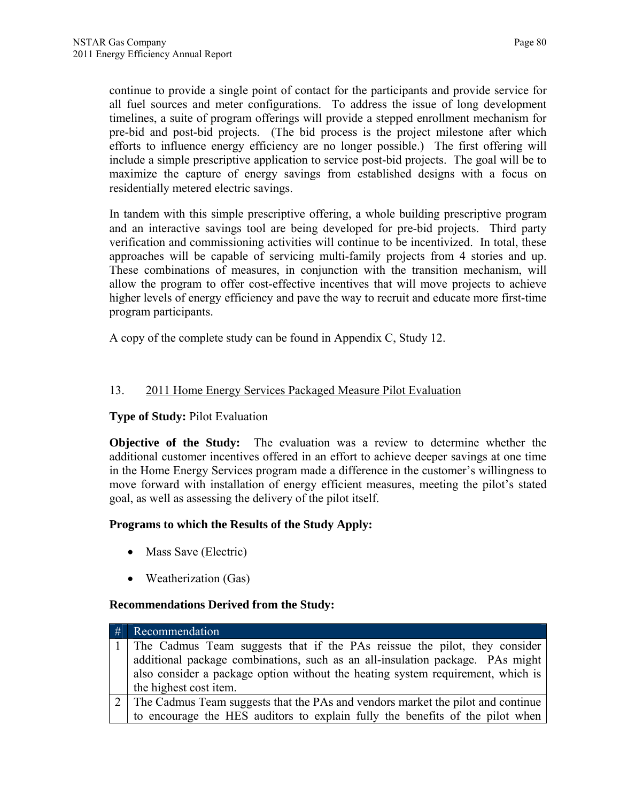continue to provide a single point of contact for the participants and provide service for all fuel sources and meter configurations. To address the issue of long development timelines, a suite of program offerings will provide a stepped enrollment mechanism for pre-bid and post-bid projects. (The bid process is the project milestone after which efforts to influence energy efficiency are no longer possible.) The first offering will include a simple prescriptive application to service post-bid projects. The goal will be to maximize the capture of energy savings from established designs with a focus on residentially metered electric savings.

In tandem with this simple prescriptive offering, a whole building prescriptive program and an interactive savings tool are being developed for pre-bid projects. Third party verification and commissioning activities will continue to be incentivized. In total, these approaches will be capable of servicing multi-family projects from 4 stories and up. These combinations of measures, in conjunction with the transition mechanism, will allow the program to offer cost-effective incentives that will move projects to achieve higher levels of energy efficiency and pave the way to recruit and educate more first-time program participants.

A copy of the complete study can be found in Appendix C, Study 12.

# 13. 2011 Home Energy Services Packaged Measure Pilot Evaluation

## **Type of Study:** Pilot Evaluation

**Objective of the Study:** The evaluation was a review to determine whether the additional customer incentives offered in an effort to achieve deeper savings at one time in the Home Energy Services program made a difference in the customer's willingness to move forward with installation of energy efficient measures, meeting the pilot's stated goal, as well as assessing the delivery of the pilot itself.

## **Programs to which the Results of the Study Apply:**

- Mass Save (Electric)
- Weatherization (Gas)

## **Recommendations Derived from the Study:**

| # | Recommendation                                                                  |
|---|---------------------------------------------------------------------------------|
|   | The Cadmus Team suggests that if the PAs reissue the pilot, they consider       |
|   | additional package combinations, such as an all-insulation package. PAs might   |
|   | also consider a package option without the heating system requirement, which is |
|   | the highest cost item.                                                          |
|   | The Cadmus Team suggests that the PAs and vendors market the pilot and continue |
|   | to encourage the HES auditors to explain fully the benefits of the pilot when   |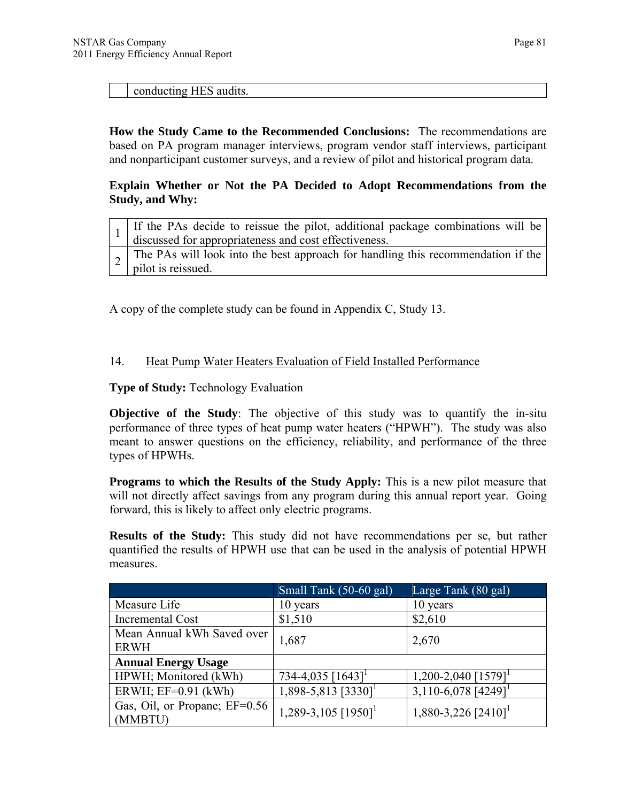conducting HES audits.

**How the Study Came to the Recommended Conclusions:** The recommendations are based on PA program manager interviews, program vendor staff interviews, participant and nonparticipant customer surveys, and a review of pilot and historical program data.

#### **Explain Whether or Not the PA Decided to Adopt Recommendations from the Study, and Why:**

| If the PAs decide to reissue the pilot, additional package combinations will be<br>discussed for appropriateness and cost effectiveness. |
|------------------------------------------------------------------------------------------------------------------------------------------|
| ~ The PAs will look into the best approach for handling this recommendation if the<br>pilot is reissued.                                 |

A copy of the complete study can be found in Appendix C, Study 13.

#### 14. Heat Pump Water Heaters Evaluation of Field Installed Performance

**Type of Study:** Technology Evaluation

**Objective of the Study**: The objective of this study was to quantify the in-situ performance of three types of heat pump water heaters ("HPWH"). The study was also meant to answer questions on the efficiency, reliability, and performance of the three types of HPWHs.

**Programs to which the Results of the Study Apply:** This is a new pilot measure that will not directly affect savings from any program during this annual report year. Going forward, this is likely to affect only electric programs.

**Results of the Study:** This study did not have recommendations per se, but rather quantified the results of HPWH use that can be used in the analysis of potential HPWH measures.

|                                           | Small Tank (50-60 gal)            | Large Tank (80 gal)                 |
|-------------------------------------------|-----------------------------------|-------------------------------------|
| Measure Life                              | 10 years                          | 10 years                            |
| Incremental Cost                          | \$1,510                           | \$2,610                             |
| Mean Annual kWh Saved over<br><b>ERWH</b> | 1,687                             | 2,670                               |
| <b>Annual Energy Usage</b>                |                                   |                                     |
| HPWH; Monitored (kWh)                     | 734-4,035 $[1643]$ <sup>1</sup>   | $1,200 - 2,040$ [1579] <sup>1</sup> |
| ERWH; $EF=0.91$ (kWh)                     | $1,898-5,813$ [3330] <sup>1</sup> | 3,110-6,078 [4249] <sup>1</sup>     |
| Gas, Oil, or Propane; EF=0.56<br>(MMBTU)  | 1,289-3,105 $[1950]$ <sup>1</sup> | 1,880-3,226 $[2410]$ <sup>1</sup>   |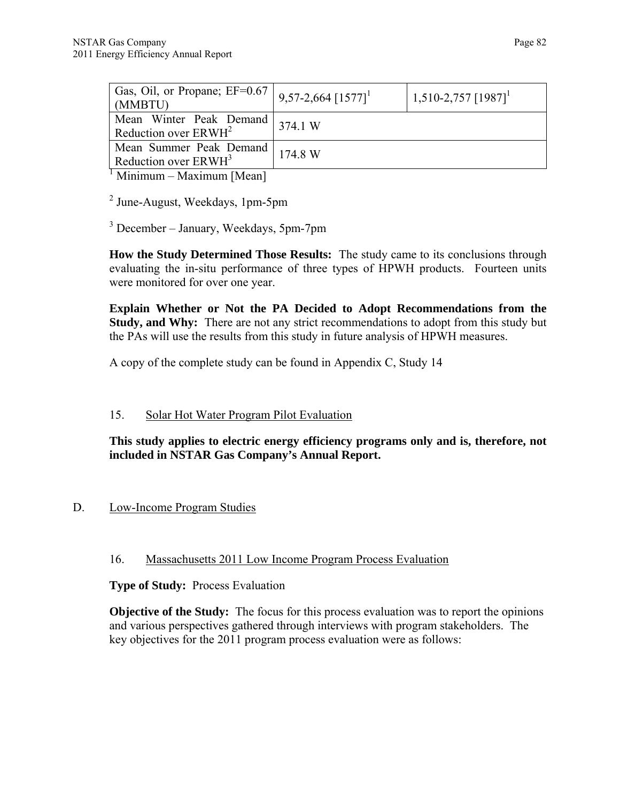| Gas, Oil, or Propane; $EF=0.67$<br>(MMBTU)                  | $9,57-2,664$ $[1577]$ <sup>1</sup> | $1,510-2,757$ $[1987]$ <sup>1</sup> |
|-------------------------------------------------------------|------------------------------------|-------------------------------------|
| Mean Winter Peak Demand<br>Reduction over $ERWH^2$          | 374.1 W                            |                                     |
| Mean Summer Peak Demand<br>Reduction over ERWH <sup>3</sup> | 174.8 W                            |                                     |
| $\frac{1}{2}$ Minimum Movimum Moon                          |                                    |                                     |

Minimum – Maximum [Mean]

<sup>2</sup> June-August, Weekdays, 1pm-5pm

3 December – January, Weekdays, 5pm-7pm

**How the Study Determined Those Results:** The study came to its conclusions through evaluating the in-situ performance of three types of HPWH products. Fourteen units were monitored for over one year.

**Explain Whether or Not the PA Decided to Adopt Recommendations from the Study, and Why:** There are not any strict recommendations to adopt from this study but the PAs will use the results from this study in future analysis of HPWH measures.

A copy of the complete study can be found in Appendix C, Study 14

# 15. Solar Hot Water Program Pilot Evaluation

**This study applies to electric energy efficiency programs only and is, therefore, not included in NSTAR Gas Company's Annual Report.** 

# D. Low-Income Program Studies

## 16. Massachusetts 2011 Low Income Program Process Evaluation

**Type of Study:** Process Evaluation

**Objective of the Study:** The focus for this process evaluation was to report the opinions and various perspectives gathered through interviews with program stakeholders. The key objectives for the 2011 program process evaluation were as follows: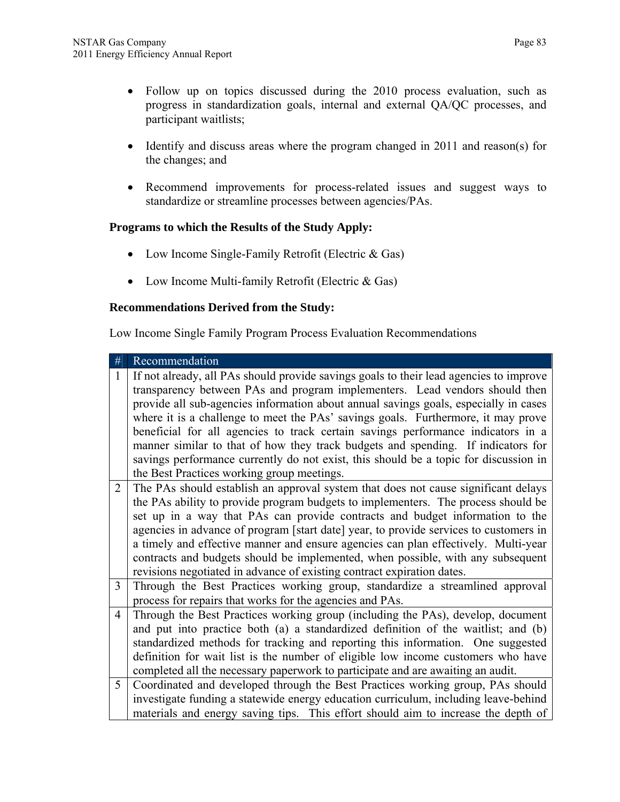- Follow up on topics discussed during the 2010 process evaluation, such as progress in standardization goals, internal and external QA/QC processes, and participant waitlists;
- Identify and discuss areas where the program changed in 2011 and reason(s) for the changes; and
- Recommend improvements for process-related issues and suggest ways to standardize or streamline processes between agencies/PAs.

#### **Programs to which the Results of the Study Apply:**

- Low Income Single-Family Retrofit (Electric & Gas)
- Low Income Multi-family Retrofit (Electric & Gas)

#### **Recommendations Derived from the Study:**

Low Income Single Family Program Process Evaluation Recommendations

| #              | Recommendation                                                                         |
|----------------|----------------------------------------------------------------------------------------|
| 1              | If not already, all PAs should provide savings goals to their lead agencies to improve |
|                | transparency between PAs and program implementers. Lead vendors should then            |
|                | provide all sub-agencies information about annual savings goals, especially in cases   |
|                | where it is a challenge to meet the PAs' savings goals. Furthermore, it may prove      |
|                | beneficial for all agencies to track certain savings performance indicators in a       |
|                | manner similar to that of how they track budgets and spending. If indicators for       |
|                | savings performance currently do not exist, this should be a topic for discussion in   |
|                | the Best Practices working group meetings.                                             |
| $\overline{2}$ | The PAs should establish an approval system that does not cause significant delays     |
|                | the PAs ability to provide program budgets to implementers. The process should be      |
|                | set up in a way that PAs can provide contracts and budget information to the           |
|                | agencies in advance of program [start date] year, to provide services to customers in  |
|                | a timely and effective manner and ensure agencies can plan effectively. Multi-year     |
|                | contracts and budgets should be implemented, when possible, with any subsequent        |
|                | revisions negotiated in advance of existing contract expiration dates.                 |
| 3              | Through the Best Practices working group, standardize a streamlined approval           |
|                | process for repairs that works for the agencies and PAs.                               |
| 4              | Through the Best Practices working group (including the PAs), develop, document        |
|                | and put into practice both (a) a standardized definition of the waitlist; and (b)      |
|                | standardized methods for tracking and reporting this information. One suggested        |
|                | definition for wait list is the number of eligible low income customers who have       |
|                | completed all the necessary paperwork to participate and are awaiting an audit.        |
| 5              | Coordinated and developed through the Best Practices working group, PAs should         |
|                | investigate funding a statewide energy education curriculum, including leave-behind    |
|                | materials and energy saving tips. This effort should aim to increase the depth of      |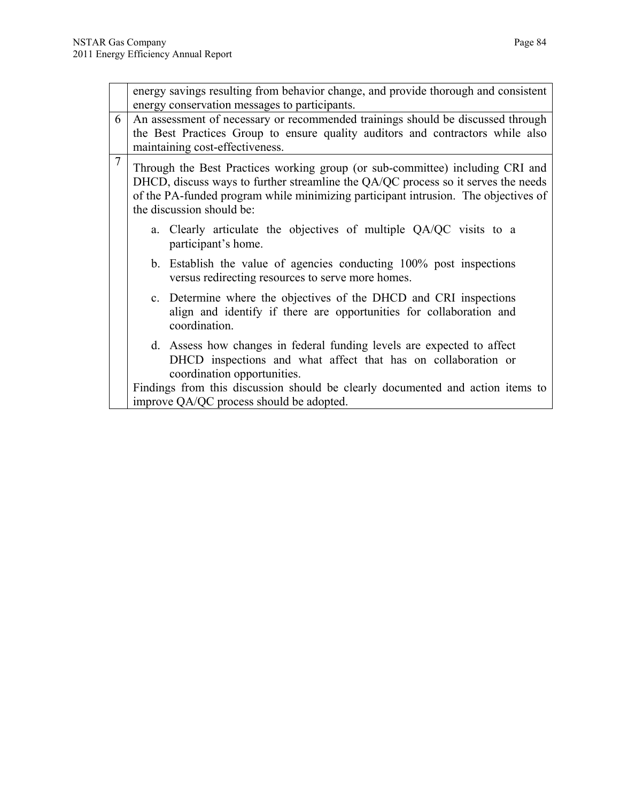|                | energy savings resulting from behavior change, and provide thorough and consistent<br>energy conservation messages to participants.                                                                                                                                                   |                                                                                                                                                                        |  |  |  |  |
|----------------|---------------------------------------------------------------------------------------------------------------------------------------------------------------------------------------------------------------------------------------------------------------------------------------|------------------------------------------------------------------------------------------------------------------------------------------------------------------------|--|--|--|--|
| 6              | An assessment of necessary or recommended trainings should be discussed through<br>the Best Practices Group to ensure quality auditors and contractors while also<br>maintaining cost-effectiveness.                                                                                  |                                                                                                                                                                        |  |  |  |  |
| $\overline{7}$ | Through the Best Practices working group (or sub-committee) including CRI and<br>DHCD, discuss ways to further streamline the QA/QC process so it serves the needs<br>of the PA-funded program while minimizing participant intrusion. The objectives of<br>the discussion should be: |                                                                                                                                                                        |  |  |  |  |
|                |                                                                                                                                                                                                                                                                                       | a. Clearly articulate the objectives of multiple QA/QC visits to a<br>participant's home.                                                                              |  |  |  |  |
|                |                                                                                                                                                                                                                                                                                       | b. Establish the value of agencies conducting 100% post inspections<br>versus redirecting resources to serve more homes.                                               |  |  |  |  |
|                |                                                                                                                                                                                                                                                                                       | c. Determine where the objectives of the DHCD and CRI inspections<br>align and identify if there are opportunities for collaboration and<br>coordination.              |  |  |  |  |
|                |                                                                                                                                                                                                                                                                                       | d. Assess how changes in federal funding levels are expected to affect<br>DHCD inspections and what affect that has on collaboration or<br>coordination opportunities. |  |  |  |  |
|                |                                                                                                                                                                                                                                                                                       | Findings from this discussion should be clearly documented and action items to<br>improve QA/QC process should be adopted.                                             |  |  |  |  |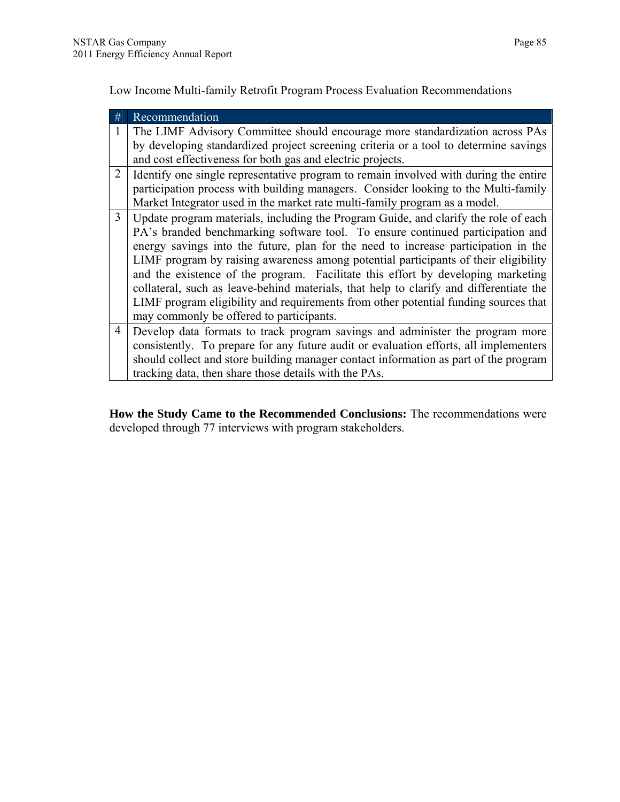Low Income Multi-family Retrofit Program Process Evaluation Recommendations

| # | Recommendation                                                                                                                                                                                                                                                                                                                                                                                                                                                                                                                                                                                                                                                      |
|---|---------------------------------------------------------------------------------------------------------------------------------------------------------------------------------------------------------------------------------------------------------------------------------------------------------------------------------------------------------------------------------------------------------------------------------------------------------------------------------------------------------------------------------------------------------------------------------------------------------------------------------------------------------------------|
|   | The LIMF Advisory Committee should encourage more standardization across PAs<br>by developing standardized project screening criteria or a tool to determine savings                                                                                                                                                                                                                                                                                                                                                                                                                                                                                                |
|   | and cost effectiveness for both gas and electric projects.                                                                                                                                                                                                                                                                                                                                                                                                                                                                                                                                                                                                          |
| 2 | Identify one single representative program to remain involved with during the entire<br>participation process with building managers. Consider looking to the Multi-family<br>Market Integrator used in the market rate multi-family program as a model.                                                                                                                                                                                                                                                                                                                                                                                                            |
| 3 | Update program materials, including the Program Guide, and clarify the role of each<br>PA's branded benchmarking software tool. To ensure continued participation and<br>energy savings into the future, plan for the need to increase participation in the<br>LIMF program by raising awareness among potential participants of their eligibility<br>and the existence of the program. Facilitate this effort by developing marketing<br>collateral, such as leave-behind materials, that help to clarify and differentiate the<br>LIMF program eligibility and requirements from other potential funding sources that<br>may commonly be offered to participants. |
| 4 | Develop data formats to track program savings and administer the program more<br>consistently. To prepare for any future audit or evaluation efforts, all implementers<br>should collect and store building manager contact information as part of the program<br>tracking data, then share those details with the PAs.                                                                                                                                                                                                                                                                                                                                             |

**How the Study Came to the Recommended Conclusions:** The recommendations were developed through 77 interviews with program stakeholders.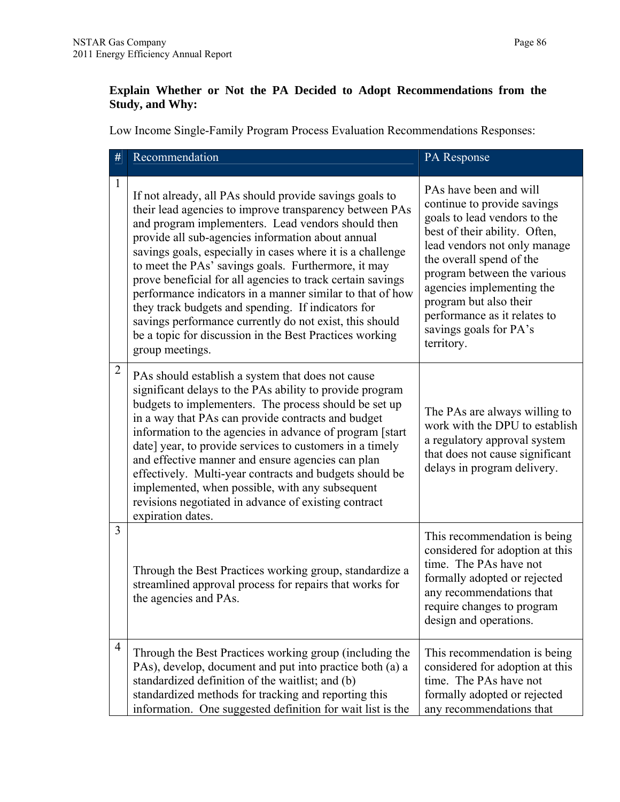## **Explain Whether or Not the PA Decided to Adopt Recommendations from the Study, and Why:**

Low Income Single-Family Program Process Evaluation Recommendations Responses:

| #              | Recommendation                                                                                                                                                                                                                                                                                                                                                                                                                                                                                                                                                                                                                                                               | PA Response                                                                                                                                                                                                                                                                                                                                      |
|----------------|------------------------------------------------------------------------------------------------------------------------------------------------------------------------------------------------------------------------------------------------------------------------------------------------------------------------------------------------------------------------------------------------------------------------------------------------------------------------------------------------------------------------------------------------------------------------------------------------------------------------------------------------------------------------------|--------------------------------------------------------------------------------------------------------------------------------------------------------------------------------------------------------------------------------------------------------------------------------------------------------------------------------------------------|
| 1              | If not already, all PAs should provide savings goals to<br>their lead agencies to improve transparency between PAs<br>and program implementers. Lead vendors should then<br>provide all sub-agencies information about annual<br>savings goals, especially in cases where it is a challenge<br>to meet the PAs' savings goals. Furthermore, it may<br>prove beneficial for all agencies to track certain savings<br>performance indicators in a manner similar to that of how<br>they track budgets and spending. If indicators for<br>savings performance currently do not exist, this should<br>be a topic for discussion in the Best Practices working<br>group meetings. | PAs have been and will<br>continue to provide savings<br>goals to lead vendors to the<br>best of their ability. Often,<br>lead vendors not only manage<br>the overall spend of the<br>program between the various<br>agencies implementing the<br>program but also their<br>performance as it relates to<br>savings goals for PA's<br>territory. |
| 2              | PAs should establish a system that does not cause<br>significant delays to the PAs ability to provide program<br>budgets to implementers. The process should be set up<br>in a way that PAs can provide contracts and budget<br>information to the agencies in advance of program [start<br>date] year, to provide services to customers in a timely<br>and effective manner and ensure agencies can plan<br>effectively. Multi-year contracts and budgets should be<br>implemented, when possible, with any subsequent<br>revisions negotiated in advance of existing contract<br>expiration dates.                                                                         | The PAs are always willing to<br>work with the DPU to establish<br>a regulatory approval system<br>that does not cause significant<br>delays in program delivery.                                                                                                                                                                                |
| 3              | Through the Best Practices working group, standardize a<br>streamlined approval process for repairs that works for<br>the agencies and PAs.                                                                                                                                                                                                                                                                                                                                                                                                                                                                                                                                  | This recommendation is being<br>considered for adoption at this<br>time. The PAs have not<br>formally adopted or rejected<br>any recommendations that<br>require changes to program<br>design and operations.                                                                                                                                    |
| $\overline{4}$ | Through the Best Practices working group (including the<br>PAs), develop, document and put into practice both (a) a<br>standardized definition of the waitlist; and (b)<br>standardized methods for tracking and reporting this<br>information. One suggested definition for wait list is the                                                                                                                                                                                                                                                                                                                                                                                | This recommendation is being<br>considered for adoption at this<br>time. The PAs have not<br>formally adopted or rejected<br>any recommendations that                                                                                                                                                                                            |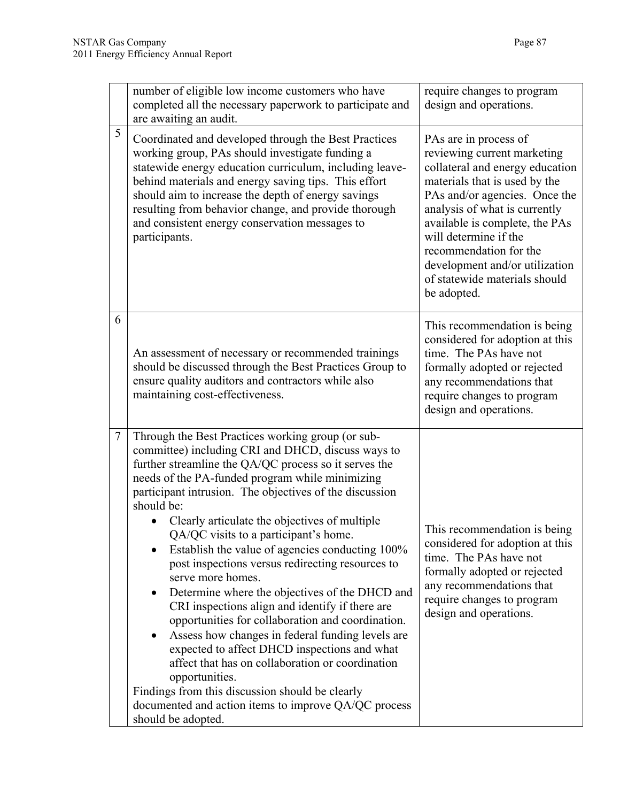|        | number of eligible low income customers who have<br>completed all the necessary paperwork to participate and<br>are awaiting an audit.                                                                                                                                                                                                                                                                                                                                                                                                                                                                                                                                                                                                                                                                                                                                                                                                                                                                   | require changes to program<br>design and operations.                                                                                                                                                                                                                                                                                                              |  |
|--------|----------------------------------------------------------------------------------------------------------------------------------------------------------------------------------------------------------------------------------------------------------------------------------------------------------------------------------------------------------------------------------------------------------------------------------------------------------------------------------------------------------------------------------------------------------------------------------------------------------------------------------------------------------------------------------------------------------------------------------------------------------------------------------------------------------------------------------------------------------------------------------------------------------------------------------------------------------------------------------------------------------|-------------------------------------------------------------------------------------------------------------------------------------------------------------------------------------------------------------------------------------------------------------------------------------------------------------------------------------------------------------------|--|
| 5      | Coordinated and developed through the Best Practices<br>working group, PAs should investigate funding a<br>statewide energy education curriculum, including leave-<br>behind materials and energy saving tips. This effort<br>should aim to increase the depth of energy savings<br>resulting from behavior change, and provide thorough<br>and consistent energy conservation messages to<br>participants.                                                                                                                                                                                                                                                                                                                                                                                                                                                                                                                                                                                              | PAs are in process of<br>reviewing current marketing<br>collateral and energy education<br>materials that is used by the<br>PAs and/or agencies. Once the<br>analysis of what is currently<br>available is complete, the PAs<br>will determine if the<br>recommendation for the<br>development and/or utilization<br>of statewide materials should<br>be adopted. |  |
| 6      | An assessment of necessary or recommended trainings<br>should be discussed through the Best Practices Group to<br>ensure quality auditors and contractors while also<br>maintaining cost-effectiveness.                                                                                                                                                                                                                                                                                                                                                                                                                                                                                                                                                                                                                                                                                                                                                                                                  | This recommendation is being<br>considered for adoption at this<br>time. The PAs have not<br>formally adopted or rejected<br>any recommendations that<br>require changes to program<br>design and operations.                                                                                                                                                     |  |
| $\tau$ | Through the Best Practices working group (or sub-<br>committee) including CRI and DHCD, discuss ways to<br>further streamline the QA/QC process so it serves the<br>needs of the PA-funded program while minimizing<br>participant intrusion. The objectives of the discussion<br>should be:<br>Clearly articulate the objectives of multiple<br>QA/QC visits to a participant's home<br>Establish the value of agencies conducting 100%<br>post inspections versus redirecting resources to<br>serve more homes.<br>Determine where the objectives of the DHCD and<br>$\bullet$<br>CRI inspections align and identify if there are<br>opportunities for collaboration and coordination.<br>Assess how changes in federal funding levels are<br>٠<br>expected to affect DHCD inspections and what<br>affect that has on collaboration or coordination<br>opportunities.<br>Findings from this discussion should be clearly<br>documented and action items to improve QA/QC process<br>should be adopted. | This recommendation is being<br>considered for adoption at this<br>time. The PAs have not<br>formally adopted or rejected<br>any recommendations that<br>require changes to program<br>design and operations.                                                                                                                                                     |  |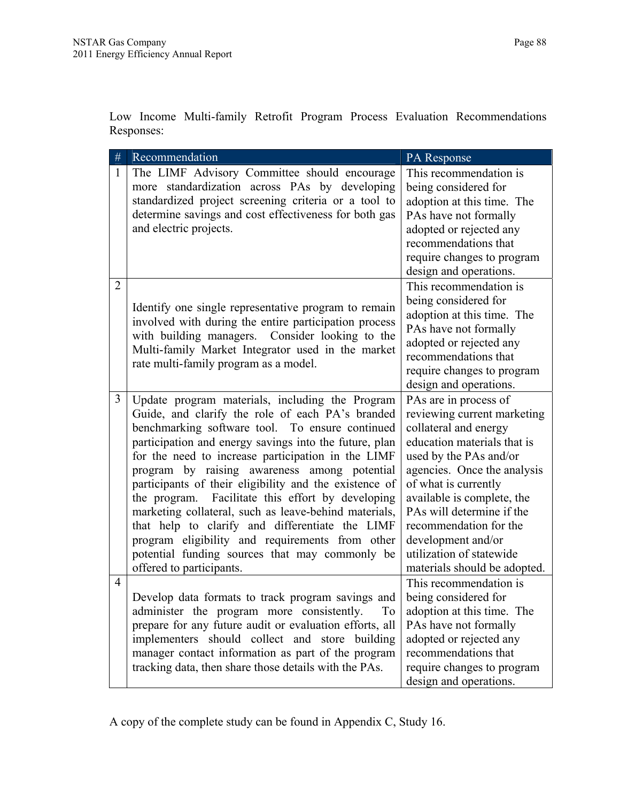Low Income Multi-family Retrofit Program Process Evaluation Recommendations Responses:

| #              | Recommendation                                          | PA Response                  |
|----------------|---------------------------------------------------------|------------------------------|
| 1              | The LIMF Advisory Committee should encourage            | This recommendation is       |
|                | more standardization across PAs by developing           | being considered for         |
|                | standardized project screening criteria or a tool to    | adoption at this time. The   |
|                | determine savings and cost effectiveness for both gas   | PAs have not formally        |
|                | and electric projects.                                  | adopted or rejected any      |
|                |                                                         | recommendations that         |
|                |                                                         | require changes to program   |
|                |                                                         | design and operations.       |
| $\overline{2}$ |                                                         | This recommendation is       |
|                | Identify one single representative program to remain    | being considered for         |
|                | involved with during the entire participation process   | adoption at this time. The   |
|                | with building managers. Consider looking to the         | PAs have not formally        |
|                | Multi-family Market Integrator used in the market       | adopted or rejected any      |
|                | rate multi-family program as a model.                   | recommendations that         |
|                |                                                         | require changes to program   |
|                |                                                         | design and operations.       |
| 3              | Update program materials, including the Program         | PAs are in process of        |
|                | Guide, and clarify the role of each PA's branded        | reviewing current marketing  |
|                | benchmarking software tool. To ensure continued         | collateral and energy        |
|                | participation and energy savings into the future, plan  | education materials that is  |
|                | for the need to increase participation in the LIMF      | used by the PAs and/or       |
|                | program by raising awareness among potential            | agencies. Once the analysis  |
|                | participants of their eligibility and the existence of  | of what is currently         |
|                | the program. Facilitate this effort by developing       | available is complete, the   |
|                | marketing collateral, such as leave-behind materials,   | PAs will determine if the    |
|                | that help to clarify and differentiate the LIMF         | recommendation for the       |
|                | program eligibility and requirements from other         | development and/or           |
|                | potential funding sources that may commonly be          | utilization of statewide     |
|                | offered to participants.                                | materials should be adopted. |
| $\overline{4}$ |                                                         | This recommendation is       |
|                | Develop data formats to track program savings and       | being considered for         |
|                | administer the program more consistently.<br>To         | adoption at this time. The   |
|                | prepare for any future audit or evaluation efforts, all | PAs have not formally        |
|                | implementers should collect and store building          | adopted or rejected any      |
|                | manager contact information as part of the program      | recommendations that         |
|                | tracking data, then share those details with the PAs.   | require changes to program   |
|                |                                                         | design and operations.       |

A copy of the complete study can be found in Appendix C, Study 16.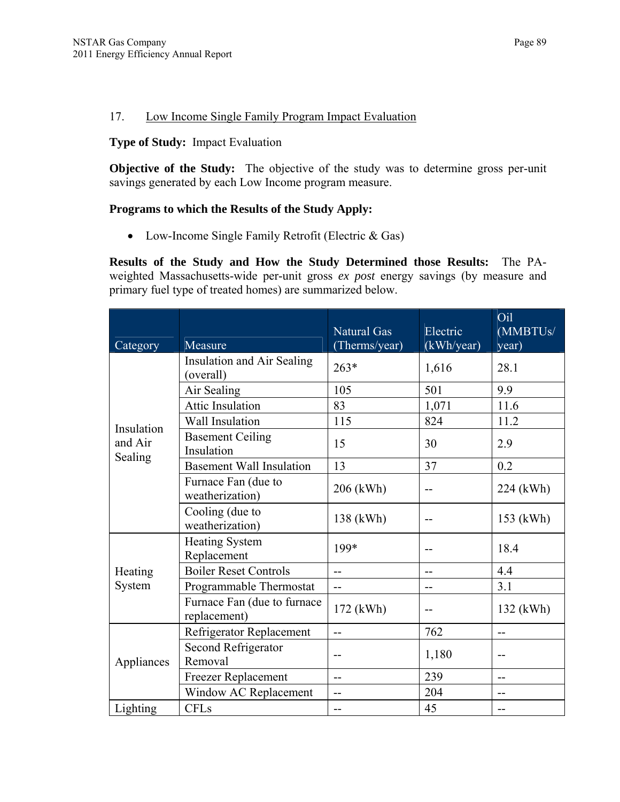#### 17. Low Income Single Family Program Impact Evaluation

#### **Type of Study:** Impact Evaluation

**Objective of the Study:** The objective of the study was to determine gross per-unit savings generated by each Low Income program measure.

#### **Programs to which the Results of the Study Apply:**

• Low-Income Single Family Retrofit (Electric & Gas)

**Results of the Study and How the Study Determined those Results:** The PAweighted Massachusetts-wide per-unit gross *ex post* energy savings (by measure and primary fuel type of treated homes) are summarized below.

| Category           | Measure                                        | <b>Natural Gas</b><br>(Therms/year) | Electric<br>(kWh/year) | Oil<br>(MMBTUs/<br>year) |
|--------------------|------------------------------------------------|-------------------------------------|------------------------|--------------------------|
|                    | <b>Insulation and Air Sealing</b><br>(overall) | $263*$                              | 1,616                  | 28.1                     |
|                    | Air Sealing                                    | 105                                 | 501                    | 9.9                      |
|                    | <b>Attic Insulation</b>                        | 83                                  | 1,071                  | 11.6                     |
| Insulation         | Wall Insulation                                | 115                                 | 824                    | 11.2                     |
| and Air<br>Sealing | <b>Basement Ceiling</b><br>Insulation          | 15                                  | 30                     | 2.9                      |
|                    | <b>Basement Wall Insulation</b>                | 13                                  | 37                     | 0.2                      |
|                    | Furnace Fan (due to<br>weatherization)         | 206 (kWh)                           | --                     | 224 (kWh)                |
|                    | Cooling (due to<br>weatherization)             | 138 (kWh)                           | --                     | 153 (kWh)                |
|                    | <b>Heating System</b><br>Replacement           | 199*                                | --                     | 18.4                     |
| Heating            | <b>Boiler Reset Controls</b>                   | $\overline{a}$                      | $-$                    | 4.4                      |
| System             | Programmable Thermostat                        | $-$                                 | --                     | 3.1                      |
|                    | Furnace Fan (due to furnace<br>replacement)    | 172 (kWh)                           | --                     | 132 (kWh)                |
|                    | Refrigerator Replacement                       | $\overline{a}$                      | 762                    | --                       |
| Appliances         | <b>Second Refrigerator</b><br>Removal          | $-$                                 | 1,180                  | --                       |
|                    | <b>Freezer Replacement</b>                     | $-$                                 | 239                    | $-$                      |
|                    | Window AC Replacement                          | $-$                                 | 204                    | --                       |
| Lighting           | <b>CFLs</b>                                    | --                                  | 45                     | --                       |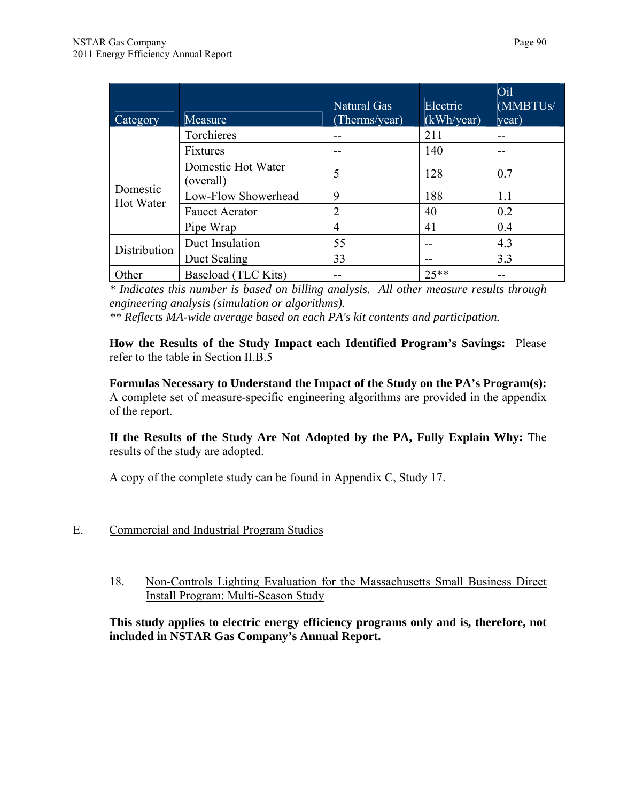| Category                     | Measure                         | Natural Gas<br>(Therms/year) | Electric<br>(kWh/year) | Oil<br>(MMBTUs/<br>year) |
|------------------------------|---------------------------------|------------------------------|------------------------|--------------------------|
|                              | Torchieres                      |                              | 211                    | --                       |
|                              | Fixtures                        |                              | 140                    | --                       |
|                              | Domestic Hot Water<br>(overall) | 5                            | 128                    | 0.7                      |
| Domestic<br><b>Hot Water</b> | Low-Flow Showerhead             | 9                            | 188                    | 1.1                      |
|                              | <b>Faucet Aerator</b>           | 2                            | 40                     | 0.2                      |
|                              | Pipe Wrap                       | 4                            | 41                     | 0.4                      |
| Distribution                 | Duct Insulation                 | 55                           | --                     | 4.3                      |
|                              | Duct Sealing                    | 33                           | --                     | 3.3                      |
| Other                        | Baseload (TLC Kits)             |                              | $25**$                 | --                       |

*\* Indicates this number is based on billing analysis. All other measure results through engineering analysis (simulation or algorithms).* 

*\*\* Reflects MA-wide average based on each PA's kit contents and participation.* 

**How the Results of the Study Impact each Identified Program's Savings:** Please refer to the table in Section II.B.5

**Formulas Necessary to Understand the Impact of the Study on the PA's Program(s):**  A complete set of measure-specific engineering algorithms are provided in the appendix of the report.

**If the Results of the Study Are Not Adopted by the PA, Fully Explain Why:** The results of the study are adopted.

A copy of the complete study can be found in Appendix C, Study 17.

- E. Commercial and Industrial Program Studies
	- 18. Non-Controls Lighting Evaluation for the Massachusetts Small Business Direct Install Program: Multi-Season Study

**This study applies to electric energy efficiency programs only and is, therefore, not included in NSTAR Gas Company's Annual Report.**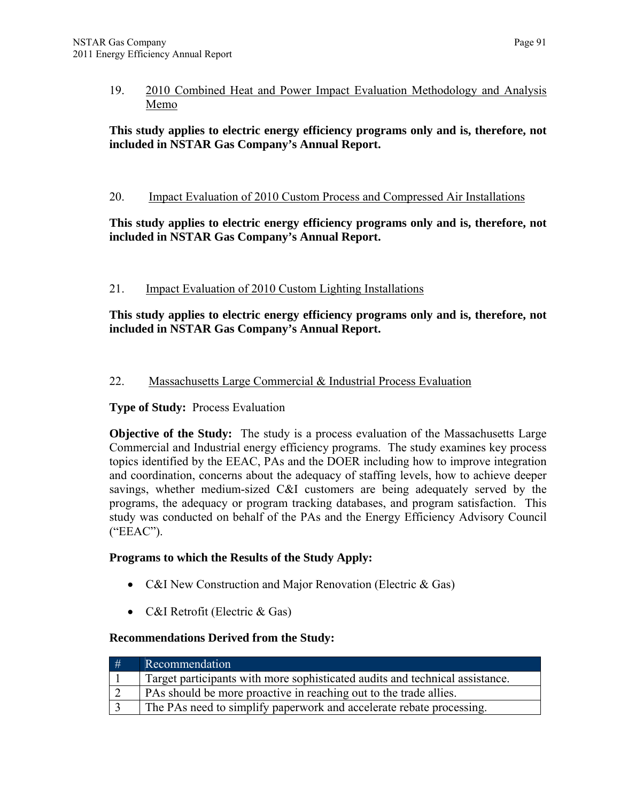## **This study applies to electric energy efficiency programs only and is, therefore, not included in NSTAR Gas Company's Annual Report.**

### 20. Impact Evaluation of 2010 Custom Process and Compressed Air Installations

#### **This study applies to electric energy efficiency programs only and is, therefore, not included in NSTAR Gas Company's Annual Report.**

#### 21. Impact Evaluation of 2010 Custom Lighting Installations

#### **This study applies to electric energy efficiency programs only and is, therefore, not included in NSTAR Gas Company's Annual Report.**

## 22. Massachusetts Large Commercial & Industrial Process Evaluation

#### **Type of Study:** Process Evaluation

**Objective of the Study:** The study is a process evaluation of the Massachusetts Large Commercial and Industrial energy efficiency programs. The study examines key process topics identified by the EEAC, PAs and the DOER including how to improve integration and coordination, concerns about the adequacy of staffing levels, how to achieve deeper savings, whether medium-sized C&I customers are being adequately served by the programs, the adequacy or program tracking databases, and program satisfaction. This study was conducted on behalf of the PAs and the Energy Efficiency Advisory Council ("EEAC").

#### **Programs to which the Results of the Study Apply:**

- C&I New Construction and Major Renovation (Electric & Gas)
- C&I Retrofit (Electric & Gas)

## **Recommendations Derived from the Study:**

| # | Recommendation                                                               |
|---|------------------------------------------------------------------------------|
|   | Target participants with more sophisticated audits and technical assistance. |
|   | PAs should be more proactive in reaching out to the trade allies.            |
|   | The PAs need to simplify paperwork and accelerate rebate processing.         |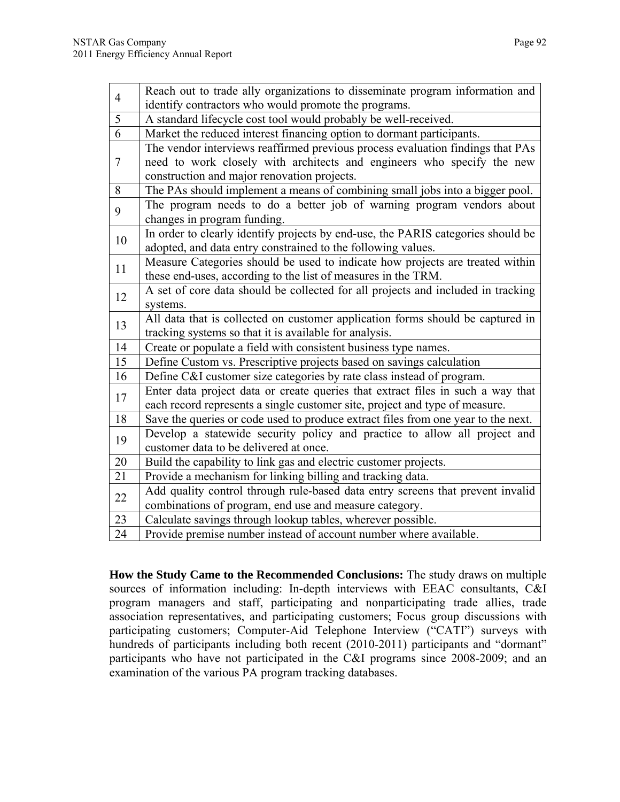| $\overline{4}$ | Reach out to trade ally organizations to disseminate program information and                                                     |
|----------------|----------------------------------------------------------------------------------------------------------------------------------|
|                | identify contractors who would promote the programs.                                                                             |
| 5              | A standard lifecycle cost tool would probably be well-received.                                                                  |
| $\overline{6}$ | Market the reduced interest financing option to dormant participants.                                                            |
|                | The vendor interviews reaffirmed previous process evaluation findings that PAs                                                   |
| $\tau$         | need to work closely with architects and engineers who specify the new                                                           |
|                | construction and major renovation projects.                                                                                      |
| 8              | The PAs should implement a means of combining small jobs into a bigger pool.                                                     |
| 9              | The program needs to do a better job of warning program vendors about                                                            |
|                | changes in program funding.                                                                                                      |
| 10             | In order to clearly identify projects by end-use, the PARIS categories should be                                                 |
|                | adopted, and data entry constrained to the following values.                                                                     |
| 11             | Measure Categories should be used to indicate how projects are treated within                                                    |
|                | these end-uses, according to the list of measures in the TRM.                                                                    |
| 12             | A set of core data should be collected for all projects and included in tracking                                                 |
|                | systems.                                                                                                                         |
|                |                                                                                                                                  |
|                | All data that is collected on customer application forms should be captured in                                                   |
| 13             | tracking systems so that it is available for analysis.                                                                           |
| 14             | Create or populate a field with consistent business type names.                                                                  |
| 15             | Define Custom vs. Prescriptive projects based on savings calculation                                                             |
| 16             | Define C&I customer size categories by rate class instead of program.                                                            |
|                | Enter data project data or create queries that extract files in such a way that                                                  |
| 17             | each record represents a single customer site, project and type of measure.                                                      |
| 18             | Save the queries or code used to produce extract files from one year to the next.                                                |
|                | Develop a statewide security policy and practice to allow all project and                                                        |
| 19             | customer data to be delivered at once.                                                                                           |
| 20             | Build the capability to link gas and electric customer projects.                                                                 |
| 21             | Provide a mechanism for linking billing and tracking data.                                                                       |
|                | Add quality control through rule-based data entry screens that prevent invalid                                                   |
| 22             | combinations of program, end use and measure category.                                                                           |
| 23<br>24       | Calculate savings through lookup tables, wherever possible.<br>Provide premise number instead of account number where available. |

**How the Study Came to the Recommended Conclusions:** The study draws on multiple sources of information including: In-depth interviews with EEAC consultants, C&I program managers and staff, participating and nonparticipating trade allies, trade association representatives, and participating customers; Focus group discussions with participating customers; Computer-Aid Telephone Interview ("CATI") surveys with hundreds of participants including both recent (2010-2011) participants and "dormant" participants who have not participated in the C&I programs since 2008-2009; and an examination of the various PA program tracking databases.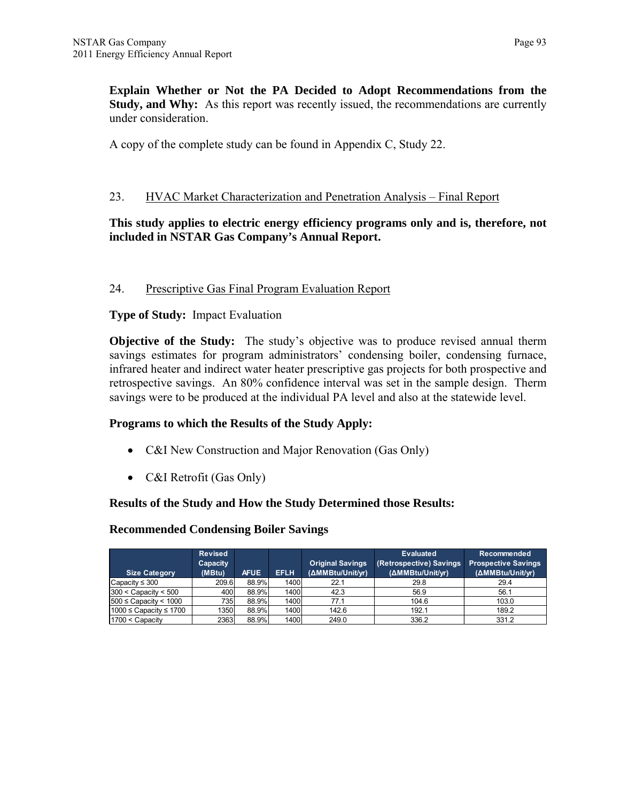**Explain Whether or Not the PA Decided to Adopt Recommendations from the Study, and Why:** As this report was recently issued, the recommendations are currently under consideration.

A copy of the complete study can be found in Appendix C, Study 22.

#### 23. HVAC Market Characterization and Penetration Analysis – Final Report

#### **This study applies to electric energy efficiency programs only and is, therefore, not included in NSTAR Gas Company's Annual Report.**

#### 24. Prescriptive Gas Final Program Evaluation Report

#### **Type of Study:** Impact Evaluation

**Objective of the Study:** The study's objective was to produce revised annual therm savings estimates for program administrators' condensing boiler, condensing furnace, infrared heater and indirect water heater prescriptive gas projects for both prospective and retrospective savings. An 80% confidence interval was set in the sample design. Therm savings were to be produced at the individual PA level and also at the statewide level.

#### **Programs to which the Results of the Study Apply:**

- C&I New Construction and Major Renovation (Gas Only)
- C&I Retrofit (Gas Only)

#### **Results of the Study and How the Study Determined those Results:**

#### **Recommended Condensing Boiler Savings**

| <b>Size Category</b>        | <b>Revised</b><br><b>Capacity</b><br>(MBtu) | <b>AFUE</b> | <b>EFLH</b> | <b>Original Savings</b><br>(ΔMMBtu/Unit/yr) | <b>Evaluated</b><br>(Retrospective) Savings<br>(ΔMMBtu/Unit/yr) | Recommended<br><b>Prospective Savings</b><br>(AMMBtu/Unit/yr) |
|-----------------------------|---------------------------------------------|-------------|-------------|---------------------------------------------|-----------------------------------------------------------------|---------------------------------------------------------------|
| Capacity ≤ 300              | 209.6                                       | 88.9%       | 1400        | 22.1                                        | 29.8                                                            | 29.4                                                          |
| $300 <$ Capacity $< 500$    | 400                                         | 88.9%       | 1400        | 42.3                                        | 56.9                                                            | 56.1                                                          |
| $1500 \leq$ Capacity < 1000 | 735                                         | 88.9%       | 1400        | 77.1                                        | 104.6                                                           | 103.0                                                         |
| 1000 ≤ Capacity ≤ 1700      | 1350                                        | 88.9%       | 1400        | 142.6                                       | 192.1                                                           | 189.2                                                         |
| 1700 < Capacity             | 2363                                        | 88.9%       | 1400        | 249.0                                       | 336.2                                                           | 331.2                                                         |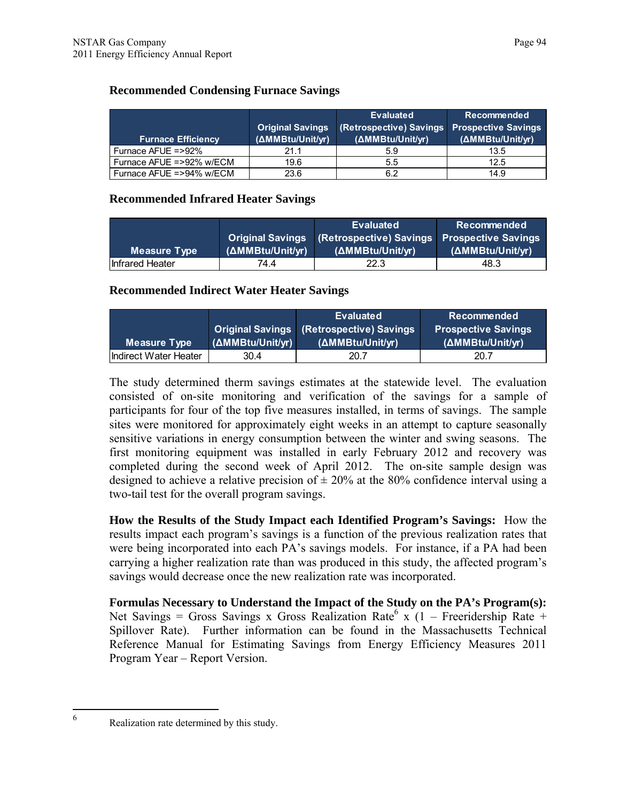#### **Recommended Condensing Furnace Savings**

|                           | <b>Original Savings</b> | <b>Evaluated</b><br>(Retrospective) Savings | <b>Recommended</b><br><b>Prospective Savings</b> |
|---------------------------|-------------------------|---------------------------------------------|--------------------------------------------------|
| <b>Furnace Efficiency</b> | (AMMBtu/Unit/yr)        | (ΔMMBtu/Unit/yr)                            | (ΔMMBtu/Unit/yr)                                 |
| Furnace AFUE =>92%        | 21.1                    | 5.9                                         | 13.5                                             |
| Furnace AFUE =>92% w/ECM  | 19.6                    | 5.5                                         | 12.5                                             |
| Furnace AFUE =>94% w/ECM  | 23.6                    | 6.2                                         | 14.9                                             |

#### **Recommended Infrared Heater Savings**

|                 |                         | <b>Evaluated</b>                                  | Recommended      |
|-----------------|-------------------------|---------------------------------------------------|------------------|
|                 | <b>Original Savings</b> | <b>Retrospective) Savings Prospective Savings</b> |                  |
| Measure Type    | (AMMBtu/Unit/yr)        | (AMMBtu/Unit/yr)                                  | (ΔMMBtu/Unit/yr) |
| Infrared Heater | 74 4                    | 22.3                                              | 48.3             |

#### **Recommended Indirect Water Heater Savings**

|                       |                  | <b>Evaluated</b>                                | <b>Recommended</b>         |  |  |
|-----------------------|------------------|-------------------------------------------------|----------------------------|--|--|
|                       |                  | <b>Original Savings (Retrospective) Savings</b> | <b>Prospective Savings</b> |  |  |
| Measure Type          | (ΔMMBtu/Unit/yr) | (ΔMMBtu/Unit/vr)                                | (ΔMMBtu/Unit/vr)           |  |  |
| Indirect Water Heater | 30.4             | 20.7                                            | 20.7                       |  |  |

The study determined therm savings estimates at the statewide level. The evaluation consisted of on-site monitoring and verification of the savings for a sample of participants for four of the top five measures installed, in terms of savings. The sample sites were monitored for approximately eight weeks in an attempt to capture seasonally sensitive variations in energy consumption between the winter and swing seasons. The first monitoring equipment was installed in early February 2012 and recovery was completed during the second week of April 2012. The on-site sample design was designed to achieve a relative precision of  $\pm$  20% at the 80% confidence interval using a two-tail test for the overall program savings.

**How the Results of the Study Impact each Identified Program's Savings:** How the results impact each program's savings is a function of the previous realization rates that were being incorporated into each PA's savings models. For instance, if a PA had been carrying a higher realization rate than was produced in this study, the affected program's savings would decrease once the new realization rate was incorporated.

**Formulas Necessary to Understand the Impact of the Study on the PA's Program(s):**  Net Savings = Gross Savings x Gross Realization Rate<sup>6</sup> x (1 – Freeridership Rate + Spillover Rate). Further information can be found in the Massachusetts Technical Reference Manual for Estimating Savings from Energy Efficiency Measures 2011 Program Year – Report Version.

 6

Realization rate determined by this study.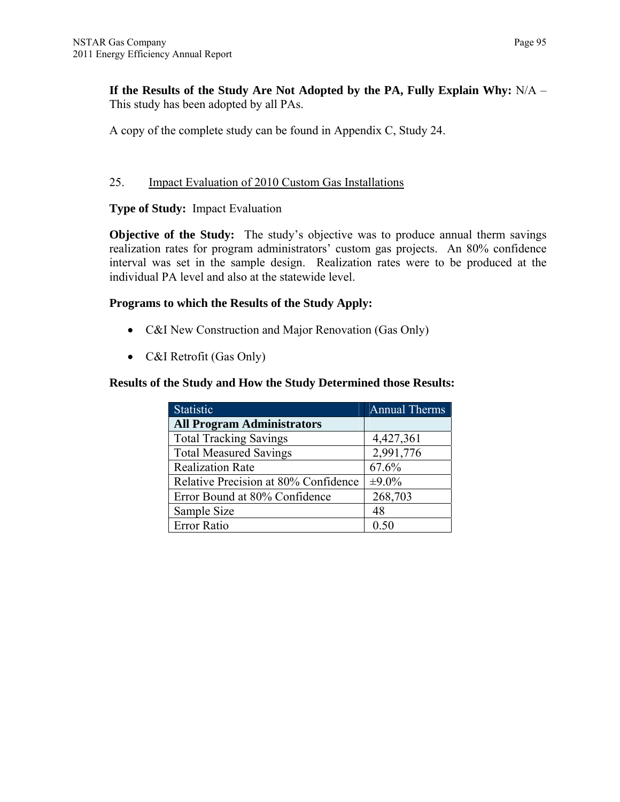**If the Results of the Study Are Not Adopted by the PA, Fully Explain Why:** N/A – This study has been adopted by all PAs.

A copy of the complete study can be found in Appendix C, Study 24.

#### 25. Impact Evaluation of 2010 Custom Gas Installations

#### **Type of Study:** Impact Evaluation

**Objective of the Study:** The study's objective was to produce annual therm savings realization rates for program administrators' custom gas projects. An 80% confidence interval was set in the sample design. Realization rates were to be produced at the individual PA level and also at the statewide level.

#### **Programs to which the Results of the Study Apply:**

- C&I New Construction and Major Renovation (Gas Only)
- C&I Retrofit (Gas Only)

#### **Results of the Study and How the Study Determined those Results:**

| <b>Statistic</b>                     | <b>Annual Therms</b> |
|--------------------------------------|----------------------|
| <b>All Program Administrators</b>    |                      |
| <b>Total Tracking Savings</b>        | 4,427,361            |
| <b>Total Measured Savings</b>        | 2,991,776            |
| <b>Realization Rate</b>              | 67.6%                |
| Relative Precision at 80% Confidence | $\pm 9.0\%$          |
| Error Bound at 80% Confidence        | 268,703              |
| Sample Size                          | 48                   |
| Error Ratio                          | 0.50                 |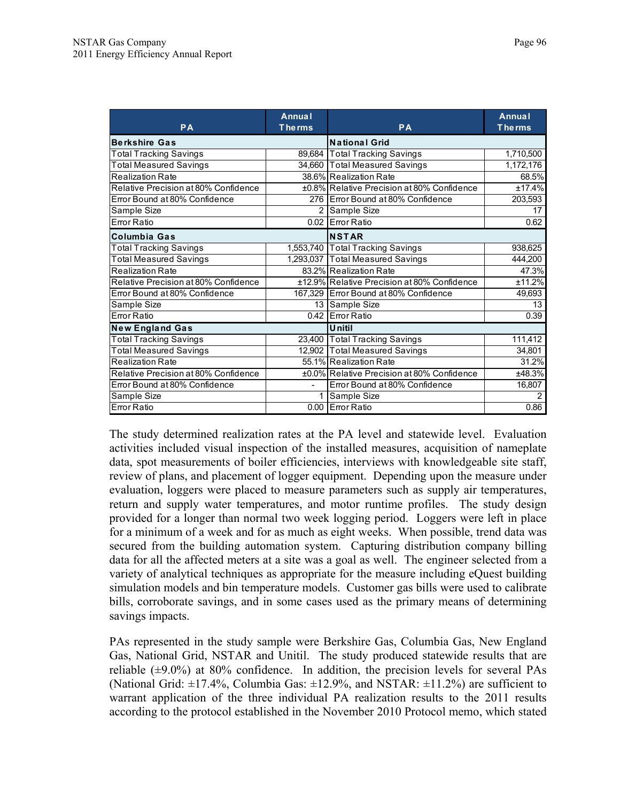| <b>PA</b>                            | <b>Annual</b><br><b>The rms</b> | <b>PA</b>                                   | <b>Annual</b><br><b>The rms</b> |  |  |
|--------------------------------------|---------------------------------|---------------------------------------------|---------------------------------|--|--|
| <b>Berkshire Gas</b>                 |                                 | <b>National Grid</b>                        |                                 |  |  |
| Total Tracking Savings               |                                 | 89,684 Total Tracking Savings               | 1,710,500                       |  |  |
| <b>Total Measured Savings</b>        |                                 | 34,660 Total Measured Savings               | 1,172,176                       |  |  |
| <b>Realization Rate</b>              |                                 | 38.6% Realization Rate                      | 68.5%                           |  |  |
| Relative Precision at 80% Confidence |                                 | ±0.8% Relative Precision at 80% Confidence  | ±17.4%                          |  |  |
| Error Bound at 80% Confidence        |                                 | 276 Error Bound at 80% Confidence           | 203,593                         |  |  |
| Sample Size                          |                                 | 2 Sample Size                               | 17                              |  |  |
| Error Ratio                          |                                 | 0.02 Error Ratio                            | 0.62                            |  |  |
| <b>Columbia Gas</b>                  |                                 | <b>NSTAR</b>                                |                                 |  |  |
| <b>Total Tracking Savings</b>        |                                 | 1,553,740 Total Tracking Savings            | 938,625                         |  |  |
| <b>Total Measured Savings</b>        |                                 | 1,293,037 Total Measured Savings            | 444,200                         |  |  |
| <b>Realization Rate</b>              |                                 | 83.2% Realization Rate                      | 47.3%                           |  |  |
| Relative Precision at 80% Confidence |                                 | ±12.9% Relative Precision at 80% Confidence | ±11.2%                          |  |  |
| Error Bound at 80% Confidence        |                                 | 167,329 Error Bound at 80% Confidence       | 49,693                          |  |  |
| Sample Size                          |                                 | 13 Sample Size                              | 13                              |  |  |
| Error Ratio                          |                                 | 0.42 Error Ratio                            | 0.39                            |  |  |
| <b>New England Gas</b>               |                                 | <b>U</b> nitil                              |                                 |  |  |
| <b>Total Tracking Savings</b>        |                                 | 23,400 Total Tracking Savings               | 111,412                         |  |  |
| <b>Total Measured Savings</b>        |                                 | 12,902 Total Measured Savings               | 34,801                          |  |  |
| <b>Realization Rate</b>              |                                 | 55.1% Realization Rate                      | 31.2%                           |  |  |
| Relative Precision at 80% Confidence |                                 | ±0.0% Relative Precision at 80% Confidence  | ±48.3%                          |  |  |
| Error Bound at 80% Confidence        |                                 | Error Bound at 80% Confidence               | 16,807                          |  |  |
| Sample Size                          | 1                               | Sample Size                                 | $\mathbf{2}$                    |  |  |
| Error Ratio                          |                                 | 0.00 Error Ratio                            | 0.86                            |  |  |

The study determined realization rates at the PA level and statewide level. Evaluation activities included visual inspection of the installed measures, acquisition of nameplate data, spot measurements of boiler efficiencies, interviews with knowledgeable site staff, review of plans, and placement of logger equipment. Depending upon the measure under evaluation, loggers were placed to measure parameters such as supply air temperatures, return and supply water temperatures, and motor runtime profiles. The study design provided for a longer than normal two week logging period. Loggers were left in place for a minimum of a week and for as much as eight weeks. When possible, trend data was secured from the building automation system. Capturing distribution company billing data for all the affected meters at a site was a goal as well. The engineer selected from a variety of analytical techniques as appropriate for the measure including eQuest building simulation models and bin temperature models. Customer gas bills were used to calibrate bills, corroborate savings, and in some cases used as the primary means of determining savings impacts.

PAs represented in the study sample were Berkshire Gas, Columbia Gas, New England Gas, National Grid, NSTAR and Unitil. The study produced statewide results that are reliable  $(\pm 9.0\%)$  at 80% confidence. In addition, the precision levels for several PAs (National Grid:  $\pm$ 17.4%, Columbia Gas:  $\pm$ 12.9%, and NSTAR:  $\pm$ 11.2%) are sufficient to warrant application of the three individual PA realization results to the 2011 results according to the protocol established in the November 2010 Protocol memo, which stated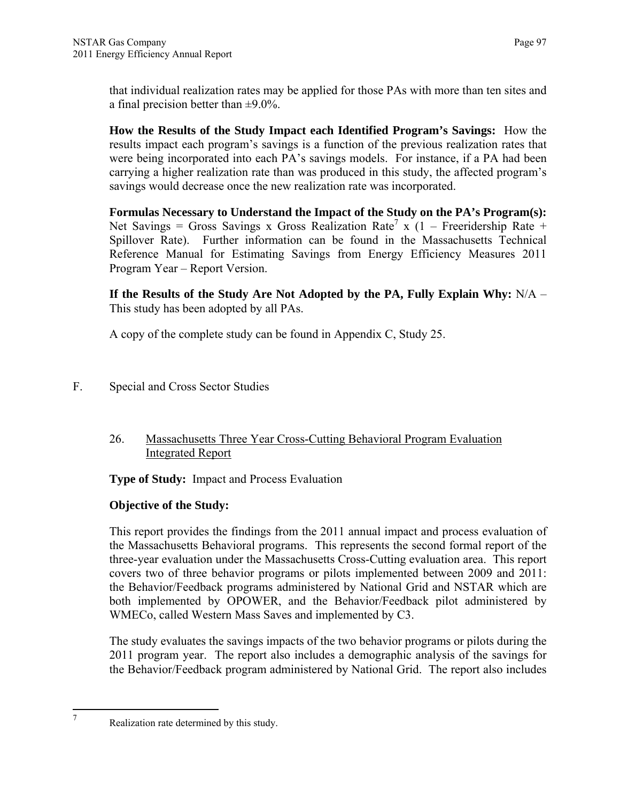that individual realization rates may be applied for those PAs with more than ten sites and a final precision better than  $\pm$ 9.0%.

**How the Results of the Study Impact each Identified Program's Savings:** How the results impact each program's savings is a function of the previous realization rates that were being incorporated into each PA's savings models. For instance, if a PA had been carrying a higher realization rate than was produced in this study, the affected program's savings would decrease once the new realization rate was incorporated.

**Formulas Necessary to Understand the Impact of the Study on the PA's Program(s):**  Net Savings = Gross Savings x Gross Realization Rate<sup>7</sup> x (1 – Freeridership Rate + Spillover Rate). Further information can be found in the Massachusetts Technical Reference Manual for Estimating Savings from Energy Efficiency Measures 2011 Program Year – Report Version.

**If the Results of the Study Are Not Adopted by the PA, Fully Explain Why:** N/A – This study has been adopted by all PAs.

A copy of the complete study can be found in Appendix C, Study 25.

F. Special and Cross Sector Studies

## 26. Massachusetts Three Year Cross-Cutting Behavioral Program Evaluation Integrated Report

**Type of Study:** Impact and Process Evaluation

# **Objective of the Study:**

This report provides the findings from the 2011 annual impact and process evaluation of the Massachusetts Behavioral programs. This represents the second formal report of the three-year evaluation under the Massachusetts Cross-Cutting evaluation area. This report covers two of three behavior programs or pilots implemented between 2009 and 2011: the Behavior/Feedback programs administered by National Grid and NSTAR which are both implemented by OPOWER, and the Behavior/Feedback pilot administered by WMECo, called Western Mass Saves and implemented by C3.

The study evaluates the savings impacts of the two behavior programs or pilots during the 2011 program year. The report also includes a demographic analysis of the savings for the Behavior/Feedback program administered by National Grid. The report also includes

 7

Realization rate determined by this study.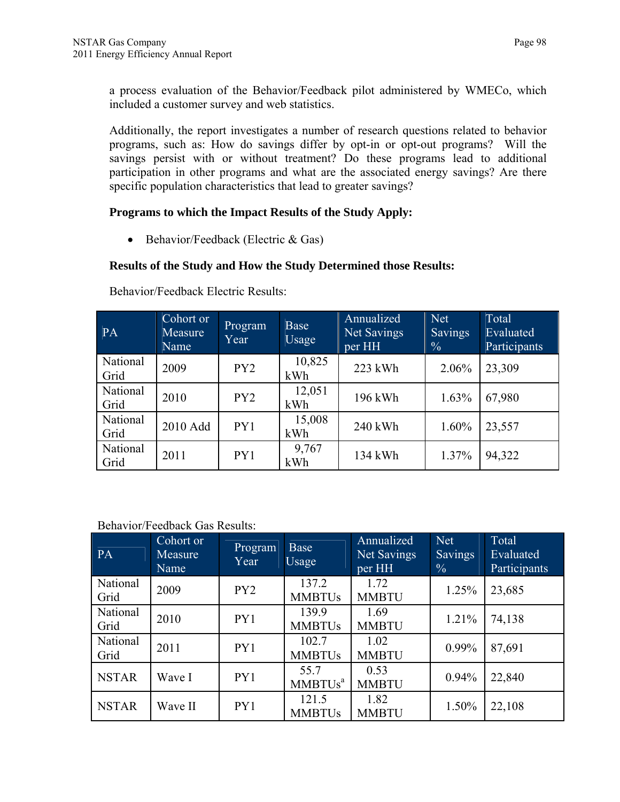a process evaluation of the Behavior/Feedback pilot administered by WMECo, which included a customer survey and web statistics.

Additionally, the report investigates a number of research questions related to behavior programs, such as: How do savings differ by opt-in or opt-out programs? Will the savings persist with or without treatment? Do these programs lead to additional participation in other programs and what are the associated energy savings? Are there specific population characteristics that lead to greater savings?

## **Programs to which the Impact Results of the Study Apply:**

 $\bullet$  Behavior/Feedback (Electric & Gas)

# **Results of the Study and How the Study Determined those Results:**

| PA               | Cohort or<br>Measure<br>Name | Program<br>Year | <b>Base</b><br>Usage | Annualized<br>Net Savings<br>per HH | Net<br><b>Savings</b><br>$\frac{0}{0}$ | Total<br>Evaluated<br>Participants |  |
|------------------|------------------------------|-----------------|----------------------|-------------------------------------|----------------------------------------|------------------------------------|--|
| National<br>Grid | 2009                         | PY2             | 10,825<br>kWh        | 223 kWh                             | 2.06%                                  | 23,309                             |  |
| National<br>Grid | 2010                         | PY <sub>2</sub> | 12,051<br>kWh        | 196 kWh                             | 1.63%                                  | 67,980                             |  |
| National<br>Grid | 2010 Add                     | PY1             | 15,008<br>kWh        | 240 kWh                             | 1.60%                                  | 23,557                             |  |
| National<br>Grid | 2011                         | PY1             | 9,767<br>kWh         | 134 kWh                             | 1.37%                                  | 94,322                             |  |

Behavior/Feedback Electric Results:

## Behavior/Feedback Gas Results:

| PA               | Cohort or<br>Measure<br>Name | Program<br>Year | Base<br>Usage                     | Annualized<br>Net Savings<br>per HH | Net<br><b>Savings</b><br>$\frac{0}{0}$ | Total<br>Evaluated<br>Participants |
|------------------|------------------------------|-----------------|-----------------------------------|-------------------------------------|----------------------------------------|------------------------------------|
| National<br>Grid | 2009                         | PY <sub>2</sub> | 137.2<br><b>MMBTUs</b>            | 1.72<br><b>MMBTU</b>                | 1.25%                                  | 23,685                             |
| National<br>Grid | 2010                         | PY1             | 139.9<br><b>MMBTUs</b>            | 1.69<br><b>MMBTU</b>                | 1.21%                                  | 74,138                             |
| National<br>Grid | 2011                         | PY1             | 102.7<br><b>MMBTUs</b>            | 1.02<br><b>MMBTU</b>                | $0.99\%$                               | 87,691                             |
| <b>NSTAR</b>     | Wave I                       | PY1             | 55.7<br><b>MMBTUs<sup>a</sup></b> | 0.53<br><b>MMBTU</b>                | 0.94%                                  | 22,840                             |
| <b>NSTAR</b>     | Wave II                      | PY1             | 121.5<br><b>MMBTUs</b>            | 1.82<br><b>MMBTU</b>                | 1.50%                                  | 22,108                             |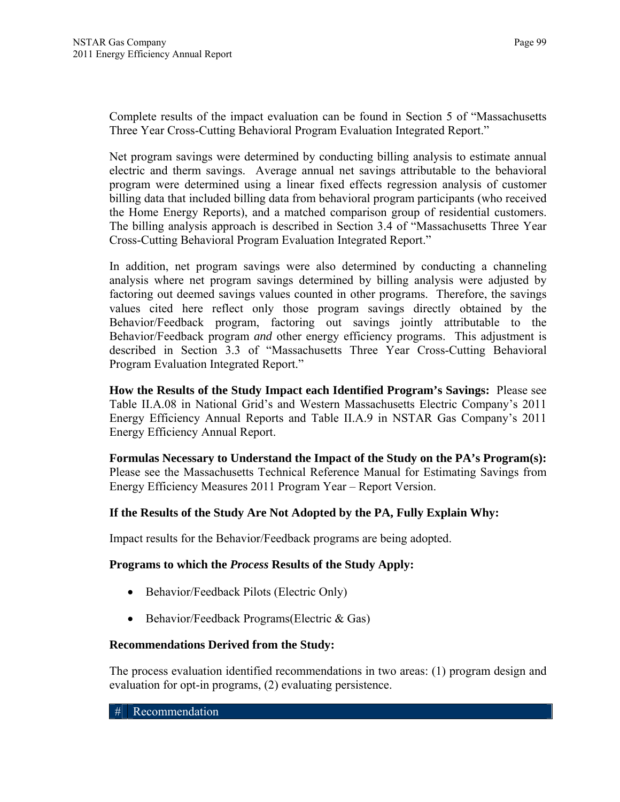Complete results of the impact evaluation can be found in Section 5 of "Massachusetts Three Year Cross-Cutting Behavioral Program Evaluation Integrated Report."

Net program savings were determined by conducting billing analysis to estimate annual electric and therm savings. Average annual net savings attributable to the behavioral program were determined using a linear fixed effects regression analysis of customer billing data that included billing data from behavioral program participants (who received the Home Energy Reports), and a matched comparison group of residential customers. The billing analysis approach is described in Section 3.4 of "Massachusetts Three Year Cross-Cutting Behavioral Program Evaluation Integrated Report."

In addition, net program savings were also determined by conducting a channeling analysis where net program savings determined by billing analysis were adjusted by factoring out deemed savings values counted in other programs. Therefore, the savings values cited here reflect only those program savings directly obtained by the Behavior/Feedback program, factoring out savings jointly attributable to the Behavior/Feedback program *and* other energy efficiency programs. This adjustment is described in Section 3.3 of "Massachusetts Three Year Cross-Cutting Behavioral Program Evaluation Integrated Report."

**How the Results of the Study Impact each Identified Program's Savings:** Please see Table II.A.08 in National Grid's and Western Massachusetts Electric Company's 2011 Energy Efficiency Annual Reports and Table II.A.9 in NSTAR Gas Company's 2011 Energy Efficiency Annual Report.

**Formulas Necessary to Understand the Impact of the Study on the PA's Program(s):**  Please see the Massachusetts Technical Reference Manual for Estimating Savings from Energy Efficiency Measures 2011 Program Year – Report Version.

## **If the Results of the Study Are Not Adopted by the PA, Fully Explain Why:**

Impact results for the Behavior/Feedback programs are being adopted.

# **Programs to which the** *Process* **Results of the Study Apply:**

- Behavior/Feedback Pilots (Electric Only)
- $\bullet$  Behavior/Feedback Programs(Electric & Gas)

## **Recommendations Derived from the Study:**

The process evaluation identified recommendations in two areas: (1) program design and evaluation for opt-in programs, (2) evaluating persistence.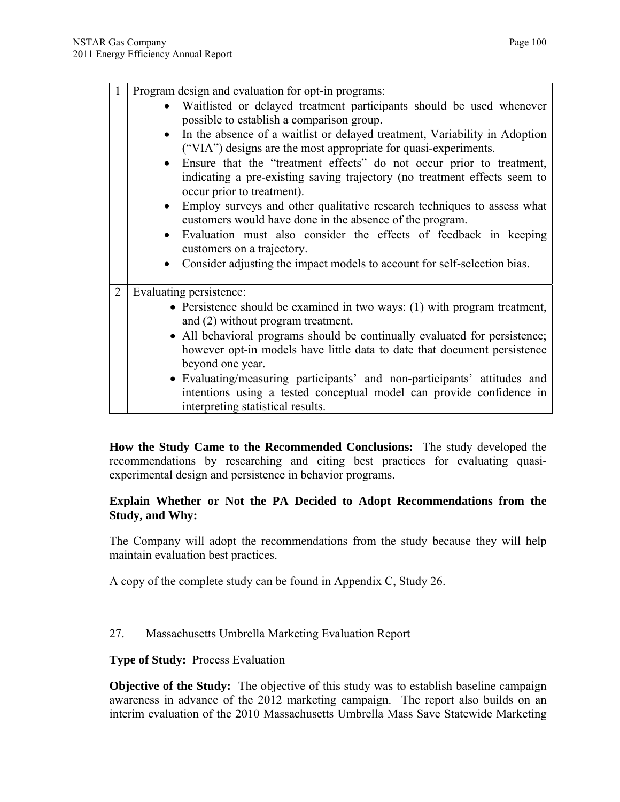Program design and evaluation for opt-in programs:

- Waitlisted or delayed treatment participants should be used whenever possible to establish a comparison group.
- In the absence of a waitlist or delayed treatment, Variability in Adoption ("VIA") designs are the most appropriate for quasi-experiments.
- Ensure that the "treatment effects" do not occur prior to treatment, indicating a pre-existing saving trajectory (no treatment effects seem to occur prior to treatment).
- Employ surveys and other qualitative research techniques to assess what customers would have done in the absence of the program.
- Evaluation must also consider the effects of feedback in keeping customers on a trajectory.
- Consider adjusting the impact models to account for self-selection bias.
- 2 Evaluating persistence:
	- Persistence should be examined in two ways: (1) with program treatment, and (2) without program treatment.
	- All behavioral programs should be continually evaluated for persistence; however opt-in models have little data to date that document persistence beyond one year.
	- Evaluating/measuring participants' and non-participants' attitudes and intentions using a tested conceptual model can provide confidence in interpreting statistical results.

**How the Study Came to the Recommended Conclusions:** The study developed the recommendations by researching and citing best practices for evaluating quasiexperimental design and persistence in behavior programs.

#### **Explain Whether or Not the PA Decided to Adopt Recommendations from the Study, and Why:**

The Company will adopt the recommendations from the study because they will help maintain evaluation best practices.

A copy of the complete study can be found in Appendix C, Study 26.

#### 27. Massachusetts Umbrella Marketing Evaluation Report

**Type of Study:** Process Evaluation

**Objective of the Study:** The objective of this study was to establish baseline campaign awareness in advance of the 2012 marketing campaign. The report also builds on an interim evaluation of the 2010 Massachusetts Umbrella Mass Save Statewide Marketing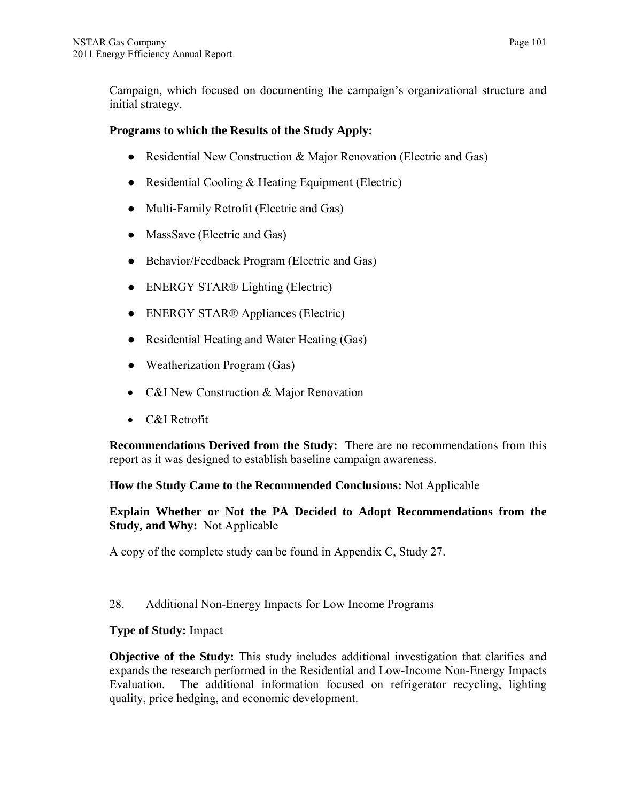Campaign, which focused on documenting the campaign's organizational structure and initial strategy.

#### **Programs to which the Results of the Study Apply:**

- Residential New Construction & Major Renovation (Electric and Gas)
- Residential Cooling & Heating Equipment (Electric)
- Multi-Family Retrofit (Electric and Gas)
- MassSave (Electric and Gas)
- Behavior/Feedback Program (Electric and Gas)
- ENERGY STAR® Lighting (Electric)
- ENERGY STAR® Appliances (Electric)
- Residential Heating and Water Heating (Gas)
- Weatherization Program (Gas)
- C&I New Construction & Major Renovation
- C&I Retrofit

**Recommendations Derived from the Study:** There are no recommendations from this report as it was designed to establish baseline campaign awareness.

## **How the Study Came to the Recommended Conclusions:** Not Applicable

**Explain Whether or Not the PA Decided to Adopt Recommendations from the Study, and Why:** Not Applicable

A copy of the complete study can be found in Appendix C, Study 27.

## 28. Additional Non-Energy Impacts for Low Income Programs

## **Type of Study:** Impact

**Objective of the Study:** This study includes additional investigation that clarifies and expands the research performed in the Residential and Low-Income Non-Energy Impacts Evaluation. The additional information focused on refrigerator recycling, lighting quality, price hedging, and economic development.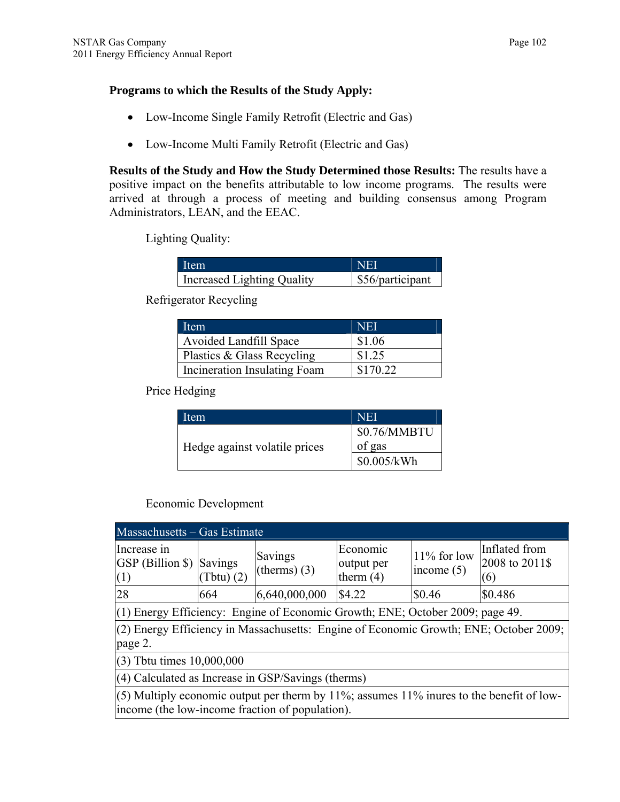#### **Programs to which the Results of the Study Apply:**

- Low-Income Single Family Retrofit (Electric and Gas)
- Low-Income Multi Family Retrofit (Electric and Gas)

**Results of the Study and How the Study Determined those Results:** The results have a positive impact on the benefits attributable to low income programs. The results were arrived at through a process of meeting and building consensus among Program Administrators, LEAN, and the EEAC.

Lighting Quality:

| Ifem                       | <b>NEI</b>       |
|----------------------------|------------------|
| Increased Lighting Quality | \$56/participant |

Refrigerator Recycling

| Item                          | <b>NEI</b> |
|-------------------------------|------------|
| <b>Avoided Landfill Space</b> | \$1.06     |
| Plastics & Glass Recycling    | \$1.25     |
| Incineration Insulating Foam  | \$170.22   |

Price Hedging

| Item                          | <b>NEI</b>   |
|-------------------------------|--------------|
|                               | \$0.76/MMBTU |
| Hedge against volatile prices | of gas       |
|                               | \$0.005/kWh  |

Economic Development

| Massachusetts – Gas Estimate                                                                                                                |                                                                                         |                           |                                       |                                |                                        |  |  |
|---------------------------------------------------------------------------------------------------------------------------------------------|-----------------------------------------------------------------------------------------|---------------------------|---------------------------------------|--------------------------------|----------------------------------------|--|--|
| Increase in<br><b>GSP</b> (Billion \$)<br>(1)                                                                                               | Savings<br>$( \text{Tbtu}) (2)$                                                         | Savings<br>(therms) $(3)$ | Economic<br>output per<br>therm $(4)$ | $11\%$ for low<br>income $(5)$ | Inflated from<br>2008 to 2011\$<br>(6) |  |  |
| 28                                                                                                                                          | 664                                                                                     | 6,640,000,000             | \$4.22                                | \$0.46                         | \$0.486                                |  |  |
| $(1)$ Energy Efficiency: Engine of Economic Growth; ENE; October 2009; page 49.                                                             |                                                                                         |                           |                                       |                                |                                        |  |  |
| page 2.                                                                                                                                     | $(2)$ Energy Efficiency in Massachusetts: Engine of Economic Growth; ENE; October 2009; |                           |                                       |                                |                                        |  |  |
|                                                                                                                                             | $(3)$ Tbtu times $10,000,000$                                                           |                           |                                       |                                |                                        |  |  |
| (4) Calculated as Increase in GSP/Savings (therms)                                                                                          |                                                                                         |                           |                                       |                                |                                        |  |  |
| (5) Multiply economic output per therm by 11%; assumes 11% inures to the benefit of low-<br>income (the low-income fraction of population). |                                                                                         |                           |                                       |                                |                                        |  |  |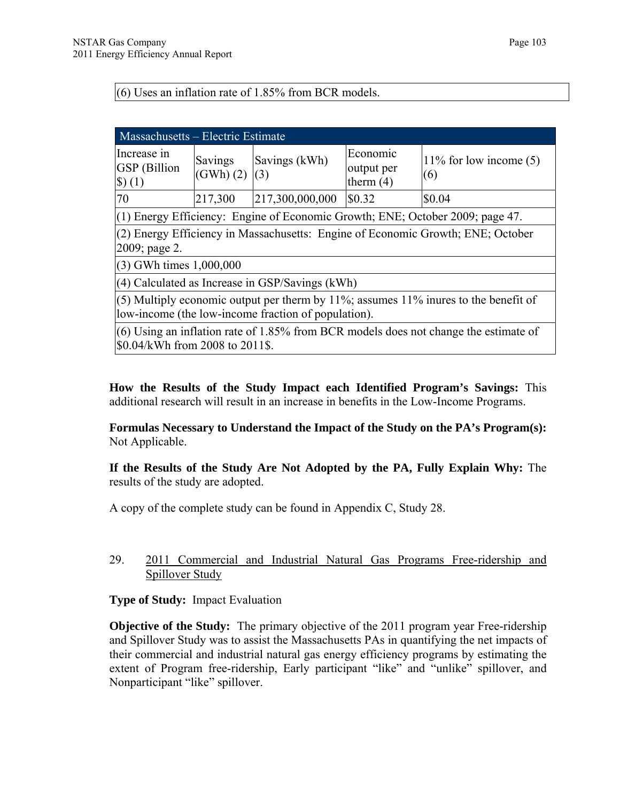#### (6) Uses an inflation rate of 1.85% from BCR models.

| <b>Massachusetts – Electric Estimate</b>                                                                                                   |                                                                                                                           |                                                     |                                       |                                                                                   |  |  |  |
|--------------------------------------------------------------------------------------------------------------------------------------------|---------------------------------------------------------------------------------------------------------------------------|-----------------------------------------------------|---------------------------------------|-----------------------------------------------------------------------------------|--|--|--|
| Increase in<br><b>GSP</b> (Billion<br>$\left(  \right)$ (1)                                                                                | <b>Savings</b><br>(GWh) (2) (3)                                                                                           | Savings (kWh)                                       | Economic<br>output per<br>therm $(4)$ | $11\%$ for low income (5)<br>(6)                                                  |  |  |  |
| 70                                                                                                                                         | 217,300                                                                                                                   | 217,300,000,000                                     | \$0.32                                | \$0.04                                                                            |  |  |  |
|                                                                                                                                            |                                                                                                                           |                                                     |                                       | $(1)$ Energy Efficiency: Engine of Economic Growth; ENE; October 2009; page 47.   |  |  |  |
| 2009; page 2.                                                                                                                              |                                                                                                                           |                                                     |                                       | $(2)$ Energy Efficiency in Massachusetts: Engine of Economic Growth; ENE; October |  |  |  |
| $(3)$ GWh times 1,000,000                                                                                                                  |                                                                                                                           |                                                     |                                       |                                                                                   |  |  |  |
|                                                                                                                                            |                                                                                                                           | $(4)$ Calculated as Increase in GSP/Savings $(kWh)$ |                                       |                                                                                   |  |  |  |
| (5) Multiply economic output per therm by 11%; assumes 11% inures to the benefit of<br>low-income (the low-income fraction of population). |                                                                                                                           |                                                     |                                       |                                                                                   |  |  |  |
|                                                                                                                                            | $(6)$ Using an inflation rate of 1.85% from BCR models does not change the estimate of<br>\$0.04/kWh from 2008 to 2011\$. |                                                     |                                       |                                                                                   |  |  |  |

**How the Results of the Study Impact each Identified Program's Savings:** This additional research will result in an increase in benefits in the Low-Income Programs.

**Formulas Necessary to Understand the Impact of the Study on the PA's Program(s):**  Not Applicable.

**If the Results of the Study Are Not Adopted by the PA, Fully Explain Why:** The results of the study are adopted.

A copy of the complete study can be found in Appendix C, Study 28.

#### 29. 2011 Commercial and Industrial Natural Gas Programs Free-ridership and Spillover Study

**Type of Study:** Impact Evaluation

**Objective of the Study:** The primary objective of the 2011 program year Free-ridership and Spillover Study was to assist the Massachusetts PAs in quantifying the net impacts of their commercial and industrial natural gas energy efficiency programs by estimating the extent of Program free-ridership, Early participant "like" and "unlike" spillover, and Nonparticipant "like" spillover.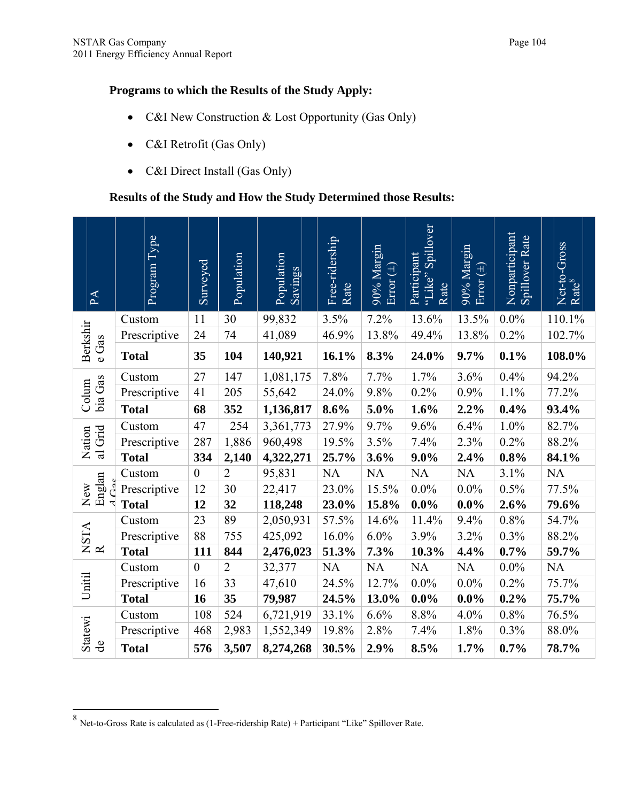## **Programs to which the Results of the Study Apply:**

- C&I New Construction & Lost Opportunity (Gas Only)
- C&I Retrofit (Gas Only)
- C&I Direct Install (Gas Only)

# **Results of the Study and How the Study Determined those Results:**

| PA                             | Program Type | Surveyed         | Population     | Population<br>Savings | Free-ridership<br>Rate | 90% Margin<br>Error $(\pm)$ | Spillover<br>Participant<br>"Like"<br>Rate | 90% Margin<br>Error $(\pm)$ | Nonparticipant<br>Spillover Rate | Net-to-Gross<br>Rate <sup>8</sup> |
|--------------------------------|--------------|------------------|----------------|-----------------------|------------------------|-----------------------------|--------------------------------------------|-----------------------------|----------------------------------|-----------------------------------|
|                                | Custom       | 11               | 30             | 99,832                | 3.5%                   | 7.2%                        | 13.6%                                      | 13.5%                       | $0.0\%$                          | 110.1%                            |
|                                | Prescriptive | 24               | 74             | 41,089                | 46.9%                  | 13.8%                       | 49.4%                                      | 13.8%                       | 0.2%                             | 102.7%                            |
| Berkshir<br>e Gas              | <b>Total</b> | 35               | 104            | 140,921               | 16.1%                  | 8.3%                        | 24.0%                                      | 9.7%                        | 0.1%                             | 108.0%                            |
|                                | Custom       | 27               | 147            | 1,081,175             | 7.8%                   | 7.7%                        | 1.7%                                       | 3.6%                        | 0.4%                             | 94.2%                             |
| bia Gas<br>Colum               | Prescriptive | 41               | 205            | 55,642                | 24.0%                  | 9.8%                        | 0.2%                                       | 0.9%                        | 1.1%                             | 77.2%                             |
|                                | <b>Total</b> | 68               | 352            | 1,136,817             | 8.6%                   | 5.0%                        | 1.6%                                       | 2.2%                        | 0.4%                             | 93.4%                             |
|                                | Custom       | 47               | 254            | 3,361,773             | 27.9%                  | 9.7%                        | 9.6%                                       | 6.4%                        | 1.0%                             | 82.7%                             |
| al Grid<br>Nation              | Prescriptive | 287              | 1,886          | 960,498               | 19.5%                  | 3.5%                        | 7.4%                                       | 2.3%                        | 0.2%                             | 88.2%                             |
|                                | <b>Total</b> | 334              | 2,140          | 4,322,271             | 25.7%                  | 3.6%                        | $9.0\%$                                    | 2.4%                        | 0.8%                             | 84.1%                             |
|                                | Custom       | $\boldsymbol{0}$ | $\overline{2}$ | 95,831                | $\rm NA$               | $\rm NA$                    | NA                                         | $\rm NA$                    | 3.1%                             | NA                                |
| Englan<br>New                  | Prescriptive | 12               | 30             | 22,417                | 23.0%                  | 15.5%                       | $0.0\%$                                    | $0.0\%$                     | 0.5%                             | 77.5%                             |
|                                | <b>Total</b> | 12               | 32             | 118,248               | 23.0%                  | 15.8%                       | $0.0\%$                                    | $0.0\%$                     | 2.6%                             | 79.6%                             |
|                                | Custom       | 23               | 89             | 2,050,931             | 57.5%                  | 14.6%                       | 11.4%                                      | 9.4%                        | $0.8\%$                          | 54.7%                             |
| $\frac{\text{NSTA}}{\text{R}}$ | Prescriptive | 88               | 755            | 425,092               | 16.0%                  | 6.0%                        | 3.9%                                       | 3.2%                        | 0.3%                             | 88.2%                             |
|                                | <b>Total</b> | 111              | 844            | 2,476,023             | 51.3%                  | 7.3%                        | 10.3%                                      | 4.4%                        | 0.7%                             | 59.7%                             |
|                                | Custom       | $\boldsymbol{0}$ | $\overline{2}$ | 32,377                | NA                     | $\rm NA$                    | NA                                         | NA                          | $0.0\%$                          | <b>NA</b>                         |
| Unitil                         | Prescriptive | 16               | 33             | 47,610                | 24.5%                  | 12.7%                       | $0.0\%$                                    | 0.0%                        | 0.2%                             | 75.7%                             |
|                                | <b>Total</b> | 16               | 35             | 79,987                | 24.5%                  | 13.0%                       | $0.0\%$                                    | $0.0\%$                     | 0.2%                             | 75.7%                             |
|                                | Custom       | 108              | 524            | 6,721,919             | 33.1%                  | 6.6%                        | 8.8%                                       | 4.0%                        | 0.8%                             | 76.5%                             |
| <b>Statewi</b>                 | Prescriptive | 468              | 2,983          | 1,552,349             | 19.8%                  | 2.8%                        | 7.4%                                       | 1.8%                        | 0.3%                             | 88.0%                             |
| $\frac{1}{\alpha}$             | <b>Total</b> | 576              | 3,507          | 8,274,268             | 30.5%                  | 2.9%                        | 8.5%                                       | 1.7%                        | 0.7%                             | 78.7%                             |

 $\overline{a}$ 

 $8$  Net-to-Gross Rate is calculated as (1-Free-ridership Rate) + Participant "Like" Spillover Rate.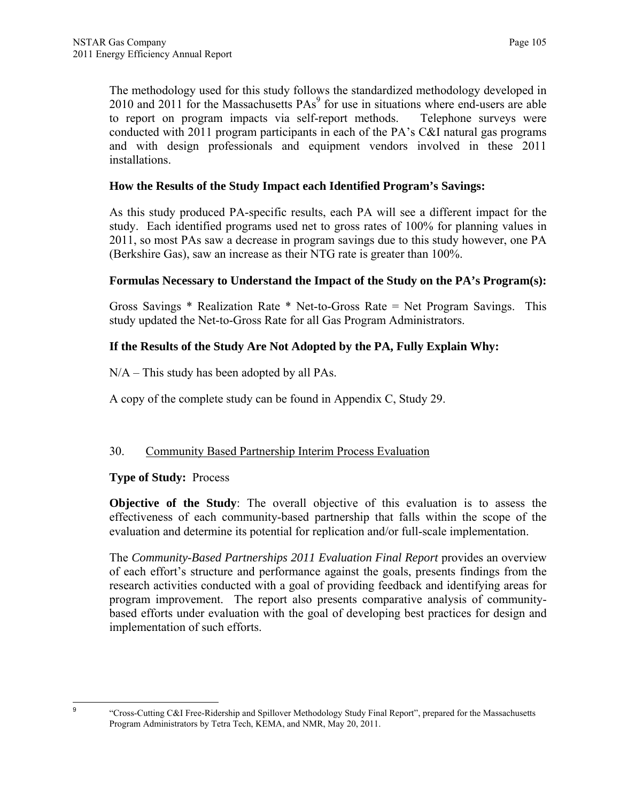The methodology used for this study follows the standardized methodology developed in 2010 and 2011 for the Massachusetts  $PAs<sup>9</sup>$  for use in situations where end-users are able to report on program impacts via self-report methods. Telephone surveys were conducted with 2011 program participants in each of the PA's C&I natural gas programs and with design professionals and equipment vendors involved in these 2011 installations.

## **How the Results of the Study Impact each Identified Program's Savings:**

As this study produced PA-specific results, each PA will see a different impact for the study. Each identified programs used net to gross rates of 100% for planning values in 2011, so most PAs saw a decrease in program savings due to this study however, one PA (Berkshire Gas), saw an increase as their NTG rate is greater than 100%.

#### **Formulas Necessary to Understand the Impact of the Study on the PA's Program(s):**

Gross Savings \* Realization Rate \* Net-to-Gross Rate = Net Program Savings. This study updated the Net-to-Gross Rate for all Gas Program Administrators.

## **If the Results of the Study Are Not Adopted by the PA, Fully Explain Why:**

N/A – This study has been adopted by all PAs.

A copy of the complete study can be found in Appendix C, Study 29.

## 30. Community Based Partnership Interim Process Evaluation

#### **Type of Study:** Process

**Objective of the Study**: The overall objective of this evaluation is to assess the effectiveness of each community-based partnership that falls within the scope of the evaluation and determine its potential for replication and/or full-scale implementation.

The *Community-Based Partnerships 2011 Evaluation Final Report* provides an overview of each effort's structure and performance against the goals, presents findings from the research activities conducted with a goal of providing feedback and identifying areas for program improvement. The report also presents comparative analysis of communitybased efforts under evaluation with the goal of developing best practices for design and implementation of such efforts.

-<br>9

"Cross-Cutting C&I Free-Ridership and Spillover Methodology Study Final Report", prepared for the Massachusetts Program Administrators by Tetra Tech, KEMA, and NMR, May 20, 2011.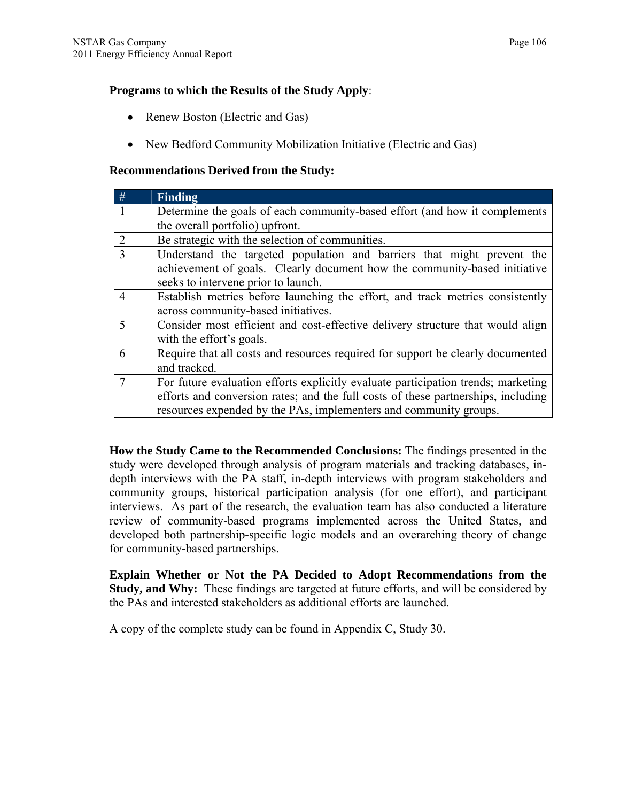## **Programs to which the Results of the Study Apply**:

- Renew Boston (Electric and Gas)
- New Bedford Community Mobilization Initiative (Electric and Gas)

## **Recommendations Derived from the Study:**

| #              | <b>Finding</b>                                                                    |
|----------------|-----------------------------------------------------------------------------------|
|                | Determine the goals of each community-based effort (and how it complements        |
|                | the overall portfolio) upfront.                                                   |
| 2              | Be strategic with the selection of communities.                                   |
| 3              | Understand the targeted population and barriers that might prevent the            |
|                | achievement of goals. Clearly document how the community-based initiative         |
|                | seeks to intervene prior to launch.                                               |
| $\overline{4}$ | Establish metrics before launching the effort, and track metrics consistently     |
|                | across community-based initiatives.                                               |
| 5              | Consider most efficient and cost-effective delivery structure that would align    |
|                | with the effort's goals.                                                          |
| 6              | Require that all costs and resources required for support be clearly documented   |
|                | and tracked.                                                                      |
| 7              | For future evaluation efforts explicitly evaluate participation trends; marketing |
|                | efforts and conversion rates; and the full costs of these partnerships, including |
|                | resources expended by the PAs, implementers and community groups.                 |

**How the Study Came to the Recommended Conclusions:** The findings presented in the study were developed through analysis of program materials and tracking databases, indepth interviews with the PA staff, in-depth interviews with program stakeholders and community groups, historical participation analysis (for one effort), and participant interviews. As part of the research, the evaluation team has also conducted a literature review of community-based programs implemented across the United States, and developed both partnership-specific logic models and an overarching theory of change for community-based partnerships.

**Explain Whether or Not the PA Decided to Adopt Recommendations from the Study, and Why:** These findings are targeted at future efforts, and will be considered by the PAs and interested stakeholders as additional efforts are launched.

A copy of the complete study can be found in Appendix C, Study 30.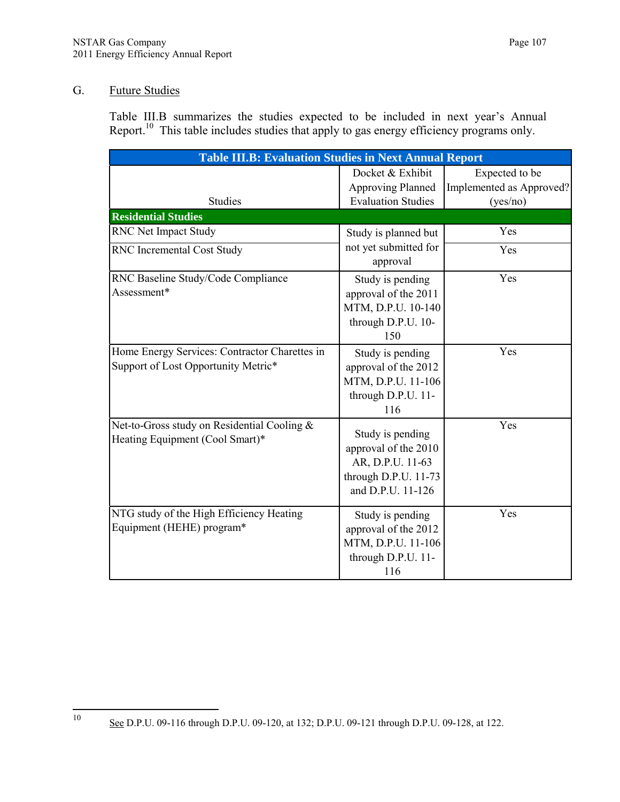## G. Future Studies

Table III.B summarizes the studies expected to be included in next year's Annual Report.<sup>10</sup> This table includes studies that apply to gas energy efficiency programs only.

| <b>Table III.B: Evaluation Studies in Next Annual Report</b>                         |                                                                                                           |                                                        |  |  |  |  |
|--------------------------------------------------------------------------------------|-----------------------------------------------------------------------------------------------------------|--------------------------------------------------------|--|--|--|--|
| <b>Studies</b>                                                                       | Docket & Exhibit<br><b>Approving Planned</b><br><b>Evaluation Studies</b>                                 | Expected to be<br>Implemented as Approved?<br>(yes/no) |  |  |  |  |
| <b>Residential Studies</b>                                                           |                                                                                                           |                                                        |  |  |  |  |
| RNC Net Impact Study                                                                 | Study is planned but                                                                                      | Yes                                                    |  |  |  |  |
| RNC Incremental Cost Study                                                           | not yet submitted for<br>approval                                                                         | Yes                                                    |  |  |  |  |
| RNC Baseline Study/Code Compliance<br>Assessment*                                    | Study is pending<br>approval of the 2011<br>MTM, D.P.U. 10-140<br>through D.P.U. 10-<br>150               | Yes                                                    |  |  |  |  |
| Home Energy Services: Contractor Charettes in<br>Support of Lost Opportunity Metric* | Study is pending<br>approval of the 2012<br>MTM, D.P.U. 11-106<br>through D.P.U. 11-<br>116               | Yes                                                    |  |  |  |  |
| Net-to-Gross study on Residential Cooling &<br>Heating Equipment (Cool Smart)*       | Study is pending<br>approval of the 2010<br>AR, D.P.U. 11-63<br>through D.P.U. 11-73<br>and D.P.U. 11-126 | Yes                                                    |  |  |  |  |
| NTG study of the High Efficiency Heating<br>Equipment (HEHE) program*                | Study is pending<br>approval of the 2012<br>MTM, D.P.U. 11-106<br>through D.P.U. 11-<br>116               | Yes                                                    |  |  |  |  |

See D.P.U. 09-116 through D.P.U. 09-120, at 132; D.P.U. 09-121 through D.P.U. 09-128, at 122.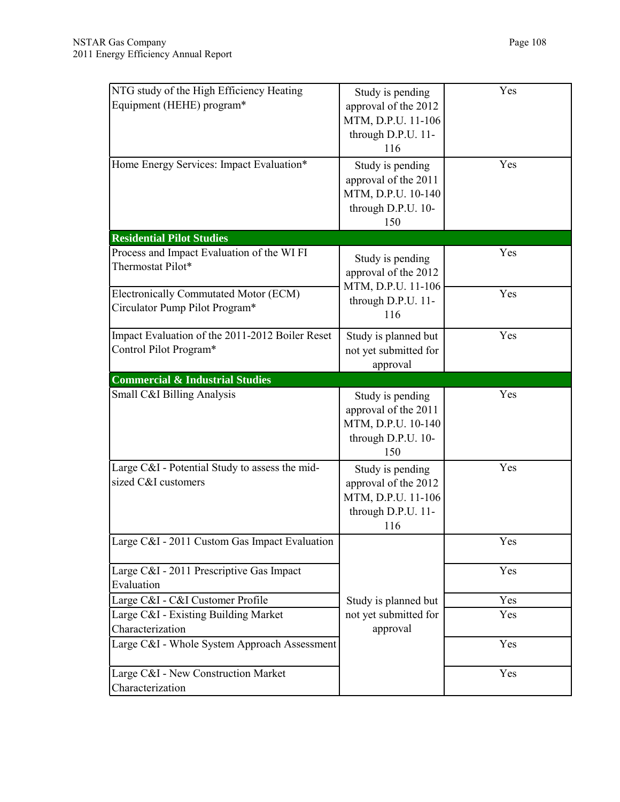| NTG study of the High Efficiency Heating<br>Equipment (HEHE) program*     | Study is pending<br>approval of the 2012<br>MTM, D.P.U. 11-106<br>through D.P.U. 11-<br>116 | Yes        |
|---------------------------------------------------------------------------|---------------------------------------------------------------------------------------------|------------|
| Home Energy Services: Impact Evaluation*                                  | Study is pending<br>approval of the 2011<br>MTM, D.P.U. 10-140<br>through D.P.U. 10-<br>150 | Yes        |
| <b>Residential Pilot Studies</b>                                          |                                                                                             |            |
| Process and Impact Evaluation of the WI FI<br>Thermostat Pilot*           | Study is pending<br>approval of the 2012<br>MTM, D.P.U. 11-106                              | Yes<br>Yes |
| Electronically Commutated Motor (ECM)<br>Circulator Pump Pilot Program*   | through D.P.U. 11-<br>116                                                                   |            |
| Impact Evaluation of the 2011-2012 Boiler Reset<br>Control Pilot Program* | Study is planned but<br>not yet submitted for<br>approval                                   | Yes        |
| <b>Commercial &amp; Industrial Studies</b>                                |                                                                                             |            |
| Small C&I Billing Analysis                                                | Study is pending<br>approval of the 2011<br>MTM, D.P.U. 10-140<br>through D.P.U. 10-<br>150 | Yes        |
| Large C&I - Potential Study to assess the mid-<br>sized C&I customers     | Study is pending<br>approval of the 2012<br>MTM, D.P.U. 11-106<br>through D.P.U. 11-<br>116 | Yes        |
| Large C&I - 2011 Custom Gas Impact Evaluation                             |                                                                                             | Yes        |
| Large C&I - 2011 Prescriptive Gas Impact<br>Evaluation                    |                                                                                             | Yes        |
| Large C&I - C&I Customer Profile                                          | Study is planned but                                                                        | Yes        |
| Large C&I - Existing Building Market<br>Characterization                  | not yet submitted for<br>approval                                                           | Yes        |
| Large C&I - Whole System Approach Assessment                              |                                                                                             | Yes        |
| Large C&I - New Construction Market<br>Characterization                   |                                                                                             | Yes        |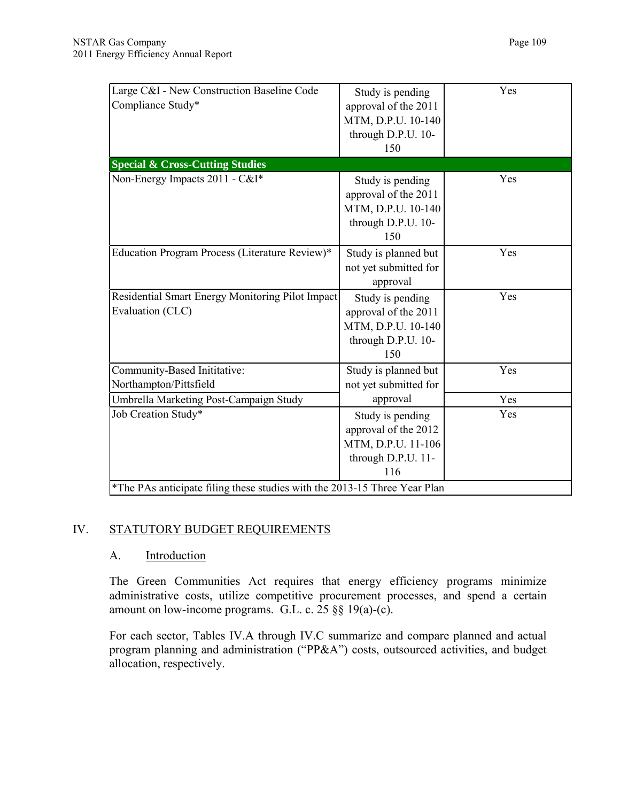| Large C&I - New Construction Baseline Code<br>Compliance Study*           | Study is pending<br>approval of the 2011<br>MTM, D.P.U. 10-140<br>through D.P.U. 10-<br>150 | Yes |
|---------------------------------------------------------------------------|---------------------------------------------------------------------------------------------|-----|
| <b>Special &amp; Cross-Cutting Studies</b>                                |                                                                                             |     |
| Non-Energy Impacts 2011 - C&I*                                            | Study is pending<br>approval of the 2011<br>MTM, D.P.U. 10-140<br>through D.P.U. 10-<br>150 | Yes |
| Education Program Process (Literature Review)*                            | Study is planned but<br>not yet submitted for<br>approval                                   | Yes |
| Residential Smart Energy Monitoring Pilot Impact<br>Evaluation (CLC)      | Study is pending<br>approval of the 2011<br>MTM, D.P.U. 10-140<br>through D.P.U. 10-<br>150 | Yes |
| Community-Based Inititative:<br>Northampton/Pittsfield                    | Study is planned but<br>not yet submitted for                                               | Yes |
| Umbrella Marketing Post-Campaign Study                                    | approval                                                                                    | Yes |
| Job Creation Study*                                                       | Study is pending<br>approval of the 2012<br>MTM, D.P.U. 11-106<br>through D.P.U. 11-<br>116 | Yes |
| *The PAs anticipate filing these studies with the 2013-15 Three Year Plan |                                                                                             |     |

# IV. STATUTORY BUDGET REQUIREMENTS

# A. Introduction

The Green Communities Act requires that energy efficiency programs minimize administrative costs, utilize competitive procurement processes, and spend a certain amount on low-income programs. G.L. c. 25 §§ 19(a)-(c).

For each sector, Tables IV.A through IV.C summarize and compare planned and actual program planning and administration ("PP&A") costs, outsourced activities, and budget allocation, respectively.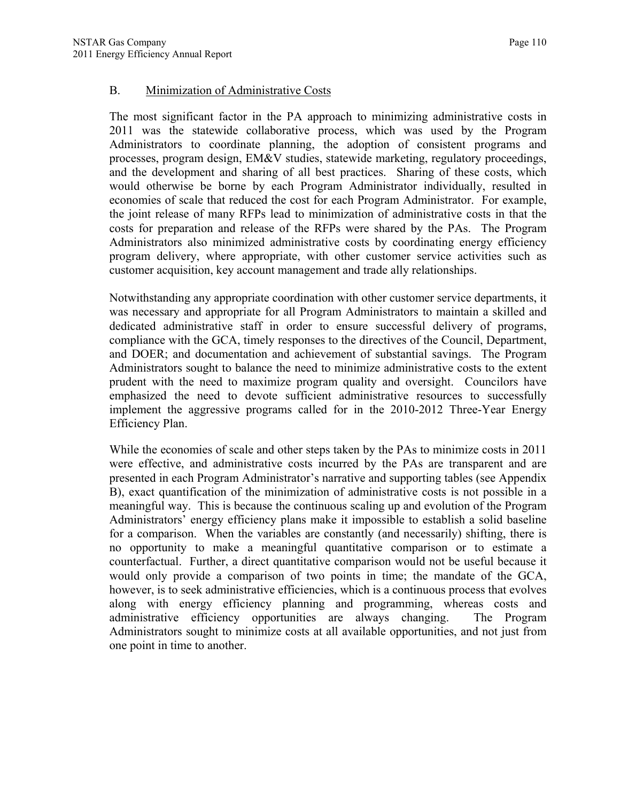### B. Minimization of Administrative Costs

The most significant factor in the PA approach to minimizing administrative costs in 2011 was the statewide collaborative process, which was used by the Program Administrators to coordinate planning, the adoption of consistent programs and processes, program design, EM&V studies, statewide marketing, regulatory proceedings, and the development and sharing of all best practices. Sharing of these costs, which would otherwise be borne by each Program Administrator individually, resulted in economies of scale that reduced the cost for each Program Administrator. For example, the joint release of many RFPs lead to minimization of administrative costs in that the costs for preparation and release of the RFPs were shared by the PAs. The Program Administrators also minimized administrative costs by coordinating energy efficiency program delivery, where appropriate, with other customer service activities such as customer acquisition, key account management and trade ally relationships.

Notwithstanding any appropriate coordination with other customer service departments, it was necessary and appropriate for all Program Administrators to maintain a skilled and dedicated administrative staff in order to ensure successful delivery of programs, compliance with the GCA, timely responses to the directives of the Council, Department, and DOER; and documentation and achievement of substantial savings. The Program Administrators sought to balance the need to minimize administrative costs to the extent prudent with the need to maximize program quality and oversight. Councilors have emphasized the need to devote sufficient administrative resources to successfully implement the aggressive programs called for in the 2010-2012 Three-Year Energy Efficiency Plan.

While the economies of scale and other steps taken by the PAs to minimize costs in 2011 were effective, and administrative costs incurred by the PAs are transparent and are presented in each Program Administrator's narrative and supporting tables (see Appendix B), exact quantification of the minimization of administrative costs is not possible in a meaningful way. This is because the continuous scaling up and evolution of the Program Administrators' energy efficiency plans make it impossible to establish a solid baseline for a comparison. When the variables are constantly (and necessarily) shifting, there is no opportunity to make a meaningful quantitative comparison or to estimate a counterfactual. Further, a direct quantitative comparison would not be useful because it would only provide a comparison of two points in time; the mandate of the GCA, however, is to seek administrative efficiencies, which is a continuous process that evolves along with energy efficiency planning and programming, whereas costs and administrative efficiency opportunities are always changing. The Program Administrators sought to minimize costs at all available opportunities, and not just from one point in time to another.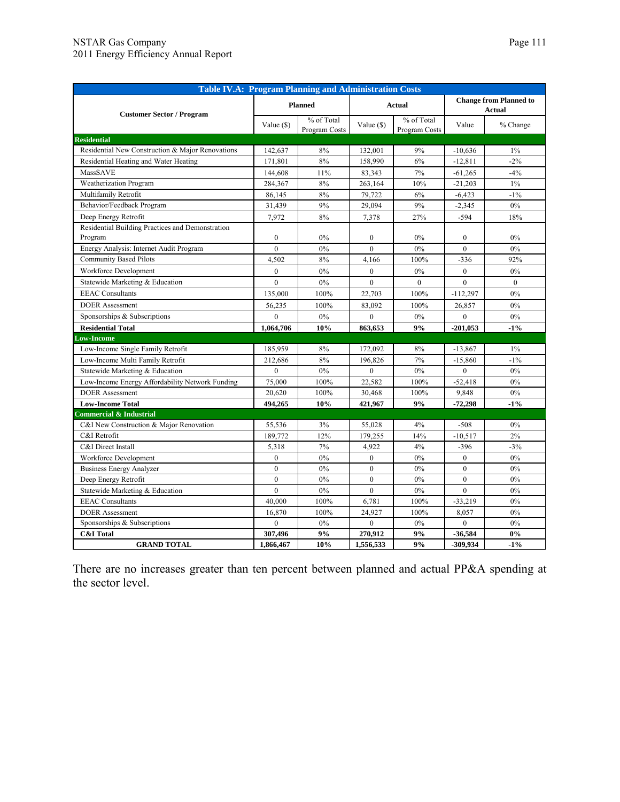| <b>Table IV.A: Program Planning and Administration Costs</b> |                  |                             |                  |                             |                                                |                |
|--------------------------------------------------------------|------------------|-----------------------------|------------------|-----------------------------|------------------------------------------------|----------------|
| <b>Customer Sector / Program</b>                             |                  | <b>Planned</b>              | <b>Actual</b>    |                             | <b>Change from Planned to</b><br><b>Actual</b> |                |
|                                                              | Value $(S)$      | % of Total<br>Program Costs | Value $(\$)$     | % of Total<br>Program Costs | Value                                          | % Change       |
| <b>Residential</b>                                           |                  |                             |                  |                             |                                                |                |
| Residential New Construction & Major Renovations             | 142,637          | 8%                          | 132,001          | 9%                          | $-10,636$                                      | $1\%$          |
| Residential Heating and Water Heating                        | 171,801          | 8%                          | 158,990          | 6%                          | $-12,811$                                      | $-2%$          |
| <b>MassSAVE</b>                                              | 144,608          | 11%                         | 83,343           | 7%                          | $-61,265$                                      | $-4%$          |
| Weatherization Program                                       | 284,367          | 8%                          | 263,164          | 10%                         | $-21,203$                                      | $1\%$          |
| Multifamily Retrofit                                         | 86,145           | 8%                          | 79,722           | 6%                          | $-6,423$                                       | $-1\%$         |
| Behavior/Feedback Program                                    | 31,439           | 9%                          | 29,094           | 9%                          | $-2,345$                                       | $0\%$          |
| Deep Energy Retrofit                                         | 7,972            | 8%                          | 7,378            | 27%                         | $-594$                                         | 18%            |
| Residential Building Practices and Demonstration<br>Program  | $\mathbf{0}$     | 0%                          | $\mathbf{0}$     | $0\%$                       | $\mathbf{0}$                                   | $0\%$          |
| Energy Analysis: Internet Audit Program                      | $\theta$         | 0%                          | $\theta$         | $0\%$                       | $\theta$                                       | 0%             |
| <b>Community Based Pilots</b>                                | 4,502            | 8%                          | 4,166            | 100%                        | $-336$                                         | 92%            |
| Workforce Development                                        | $\mathbf{0}$     | 0%                          | $\mathbf{0}$     | $0\%$                       | $\mathbf{0}$                                   | 0%             |
| Statewide Marketing & Education                              | $\theta$         | $0\%$                       | $\theta$         | $\overline{0}$              | $\theta$                                       | $\overline{0}$ |
| <b>EEAC</b> Consultants                                      | 135,000          | 100%                        | 22,703           | 100%                        | $-112,297$                                     | 0%             |
| <b>DOER</b> Assessment                                       | 56,235           | 100%                        | 83,092           | 100%                        | 26,857                                         | 0%             |
| Sponsorships & Subscriptions                                 | $\overline{0}$   | $0\%$                       | $\theta$         | $0\%$                       | $\theta$                                       | $0\%$          |
| <b>Residential Total</b>                                     | 1,064,706        | 10%                         | 863,653          | 9%                          | $-201,053$                                     | $-1%$          |
| <b>Low-Income</b>                                            |                  |                             |                  |                             |                                                |                |
| Low-Income Single Family Retrofit                            | 185,959          | 8%                          | 172,092          | 8%                          | $-13,867$                                      | $1\%$          |
| Low-Income Multi Family Retrofit                             | 212,686          | 8%                          | 196,826          | 7%                          | $-15,860$                                      | $-1\%$         |
| Statewide Marketing & Education                              | $\boldsymbol{0}$ | $0\%$                       | $\boldsymbol{0}$ | 0%                          | $\mathbf{0}$                                   | 0%             |
| Low-Income Energy Affordability Network Funding              | 75,000           | 100%                        | 22,582           | 100%                        | $-52,418$                                      | 0%             |
| <b>DOER</b> Assessment                                       | 20,620           | 100%                        | 30,468           | 100%                        | 9,848                                          | 0%             |
| <b>Low-Income Total</b>                                      | 494,265          | 10%                         | 421,967          | 9%                          | $-72,298$                                      | $-1%$          |
| <b>Commercial &amp; Industrial</b>                           |                  |                             |                  |                             |                                                |                |
| C&I New Construction & Major Renovation                      | 55,536           | 3%                          | 55,028           | 4%                          | $-508$                                         | $0\%$          |
| C&I Retrofit                                                 | 189,772          | 12%                         | 179.255          | 14%                         | $-10,517$                                      | 2%             |
| C&I Direct Install                                           | 5,318            | 7%                          | 4,922            | 4%                          | $-396$                                         | $-3%$          |
| Workforce Development                                        | $\mathbf{0}$     | $0\%$                       | $\mathbf{0}$     | $0\%$                       | $\mathbf{0}$                                   | $0\%$          |
| <b>Business Energy Analyzer</b>                              | $\mathbf{0}$     | 0%                          | $\mathbf{0}$     | $0\%$                       | $\overline{0}$                                 | 0%             |
| Deep Energy Retrofit                                         | $\mathbf{0}$     | $0\%$                       | $\overline{0}$   | $0\%$                       | $\overline{0}$                                 | 0%             |
| Statewide Marketing & Education                              | $\mathbf{0}$     | $0\%$                       | $\mathbf{0}$     | $0\%$                       | $\mathbf{0}$                                   | $0\%$          |
| <b>EEAC</b> Consultants                                      | 40,000           | 100%                        | 6,781            | 100%                        | $-33,219$                                      | 0%             |
| <b>DOER</b> Assessment                                       | 16,870           | 100%                        | 24,927           | 100%                        | 8,057                                          | 0%             |
| Sponsorships & Subscriptions                                 | $\theta$         | $0\%$                       | $\theta$         | $0\%$                       | $\theta$                                       | $0\%$          |
| <b>C&amp;I</b> Total                                         | 307,496          | 9%                          | 270,912          | 9%                          | $-36,584$                                      | $0\%$          |
| <b>GRAND TOTAL</b>                                           | 1,866,467        | 10%                         | 1,556,533        | 9%                          | -309,934                                       | $-1%$          |

There are no increases greater than ten percent between planned and actual PP&A spending at the sector level.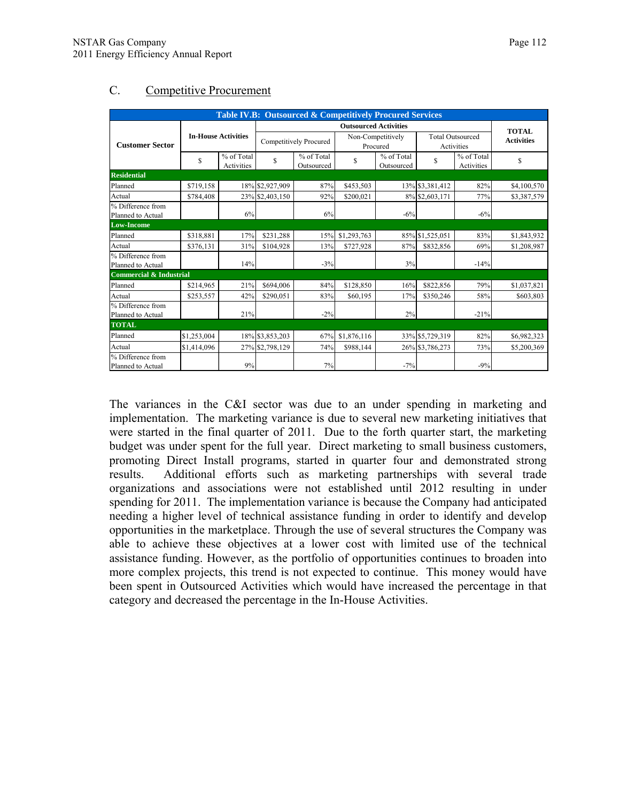| Table IV.B: Outsourced & Competitively Procured Services |                            |                          |                              |                                                 |                               |                          |                                       |                          |                   |
|----------------------------------------------------------|----------------------------|--------------------------|------------------------------|-------------------------------------------------|-------------------------------|--------------------------|---------------------------------------|--------------------------|-------------------|
|                                                          |                            |                          | <b>Outsourced Activities</b> |                                                 |                               |                          |                                       | <b>TOTAL</b>             |                   |
| <b>Customer Sector</b>                                   | <b>In-House Activities</b> |                          | Competitively Procured       |                                                 | Non-Competitively<br>Procured |                          | <b>Total Outsourced</b><br>Activities |                          | <b>Activities</b> |
|                                                          | \$                         | % of Total<br>Activities | \$                           | $\overline{\frac{9}{6}}$ of Total<br>Outsourced | \$                            | % of Total<br>Outsourced | \$                                    | % of Total<br>Activities | \$                |
| <b>Residential</b>                                       |                            |                          |                              |                                                 |                               |                          |                                       |                          |                   |
| Planned                                                  | \$719,158                  |                          | 18% \$2,927,909              | 87%                                             | \$453,503                     |                          | 13% \$3,381,412                       | 82%                      | \$4,100,570       |
| Actual                                                   | \$784,408                  |                          | 23% \$2,403,150              | 92%                                             | \$200.021                     |                          | 8% \$2,603,171                        | 77%                      | \$3,387,579       |
| % Difference from<br>Planned to Actual                   |                            | 6%                       |                              | 6%                                              |                               | $-6%$                    |                                       | $-6%$                    |                   |
| <b>Low-Income</b>                                        |                            |                          |                              |                                                 |                               |                          |                                       |                          |                   |
| Planned                                                  | \$318,881                  | 17%                      | \$231.288                    | 15%                                             | \$1,293,763                   |                          | 85% \$1,525,051                       | 83%                      | \$1,843,932       |
| Actual                                                   | \$376,131                  | 31%                      | \$104.928                    | 13%                                             | \$727,928                     | 87%                      | \$832,856                             | 69%                      | \$1,208,987       |
| % Difference from<br>Planned to Actual                   |                            | 14%                      |                              | $-3%$                                           |                               | 3%                       |                                       | $-14%$                   |                   |
| <b>Commercial &amp; Industrial</b>                       |                            |                          |                              |                                                 |                               |                          |                                       |                          |                   |
| Planned                                                  | \$214.965                  | 21%                      | \$694.006                    | 84%                                             | \$128.850                     | 16%                      | \$822,856                             | 79%                      | \$1,037,821       |
| Actual                                                   | \$253,557                  | 42%                      | \$290.051                    | 83%                                             | \$60,195                      | 17%                      | \$350,246                             | 58%                      | \$603,803         |
| % Difference from<br>Planned to Actual                   |                            | 21%                      |                              | $-2\%$                                          |                               | 2%                       |                                       | $-21%$                   |                   |
| <b>TOTAL</b>                                             |                            |                          |                              |                                                 |                               |                          |                                       |                          |                   |
| Planned                                                  | \$1,253,004                |                          | 18% \$3,853,203              | 67%                                             | \$1,876,116                   |                          | 33% \$5,729,319                       | 82%                      | \$6,982,323       |
| Actual                                                   | \$1,414,096                |                          | 27% \$2,798,129              | 74%                                             | \$988,144                     |                          | 26% \$3,786,273                       | 73%                      | \$5,200,369       |
| % Difference from<br>Planned to Actual                   |                            | 9%                       |                              | 7%                                              |                               | $-7%$                    |                                       | $-9%$                    |                   |

# C. Competitive Procurement

The variances in the C&I sector was due to an under spending in marketing and implementation. The marketing variance is due to several new marketing initiatives that were started in the final quarter of 2011. Due to the forth quarter start, the marketing budget was under spent for the full year. Direct marketing to small business customers, promoting Direct Install programs, started in quarter four and demonstrated strong results. Additional efforts such as marketing partnerships with several trade organizations and associations were not established until 2012 resulting in under spending for 2011. The implementation variance is because the Company had anticipated needing a higher level of technical assistance funding in order to identify and develop opportunities in the marketplace. Through the use of several structures the Company was able to achieve these objectives at a lower cost with limited use of the technical assistance funding. However, as the portfolio of opportunities continues to broaden into more complex projects, this trend is not expected to continue. This money would have been spent in Outsourced Activities which would have increased the percentage in that category and decreased the percentage in the In-House Activities.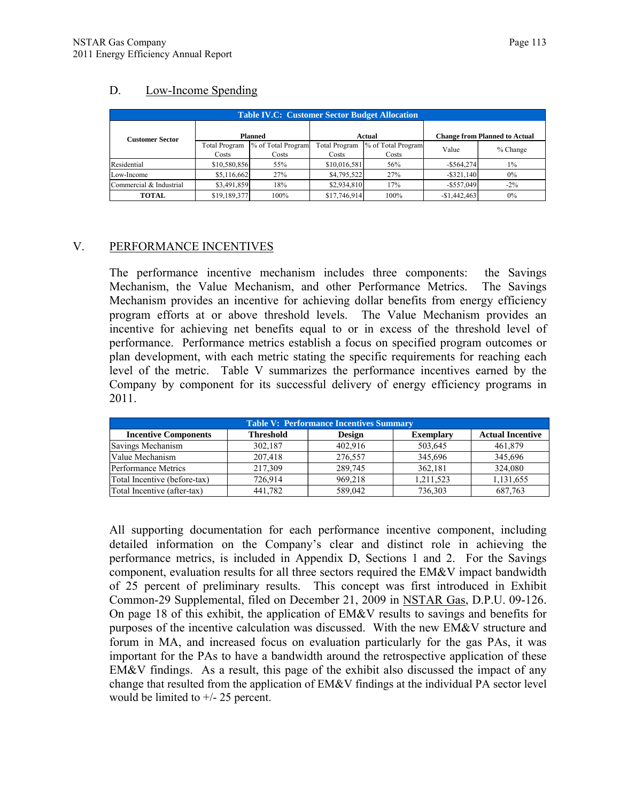## D. Low-Income Spending

| <b>Table IV.C: Customer Sector Budget Allocation</b> |                               |                             |                               |                             |                                      |          |  |  |
|------------------------------------------------------|-------------------------------|-----------------------------|-------------------------------|-----------------------------|--------------------------------------|----------|--|--|
| <b>Customer Sector</b>                               | <b>Planned</b>                |                             | Actual                        |                             | <b>Change from Planned to Actual</b> |          |  |  |
|                                                      | <b>Total Program</b><br>Costs | % of Total Program<br>Costs | <b>Total Program</b><br>Costs | % of Total Program<br>Costs | Value                                | % Change |  |  |
| Residential                                          | \$10,580,856                  | 55%                         | \$10,016,581                  | 56%                         | $-$ \$564,274                        | $1\%$    |  |  |
| Low-Income                                           | \$5,116,662                   | 27%                         | \$4,795,522                   | 27%                         | $-$ \$321,140                        | 0%       |  |  |
| Commercial & Industrial                              | \$3,491,859                   | 18%                         | \$2,934,810                   | 17%                         | $-$ \$557,049                        | $-2\%$   |  |  |
| TOTAL                                                | \$19,189,377                  | 100%                        | \$17,746,914                  | 100%                        | $-$1,442,463$                        | 0%       |  |  |

## V. PERFORMANCE INCENTIVES

The performance incentive mechanism includes three components: the Savings Mechanism, the Value Mechanism, and other Performance Metrics. The Savings Mechanism provides an incentive for achieving dollar benefits from energy efficiency program efforts at or above threshold levels. The Value Mechanism provides an incentive for achieving net benefits equal to or in excess of the threshold level of performance. Performance metrics establish a focus on specified program outcomes or plan development, with each metric stating the specific requirements for reaching each level of the metric. Table V summarizes the performance incentives earned by the Company by component for its successful delivery of energy efficiency programs in 2011.

| <b>Table V: Performance Incentives Summary</b>                                                                  |         |         |           |           |  |  |  |  |
|-----------------------------------------------------------------------------------------------------------------|---------|---------|-----------|-----------|--|--|--|--|
| <b>Threshold</b><br><b>Actual Incentive</b><br><b>Incentive Components</b><br><b>Exemplary</b><br><b>Design</b> |         |         |           |           |  |  |  |  |
| Savings Mechanism                                                                                               | 302,187 | 402,916 | 503,645   | 461,879   |  |  |  |  |
| Value Mechanism                                                                                                 | 207.418 | 276.557 | 345.696   | 345,696   |  |  |  |  |
| <b>Performance Metrics</b>                                                                                      | 217.309 | 289.745 | 362.181   | 324.080   |  |  |  |  |
| Total Incentive (before-tax)                                                                                    | 726,914 | 969,218 | 1,211,523 | 1,131,655 |  |  |  |  |
| Total Incentive (after-tax)                                                                                     | 441.782 | 589,042 | 736.303   | 687,763   |  |  |  |  |

All supporting documentation for each performance incentive component, including detailed information on the Company's clear and distinct role in achieving the performance metrics, is included in Appendix D, Sections 1 and 2. For the Savings component, evaluation results for all three sectors required the EM&V impact bandwidth of 25 percent of preliminary results. This concept was first introduced in Exhibit Common-29 Supplemental, filed on December 21, 2009 in NSTAR Gas, D.P.U. 09-126. On page 18 of this exhibit, the application of  $EM&V$  results to savings and benefits for purposes of the incentive calculation was discussed. With the new EM&V structure and forum in MA, and increased focus on evaluation particularly for the gas PAs, it was important for the PAs to have a bandwidth around the retrospective application of these EM&V findings. As a result, this page of the exhibit also discussed the impact of any change that resulted from the application of EM&V findings at the individual PA sector level would be limited to +/- 25 percent.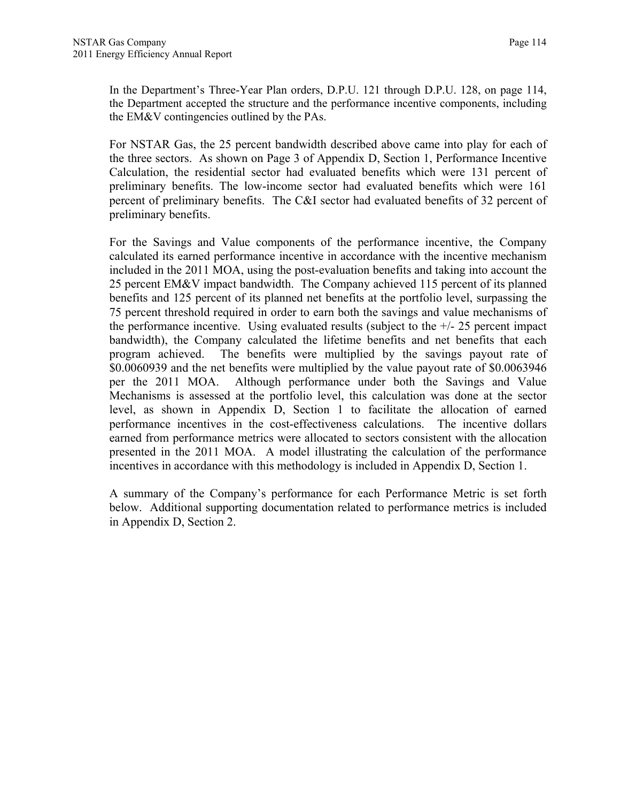In the Department's Three-Year Plan orders, D.P.U. 121 through D.P.U. 128, on page 114, the Department accepted the structure and the performance incentive components, including the EM&V contingencies outlined by the PAs.

For NSTAR Gas, the 25 percent bandwidth described above came into play for each of the three sectors. As shown on Page 3 of Appendix D, Section 1, Performance Incentive Calculation, the residential sector had evaluated benefits which were 131 percent of preliminary benefits. The low-income sector had evaluated benefits which were 161 percent of preliminary benefits. The C&I sector had evaluated benefits of 32 percent of preliminary benefits.

For the Savings and Value components of the performance incentive, the Company calculated its earned performance incentive in accordance with the incentive mechanism included in the 2011 MOA, using the post-evaluation benefits and taking into account the 25 percent EM&V impact bandwidth. The Company achieved 115 percent of its planned benefits and 125 percent of its planned net benefits at the portfolio level, surpassing the 75 percent threshold required in order to earn both the savings and value mechanisms of the performance incentive. Using evaluated results (subject to the  $+/- 25$  percent impact bandwidth), the Company calculated the lifetime benefits and net benefits that each program achieved. The benefits were multiplied by the savings payout rate of \$0.0060939 and the net benefits were multiplied by the value payout rate of \$0.0063946 per the 2011 MOA. Although performance under both the Savings and Value Mechanisms is assessed at the portfolio level, this calculation was done at the sector level, as shown in Appendix D, Section 1 to facilitate the allocation of earned performance incentives in the cost-effectiveness calculations. The incentive dollars earned from performance metrics were allocated to sectors consistent with the allocation presented in the 2011 MOA. A model illustrating the calculation of the performance incentives in accordance with this methodology is included in Appendix D, Section 1.

A summary of the Company's performance for each Performance Metric is set forth below. Additional supporting documentation related to performance metrics is included in Appendix D, Section 2.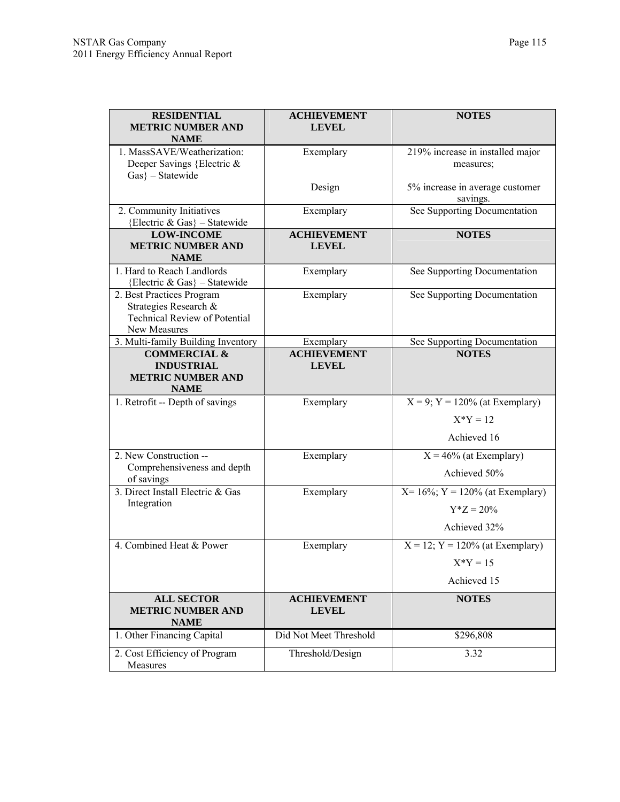| <b>RESIDENTIAL</b><br><b>METRIC NUMBER AND</b>            | <b>ACHIEVEMENT</b><br><b>LEVEL</b> | <b>NOTES</b>                         |
|-----------------------------------------------------------|------------------------------------|--------------------------------------|
| <b>NAME</b>                                               |                                    |                                      |
| 1. MassSAVE/Weatherization:                               | Exemplary                          | 219% increase in installed major     |
| Deeper Savings {Electric &<br>$Gas$ } - Statewide         |                                    | measures;                            |
|                                                           | Design                             | 5% increase in average customer      |
|                                                           |                                    | savings.                             |
| 2. Community Initiatives<br>{Electric & Gas} - Statewide  | Exemplary                          | See Supporting Documentation         |
| <b>LOW-INCOME</b>                                         | <b>ACHIEVEMENT</b>                 | <b>NOTES</b>                         |
| <b>METRIC NUMBER AND</b>                                  | <b>LEVEL</b>                       |                                      |
| <b>NAME</b>                                               |                                    |                                      |
| 1. Hard to Reach Landlords                                | Exemplary                          | See Supporting Documentation         |
| {Electric & Gas} - Statewide<br>2. Best Practices Program | Exemplary                          | See Supporting Documentation         |
| Strategies Research &                                     |                                    |                                      |
| <b>Technical Review of Potential</b>                      |                                    |                                      |
| New Measures                                              |                                    |                                      |
| 3. Multi-family Building Inventory                        | Exemplary                          | See Supporting Documentation         |
| <b>COMMERCIAL &amp;</b><br><b>INDUSTRIAL</b>              | <b>ACHIEVEMENT</b><br><b>LEVEL</b> | <b>NOTES</b>                         |
| <b>METRIC NUMBER AND</b>                                  |                                    |                                      |
| <b>NAME</b>                                               |                                    |                                      |
| 1. Retrofit -- Depth of savings                           | Exemplary                          | $X = 9$ ; $Y = 120%$ (at Exemplary)  |
|                                                           |                                    | $X^*Y = 12$                          |
|                                                           |                                    | Achieved 16                          |
| 2. New Construction --                                    | Exemplary                          | $X = 46\%$ (at Exemplary)            |
| Comprehensiveness and depth                               |                                    | Achieved 50%                         |
| of savings                                                |                                    |                                      |
| 3. Direct Install Electric & Gas<br>Integration           | Exemplary                          | $X = 16\%; Y = 120\%$ (at Exemplary) |
|                                                           |                                    | $Y^*Z = 20\%$                        |
|                                                           |                                    | Achieved 32%                         |
| 4. Combined Heat & Power                                  | Exemplary                          | $X = 12$ ; $Y = 120%$ (at Exemplary) |
|                                                           |                                    | $X^*Y = 15$                          |
|                                                           |                                    | Achieved 15                          |
| <b>ALL SECTOR</b>                                         | <b>ACHIEVEMENT</b>                 | <b>NOTES</b>                         |
| <b>METRIC NUMBER AND</b><br><b>NAME</b>                   | <b>LEVEL</b>                       |                                      |
| 1. Other Financing Capital                                | Did Not Meet Threshold             | \$296,808                            |
| 2. Cost Efficiency of Program<br>Measures                 | Threshold/Design                   | 3.32                                 |
|                                                           |                                    |                                      |